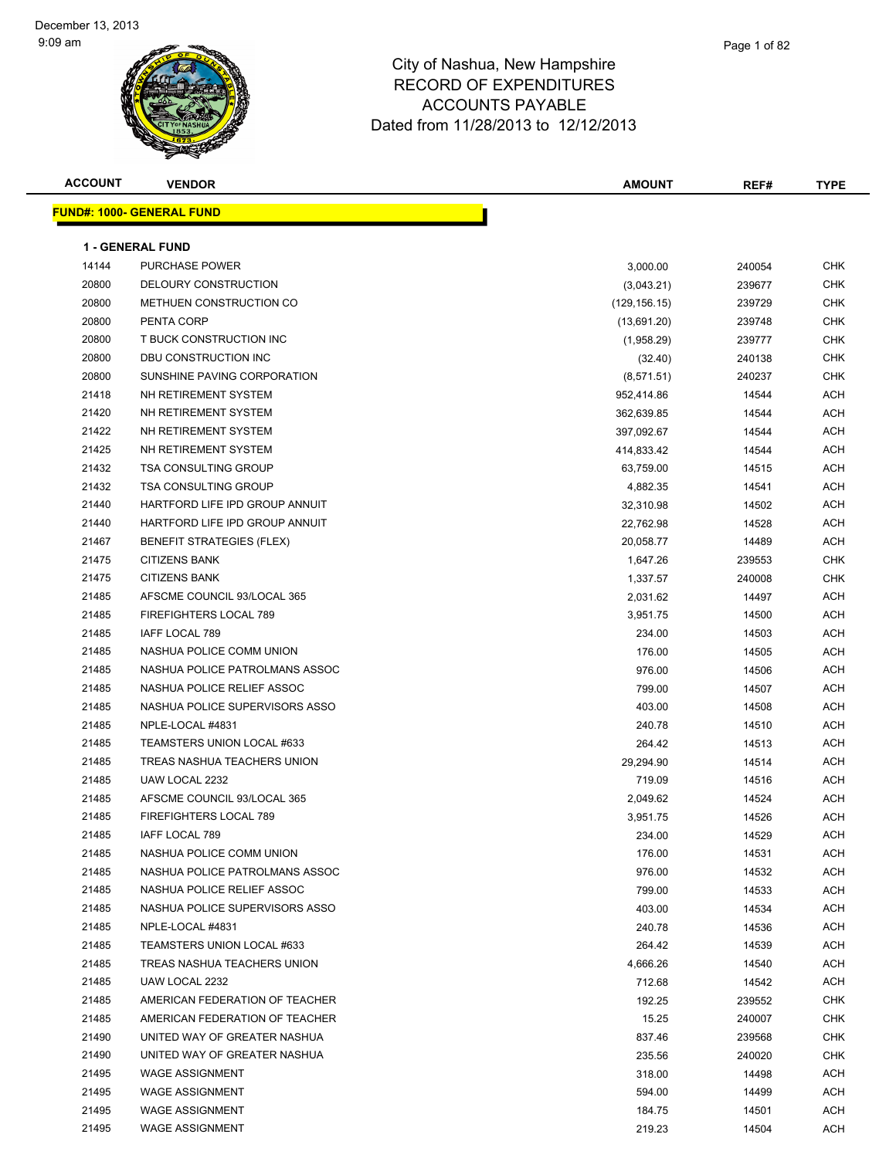| <b>ACCOUNT</b> | <b>VENDOR</b>                    | <b>AMOUNT</b> | REF#   | <b>TYPE</b> |
|----------------|----------------------------------|---------------|--------|-------------|
|                | <b>FUND#: 1000- GENERAL FUND</b> |               |        |             |
|                |                                  |               |        |             |
|                | <b>1 - GENERAL FUND</b>          |               |        |             |
| 14144          | <b>PURCHASE POWER</b>            | 3,000.00      | 240054 | <b>CHK</b>  |
| 20800          | DELOURY CONSTRUCTION             | (3,043.21)    | 239677 | CHK         |
| 20800          | METHUEN CONSTRUCTION CO          | (129,156.15)  | 239729 | CHK         |
| 20800          | PENTA CORP                       | (13,691.20)   | 239748 | CHK         |
| 20800          | T BUCK CONSTRUCTION INC          | (1,958.29)    | 239777 | CHK         |
| 20800          | DBU CONSTRUCTION INC             | (32.40)       | 240138 | <b>CHK</b>  |
| 20800          | SUNSHINE PAVING CORPORATION      | (8,571.51)    | 240237 | CHK         |
| 21418          | NH RETIREMENT SYSTEM             | 952,414.86    | 14544  | ACH         |
| 21420          | NH RETIREMENT SYSTEM             | 362,639.85    | 14544  | ACH         |
| 21422          | NH RETIREMENT SYSTEM             | 397,092.67    | 14544  | ACH         |
| 21425          | NH RETIREMENT SYSTEM             | 414,833.42    | 14544  | ACH         |
| 21432          | <b>TSA CONSULTING GROUP</b>      | 63,759.00     | 14515  | ACH         |
| 21432          | <b>TSA CONSULTING GROUP</b>      | 4,882.35      | 14541  | ACH         |
| 21440          | HARTFORD LIFE IPD GROUP ANNUIT   | 32,310.98     | 14502  | ACH         |
| 21440          | HARTFORD LIFE IPD GROUP ANNUIT   | 22,762.98     | 14528  | ACH         |
| 21467          | <b>BENEFIT STRATEGIES (FLEX)</b> | 20,058.77     | 14489  | ACH         |
| 21475          | <b>CITIZENS BANK</b>             | 1,647.26      | 239553 | CHK         |
| 21475          | <b>CITIZENS BANK</b>             | 1,337.57      | 240008 | <b>CHK</b>  |
| 21485          | AFSCME COUNCIL 93/LOCAL 365      | 2,031.62      | 14497  | ACH         |
| 21485          | FIREFIGHTERS LOCAL 789           | 3,951.75      | 14500  | ACH         |
| 21485          | IAFF LOCAL 789                   | 234.00        | 14503  | ACH         |
| 21485          | NASHUA POLICE COMM UNION         | 176.00        | 14505  | ACH         |
| 21485          | NASHUA POLICE PATROLMANS ASSOC   | 976.00        | 14506  | ACH         |
| 21485          | NASHUA POLICE RELIEF ASSOC       | 799.00        | 14507  | ACH         |
| 21485          | NASHUA POLICE SUPERVISORS ASSO   | 403.00        | 14508  | ACH         |
| 21485          | NPLE-LOCAL #4831                 | 240.78        | 14510  | ACH         |
| 21485          | TEAMSTERS UNION LOCAL #633       | 264.42        | 14513  | ACH         |
| 21485          | TREAS NASHUA TEACHERS UNION      | 29,294.90     | 14514  | ACH         |
| 21485          | UAW LOCAL 2232                   | 719.09        | 14516  | ACH         |
| 21485          | AFSCME COUNCIL 93/LOCAL 365      | 2,049.62      | 14524  | ACH         |
| 21485          | FIREFIGHTERS LOCAL 789           | 3,951.75      | 14526  | ACH         |
| 21485          | IAFF LOCAL 789                   | 234.00        | 14529  | ACH         |
| 21485          | NASHUA POLICE COMM UNION         | 176.00        | 14531  | ACH         |
| 21485          | NASHUA POLICE PATROLMANS ASSOC   | 976.00        | 14532  | ACH         |
| 21485          | NASHUA POLICE RELIEF ASSOC       | 799.00        | 14533  | ACH         |
| 21485          | NASHUA POLICE SUPERVISORS ASSO   | 403.00        | 14534  | ACH         |
| 21485          | NPLE-LOCAL #4831                 | 240.78        | 14536  | ACH         |
| 21485          | TEAMSTERS UNION LOCAL #633       | 264.42        | 14539  | ACH         |
| 21485          | TREAS NASHUA TEACHERS UNION      | 4,666.26      | 14540  | ACH         |
| 21485          | UAW LOCAL 2232                   | 712.68        | 14542  | ACH         |
| 21485          | AMERICAN FEDERATION OF TEACHER   | 192.25        | 239552 | <b>CHK</b>  |
| 21485          | AMERICAN FEDERATION OF TEACHER   | 15.25         | 240007 | CHK         |
| 21490          | UNITED WAY OF GREATER NASHUA     | 837.46        | 239568 | CHK         |
| 21490          | UNITED WAY OF GREATER NASHUA     | 235.56        | 240020 | <b>CHK</b>  |
| 21495          | <b>WAGE ASSIGNMENT</b>           | 318.00        | 14498  | ACH         |
| 21495          | <b>WAGE ASSIGNMENT</b>           | 594.00        | 14499  | ACH         |
| 21495          | <b>WAGE ASSIGNMENT</b>           | 184.75        | 14501  | ACH         |
| 21495          | WAGE ASSIGNMENT                  | 219.23        | 14504  | <b>ACH</b>  |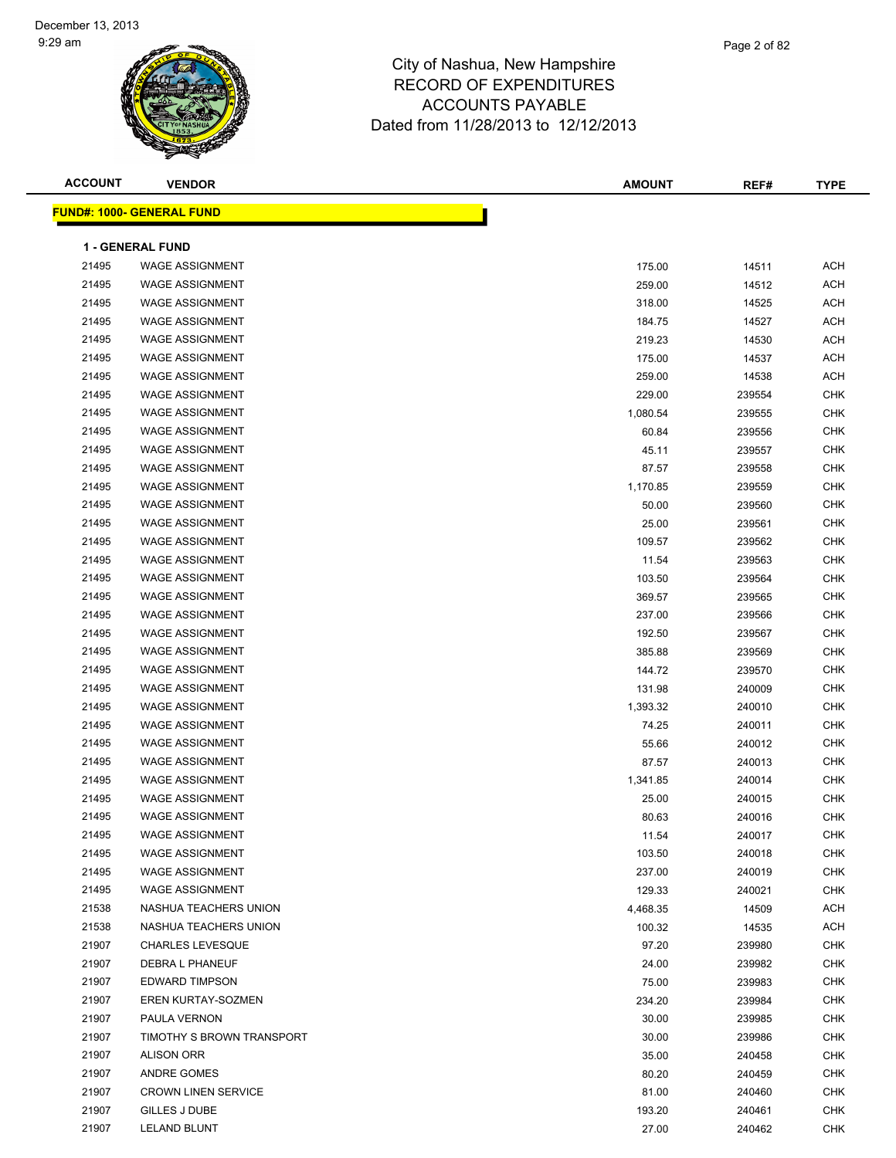| <b>ACCOUNT</b> | <b>VENDOR</b>                    | <b>AMOUNT</b> | REF#   | <b>TYPE</b> |  |  |
|----------------|----------------------------------|---------------|--------|-------------|--|--|
|                | <b>FUND#: 1000- GENERAL FUND</b> |               |        |             |  |  |
|                |                                  |               |        |             |  |  |
|                | <b>1 - GENERAL FUND</b>          |               |        |             |  |  |
| 21495          | <b>WAGE ASSIGNMENT</b>           | 175.00        | 14511  | <b>ACH</b>  |  |  |
| 21495          | <b>WAGE ASSIGNMENT</b>           | 259.00        | 14512  | <b>ACH</b>  |  |  |
| 21495          | <b>WAGE ASSIGNMENT</b>           | 318.00        | 14525  | <b>ACH</b>  |  |  |
| 21495          | <b>WAGE ASSIGNMENT</b>           | 184.75        | 14527  | ACH         |  |  |
| 21495          | <b>WAGE ASSIGNMENT</b>           | 219.23        | 14530  | <b>ACH</b>  |  |  |
| 21495          | <b>WAGE ASSIGNMENT</b>           | 175.00        | 14537  | <b>ACH</b>  |  |  |
| 21495          | <b>WAGE ASSIGNMENT</b>           | 259.00        | 14538  | <b>ACH</b>  |  |  |
| 21495          | <b>WAGE ASSIGNMENT</b>           | 229.00        | 239554 | <b>CHK</b>  |  |  |
| 21495          | <b>WAGE ASSIGNMENT</b>           | 1,080.54      | 239555 | <b>CHK</b>  |  |  |
| 21495          | <b>WAGE ASSIGNMENT</b>           | 60.84         | 239556 | <b>CHK</b>  |  |  |
| 21495          | <b>WAGE ASSIGNMENT</b>           | 45.11         | 239557 | <b>CHK</b>  |  |  |
| 21495          | <b>WAGE ASSIGNMENT</b>           | 87.57         | 239558 | <b>CHK</b>  |  |  |
| 21495          | <b>WAGE ASSIGNMENT</b>           | 1,170.85      | 239559 | <b>CHK</b>  |  |  |
| 21495          | <b>WAGE ASSIGNMENT</b>           | 50.00         | 239560 | <b>CHK</b>  |  |  |
| 21495          | <b>WAGE ASSIGNMENT</b>           | 25.00         | 239561 | <b>CHK</b>  |  |  |
| 21495          | <b>WAGE ASSIGNMENT</b>           | 109.57        | 239562 | <b>CHK</b>  |  |  |
| 21495          | <b>WAGE ASSIGNMENT</b>           | 11.54         | 239563 | <b>CHK</b>  |  |  |
| 21495          | <b>WAGE ASSIGNMENT</b>           | 103.50        | 239564 | <b>CHK</b>  |  |  |
| 21495          | <b>WAGE ASSIGNMENT</b>           | 369.57        | 239565 | <b>CHK</b>  |  |  |
| 21495          | <b>WAGE ASSIGNMENT</b>           | 237.00        | 239566 | <b>CHK</b>  |  |  |
| 21495          | <b>WAGE ASSIGNMENT</b>           | 192.50        | 239567 | <b>CHK</b>  |  |  |
| 21495          | <b>WAGE ASSIGNMENT</b>           | 385.88        | 239569 | <b>CHK</b>  |  |  |
| 21495          | <b>WAGE ASSIGNMENT</b>           | 144.72        | 239570 | <b>CHK</b>  |  |  |
| 21495          | <b>WAGE ASSIGNMENT</b>           | 131.98        | 240009 | <b>CHK</b>  |  |  |
| 21495          | <b>WAGE ASSIGNMENT</b>           | 1,393.32      | 240010 | <b>CHK</b>  |  |  |
| 21495          | <b>WAGE ASSIGNMENT</b>           | 74.25         | 240011 | <b>CHK</b>  |  |  |
| 21495          | <b>WAGE ASSIGNMENT</b>           | 55.66         | 240012 | <b>CHK</b>  |  |  |
| 21495          | <b>WAGE ASSIGNMENT</b>           | 87.57         | 240013 | <b>CHK</b>  |  |  |
| 21495          | <b>WAGE ASSIGNMENT</b>           | 1,341.85      | 240014 | <b>CHK</b>  |  |  |
| 21495          | <b>WAGE ASSIGNMENT</b>           | 25.00         | 240015 | <b>CHK</b>  |  |  |
| 21495          | <b>WAGE ASSIGNMENT</b>           | 80.63         | 240016 | <b>CHK</b>  |  |  |
| 21495          | <b>WAGE ASSIGNMENT</b>           | 11.54         | 240017 | <b>CHK</b>  |  |  |
| 21495          | <b>WAGE ASSIGNMENT</b>           | 103.50        | 240018 | <b>CHK</b>  |  |  |
| 21495          | <b>WAGE ASSIGNMENT</b>           | 237.00        | 240019 | <b>CHK</b>  |  |  |
| 21495          | <b>WAGE ASSIGNMENT</b>           | 129.33        | 240021 | <b>CHK</b>  |  |  |
| 21538          | NASHUA TEACHERS UNION            | 4,468.35      | 14509  | ACH         |  |  |
| 21538          | NASHUA TEACHERS UNION            | 100.32        | 14535  | ACH         |  |  |
| 21907          | <b>CHARLES LEVESQUE</b>          | 97.20         | 239980 | <b>CHK</b>  |  |  |
| 21907          | DEBRA L PHANEUF                  | 24.00         | 239982 | <b>CHK</b>  |  |  |
| 21907          | <b>EDWARD TIMPSON</b>            | 75.00         | 239983 | <b>CHK</b>  |  |  |
| 21907          | EREN KURTAY-SOZMEN               | 234.20        | 239984 | <b>CHK</b>  |  |  |
| 21907          | PAULA VERNON                     | 30.00         | 239985 | <b>CHK</b>  |  |  |
| 21907          | TIMOTHY S BROWN TRANSPORT        | 30.00         | 239986 | <b>CHK</b>  |  |  |
| 21907          | <b>ALISON ORR</b>                | 35.00         | 240458 | <b>CHK</b>  |  |  |
| 21907          | ANDRE GOMES                      | 80.20         | 240459 | <b>CHK</b>  |  |  |
| 21907          | <b>CROWN LINEN SERVICE</b>       | 81.00         | 240460 | <b>CHK</b>  |  |  |
| 21907          | GILLES J DUBE                    | 193.20        | 240461 | CHK         |  |  |
| 21907          | LELAND BLUNT                     | 27.00         | 240462 | <b>CHK</b>  |  |  |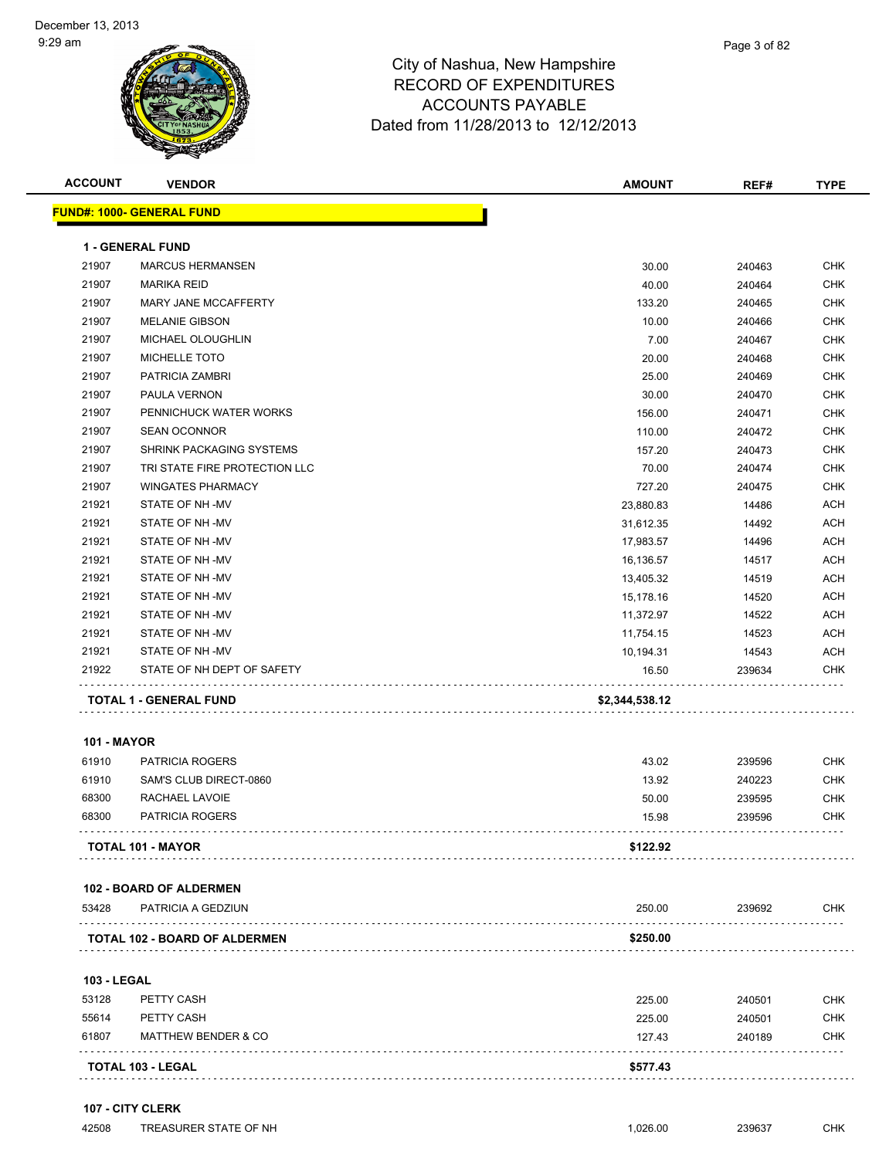

| <b>ACCOUNT</b>     | <b>VENDOR</b>                        | <b>AMOUNT</b>  | REF#   | <b>TYPE</b> |
|--------------------|--------------------------------------|----------------|--------|-------------|
|                    | <b>FUND#: 1000- GENERAL FUND</b>     |                |        |             |
|                    | <b>1 - GENERAL FUND</b>              |                |        |             |
| 21907              | <b>MARCUS HERMANSEN</b>              | 30.00          | 240463 | <b>CHK</b>  |
| 21907              | <b>MARIKA REID</b>                   | 40.00          | 240464 | <b>CHK</b>  |
| 21907              | MARY JANE MCCAFFERTY                 | 133.20         | 240465 | <b>CHK</b>  |
| 21907              | <b>MELANIE GIBSON</b>                | 10.00          | 240466 | <b>CHK</b>  |
| 21907              | MICHAEL OLOUGHLIN                    | 7.00           | 240467 | <b>CHK</b>  |
| 21907              | MICHELLE TOTO                        | 20.00          | 240468 | <b>CHK</b>  |
| 21907              | PATRICIA ZAMBRI                      | 25.00          | 240469 | <b>CHK</b>  |
| 21907              | PAULA VERNON                         | 30.00          | 240470 | <b>CHK</b>  |
| 21907              | PENNICHUCK WATER WORKS               | 156.00         | 240471 | <b>CHK</b>  |
| 21907              | <b>SEAN OCONNOR</b>                  | 110.00         | 240472 | <b>CHK</b>  |
| 21907              | SHRINK PACKAGING SYSTEMS             | 157.20         | 240473 | <b>CHK</b>  |
| 21907              | TRI STATE FIRE PROTECTION LLC        | 70.00          | 240474 | <b>CHK</b>  |
| 21907              | <b>WINGATES PHARMACY</b>             | 727.20         | 240475 | <b>CHK</b>  |
| 21921              | STATE OF NH-MV                       | 23,880.83      | 14486  | <b>ACH</b>  |
| 21921              | STATE OF NH -MV                      | 31,612.35      | 14492  | <b>ACH</b>  |
| 21921              | STATE OF NH-MV                       | 17,983.57      | 14496  | <b>ACH</b>  |
| 21921              | STATE OF NH-MV                       | 16,136.57      | 14517  | <b>ACH</b>  |
| 21921              | STATE OF NH-MV                       | 13,405.32      | 14519  | <b>ACH</b>  |
| 21921              | STATE OF NH -MV                      | 15,178.16      | 14520  | <b>ACH</b>  |
| 21921              | STATE OF NH -MV                      | 11,372.97      | 14522  | <b>ACH</b>  |
| 21921              | STATE OF NH -MV                      | 11,754.15      | 14523  | <b>ACH</b>  |
| 21921              | STATE OF NH-MV                       | 10,194.31      | 14543  | <b>ACH</b>  |
| 21922              | STATE OF NH DEPT OF SAFETY           | 16.50          | 239634 | <b>CHK</b>  |
|                    | <b>TOTAL 1 - GENERAL FUND</b>        | \$2,344,538.12 |        |             |
| <b>101 - MAYOR</b> |                                      |                |        |             |
| 61910              | PATRICIA ROGERS                      | 43.02          | 239596 | <b>CHK</b>  |
| 61910              | SAM'S CLUB DIRECT-0860               | 13.92          | 240223 | <b>CHK</b>  |
| 68300              | RACHAEL LAVOIE                       | 50.00          | 239595 | <b>CHK</b>  |
| 68300              | PATRICIA ROGERS                      | 15.98          | 239596 | <b>CHK</b>  |
|                    | <b>TOTAL 101 - MAYOR</b>             | \$122.92       |        |             |
|                    | <b>102 - BOARD OF ALDERMEN</b>       |                |        |             |
| 53428              | PATRICIA A GEDZIUN                   | 250.00         | 239692 | CHK         |
|                    | <b>TOTAL 102 - BOARD OF ALDERMEN</b> | \$250.00       |        |             |
| <b>103 - LEGAL</b> |                                      |                |        |             |
| 53128              | PETTY CASH                           | 225.00         | 240501 | <b>CHK</b>  |
| 55614              | PETTY CASH                           | 225.00         | 240501 | <b>CHK</b>  |
| 61807              | <b>MATTHEW BENDER &amp; CO</b>       | 127.43         | 240189 | <b>CHK</b>  |
|                    | <b>TOTAL 103 - LEGAL</b>             | \$577.43       |        |             |
|                    |                                      |                |        |             |

#### **107 - CITY CLERK**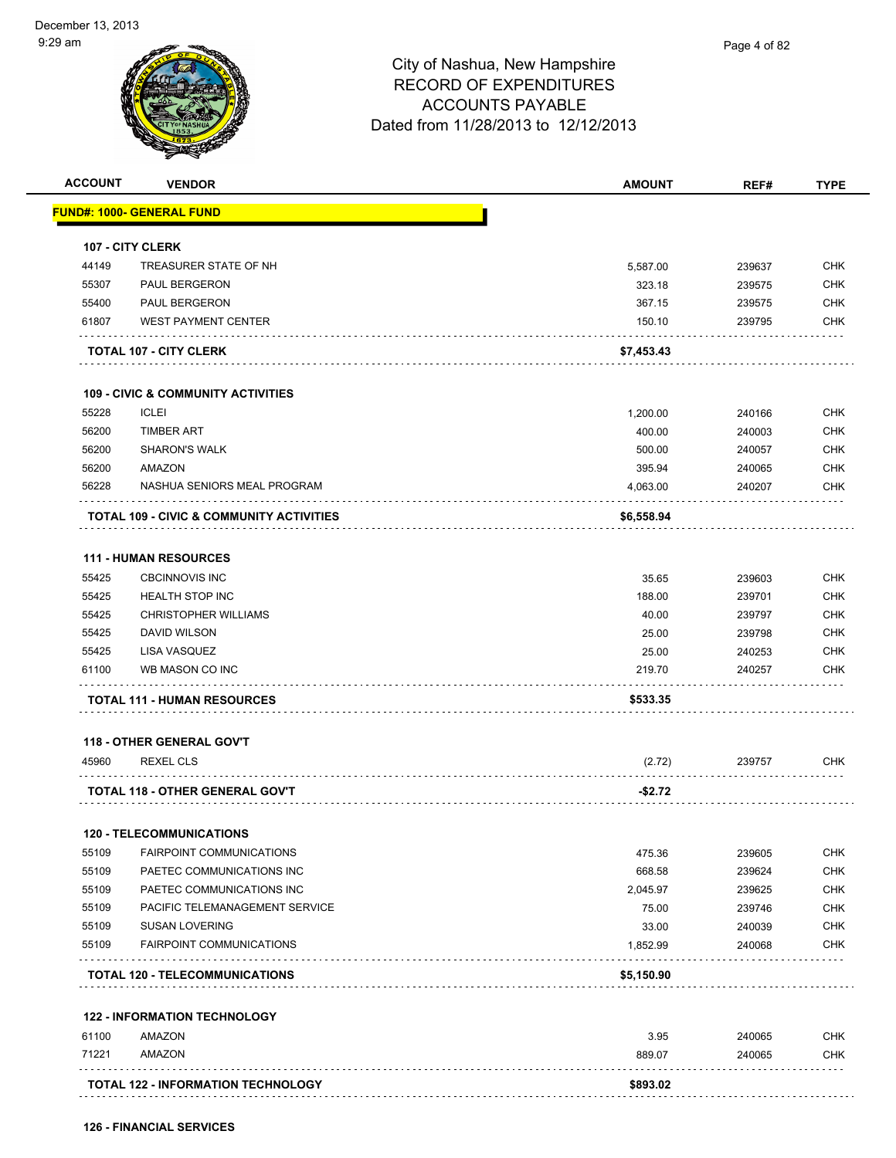|                | <b>VENDOR</b>                                                      | <b>AMOUNT</b> | REF#   | <b>TYPE</b>              |
|----------------|--------------------------------------------------------------------|---------------|--------|--------------------------|
|                | <b>FUND#: 1000- GENERAL FUND</b>                                   |               |        |                          |
|                |                                                                    |               |        |                          |
| 44149          | <b>107 - CITY CLERK</b><br>TREASURER STATE OF NH                   | 5,587.00      | 239637 | <b>CHK</b>               |
| 55307          | PAUL BERGERON                                                      |               |        | <b>CHK</b>               |
| 55400          | <b>PAUL BERGERON</b>                                               | 323.18        | 239575 |                          |
| 61807          | <b>WEST PAYMENT CENTER</b>                                         | 367.15        | 239575 | <b>CHK</b><br><b>CHK</b> |
|                |                                                                    | 150.10        | 239795 |                          |
|                | <b>TOTAL 107 - CITY CLERK</b>                                      | \$7,453.43    |        |                          |
|                | <b>109 - CIVIC &amp; COMMUNITY ACTIVITIES</b>                      |               |        |                          |
| 55228          | <b>ICLEI</b>                                                       | 1,200.00      | 240166 | <b>CHK</b>               |
| 56200          | <b>TIMBER ART</b>                                                  | 400.00        | 240003 | <b>CHK</b>               |
| 56200          | <b>SHARON'S WALK</b>                                               | 500.00        | 240057 | <b>CHK</b>               |
| 56200          | AMAZON                                                             | 395.94        | 240065 | <b>CHK</b>               |
| 56228          | NASHUA SENIORS MEAL PROGRAM                                        | 4,063.00      | 240207 | <b>CHK</b>               |
|                | <b>TOTAL 109 - CIVIC &amp; COMMUNITY ACTIVITIES</b>                | \$6,558.94    |        |                          |
|                |                                                                    |               |        |                          |
| 55425          | <b>111 - HUMAN RESOURCES</b><br><b>CBCINNOVIS INC</b>              |               |        | <b>CHK</b>               |
|                |                                                                    | 35.65         | 239603 |                          |
| 55425          | <b>HEALTH STOP INC</b>                                             | 188.00        | 239701 | <b>CHK</b>               |
| 55425          | <b>CHRISTOPHER WILLIAMS</b>                                        | 40.00         | 239797 | <b>CHK</b>               |
| 55425          | DAVID WILSON                                                       | 25.00         | 239798 | <b>CHK</b>               |
| 55425<br>61100 | LISA VASQUEZ<br>WB MASON CO INC                                    | 25.00         | 240253 | <b>CHK</b><br><b>CHK</b> |
|                |                                                                    | 219.70        | 240257 |                          |
|                | <b>TOTAL 111 - HUMAN RESOURCES</b>                                 | \$533.35      |        |                          |
|                | <b>118 - OTHER GENERAL GOV'T</b>                                   |               |        |                          |
| 45960          | <b>REXEL CLS</b>                                                   | (2.72)        | 239757 | <b>CHK</b>               |
|                | TOTAL 118 - OTHER GENERAL GOV'T                                    | $-$ \$2.72    |        |                          |
|                |                                                                    |               |        |                          |
| 55109          | <b>120 - TELECOMMUNICATIONS</b><br><b>FAIRPOINT COMMUNICATIONS</b> | 475.36        | 239605 | <b>CHK</b>               |
|                |                                                                    |               |        | <b>CHK</b>               |
| 55109<br>55109 | PAETEC COMMUNICATIONS INC                                          | 668.58        | 239624 |                          |
|                | PAETEC COMMUNICATIONS INC                                          | 2,045.97      | 239625 | <b>CHK</b>               |
| 55109          | PACIFIC TELEMANAGEMENT SERVICE                                     | 75.00         | 239746 | <b>CHK</b>               |
| 55109          | <b>SUSAN LOVERING</b>                                              | 33.00         | 240039 | <b>CHK</b>               |
| 55109          | <b>FAIRPOINT COMMUNICATIONS</b>                                    | 1,852.99      | 240068 | <b>CHK</b>               |
|                | <b>TOTAL 120 - TELECOMMUNICATIONS</b>                              | \$5,150.90    |        |                          |
|                | <b>122 - INFORMATION TECHNOLOGY</b>                                |               |        |                          |
| 61100          | AMAZON                                                             | 3.95          | 240065 | <b>CHK</b>               |
| 71221          | AMAZON                                                             | 889.07        | 240065 | <b>CHK</b>               |
|                |                                                                    |               |        |                          |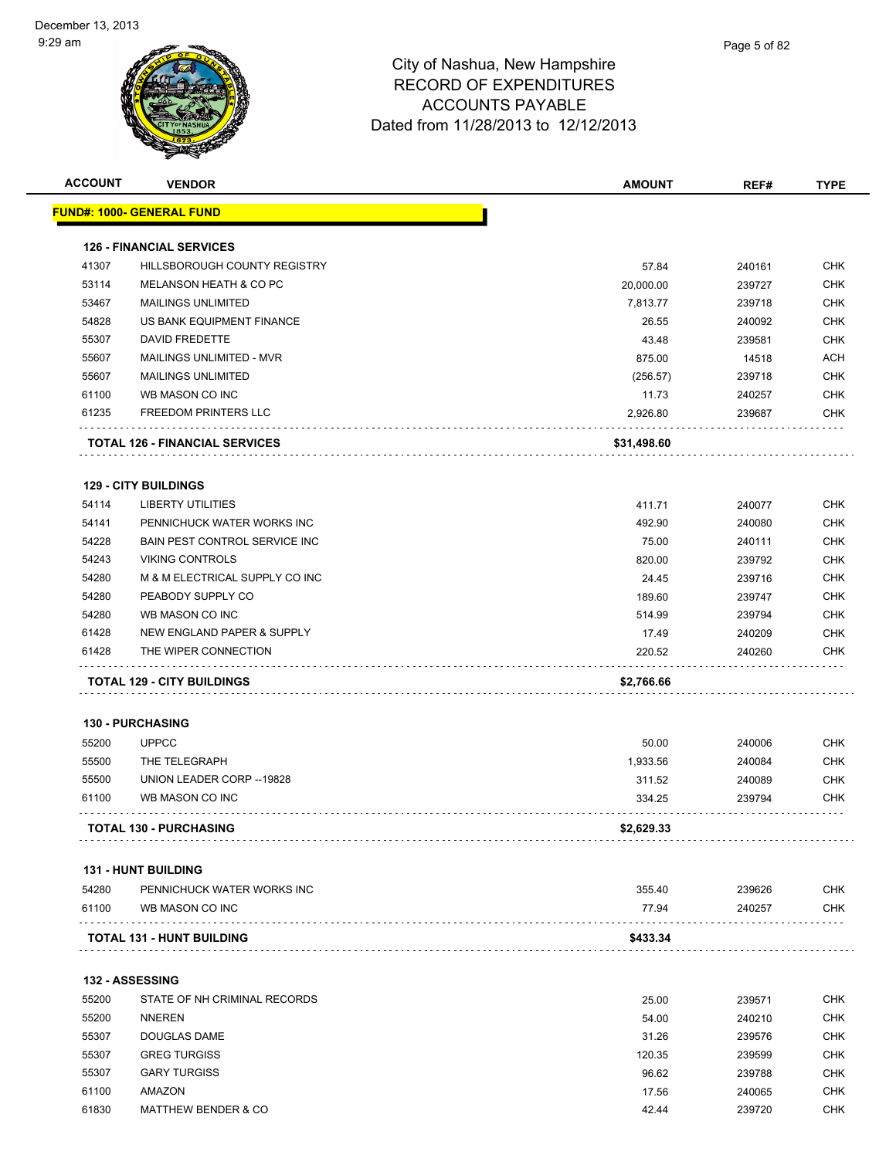| <b>ACCOUNT</b> | <b>VENDOR</b>                                 | <b>AMOUNT</b>   | REF#             | <b>TYPE</b>              |
|----------------|-----------------------------------------------|-----------------|------------------|--------------------------|
|                | <u> FUND#: 1000- GENERAL FUND</u>             |                 |                  |                          |
|                | <b>126 - FINANCIAL SERVICES</b>               |                 |                  |                          |
| 41307          | HILLSBOROUGH COUNTY REGISTRY                  | 57.84           | 240161           | <b>CHK</b>               |
| 53114          | MELANSON HEATH & CO PC                        | 20,000.00       | 239727           | <b>CHK</b>               |
| 53467          | <b>MAILINGS UNLIMITED</b>                     | 7,813.77        | 239718           | CHK                      |
| 54828          | US BANK EQUIPMENT FINANCE                     | 26.55           | 240092           | <b>CHK</b>               |
| 55307          | <b>DAVID FREDETTE</b>                         | 43.48           | 239581           | <b>CHK</b>               |
| 55607          | <b>MAILINGS UNLIMITED - MVR</b>               | 875.00          | 14518            | <b>ACH</b>               |
| 55607          | <b>MAILINGS UNLIMITED</b>                     | (256.57)        | 239718           | <b>CHK</b>               |
| 61100          | WB MASON CO INC                               | 11.73           | 240257           | <b>CHK</b>               |
| 61235          | FREEDOM PRINTERS LLC                          | 2,926.80        | 239687           | <b>CHK</b>               |
|                | <b>TOTAL 126 - FINANCIAL SERVICES</b>         | \$31,498.60     |                  |                          |
|                | <b>129 - CITY BUILDINGS</b>                   |                 |                  |                          |
| 54114          | <b>LIBERTY UTILITIES</b>                      | 411.71          | 240077           | <b>CHK</b>               |
| 54141          | PENNICHUCK WATER WORKS INC                    | 492.90          | 240080           | <b>CHK</b>               |
| 54228          | BAIN PEST CONTROL SERVICE INC                 | 75.00           | 240111           | <b>CHK</b>               |
| 54243          | <b>VIKING CONTROLS</b>                        | 820.00          | 239792           | <b>CHK</b>               |
| 54280          | M & M ELECTRICAL SUPPLY CO INC                | 24.45           | 239716           | <b>CHK</b>               |
| 54280          | PEABODY SUPPLY CO                             | 189.60          | 239747           | <b>CHK</b>               |
| 54280          | WB MASON CO INC                               | 514.99          | 239794           | <b>CHK</b>               |
| 61428          | NEW ENGLAND PAPER & SUPPLY                    | 17.49           | 240209           | <b>CHK</b>               |
| 61428          | THE WIPER CONNECTION                          | 220.52          | 240260           | <b>CHK</b>               |
|                | <b>TOTAL 129 - CITY BUILDINGS</b>             | \$2,766.66      |                  |                          |
|                | 130 - PURCHASING                              |                 |                  |                          |
| 55200          | <b>UPPCC</b>                                  | 50.00           | 240006           | <b>CHK</b>               |
| 55500          | THE TELEGRAPH                                 | 1,933.56        | 240084           | <b>CHK</b>               |
| 55500          | UNION LEADER CORP -- 19828                    | 311.52          | 240089           | <b>CHK</b>               |
| 61100          | WB MASON CO INC                               | 334.25          | 239794           | <b>CHK</b>               |
|                | <b>TOTAL 130 - PURCHASING</b>                 | \$2,629.33      |                  |                          |
|                | <b>131 - HUNT BUILDING</b>                    |                 |                  |                          |
|                |                                               |                 |                  |                          |
| 54280<br>61100 | PENNICHUCK WATER WORKS INC<br>WB MASON CO INC | 355.40<br>77.94 | 239626<br>240257 | <b>CHK</b><br><b>CHK</b> |
|                |                                               |                 |                  |                          |
|                | <b>TOTAL 131 - HUNT BUILDING</b>              | \$433.34        |                  |                          |
|                | 132 - ASSESSING                               |                 |                  |                          |
| 55200          | STATE OF NH CRIMINAL RECORDS                  | 25.00           | 239571           | <b>CHK</b>               |
| 55200          | <b>NNEREN</b>                                 | 54.00           | 240210           | <b>CHK</b>               |
| 55307          | DOUGLAS DAME                                  | 31.26           | 239576           | <b>CHK</b>               |
| 55307          | <b>GREG TURGISS</b>                           | 120.35          | 239599           | <b>CHK</b>               |
| 55307          | <b>GARY TURGISS</b>                           | 96.62           | 239788           | <b>CHK</b>               |
| 61100          | AMAZON                                        | 17.56           | 240065           | <b>CHK</b>               |
| 61830          | <b>MATTHEW BENDER &amp; CO</b>                | 42.44           | 239720           | <b>CHK</b>               |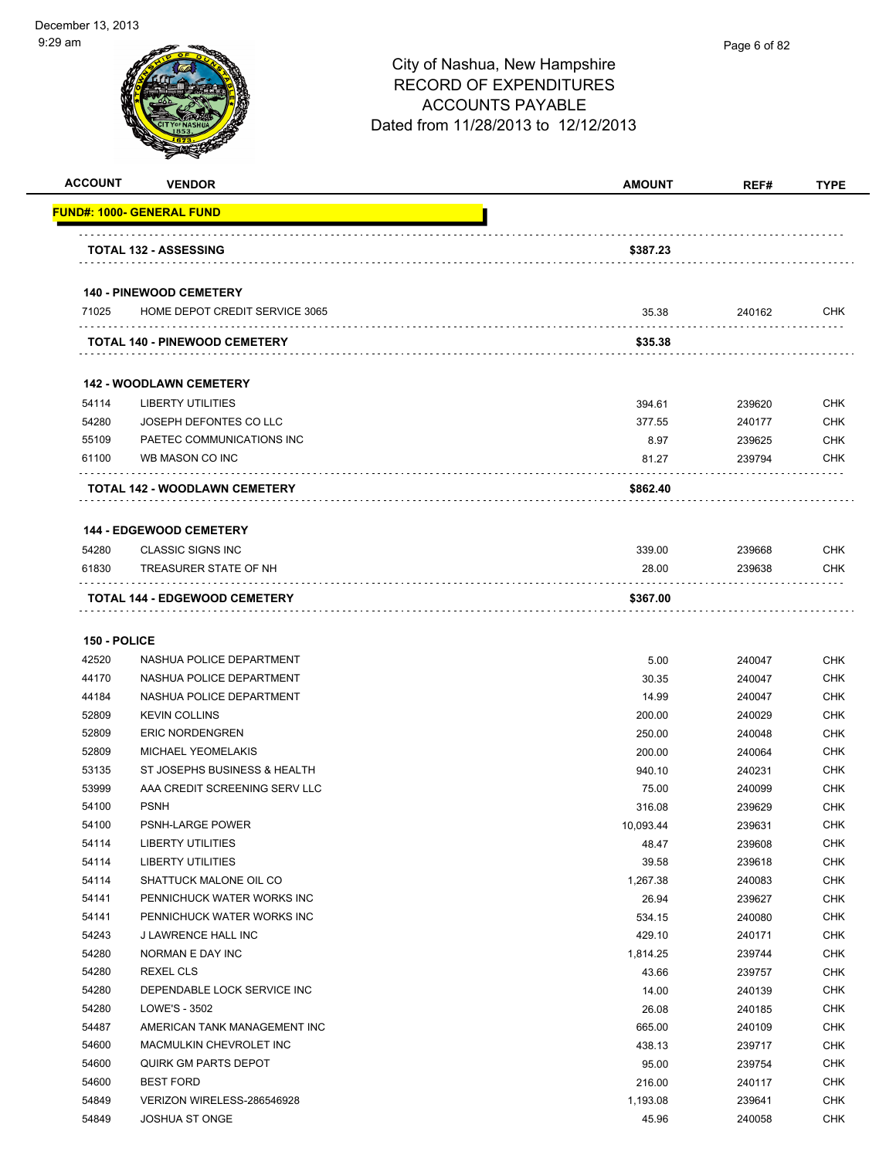| <b>ACCOUNT</b> | <b>VENDOR</b>                    | <b>AMOUNT</b> | REF#   | <b>TYPE</b> |
|----------------|----------------------------------|---------------|--------|-------------|
|                | <b>FUND#: 1000- GENERAL FUND</b> |               |        |             |
|                |                                  |               |        |             |
|                | <b>TOTAL 132 - ASSESSING</b>     | \$387.23      |        |             |
|                | <b>140 - PINEWOOD CEMETERY</b>   |               |        |             |
| 71025          | HOME DEPOT CREDIT SERVICE 3065   | 35.38         | 240162 | <b>CHK</b>  |
|                | TOTAL 140 - PINEWOOD CEMETERY    | \$35.38       |        |             |
|                |                                  |               |        |             |
|                | <b>142 - WOODLAWN CEMETERY</b>   |               |        |             |
| 54114          | <b>LIBERTY UTILITIES</b>         | 394.61        | 239620 | <b>CHK</b>  |
| 54280          | JOSEPH DEFONTES CO LLC           | 377.55        | 240177 | <b>CHK</b>  |
| 55109          | PAETEC COMMUNICATIONS INC        | 8.97          | 239625 | <b>CHK</b>  |
| 61100          | WB MASON CO INC                  | 81.27         | 239794 | <b>CHK</b>  |
|                | TOTAL 142 - WOODLAWN CEMETERY    | \$862.40      |        |             |
|                |                                  |               |        |             |
|                | <b>144 - EDGEWOOD CEMETERY</b>   |               |        |             |
| 54280          | <b>CLASSIC SIGNS INC</b>         | 339.00        | 239668 | <b>CHK</b>  |
| 61830          | TREASURER STATE OF NH            | 28.00         | 239638 | <b>CHK</b>  |
|                | TOTAL 144 - EDGEWOOD CEMETERY    | \$367.00      |        |             |
| 150 - POLICE   |                                  |               |        |             |
| 42520          | NASHUA POLICE DEPARTMENT         | 5.00          | 240047 | <b>CHK</b>  |
| 44170          | NASHUA POLICE DEPARTMENT         | 30.35         | 240047 | <b>CHK</b>  |
| 44184          | NASHUA POLICE DEPARTMENT         | 14.99         | 240047 | <b>CHK</b>  |
| 52809          | <b>KEVIN COLLINS</b>             | 200.00        | 240029 | <b>CHK</b>  |
| 52809          | <b>ERIC NORDENGREN</b>           | 250.00        | 240048 | <b>CHK</b>  |
| 52809          | <b>MICHAEL YEOMELAKIS</b>        | 200.00        | 240064 | <b>CHK</b>  |
| 53135          | ST JOSEPHS BUSINESS & HEALTH     | 940.10        | 240231 | <b>CHK</b>  |
| 53999          | AAA CREDIT SCREENING SERV LLC    | 75.00         | 240099 | <b>CHK</b>  |
| 54100          | <b>PSNH</b>                      | 316.08        | 239629 | <b>CHK</b>  |
| 54100          | <b>PSNH-LARGE POWER</b>          | 10,093.44     | 239631 | CHK         |
| 54114          | LIBERTY UTILITIES                | 48.47         | 239608 | <b>CHK</b>  |
| 54114          | LIBERTY UTILITIES                | 39.58         | 239618 | CHK         |
| 54114          | SHATTUCK MALONE OIL CO           | 1,267.38      | 240083 | <b>CHK</b>  |
| 54141          | PENNICHUCK WATER WORKS INC       | 26.94         | 239627 | CHK         |
| 54141          | PENNICHUCK WATER WORKS INC       | 534.15        | 240080 | CHK         |
| 54243          | J LAWRENCE HALL INC              | 429.10        | 240171 | <b>CHK</b>  |
| 54280          | NORMAN E DAY INC                 | 1,814.25      | 239744 | CHK         |
| 54280          | REXEL CLS                        | 43.66         | 239757 | <b>CHK</b>  |
| 54280          | DEPENDABLE LOCK SERVICE INC      | 14.00         | 240139 | <b>CHK</b>  |
| 54280          | LOWE'S - 3502                    | 26.08         | 240185 | <b>CHK</b>  |
| 54487          | AMERICAN TANK MANAGEMENT INC     | 665.00        | 240109 | <b>CHK</b>  |
| 54600          | MACMULKIN CHEVROLET INC          | 438.13        | 239717 | <b>CHK</b>  |
| 54600          | QUIRK GM PARTS DEPOT             | 95.00         | 239754 | <b>CHK</b>  |
| 54600          | <b>BEST FORD</b>                 | 216.00        | 240117 | <b>CHK</b>  |
| 54849          | VERIZON WIRELESS-286546928       | 1,193.08      | 239641 | CHK         |
| 54849          | <b>JOSHUA ST ONGE</b>            | 45.96         | 240058 | CHK         |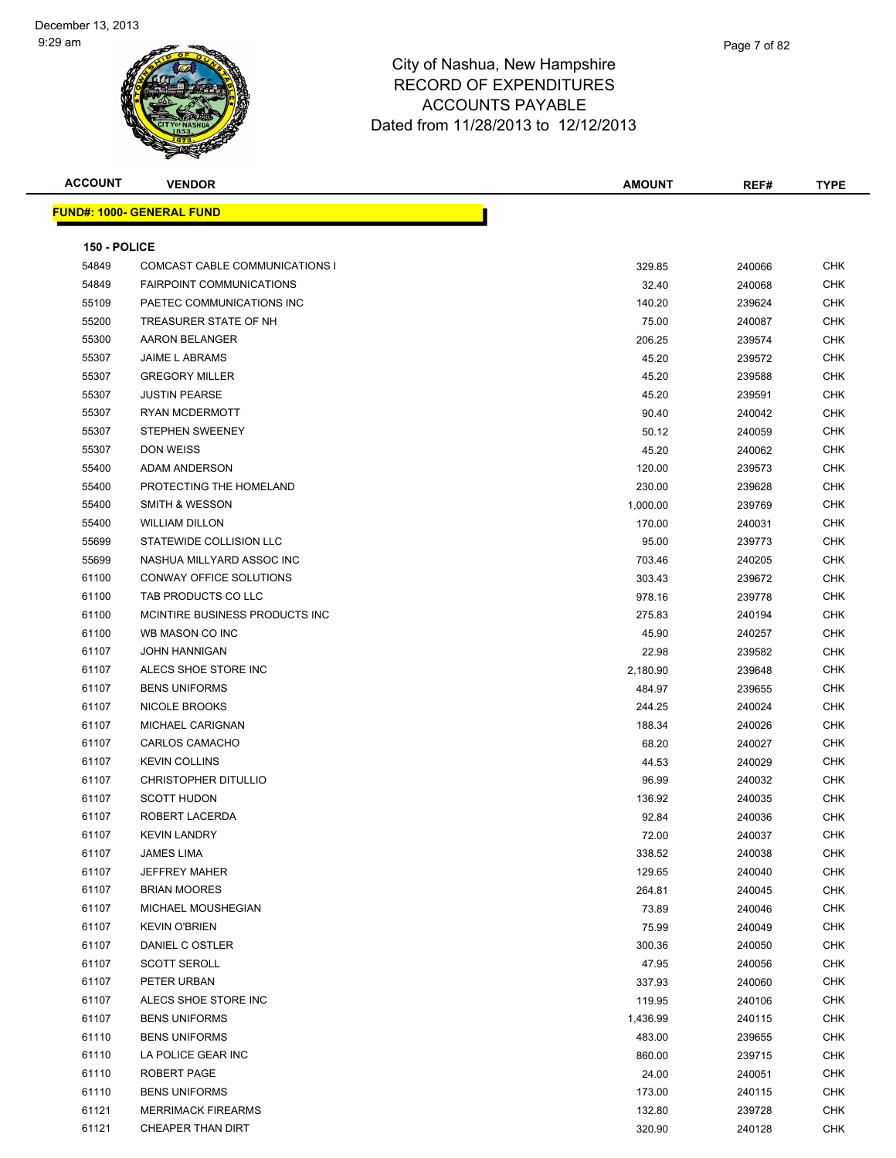| <b>ACCOUNT</b> | <b>VENDOR</b>                       | <b>AMOUNT</b> | REF#   | <b>TYPE</b>       |
|----------------|-------------------------------------|---------------|--------|-------------------|
|                | <b>FUND#: 1000- GENERAL FUND</b>    |               |        |                   |
|                |                                     |               |        |                   |
| 150 - POLICE   |                                     |               |        |                   |
| 54849          | COMCAST CABLE COMMUNICATIONS I      | 329.85        | 240066 | <b>CHK</b>        |
| 54849          | <b>FAIRPOINT COMMUNICATIONS</b>     | 32.40         | 240068 | <b>CHK</b>        |
| 55109          | PAETEC COMMUNICATIONS INC           | 140.20        | 239624 | <b>CHK</b>        |
| 55200          | TREASURER STATE OF NH               | 75.00         | 240087 | <b>CHK</b>        |
| 55300          | AARON BELANGER                      | 206.25        | 239574 | CHK               |
| 55307          | <b>JAIME L ABRAMS</b>               | 45.20         | 239572 | <b>CHK</b>        |
| 55307          | <b>GREGORY MILLER</b>               | 45.20         | 239588 | CHK               |
| 55307          | <b>JUSTIN PEARSE</b>                | 45.20         | 239591 | CHK               |
| 55307          | RYAN MCDERMOTT                      | 90.40         | 240042 | CHK               |
| 55307          | <b>STEPHEN SWEENEY</b>              | 50.12         | 240059 | CHK               |
| 55307          | <b>DON WEISS</b>                    | 45.20         | 240062 | CHK               |
| 55400          | <b>ADAM ANDERSON</b>                | 120.00        | 239573 | CHK               |
| 55400          | PROTECTING THE HOMELAND             | 230.00        | 239628 | CHK               |
| 55400          | <b>SMITH &amp; WESSON</b>           | 1,000.00      | 239769 | CHK               |
| 55400          | <b>WILLIAM DILLON</b>               | 170.00        | 240031 | <b>CHK</b>        |
| 55699          | STATEWIDE COLLISION LLC             | 95.00         | 239773 | CHK               |
| 55699          | NASHUA MILLYARD ASSOC INC           | 703.46        | 240205 | CHK               |
| 61100          | CONWAY OFFICE SOLUTIONS             | 303.43        | 239672 | CHK               |
| 61100          | TAB PRODUCTS CO LLC                 | 978.16        | 239778 | CHK               |
| 61100          | MCINTIRE BUSINESS PRODUCTS INC      | 275.83        | 240194 | CHK               |
| 61100          | WB MASON CO INC                     | 45.90         | 240257 | CHK               |
| 61107          | <b>JOHN HANNIGAN</b>                | 22.98         | 239582 | CHK               |
| 61107          | ALECS SHOE STORE INC                | 2,180.90      | 239648 | <b>CHK</b>        |
| 61107          | <b>BENS UNIFORMS</b>                | 484.97        | 239655 | CHK               |
| 61107          | NICOLE BROOKS                       | 244.25        | 240024 | <b>CHK</b>        |
| 61107          | MICHAEL CARIGNAN                    | 188.34        | 240026 | CHK               |
| 61107          | <b>CARLOS CAMACHO</b>               | 68.20         | 240027 | CHK               |
| 61107          | <b>KEVIN COLLINS</b>                | 44.53         | 240029 | <b>CHK</b>        |
| 61107          | <b>CHRISTOPHER DITULLIO</b>         | 96.99         | 240032 | CHK               |
| 61107          | <b>SCOTT HUDON</b>                  | 136.92        | 240035 | CHK               |
| 61107          | ROBERT LACERDA                      | 92.84         | 240036 | <b>CHK</b>        |
| 61107          | <b>KEVIN LANDRY</b>                 | 72.00         | 240037 | CHK               |
| 61107          | <b>JAMES LIMA</b>                   | 338.52        | 240038 | <b>CHK</b>        |
| 61107          | <b>JEFFREY MAHER</b>                | 129.65        | 240040 | <b>CHK</b>        |
| 61107          | <b>BRIAN MOORES</b>                 | 264.81        | 240045 | <b>CHK</b>        |
| 61107          | MICHAEL MOUSHEGIAN                  | 73.89         | 240046 | <b>CHK</b>        |
| 61107          | <b>KEVIN O'BRIEN</b>                | 75.99         | 240049 | <b>CHK</b>        |
| 61107          | DANIEL C OSTLER                     | 300.36        | 240050 | CHK               |
| 61107          | <b>SCOTT SEROLL</b>                 | 47.95         | 240056 | <b>CHK</b>        |
|                |                                     |               |        |                   |
| 61107<br>61107 | PETER URBAN<br>ALECS SHOE STORE INC | 337.93        | 240060 | CHK<br><b>CHK</b> |
|                |                                     | 119.95        | 240106 |                   |
| 61107          | <b>BENS UNIFORMS</b>                | 1,436.99      | 240115 | CHK               |
| 61110          | <b>BENS UNIFORMS</b>                | 483.00        | 239655 | CHK               |
| 61110          | LA POLICE GEAR INC                  | 860.00        | 239715 | CHK               |
| 61110          | ROBERT PAGE                         | 24.00         | 240051 | <b>CHK</b>        |
| 61110          | <b>BENS UNIFORMS</b>                | 173.00        | 240115 | CHK               |
| 61121          | <b>MERRIMACK FIREARMS</b>           | 132.80        | 239728 | <b>CHK</b>        |
| 61121          | CHEAPER THAN DIRT                   | 320.90        | 240128 | <b>CHK</b>        |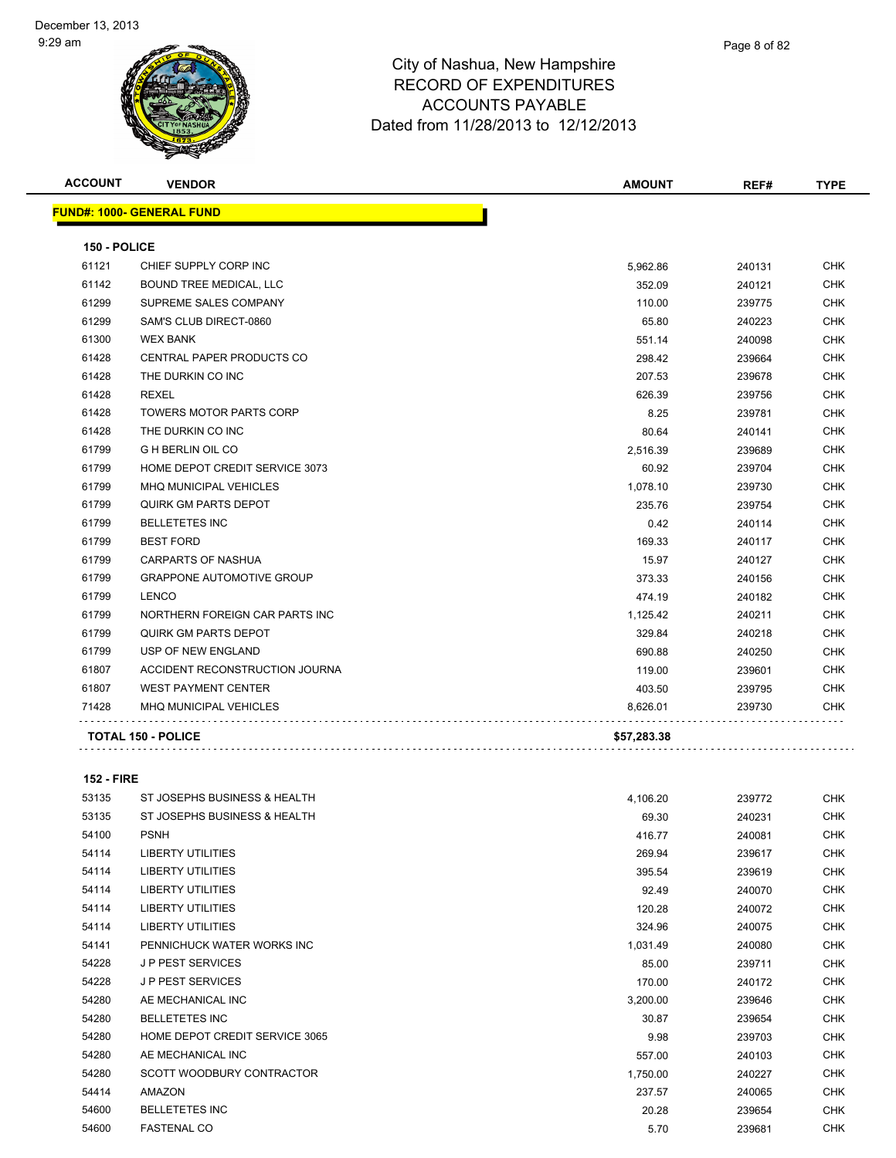| <b>ACCOUNT</b> | <b>VENDOR</b>                    | <b>AMOUNT</b> | REF#   | <b>TYPE</b> |
|----------------|----------------------------------|---------------|--------|-------------|
|                | <b>FUND#: 1000- GENERAL FUND</b> |               |        |             |
| 150 - POLICE   |                                  |               |        |             |
| 61121          | CHIEF SUPPLY CORP INC            | 5,962.86      | 240131 | CHK         |
| 61142          | <b>BOUND TREE MEDICAL, LLC</b>   | 352.09        | 240121 | <b>CHK</b>  |
| 61299          | SUPREME SALES COMPANY            | 110.00        | 239775 | <b>CHK</b>  |
| 61299          | SAM'S CLUB DIRECT-0860           | 65.80         | 240223 | <b>CHK</b>  |
| 61300          | <b>WEX BANK</b>                  | 551.14        | 240098 | CHK         |
| 61428          | <b>CENTRAL PAPER PRODUCTS CO</b> | 298.42        | 239664 | <b>CHK</b>  |
| 61428          | THE DURKIN CO INC                | 207.53        | 239678 | CHK         |
| 61428          | <b>REXEL</b>                     | 626.39        | 239756 | <b>CHK</b>  |
| 61428          | <b>TOWERS MOTOR PARTS CORP</b>   | 8.25          | 239781 | CHK         |
| 61428          | THE DURKIN CO INC                | 80.64         | 240141 | <b>CHK</b>  |
| 61799          | <b>G H BERLIN OIL CO</b>         | 2,516.39      | 239689 | <b>CHK</b>  |
| 61799          | HOME DEPOT CREDIT SERVICE 3073   | 60.92         | 239704 | <b>CHK</b>  |
| 61799          | <b>MHQ MUNICIPAL VEHICLES</b>    | 1,078.10      | 239730 | <b>CHK</b>  |
| 61799          | QUIRK GM PARTS DEPOT             | 235.76        | 239754 | <b>CHK</b>  |
| 61799          | <b>BELLETETES INC</b>            | 0.42          | 240114 | <b>CHK</b>  |
| 61799          | <b>BEST FORD</b>                 | 169.33        | 240117 | <b>CHK</b>  |
| 61799          | CARPARTS OF NASHUA               | 15.97         | 240127 | <b>CHK</b>  |
| 61799          | <b>GRAPPONE AUTOMOTIVE GROUP</b> | 373.33        | 240156 | <b>CHK</b>  |
| 61799          | <b>LENCO</b>                     | 474.19        | 240182 | <b>CHK</b>  |
| 61799          | NORTHERN FOREIGN CAR PARTS INC   | 1,125.42      | 240211 | <b>CHK</b>  |
| 61799          | <b>QUIRK GM PARTS DEPOT</b>      | 329.84        | 240218 | <b>CHK</b>  |
| 61799          | USP OF NEW ENGLAND               | 690.88        | 240250 | <b>CHK</b>  |
| 61807          | ACCIDENT RECONSTRUCTION JOURNA   | 119.00        | 239601 | CHK         |
| 61807          | <b>WEST PAYMENT CENTER</b>       | 403.50        | 239795 | <b>CHK</b>  |
| 71428          | <b>MHQ MUNICIPAL VEHICLES</b>    | 8,626.01      | 239730 | <b>CHK</b>  |
|                | <b>TOTAL 150 - POLICE</b>        | \$57,283.38   |        |             |

#### **152 - FIRE**

| 53135 | ST JOSEPHS BUSINESS & HEALTH   | 4,106.20 | 239772 | CHK        |
|-------|--------------------------------|----------|--------|------------|
| 53135 | ST JOSEPHS BUSINESS & HEALTH   | 69.30    | 240231 | <b>CHK</b> |
| 54100 | <b>PSNH</b>                    | 416.77   | 240081 | <b>CHK</b> |
| 54114 | <b>LIBERTY UTILITIES</b>       | 269.94   | 239617 | <b>CHK</b> |
| 54114 | <b>LIBERTY UTILITIES</b>       | 395.54   | 239619 | <b>CHK</b> |
| 54114 | <b>LIBERTY UTILITIES</b>       | 92.49    | 240070 | CHK        |
| 54114 | <b>LIBERTY UTILITIES</b>       | 120.28   | 240072 | <b>CHK</b> |
| 54114 | <b>LIBERTY UTILITIES</b>       | 324.96   | 240075 | CHK        |
| 54141 | PENNICHUCK WATER WORKS INC     | 1,031.49 | 240080 | <b>CHK</b> |
| 54228 | <b>JP PEST SERVICES</b>        | 85.00    | 239711 | CHK        |
| 54228 | <b>JP PEST SERVICES</b>        | 170.00   | 240172 | CHK        |
| 54280 | AE MECHANICAL INC              | 3,200.00 | 239646 | <b>CHK</b> |
| 54280 | <b>BELLETETES INC</b>          | 30.87    | 239654 | <b>CHK</b> |
| 54280 | HOME DEPOT CREDIT SERVICE 3065 | 9.98     | 239703 | <b>CHK</b> |
| 54280 | AE MECHANICAL INC              | 557.00   | 240103 | <b>CHK</b> |
| 54280 | SCOTT WOODBURY CONTRACTOR      | 1,750.00 | 240227 | <b>CHK</b> |
| 54414 | <b>AMAZON</b>                  | 237.57   | 240065 | <b>CHK</b> |
| 54600 | <b>BELLETETES INC</b>          | 20.28    | 239654 | CHK        |
| 54600 | <b>FASTENAL CO</b>             | 5.70     | 239681 | <b>CHK</b> |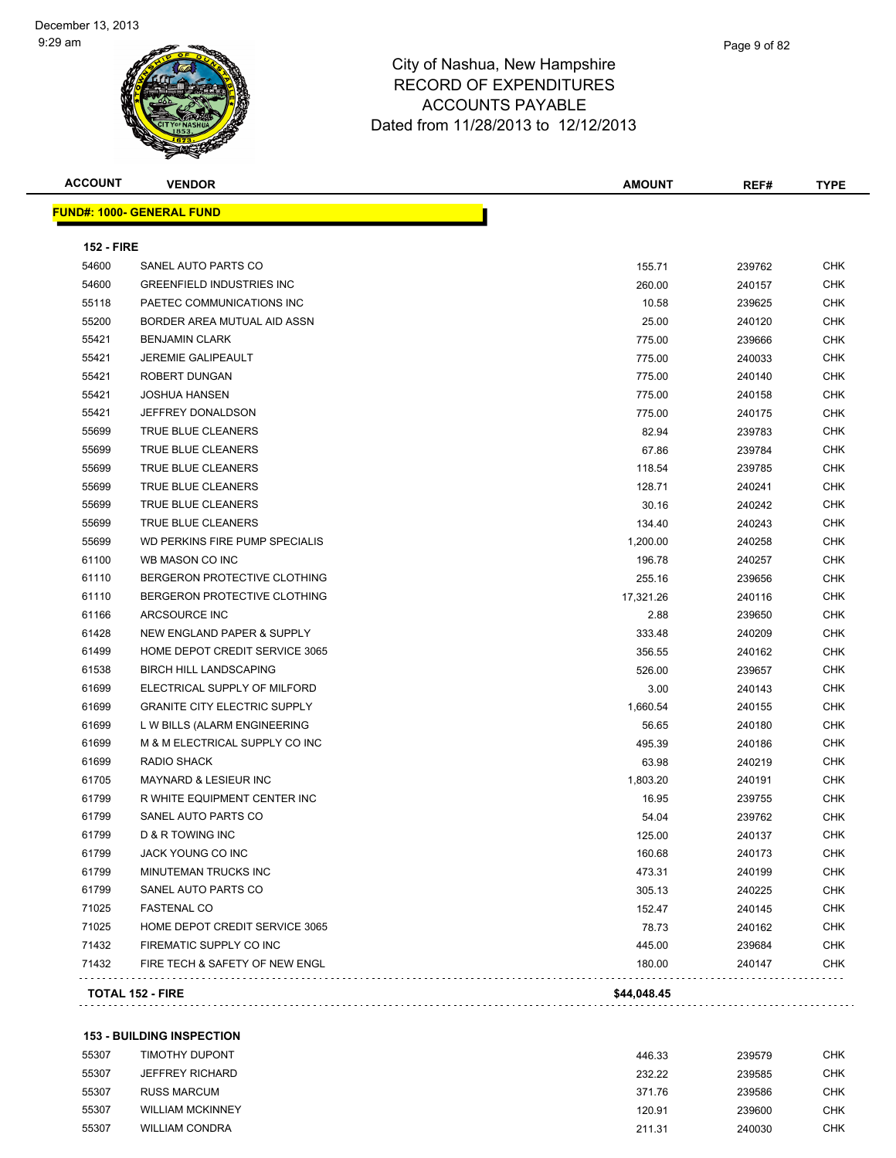| <b>ACCOUNT</b>    | <b>VENDOR</b>                       | <b>AMOUNT</b> | REF#   | <b>TYPE</b> |
|-------------------|-------------------------------------|---------------|--------|-------------|
|                   | <b>FUND#: 1000- GENERAL FUND</b>    |               |        |             |
| <b>152 - FIRE</b> |                                     |               |        |             |
| 54600             | SANEL AUTO PARTS CO                 | 155.71        | 239762 | CHK         |
| 54600             | <b>GREENFIELD INDUSTRIES INC</b>    | 260.00        | 240157 | <b>CHK</b>  |
| 55118             | PAETEC COMMUNICATIONS INC           | 10.58         | 239625 | CHK         |
| 55200             | BORDER AREA MUTUAL AID ASSN         | 25.00         | 240120 | CHK         |
| 55421             | <b>BENJAMIN CLARK</b>               | 775.00        | 239666 | <b>CHK</b>  |
| 55421             | <b>JEREMIE GALIPEAULT</b>           | 775.00        | 240033 | <b>CHK</b>  |
| 55421             | <b>ROBERT DUNGAN</b>                | 775.00        | 240140 | <b>CHK</b>  |
| 55421             | <b>JOSHUA HANSEN</b>                | 775.00        | 240158 | CHK         |
| 55421             | JEFFREY DONALDSON                   | 775.00        | 240175 | CHK         |
| 55699             | TRUE BLUE CLEANERS                  | 82.94         | 239783 | CHK         |
| 55699             | TRUE BLUE CLEANERS                  | 67.86         | 239784 | CHK         |
| 55699             | TRUE BLUE CLEANERS                  | 118.54        | 239785 | CHK         |
| 55699             | TRUE BLUE CLEANERS                  | 128.71        | 240241 | <b>CHK</b>  |
| 55699             | <b>TRUE BLUE CLEANERS</b>           | 30.16         | 240242 | CHK         |
| 55699             | TRUE BLUE CLEANERS                  | 134.40        | 240243 | CHK         |
| 55699             | WD PERKINS FIRE PUMP SPECIALIS      | 1,200.00      | 240258 | <b>CHK</b>  |
| 61100             | WB MASON CO INC                     | 196.78        | 240257 | CHK         |
| 61110             | BERGERON PROTECTIVE CLOTHING        | 255.16        | 239656 | CHK         |
| 61110             | BERGERON PROTECTIVE CLOTHING        | 17,321.26     | 240116 | CHK         |
| 61166             | ARCSOURCE INC                       | 2.88          | 239650 | CHK         |
| 61428             | NEW ENGLAND PAPER & SUPPLY          | 333.48        | 240209 | CHK         |
| 61499             | HOME DEPOT CREDIT SERVICE 3065      | 356.55        | 240162 | CHK         |
| 61538             | <b>BIRCH HILL LANDSCAPING</b>       | 526.00        | 239657 | CHK         |
| 61699             | ELECTRICAL SUPPLY OF MILFORD        | 3.00          | 240143 | <b>CHK</b>  |
| 61699             | <b>GRANITE CITY ELECTRIC SUPPLY</b> | 1,660.54      | 240155 | CHK         |
| 61699             | L W BILLS (ALARM ENGINEERING        | 56.65         | 240180 | CHK         |
| 61699             | M & M ELECTRICAL SUPPLY CO INC      | 495.39        | 240186 | <b>CHK</b>  |
| 61699             | RADIO SHACK                         | 63.98         | 240219 | CHK         |
| 61705             | MAYNARD & LESIEUR INC               | 1,803.20      | 240191 | CHK         |
| 61799             | R WHITE EQUIPMENT CENTER INC        | 16.95         | 239755 | CHK         |
| 61799             | SANEL AUTO PARTS CO                 | 54.04         | 239762 | CHK         |
| 61799             | <b>D &amp; R TOWING INC</b>         | 125.00        | 240137 | <b>CHK</b>  |
| 61799             | JACK YOUNG CO INC                   | 160.68        | 240173 | CHK         |
| 61799             | MINUTEMAN TRUCKS INC                | 473.31        | 240199 | <b>CHK</b>  |
| 61799             | SANEL AUTO PARTS CO                 | 305.13        | 240225 | <b>CHK</b>  |
| 71025             | <b>FASTENAL CO</b>                  | 152.47        | 240145 | <b>CHK</b>  |
| 71025             | HOME DEPOT CREDIT SERVICE 3065      | 78.73         | 240162 | <b>CHK</b>  |
| 71432             | FIREMATIC SUPPLY CO INC             | 445.00        | 239684 | <b>CHK</b>  |
| 71432             | FIRE TECH & SAFETY OF NEW ENGL      | 180.00        | 240147 | <b>CHK</b>  |
|                   | <b>TOTAL 152 - FIRE</b>             | \$44,048.45   |        |             |
|                   |                                     |               |        |             |

#### **153 - BUILDING INSPECTION**

| 55307 | TIMOTHY DUPONT          | 446.33 | 239579 | CHK |
|-------|-------------------------|--------|--------|-----|
| 55307 | JEFFREY RICHARD         | 232.22 | 239585 | CHK |
| 55307 | RUSS MARCUM             | 371.76 | 239586 | CHK |
| 55307 | <b>WILLIAM MCKINNEY</b> | 120.91 | 239600 | CHK |
| 55307 | <b>WILLIAM CONDRA</b>   | 211.31 | 240030 | CHK |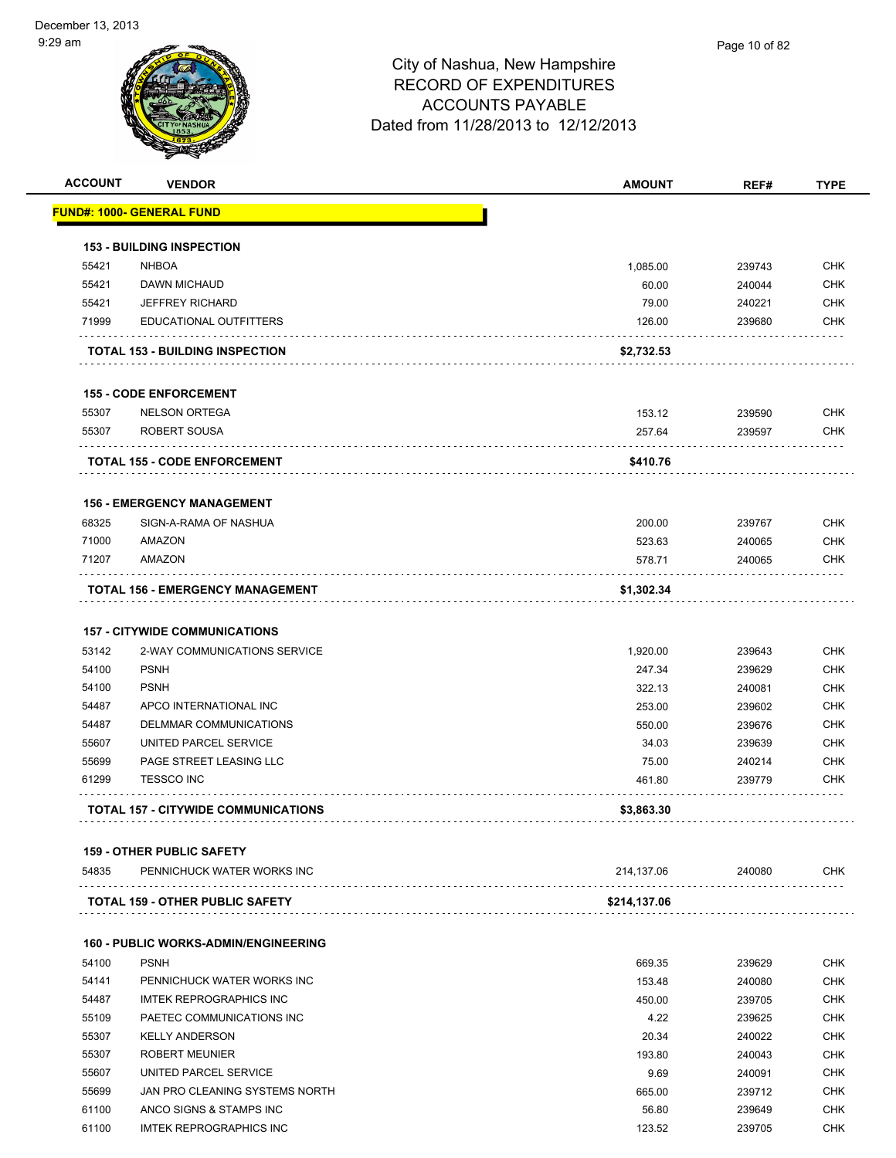| <b>ACCOUNT</b> | <b>VENDOR</b>                                              | <b>AMOUNT</b> | REF#        | <b>TYPE</b> |
|----------------|------------------------------------------------------------|---------------|-------------|-------------|
|                | <b>FUND#: 1000- GENERAL FUND</b>                           |               |             |             |
|                |                                                            |               |             |             |
|                | <b>153 - BUILDING INSPECTION</b>                           |               |             |             |
| 55421          | <b>NHBOA</b>                                               | 1,085.00      | 239743      | <b>CHK</b>  |
| 55421          | DAWN MICHAUD                                               | 60.00         | 240044      | <b>CHK</b>  |
| 55421          | <b>JEFFREY RICHARD</b>                                     | 79.00         | 240221      | <b>CHK</b>  |
| 71999          | <b>EDUCATIONAL OUTFITTERS</b>                              | 126.00        | 239680      | <b>CHK</b>  |
|                | <b>TOTAL 153 - BUILDING INSPECTION</b>                     | \$2,732.53    |             |             |
|                | <b>155 - CODE ENFORCEMENT</b>                              |               |             |             |
| 55307          | <b>NELSON ORTEGA</b>                                       | 153.12        | 239590      | <b>CHK</b>  |
| 55307          | ROBERT SOUSA                                               | 257.64        | 239597      | <b>CHK</b>  |
|                | <b>TOTAL 155 - CODE ENFORCEMENT</b>                        | \$410.76      |             |             |
|                |                                                            |               |             |             |
|                | <b>156 - EMERGENCY MANAGEMENT</b>                          |               |             |             |
| 68325          | SIGN-A-RAMA OF NASHUA                                      | 200.00        | 239767      | <b>CHK</b>  |
| 71000          | AMAZON                                                     | 523.63        | 240065      | <b>CHK</b>  |
| 71207          | AMAZON                                                     | 578.71        | 240065      | <b>CHK</b>  |
|                | TOTAL 156 - EMERGENCY MANAGEMENT                           | \$1,302.34    |             |             |
|                | <b>157 - CITYWIDE COMMUNICATIONS</b>                       |               |             |             |
| 53142          | 2-WAY COMMUNICATIONS SERVICE                               | 1,920.00      | 239643      | <b>CHK</b>  |
| 54100          | <b>PSNH</b>                                                | 247.34        | 239629      | <b>CHK</b>  |
| 54100          | <b>PSNH</b>                                                | 322.13        | 240081      | <b>CHK</b>  |
| 54487          | APCO INTERNATIONAL INC                                     | 253.00        | 239602      | <b>CHK</b>  |
| 54487          | DELMMAR COMMUNICATIONS                                     | 550.00        | 239676      | <b>CHK</b>  |
| 55607          | UNITED PARCEL SERVICE                                      | 34.03         | 239639      | <b>CHK</b>  |
| 55699          | PAGE STREET LEASING LLC                                    | 75.00         | 240214      | <b>CHK</b>  |
| 61299          | <b>TESSCO INC</b>                                          | 461.80        | 239779      | CHK         |
|                | <b>TOTAL 157 - CITYWIDE COMMUNICATIONS</b>                 |               |             |             |
|                |                                                            | \$3,863.30    |             |             |
|                | <b>159 - OTHER PUBLIC SAFETY</b>                           |               |             |             |
| 54835          | PENNICHUCK WATER WORKS INC                                 | 214,137.06    | 240080<br>. | <b>CHK</b>  |
|                | <b>TOTAL 159 - OTHER PUBLIC SAFETY</b>                     | \$214,137.06  |             |             |
|                |                                                            |               |             |             |
| 54100          | <b>160 - PUBLIC WORKS-ADMIN/ENGINEERING</b><br><b>PSNH</b> |               |             | <b>CHK</b>  |
|                |                                                            | 669.35        | 239629      |             |
| 54141          | PENNICHUCK WATER WORKS INC                                 | 153.48        | 240080      | <b>CHK</b>  |
| 54487          | <b>IMTEK REPROGRAPHICS INC</b>                             | 450.00        | 239705      | <b>CHK</b>  |
| 55109          | PAETEC COMMUNICATIONS INC                                  | 4.22          | 239625      | <b>CHK</b>  |
| 55307          | <b>KELLY ANDERSON</b>                                      | 20.34         | 240022      | <b>CHK</b>  |
| 55307          | <b>ROBERT MEUNIER</b>                                      | 193.80        | 240043      | <b>CHK</b>  |
| 55607          | UNITED PARCEL SERVICE                                      | 9.69          | 240091      | <b>CHK</b>  |
| 55699          | JAN PRO CLEANING SYSTEMS NORTH                             | 665.00        | 239712      | <b>CHK</b>  |
| 61100          | ANCO SIGNS & STAMPS INC                                    | 56.80         | 239649      | <b>CHK</b>  |
| 61100          | <b>IMTEK REPROGRAPHICS INC</b>                             | 123.52        | 239705      | <b>CHK</b>  |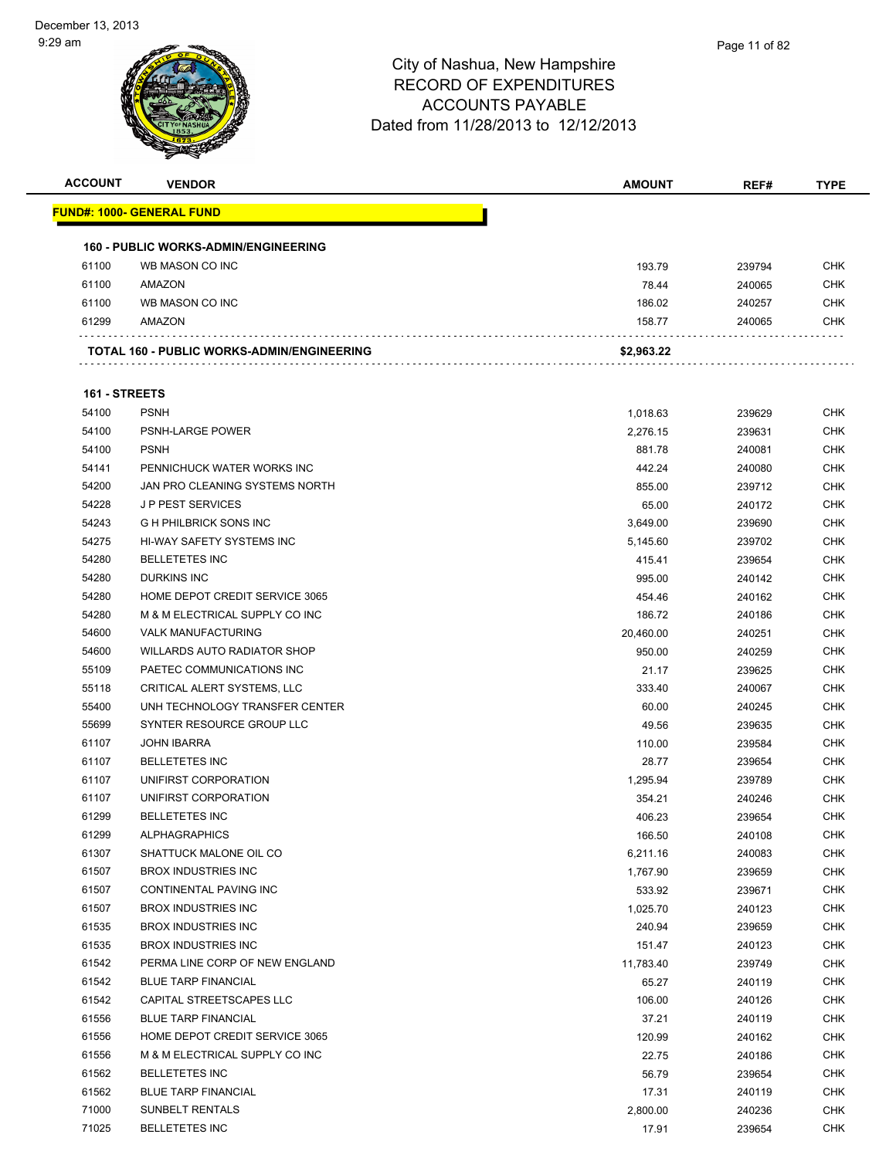| <b>ACCOUNT</b> | <b>VENDOR</b>                               | <b>AMOUNT</b> | REF#   | <b>TYPE</b> |
|----------------|---------------------------------------------|---------------|--------|-------------|
|                | <u> FUND#: 1000- GENERAL FUND</u>           |               |        |             |
|                |                                             |               |        |             |
|                | <b>160 - PUBLIC WORKS-ADMIN/ENGINEERING</b> |               |        |             |
| 61100          | WB MASON CO INC                             | 193.79        | 239794 | <b>CHK</b>  |
| 61100          | AMAZON                                      | 78.44         | 240065 | <b>CHK</b>  |
| 61100          | WB MASON CO INC                             | 186.02        | 240257 | CHK         |
| 61299          | AMAZON                                      | 158.77        | 240065 | CHK         |
|                | TOTAL 160 - PUBLIC WORKS-ADMIN/ENGINEERING  | \$2,963.22    |        |             |
|                |                                             |               |        |             |
| 161 - STREETS  |                                             |               |        |             |
| 54100          | <b>PSNH</b>                                 | 1,018.63      | 239629 | CHK         |
| 54100          | PSNH-LARGE POWER                            | 2,276.15      | 239631 | <b>CHK</b>  |
| 54100          | <b>PSNH</b>                                 | 881.78        | 240081 | CHK         |
| 54141          | PENNICHUCK WATER WORKS INC                  | 442.24        | 240080 | <b>CHK</b>  |
| 54200          | JAN PRO CLEANING SYSTEMS NORTH              | 855.00        | 239712 | <b>CHK</b>  |
| 54228          | <b>JP PEST SERVICES</b>                     | 65.00         | 240172 | CHK         |
| 54243          | <b>G H PHILBRICK SONS INC</b>               | 3,649.00      | 239690 | <b>CHK</b>  |
| 54275          | HI-WAY SAFETY SYSTEMS INC                   | 5,145.60      | 239702 | CHK         |
| 54280          | <b>BELLETETES INC</b>                       | 415.41        | 239654 | CHK         |
| 54280          | <b>DURKINS INC</b>                          | 995.00        | 240142 | <b>CHK</b>  |
| 54280          | HOME DEPOT CREDIT SERVICE 3065              | 454.46        | 240162 | CHK         |
| 54280          | M & M ELECTRICAL SUPPLY CO INC              | 186.72        | 240186 | CHK         |
| 54600          | <b>VALK MANUFACTURING</b>                   | 20,460.00     | 240251 | <b>CHK</b>  |
| 54600          | <b>WILLARDS AUTO RADIATOR SHOP</b>          | 950.00        | 240259 | <b>CHK</b>  |
| 55109          | PAETEC COMMUNICATIONS INC                   | 21.17         | 239625 | <b>CHK</b>  |
| 55118          | CRITICAL ALERT SYSTEMS, LLC                 | 333.40        | 240067 | <b>CHK</b>  |
| 55400          | UNH TECHNOLOGY TRANSFER CENTER              | 60.00         | 240245 | CHK         |
| 55699          | SYNTER RESOURCE GROUP LLC                   | 49.56         | 239635 | <b>CHK</b>  |
| 61107          | <b>JOHN IBARRA</b>                          | 110.00        | 239584 | <b>CHK</b>  |
| 61107          | <b>BELLETETES INC</b>                       | 28.77         | 239654 | CHK         |
| 61107          | UNIFIRST CORPORATION                        | 1,295.94      | 239789 | <b>CHK</b>  |
| 61107          | UNIFIRST CORPORATION                        | 354.21        | 240246 | <b>CHK</b>  |
| 61299          | <b>BELLETETES INC</b>                       | 406.23        | 239654 | CHK         |
| 61299          | <b>ALPHAGRAPHICS</b>                        | 166.50        | 240108 | <b>CHK</b>  |
| 61307          | SHATTUCK MALONE OIL CO                      | 6,211.16      | 240083 | <b>CHK</b>  |
| 61507          | <b>BROX INDUSTRIES INC</b>                  | 1,767.90      | 239659 | <b>CHK</b>  |
| 61507          | CONTINENTAL PAVING INC                      | 533.92        | 239671 | <b>CHK</b>  |
| 61507          | <b>BROX INDUSTRIES INC</b>                  | 1,025.70      | 240123 | <b>CHK</b>  |
| 61535          | <b>BROX INDUSTRIES INC</b>                  | 240.94        | 239659 | <b>CHK</b>  |
| 61535          | <b>BROX INDUSTRIES INC</b>                  | 151.47        | 240123 | <b>CHK</b>  |
| 61542          | PERMA LINE CORP OF NEW ENGLAND              | 11,783.40     | 239749 | <b>CHK</b>  |
| 61542          | <b>BLUE TARP FINANCIAL</b>                  | 65.27         | 240119 | <b>CHK</b>  |
| 61542          | CAPITAL STREETSCAPES LLC                    | 106.00        | 240126 | <b>CHK</b>  |
| 61556          | <b>BLUE TARP FINANCIAL</b>                  | 37.21         | 240119 | <b>CHK</b>  |
| 61556          | HOME DEPOT CREDIT SERVICE 3065              | 120.99        | 240162 | <b>CHK</b>  |
| 61556          | M & M ELECTRICAL SUPPLY CO INC              | 22.75         | 240186 | <b>CHK</b>  |
| 61562          | <b>BELLETETES INC</b>                       | 56.79         | 239654 | <b>CHK</b>  |
| 61562          | <b>BLUE TARP FINANCIAL</b>                  | 17.31         | 240119 | <b>CHK</b>  |
| 71000          | SUNBELT RENTALS                             | 2,800.00      | 240236 | <b>CHK</b>  |
| 71025          | <b>BELLETETES INC</b>                       | 17.91         | 239654 | <b>CHK</b>  |
|                |                                             |               |        |             |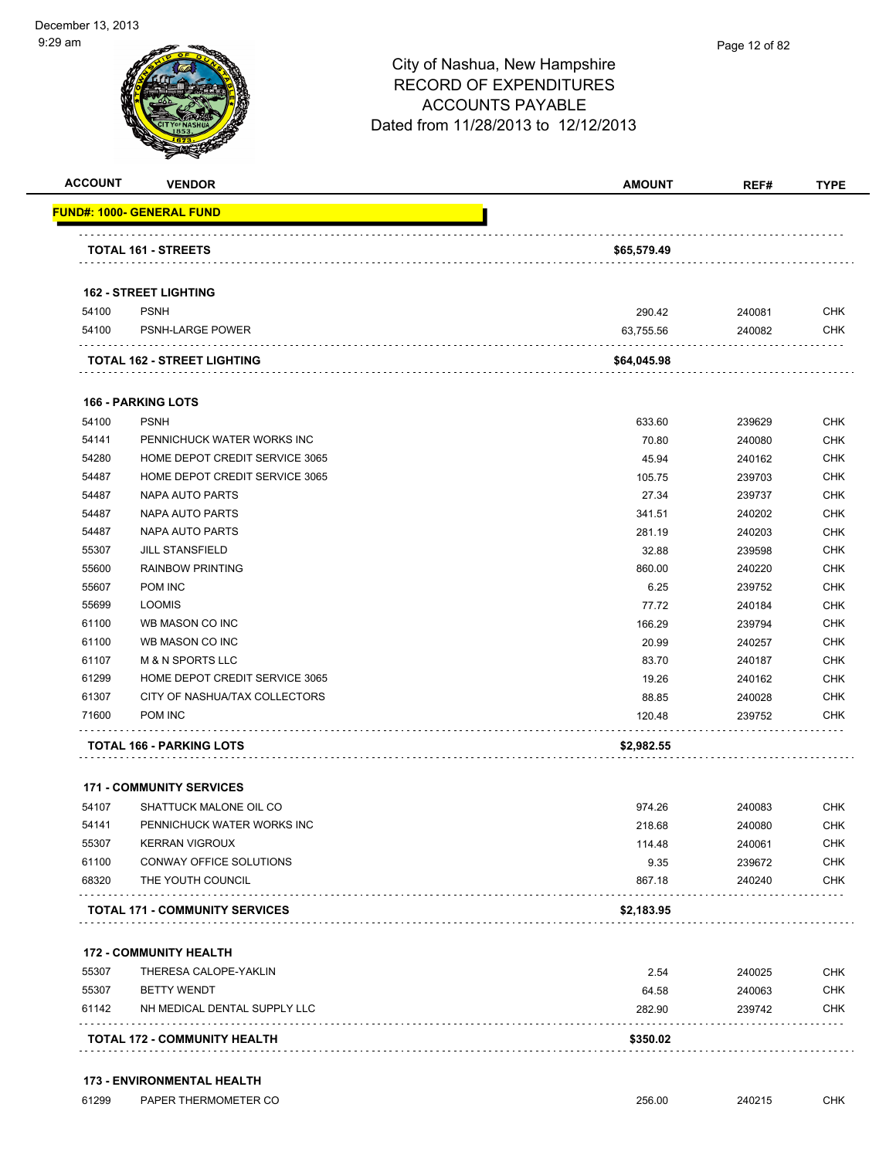| <b>ACCOUNT</b> | <b>VENDOR</b>                              | <b>AMOUNT</b> | REF#   | <b>TYPE</b> |
|----------------|--------------------------------------------|---------------|--------|-------------|
|                | <b>FUND#: 1000- GENERAL FUND</b>           |               |        |             |
|                | TOTAL 161 - STREETS                        | \$65,579.49   |        |             |
|                |                                            |               |        |             |
|                | <b>162 - STREET LIGHTING</b>               |               |        |             |
| 54100          | <b>PSNH</b>                                | 290.42        | 240081 | <b>CHK</b>  |
| 54100          | PSNH-LARGE POWER                           | 63,755.56     | 240082 | <b>CHK</b>  |
|                | TOTAL 162 - STREET LIGHTING                | \$64,045.98   |        |             |
|                | <b>166 - PARKING LOTS</b>                  |               |        |             |
| 54100          | <b>PSNH</b>                                | 633.60        | 239629 | <b>CHK</b>  |
| 54141          | PENNICHUCK WATER WORKS INC                 | 70.80         | 240080 | <b>CHK</b>  |
| 54280          | HOME DEPOT CREDIT SERVICE 3065             | 45.94         | 240162 | <b>CHK</b>  |
| 54487          | HOME DEPOT CREDIT SERVICE 3065             | 105.75        | 239703 | <b>CHK</b>  |
| 54487          | <b>NAPA AUTO PARTS</b>                     | 27.34         | 239737 | <b>CHK</b>  |
| 54487          | <b>NAPA AUTO PARTS</b>                     | 341.51        | 240202 | <b>CHK</b>  |
| 54487          | <b>NAPA AUTO PARTS</b>                     | 281.19        | 240203 | <b>CHK</b>  |
| 55307          | <b>JILL STANSFIELD</b>                     | 32.88         | 239598 | <b>CHK</b>  |
| 55600          | <b>RAINBOW PRINTING</b>                    | 860.00        | 240220 | <b>CHK</b>  |
| 55607          | POM INC                                    | 6.25          | 239752 | <b>CHK</b>  |
| 55699          | <b>LOOMIS</b>                              | 77.72         | 240184 | <b>CHK</b>  |
| 61100          | WB MASON CO INC                            | 166.29        | 239794 | <b>CHK</b>  |
| 61100          | WB MASON CO INC                            | 20.99         | 240257 | <b>CHK</b>  |
| 61107          | <b>M &amp; N SPORTS LLC</b>                | 83.70         | 240187 | <b>CHK</b>  |
| 61299          | HOME DEPOT CREDIT SERVICE 3065             | 19.26         | 240162 | <b>CHK</b>  |
| 61307          | CITY OF NASHUA/TAX COLLECTORS              | 88.85         | 240028 | <b>CHK</b>  |
| 71600          | POM INC                                    | 120.48        | 239752 | <b>CHK</b>  |
|                | TOTAL 166 - PARKING LOTS                   | \$2,982.55    |        |             |
|                | <b>171 - COMMUNITY SERVICES</b>            |               |        |             |
| 54107          | SHATTUCK MALONE OIL CO                     | 974.26        | 240083 | <b>CHK</b>  |
| 54141          | PENNICHUCK WATER WORKS INC                 | 218.68        | 240080 | <b>CHK</b>  |
| 55307          | <b>KERRAN VIGROUX</b>                      | 114.48        | 240061 | <b>CHK</b>  |
| 61100          | CONWAY OFFICE SOLUTIONS                    | 9.35          | 239672 | <b>CHK</b>  |
| 68320          | THE YOUTH COUNCIL                          | 867.18        | 240240 | <b>CHK</b>  |
|                | .<br><b>TOTAL 171 - COMMUNITY SERVICES</b> | \$2,183.95    |        |             |
|                |                                            |               |        |             |
|                | <b>172 - COMMUNITY HEALTH</b>              |               |        |             |
| 55307          | THERESA CALOPE-YAKLIN                      | 2.54          | 240025 | <b>CHK</b>  |
| 55307          | <b>BETTY WENDT</b>                         | 64.58         | 240063 | <b>CHK</b>  |
| 61142          | NH MEDICAL DENTAL SUPPLY LLC               | 282.90        | 239742 | <b>CHK</b>  |
|                | TOTAL 172 - COMMUNITY HEALTH               | \$350.02      |        |             |

#### **173 - ENVIRONMENTAL HEALTH**

61299 PAPER THERMOMETER CO 256.00 240215 CHK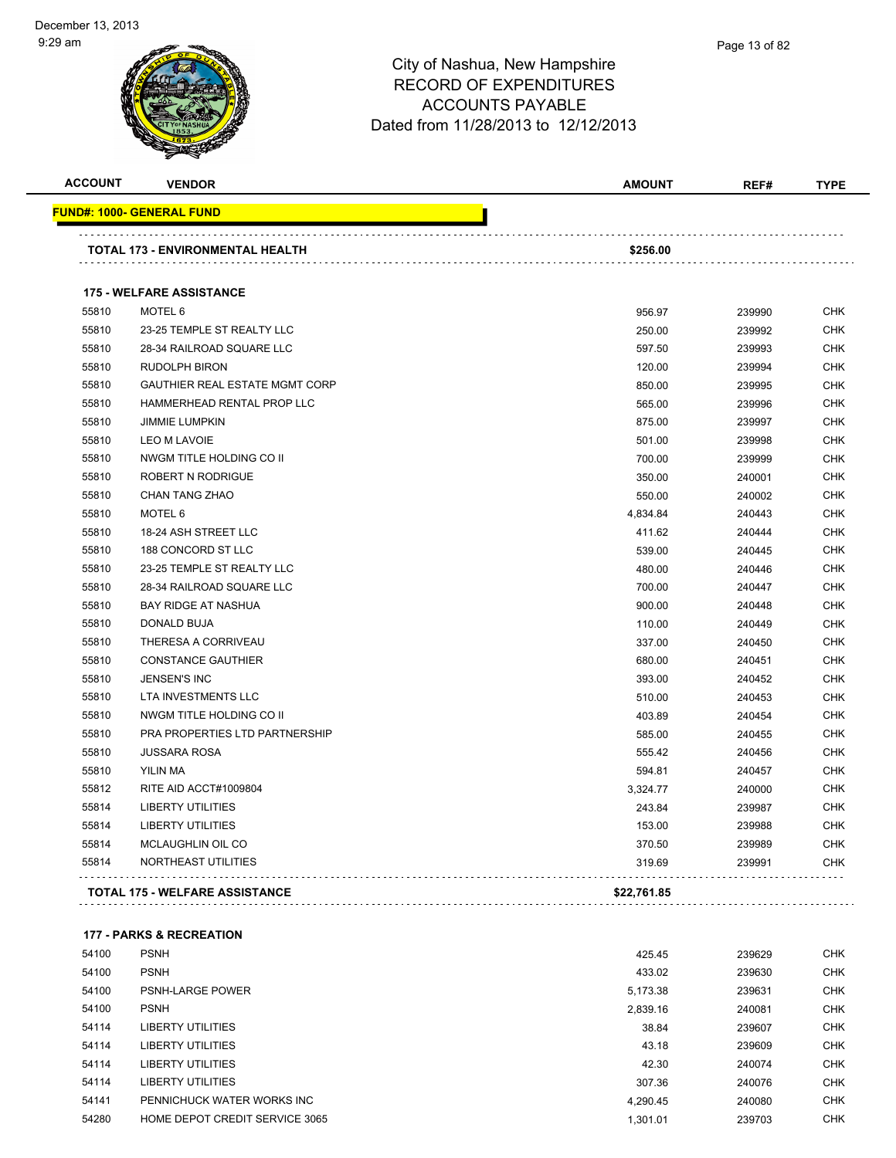

| <b>ACCOUNT</b> | <b>VENDOR</b>                         | <b>AMOUNT</b> | REF#   | <b>TYPE</b> |
|----------------|---------------------------------------|---------------|--------|-------------|
|                | <u> FUND#: 1000- GENERAL FUND</u>     |               |        |             |
|                | TOTAL 173 - ENVIRONMENTAL HEALTH      | \$256.00      |        |             |
|                | <b>175 - WELFARE ASSISTANCE</b>       |               |        |             |
| 55810          | MOTEL 6                               | 956.97        | 239990 | <b>CHK</b>  |
| 55810          | 23-25 TEMPLE ST REALTY LLC            | 250.00        | 239992 | <b>CHK</b>  |
| 55810          | 28-34 RAILROAD SQUARE LLC             | 597.50        | 239993 | CHK         |
| 55810          | <b>RUDOLPH BIRON</b>                  | 120.00        | 239994 | CHK         |
| 55810          | <b>GAUTHIER REAL ESTATE MGMT CORP</b> | 850.00        | 239995 | CHK         |
| 55810          | HAMMERHEAD RENTAL PROP LLC            | 565.00        | 239996 | CHK         |
| 55810          | <b>JIMMIE LUMPKIN</b>                 | 875.00        | 239997 | CHK         |
| 55810          | <b>LEO M LAVOIE</b>                   | 501.00        | 239998 | CHK         |
| 55810          | NWGM TITLE HOLDING CO II              | 700.00        | 239999 | <b>CHK</b>  |
| 55810          | ROBERT N RODRIGUE                     | 350.00        | 240001 | <b>CHK</b>  |
| 55810          | CHAN TANG ZHAO                        | 550.00        | 240002 | <b>CHK</b>  |
| 55810          | MOTEL 6                               | 4,834.84      | 240443 | <b>CHK</b>  |
| 55810          | 18-24 ASH STREET LLC                  | 411.62        | 240444 | CHK         |
| 55810          | 188 CONCORD ST LLC                    | 539.00        | 240445 | CHK         |
| 55810          | 23-25 TEMPLE ST REALTY LLC            | 480.00        | 240446 | CHK         |
| 55810          | 28-34 RAILROAD SQUARE LLC             | 700.00        | 240447 | CHK         |
| 55810          | <b>BAY RIDGE AT NASHUA</b>            | 900.00        | 240448 | CHK         |
| 55810          | DONALD BUJA                           | 110.00        | 240449 | CHK         |
| 55810          | THERESA A CORRIVEAU                   | 337.00        | 240450 | CHK         |
| 55810          | <b>CONSTANCE GAUTHIER</b>             | 680.00        | 240451 | <b>CHK</b>  |
| 55810          | <b>JENSEN'S INC</b>                   | 393.00        | 240452 | CHK         |
| 55810          | LTA INVESTMENTS LLC                   | 510.00        | 240453 | CHK         |
| 55810          | NWGM TITLE HOLDING CO II              | 403.89        | 240454 | CHK         |
| 55810          | PRA PROPERTIES LTD PARTNERSHIP        | 585.00        | 240455 | CHK         |
| 55810          | <b>JUSSARA ROSA</b>                   | 555.42        | 240456 | CHK         |
| 55810          | YILIN MA                              | 594.81        | 240457 | CHK         |
| 55812          | RITE AID ACCT#1009804                 | 3,324.77      | 240000 | CHK         |
| 55814          | <b>LIBERTY UTILITIES</b>              | 243.84        | 239987 | CHK         |
| 55814          | LIBERTY UTILITIES                     | 153.00        | 239988 | CHK         |
| 55814          | MCLAUGHLIN OIL CO                     | 370.50        | 239989 | CHK         |
| 55814          | NORTHEAST UTILITIES                   | 319.69        | 239991 | <b>CHK</b>  |
|                | <b>TOTAL 175 - WELFARE ASSISTANCE</b> | \$22,761.85   |        |             |

| 54100 | <b>PSNH</b>                    | 425.45   | 239629 | <b>CHK</b> |
|-------|--------------------------------|----------|--------|------------|
| 54100 | <b>PSNH</b>                    | 433.02   | 239630 | <b>CHK</b> |
| 54100 | <b>PSNH-LARGE POWER</b>        | 5,173.38 | 239631 | <b>CHK</b> |
| 54100 | <b>PSNH</b>                    | 2,839.16 | 240081 | <b>CHK</b> |
| 54114 | LIBERTY UTILITIES              | 38.84    | 239607 | <b>CHK</b> |
| 54114 | LIBERTY UTILITIES              | 43.18    | 239609 | <b>CHK</b> |
| 54114 | <b>LIBERTY UTILITIES</b>       | 42.30    | 240074 | <b>CHK</b> |
| 54114 | <b>LIBERTY UTILITIES</b>       | 307.36   | 240076 | <b>CHK</b> |
| 54141 | PENNICHUCK WATER WORKS INC     | 4,290.45 | 240080 | <b>CHK</b> |
| 54280 | HOME DEPOT CREDIT SERVICE 3065 | 1.301.01 | 239703 | <b>CHK</b> |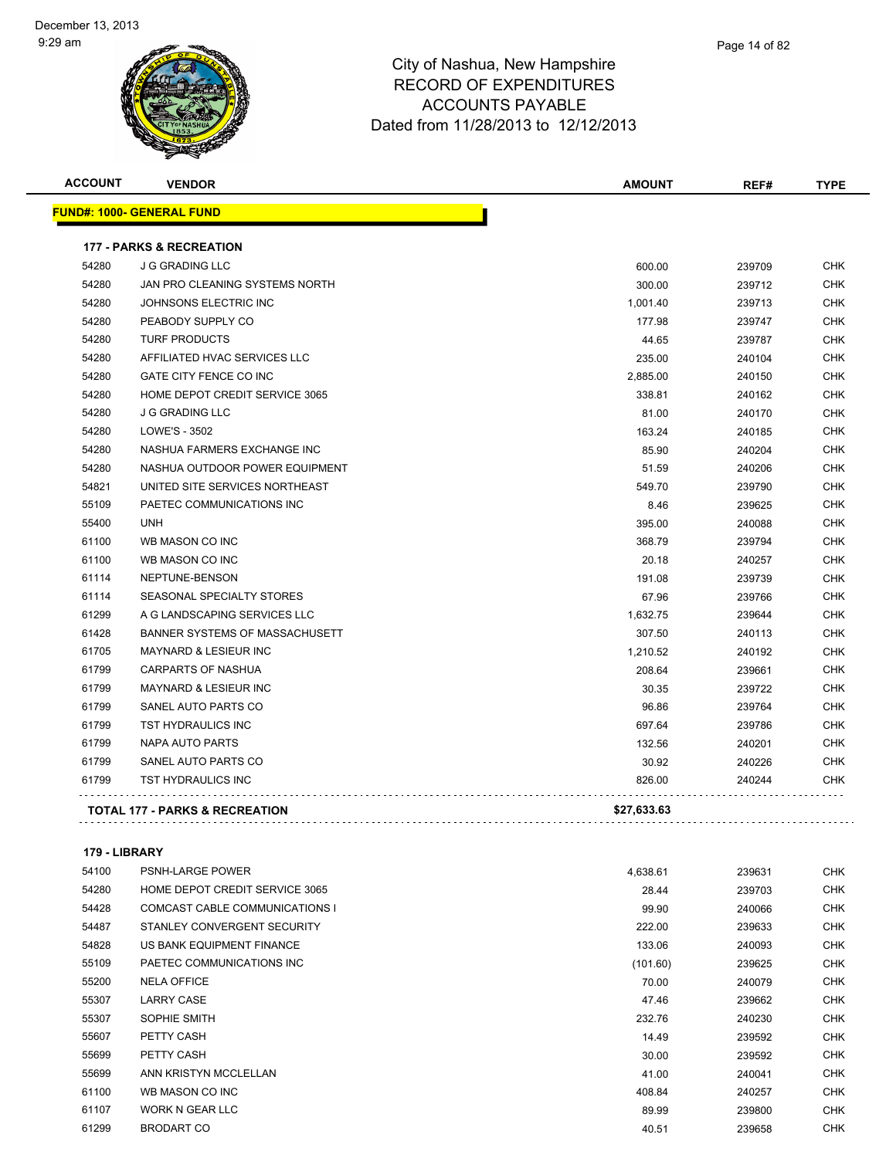

| Page 14 of 82 |
|---------------|
|               |

| <b>ACCOUNT</b> | <b>VENDOR</b>                             | <b>AMOUNT</b> | REF#   | <b>TYPE</b> |
|----------------|-------------------------------------------|---------------|--------|-------------|
|                | FUND#: 1000- GENERAL FUND                 |               |        |             |
|                | <b>177 - PARKS &amp; RECREATION</b>       |               |        |             |
| 54280          | <b>J G GRADING LLC</b>                    | 600.00        | 239709 | <b>CHK</b>  |
| 54280          | JAN PRO CLEANING SYSTEMS NORTH            | 300.00        | 239712 | <b>CHK</b>  |
| 54280          | JOHNSONS ELECTRIC INC                     | 1,001.40      | 239713 | <b>CHK</b>  |
| 54280          | PEABODY SUPPLY CO                         | 177.98        | 239747 | <b>CHK</b>  |
| 54280          | <b>TURF PRODUCTS</b>                      | 44.65         | 239787 | <b>CHK</b>  |
| 54280          | AFFILIATED HVAC SERVICES LLC              | 235.00        | 240104 | <b>CHK</b>  |
| 54280          | GATE CITY FENCE CO INC                    | 2,885.00      | 240150 | <b>CHK</b>  |
| 54280          | HOME DEPOT CREDIT SERVICE 3065            | 338.81        | 240162 | <b>CHK</b>  |
| 54280          | <b>J G GRADING LLC</b>                    | 81.00         | 240170 | <b>CHK</b>  |
| 54280          | <b>LOWE'S - 3502</b>                      | 163.24        | 240185 | <b>CHK</b>  |
| 54280          | NASHUA FARMERS EXCHANGE INC               | 85.90         | 240204 | <b>CHK</b>  |
| 54280          | NASHUA OUTDOOR POWER EQUIPMENT            | 51.59         | 240206 | <b>CHK</b>  |
| 54821          | UNITED SITE SERVICES NORTHEAST            | 549.70        | 239790 | <b>CHK</b>  |
| 55109          | PAETEC COMMUNICATIONS INC                 | 8.46          | 239625 | <b>CHK</b>  |
| 55400          | <b>UNH</b>                                | 395.00        | 240088 | <b>CHK</b>  |
| 61100          | WB MASON CO INC                           | 368.79        | 239794 | <b>CHK</b>  |
| 61100          | WB MASON CO INC                           | 20.18         | 240257 | <b>CHK</b>  |
| 61114          | NEPTUNE-BENSON                            | 191.08        | 239739 | <b>CHK</b>  |
| 61114          | SEASONAL SPECIALTY STORES                 | 67.96         | 239766 | <b>CHK</b>  |
| 61299          | A G LANDSCAPING SERVICES LLC              | 1,632.75      | 239644 | <b>CHK</b>  |
| 61428          | BANNER SYSTEMS OF MASSACHUSETT            | 307.50        | 240113 | <b>CHK</b>  |
| 61705          | <b>MAYNARD &amp; LESIEUR INC</b>          | 1,210.52      | 240192 | <b>CHK</b>  |
| 61799          | <b>CARPARTS OF NASHUA</b>                 | 208.64        | 239661 | <b>CHK</b>  |
| 61799          | <b>MAYNARD &amp; LESIEUR INC</b>          | 30.35         | 239722 | <b>CHK</b>  |
| 61799          | SANEL AUTO PARTS CO                       | 96.86         | 239764 | <b>CHK</b>  |
| 61799          | TST HYDRAULICS INC                        | 697.64        | 239786 | <b>CHK</b>  |
| 61799          | NAPA AUTO PARTS                           | 132.56        | 240201 | <b>CHK</b>  |
| 61799          | SANEL AUTO PARTS CO                       | 30.92         | 240226 | <b>CHK</b>  |
| 61799          | TST HYDRAULICS INC                        | 826.00        | 240244 | CHK         |
|                | <b>TOTAL 177 - PARKS &amp; RECREATION</b> | \$27,633.63   |        |             |
|                |                                           |               |        |             |

#### **179 - LIBRARY**

| 54100 | <b>PSNH-LARGE POWER</b>               | 4,638.61 | 239631 | <b>CHK</b> |
|-------|---------------------------------------|----------|--------|------------|
| 54280 | <b>HOME DEPOT CREDIT SERVICE 3065</b> | 28.44    | 239703 | <b>CHK</b> |
| 54428 | COMCAST CABLE COMMUNICATIONS I        | 99.90    | 240066 | <b>CHK</b> |
| 54487 | STANLEY CONVERGENT SECURITY           | 222.00   | 239633 | <b>CHK</b> |
| 54828 | US BANK EQUIPMENT FINANCE             | 133.06   | 240093 | <b>CHK</b> |
| 55109 | PAETEC COMMUNICATIONS INC             | (101.60) | 239625 | <b>CHK</b> |
| 55200 | <b>NELA OFFICE</b>                    | 70.00    | 240079 | <b>CHK</b> |
| 55307 | <b>LARRY CASE</b>                     | 47.46    | 239662 | <b>CHK</b> |
| 55307 | SOPHIE SMITH                          | 232.76   | 240230 | <b>CHK</b> |
| 55607 | PETTY CASH                            | 14.49    | 239592 | <b>CHK</b> |
| 55699 | PETTY CASH                            | 30.00    | 239592 | <b>CHK</b> |
| 55699 | ANN KRISTYN MCCLELLAN                 | 41.00    | 240041 | <b>CHK</b> |
| 61100 | WB MASON CO INC                       | 408.84   | 240257 | <b>CHK</b> |
| 61107 | <b>WORK N GEAR LLC</b>                | 89.99    | 239800 | <b>CHK</b> |
| 61299 | <b>BRODART CO</b>                     | 40.51    | 239658 | <b>CHK</b> |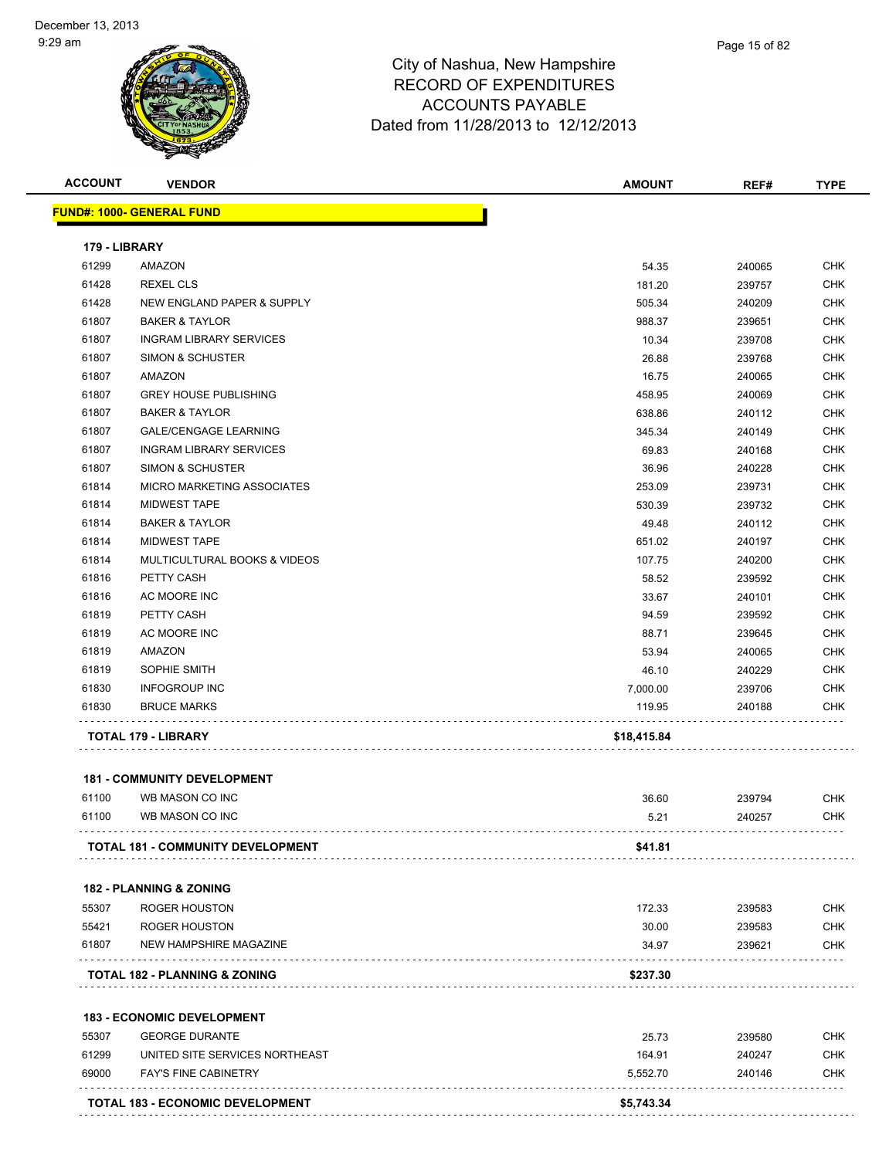

| <b>ACCOUNT</b> | <b>VENDOR</b>                           | <b>AMOUNT</b> | REF#   | <b>TYPE</b> |
|----------------|-----------------------------------------|---------------|--------|-------------|
|                | <b>FUND#: 1000- GENERAL FUND</b>        |               |        |             |
| 179 - LIBRARY  |                                         |               |        |             |
| 61299          | AMAZON                                  | 54.35         | 240065 | <b>CHK</b>  |
| 61428          | <b>REXEL CLS</b>                        | 181.20        | 239757 | <b>CHK</b>  |
| 61428          | NEW ENGLAND PAPER & SUPPLY              | 505.34        | 240209 | <b>CHK</b>  |
| 61807          | <b>BAKER &amp; TAYLOR</b>               | 988.37        | 239651 | <b>CHK</b>  |
| 61807          | <b>INGRAM LIBRARY SERVICES</b>          | 10.34         | 239708 | CHK         |
| 61807          | <b>SIMON &amp; SCHUSTER</b>             | 26.88         | 239768 | <b>CHK</b>  |
| 61807          | AMAZON                                  | 16.75         | 240065 | <b>CHK</b>  |
| 61807          | <b>GREY HOUSE PUBLISHING</b>            | 458.95        | 240069 | CHK         |
| 61807          | <b>BAKER &amp; TAYLOR</b>               | 638.86        | 240112 | <b>CHK</b>  |
| 61807          | <b>GALE/CENGAGE LEARNING</b>            | 345.34        | 240149 | CHK         |
| 61807          | <b>INGRAM LIBRARY SERVICES</b>          | 69.83         | 240168 | CHK         |
| 61807          | <b>SIMON &amp; SCHUSTER</b>             | 36.96         | 240228 | CHK         |
| 61814          | <b>MICRO MARKETING ASSOCIATES</b>       | 253.09        | 239731 | CHK         |
| 61814          | <b>MIDWEST TAPE</b>                     | 530.39        | 239732 | <b>CHK</b>  |
| 61814          | <b>BAKER &amp; TAYLOR</b>               | 49.48         | 240112 | <b>CHK</b>  |
| 61814          | <b>MIDWEST TAPE</b>                     | 651.02        | 240197 | CHK         |
| 61814          | <b>MULTICULTURAL BOOKS &amp; VIDEOS</b> | 107.75        | 240200 | <b>CHK</b>  |
| 61816          | PETTY CASH                              | 58.52         | 239592 | CHK         |
| 61816          | AC MOORE INC                            | 33.67         | 240101 | CHK         |
| 61819          | PETTY CASH                              | 94.59         | 239592 | <b>CHK</b>  |
| 61819          | AC MOORE INC                            | 88.71         | 239645 | CHK         |
| 61819          | AMAZON                                  | 53.94         | 240065 | CHK         |
| 61819          | SOPHIE SMITH                            | 46.10         | 240229 | CHK         |
| 61830          | <b>INFOGROUP INC</b>                    | 7,000.00      | 239706 | CHK         |
| 61830          | <b>BRUCE MARKS</b>                      | 119.95        | 240188 | CHK         |
|                | TOTAL 179 - LIBRARY                     | \$18,415.84   |        |             |
|                | <b>181 - COMMUNITY DEVELOPMENT</b>      |               |        |             |
| 61100          | WB MASON CO INC                         | 36.60         | 239794 | CHK         |
| 61100          | WB MASON CO INC                         | 5.21          | 240257 | <b>CHK</b>  |
|                |                                         |               |        |             |
|                | TOTAL 181 - COMMUNITY DEVELOPMENT       | \$41.81       |        |             |
|                | <b>182 - PLANNING &amp; ZONING</b>      |               |        |             |
| 55307          | <b>ROGER HOUSTON</b>                    | 172.33        | 239583 | <b>CHK</b>  |
| 55421          | <b>ROGER HOUSTON</b>                    | 30.00         | 239583 | CHK         |
| 61807          | NEW HAMPSHIRE MAGAZINE                  | 34.97         | 239621 | <b>CHK</b>  |
|                | TOTAL 182 - PLANNING & ZONING           | \$237.30      |        |             |
|                | <b>183 - ECONOMIC DEVELOPMENT</b>       |               |        |             |
| 55307          | <b>GEORGE DURANTE</b>                   | 25.73         | 239580 | CHK         |
| 61299          | UNITED SITE SERVICES NORTHEAST          | 164.91        | 240247 | <b>CHK</b>  |
| 69000          | <b>FAY'S FINE CABINETRY</b>             | 5,552.70      | 240146 | CHK         |
|                | <b>TOTAL 183 - ECONOMIC DEVELOPMENT</b> | \$5,743.34    |        |             |
|                |                                         |               |        |             |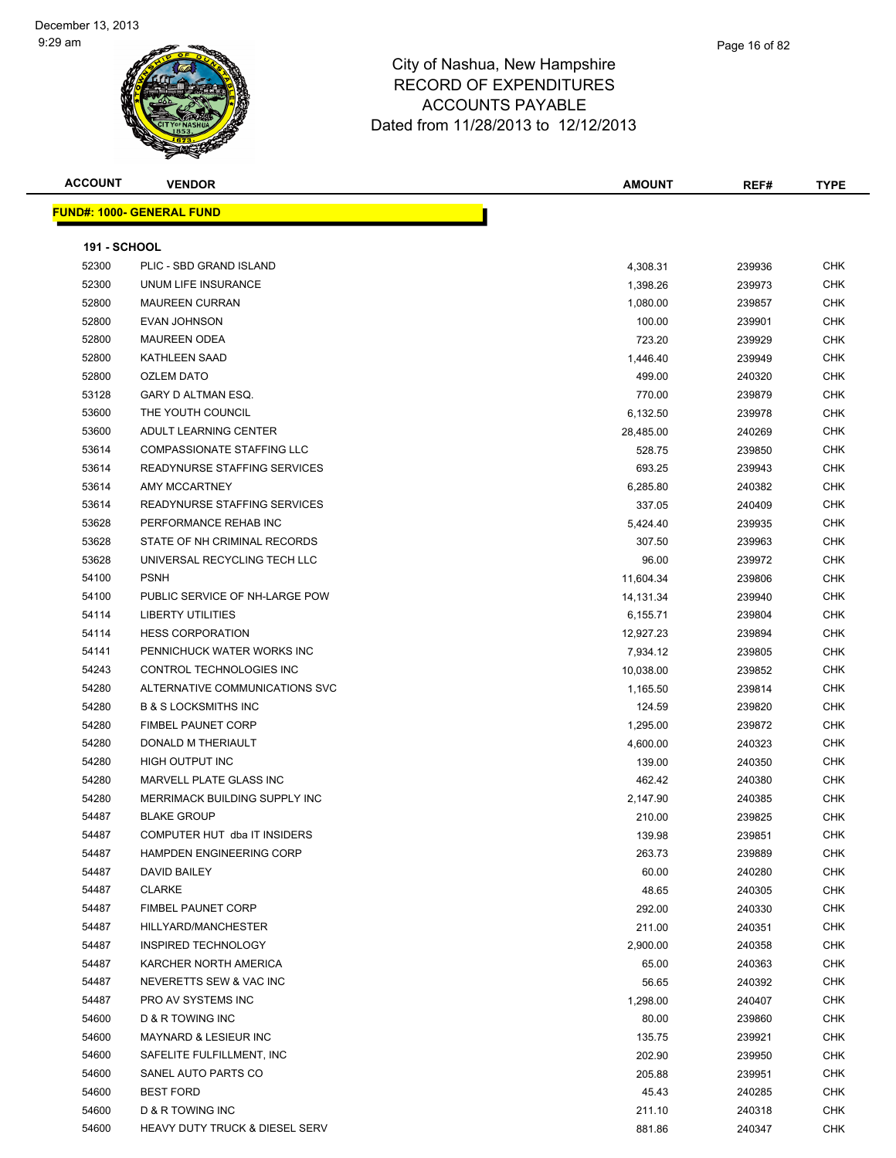| <b>ACCOUNT</b>      | <b>VENDOR</b>                             | <b>AMOUNT</b> | REF#             | <b>TYPE</b> |
|---------------------|-------------------------------------------|---------------|------------------|-------------|
|                     | <b>FUND#: 1000- GENERAL FUND</b>          |               |                  |             |
|                     |                                           |               |                  |             |
| <b>191 - SCHOOL</b> |                                           |               |                  |             |
| 52300               | PLIC - SBD GRAND ISLAND                   | 4,308.31      | 239936           | <b>CHK</b>  |
| 52300               | UNUM LIFE INSURANCE                       | 1,398.26      | 239973           | CHK         |
| 52800               | <b>MAUREEN CURRAN</b>                     | 1,080.00      | 239857           | <b>CHK</b>  |
| 52800               | <b>EVAN JOHNSON</b>                       | 100.00        | 239901           | <b>CHK</b>  |
| 52800               | <b>MAUREEN ODEA</b>                       | 723.20        | 239929           | <b>CHK</b>  |
| 52800               | <b>KATHLEEN SAAD</b>                      | 1,446.40      | 239949           | <b>CHK</b>  |
| 52800               | <b>OZLEM DATO</b>                         | 499.00        | 240320           | CHK         |
| 53128               | GARY D ALTMAN ESQ.                        | 770.00        | 239879           | <b>CHK</b>  |
| 53600               | THE YOUTH COUNCIL                         | 6,132.50      | 239978           | <b>CHK</b>  |
| 53600               | ADULT LEARNING CENTER                     | 28,485.00     | 240269           | <b>CHK</b>  |
| 53614               | COMPASSIONATE STAFFING LLC                | 528.75        | 239850           | <b>CHK</b>  |
| 53614               | READYNURSE STAFFING SERVICES              | 693.25        | 239943           | CHK         |
| 53614               | AMY MCCARTNEY                             | 6,285.80      | 240382           | CHK         |
| 53614               | <b>READYNURSE STAFFING SERVICES</b>       | 337.05        | 240409           | CHK         |
| 53628               | PERFORMANCE REHAB INC                     | 5,424.40      | 239935           | <b>CHK</b>  |
| 53628               | STATE OF NH CRIMINAL RECORDS              | 307.50        | 239963           | CHK         |
| 53628               | UNIVERSAL RECYCLING TECH LLC              | 96.00         | 239972           | <b>CHK</b>  |
| 54100               | <b>PSNH</b>                               | 11,604.34     | 239806           | <b>CHK</b>  |
| 54100               | PUBLIC SERVICE OF NH-LARGE POW            | 14,131.34     | 239940           | CHK         |
| 54114               | LIBERTY UTILITIES                         | 6,155.71      | 239804           | CHK         |
| 54114               | <b>HESS CORPORATION</b>                   | 12,927.23     | 239894           | CHK         |
| 54141               | PENNICHUCK WATER WORKS INC                | 7,934.12      | 239805           | <b>CHK</b>  |
| 54243               | CONTROL TECHNOLOGIES INC                  | 10,038.00     | 239852           | <b>CHK</b>  |
| 54280               | ALTERNATIVE COMMUNICATIONS SVC            | 1,165.50      | 239814           | CHK         |
| 54280               | <b>B &amp; S LOCKSMITHS INC</b>           | 124.59        | 239820           | <b>CHK</b>  |
| 54280               | <b>FIMBEL PAUNET CORP</b>                 | 1,295.00      | 239872           | <b>CHK</b>  |
| 54280               | DONALD M THERIAULT                        | 4,600.00      | 240323           | <b>CHK</b>  |
| 54280               | HIGH OUTPUT INC                           | 139.00        | 240350           | <b>CHK</b>  |
| 54280               | MARVELL PLATE GLASS INC                   | 462.42        | 240380           | <b>CHK</b>  |
| 54280               | MERRIMACK BUILDING SUPPLY INC             | 2,147.90      | 240385           | CHK         |
| 54487               | <b>BLAKE GROUP</b>                        | 210.00        | 239825           | CHK         |
| 54487               | COMPUTER HUT dba IT INSIDERS              | 139.98        | 239851           | <b>CHK</b>  |
| 54487               | <b>HAMPDEN ENGINEERING CORP</b>           | 263.73        | 239889           | <b>CHK</b>  |
| 54487               | DAVID BAILEY                              | 60.00         | 240280           | <b>CHK</b>  |
| 54487               | <b>CLARKE</b>                             | 48.65         | 240305           | <b>CHK</b>  |
| 54487               | <b>FIMBEL PAUNET CORP</b>                 | 292.00        | 240330           | <b>CHK</b>  |
| 54487               | HILLYARD/MANCHESTER                       | 211.00        | 240351           | <b>CHK</b>  |
| 54487               | INSPIRED TECHNOLOGY                       | 2,900.00      | 240358           | <b>CHK</b>  |
| 54487               | KARCHER NORTH AMERICA                     | 65.00         | 240363           | <b>CHK</b>  |
| 54487               | NEVERETTS SEW & VAC INC                   | 56.65         | 240392           | <b>CHK</b>  |
| 54487               | PRO AV SYSTEMS INC                        | 1,298.00      | 240407           | <b>CHK</b>  |
| 54600               | D & R TOWING INC                          | 80.00         | 239860           | <b>CHK</b>  |
| 54600               | MAYNARD & LESIEUR INC                     | 135.75        | 239921           | <b>CHK</b>  |
| 54600               | SAFELITE FULFILLMENT, INC                 | 202.90        | 239950           | <b>CHK</b>  |
| 54600               | SANEL AUTO PARTS CO                       | 205.88        |                  | <b>CHK</b>  |
| 54600               | <b>BEST FORD</b>                          | 45.43         | 239951           | <b>CHK</b>  |
| 54600               | D & R TOWING INC                          | 211.10        | 240285<br>240318 | CHK         |
| 54600               | <b>HEAVY DUTY TRUCK &amp; DIESEL SERV</b> | 881.86        | 240347           | <b>CHK</b>  |
|                     |                                           |               |                  |             |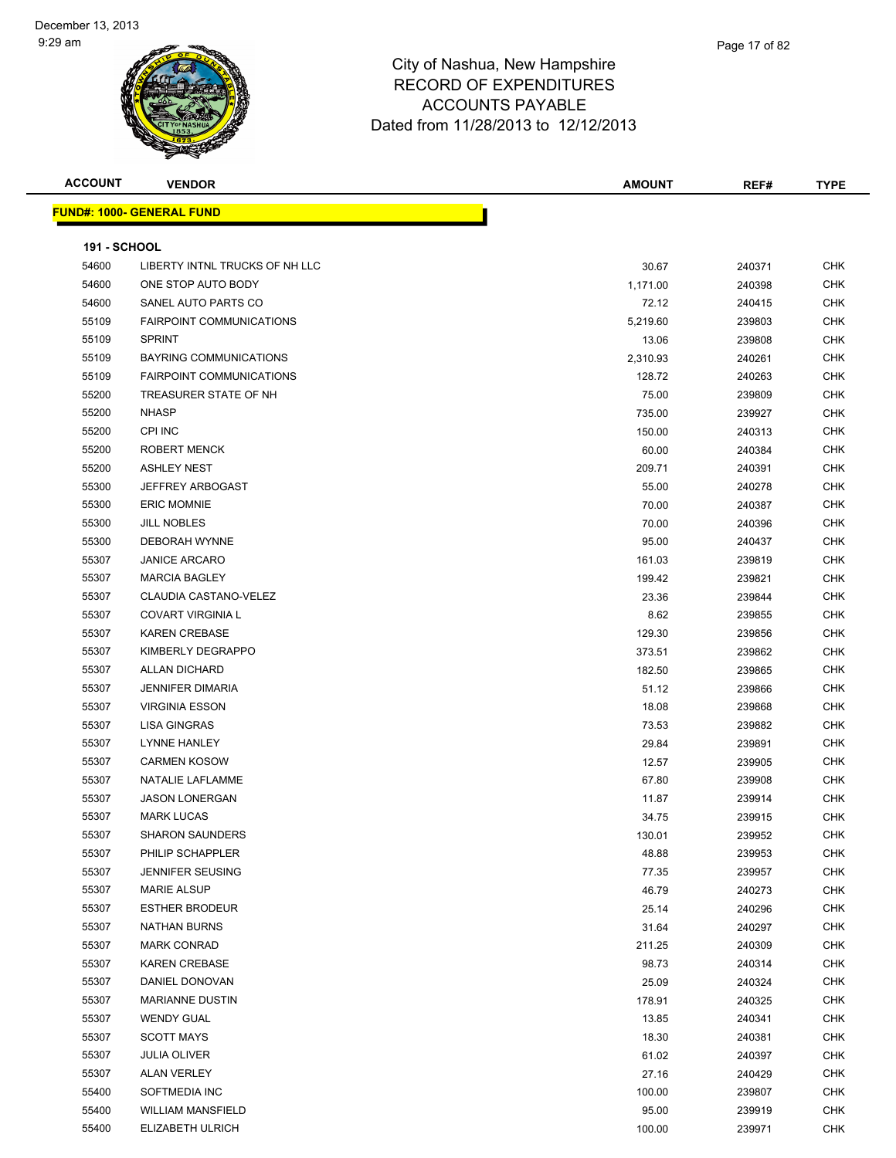| <b>ACCOUNT</b>      | <b>VENDOR</b>                    | <b>AMOUNT</b> | REF#   | <b>TYPE</b> |
|---------------------|----------------------------------|---------------|--------|-------------|
|                     | <b>FUND#: 1000- GENERAL FUND</b> |               |        |             |
|                     |                                  |               |        |             |
| <b>191 - SCHOOL</b> |                                  |               |        |             |
| 54600               | LIBERTY INTNL TRUCKS OF NH LLC   | 30.67         | 240371 | <b>CHK</b>  |
| 54600               | ONE STOP AUTO BODY               | 1,171.00      | 240398 | CHK         |
| 54600               | SANEL AUTO PARTS CO              | 72.12         | 240415 | CHK         |
| 55109               | <b>FAIRPOINT COMMUNICATIONS</b>  | 5,219.60      | 239803 | <b>CHK</b>  |
| 55109               | <b>SPRINT</b>                    | 13.06         | 239808 | <b>CHK</b>  |
| 55109               | BAYRING COMMUNICATIONS           | 2,310.93      | 240261 | <b>CHK</b>  |
| 55109               | <b>FAIRPOINT COMMUNICATIONS</b>  | 128.72        | 240263 | <b>CHK</b>  |
| 55200               | TREASURER STATE OF NH            | 75.00         | 239809 | CHK         |
| 55200               | <b>NHASP</b>                     | 735.00        | 239927 | <b>CHK</b>  |
| 55200               | CPI INC                          | 150.00        | 240313 | CHK         |
| 55200               | <b>ROBERT MENCK</b>              | 60.00         | 240384 | <b>CHK</b>  |
| 55200               | <b>ASHLEY NEST</b>               | 209.71        | 240391 | <b>CHK</b>  |
| 55300               | <b>JEFFREY ARBOGAST</b>          | 55.00         | 240278 | CHK         |
| 55300               | <b>ERIC MOMNIE</b>               | 70.00         | 240387 | <b>CHK</b>  |
| 55300               | <b>JILL NOBLES</b>               | 70.00         | 240396 | <b>CHK</b>  |
| 55300               | <b>DEBORAH WYNNE</b>             | 95.00         | 240437 | <b>CHK</b>  |
| 55307               | <b>JANICE ARCARO</b>             | 161.03        | 239819 | <b>CHK</b>  |
| 55307               | <b>MARCIA BAGLEY</b>             | 199.42        | 239821 | <b>CHK</b>  |
| 55307               | CLAUDIA CASTANO-VELEZ            | 23.36         | 239844 | CHK         |
| 55307               | <b>COVART VIRGINIA L</b>         | 8.62          | 239855 | <b>CHK</b>  |
| 55307               | <b>KAREN CREBASE</b>             | 129.30        | 239856 | CHK         |
| 55307               | KIMBERLY DEGRAPPO                | 373.51        | 239862 | <b>CHK</b>  |
| 55307               | <b>ALLAN DICHARD</b>             | 182.50        | 239865 | <b>CHK</b>  |
| 55307               | <b>JENNIFER DIMARIA</b>          | 51.12         | 239866 | <b>CHK</b>  |
| 55307               | <b>VIRGINIA ESSON</b>            | 18.08         | 239868 | <b>CHK</b>  |
| 55307               | <b>LISA GINGRAS</b>              | 73.53         | 239882 | <b>CHK</b>  |
| 55307               | <b>LYNNE HANLEY</b>              | 29.84         | 239891 | <b>CHK</b>  |
| 55307               | <b>CARMEN KOSOW</b>              | 12.57         | 239905 | <b>CHK</b>  |
| 55307               | NATALIE LAFLAMME                 | 67.80         | 239908 | CHK         |
| 55307               | <b>JASON LONERGAN</b>            | 11.87         | 239914 | CHK         |
| 55307               | <b>MARK LUCAS</b>                | 34.75         | 239915 | <b>CHK</b>  |
| 55307               | <b>SHARON SAUNDERS</b>           | 130.01        | 239952 | CHK         |
| 55307               | PHILIP SCHAPPLER                 | 48.88         | 239953 | <b>CHK</b>  |
| 55307               | <b>JENNIFER SEUSING</b>          | 77.35         | 239957 | <b>CHK</b>  |
| 55307               | <b>MARIE ALSUP</b>               | 46.79         | 240273 | CHK         |
| 55307               | <b>ESTHER BRODEUR</b>            | 25.14         | 240296 | CHK         |
| 55307               | <b>NATHAN BURNS</b>              | 31.64         | 240297 | CHK         |
| 55307               | <b>MARK CONRAD</b>               | 211.25        | 240309 | CHK         |
| 55307               | <b>KAREN CREBASE</b>             | 98.73         | 240314 | <b>CHK</b>  |
| 55307               | DANIEL DONOVAN                   | 25.09         | 240324 | <b>CHK</b>  |
| 55307               | <b>MARIANNE DUSTIN</b>           | 178.91        | 240325 | CHK         |
| 55307               | <b>WENDY GUAL</b>                | 13.85         | 240341 | <b>CHK</b>  |
| 55307               | <b>SCOTT MAYS</b>                | 18.30         | 240381 | CHK         |
| 55307               | <b>JULIA OLIVER</b>              | 61.02         | 240397 | <b>CHK</b>  |
| 55307               | <b>ALAN VERLEY</b>               | 27.16         | 240429 | <b>CHK</b>  |
| 55400               | SOFTMEDIA INC                    | 100.00        | 239807 | <b>CHK</b>  |
| 55400               | <b>WILLIAM MANSFIELD</b>         | 95.00         | 239919 | CHK         |
| 55400               | ELIZABETH ULRICH                 | 100.00        | 239971 | CHK         |
|                     |                                  |               |        |             |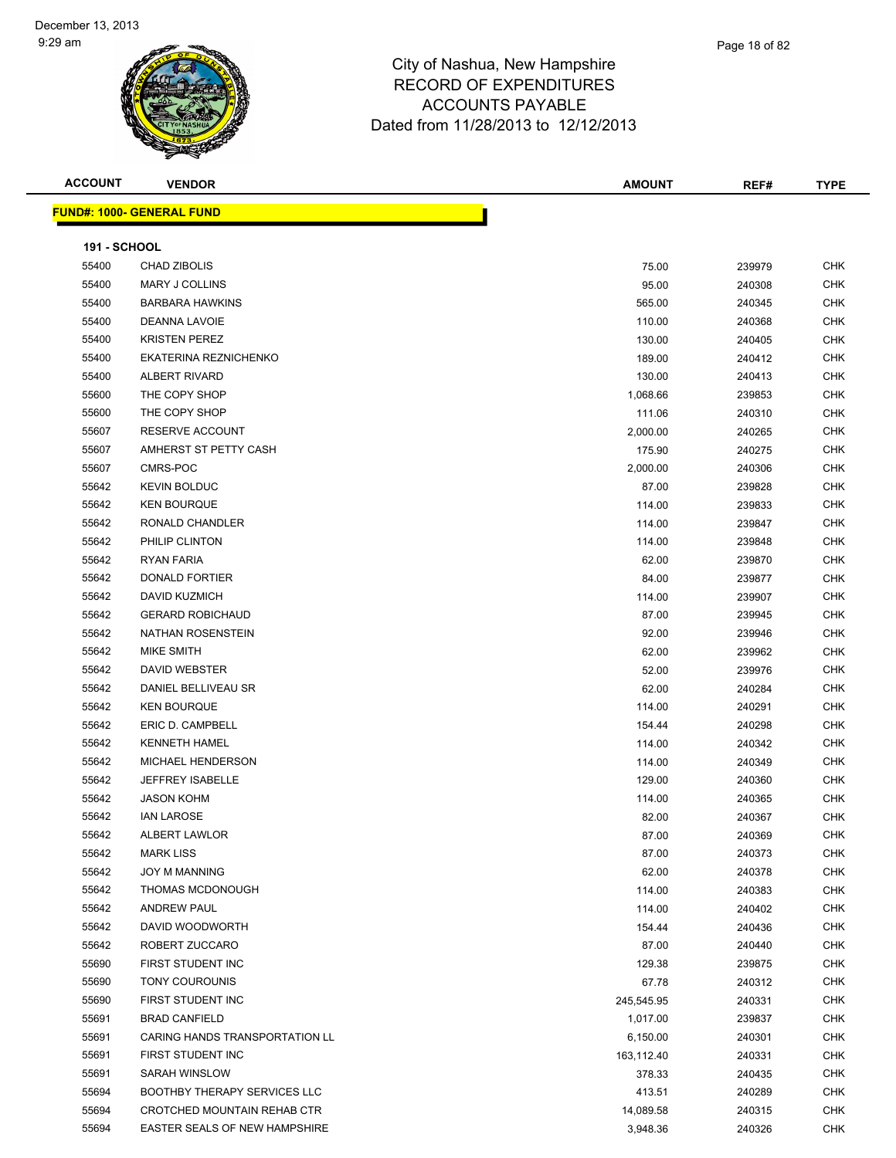| <b>ACCOUNT</b>      | <b>VENDOR</b>                       | <b>AMOUNT</b> | REF#   | <b>TYPE</b> |
|---------------------|-------------------------------------|---------------|--------|-------------|
|                     | <b>FUND#: 1000- GENERAL FUND</b>    |               |        |             |
|                     |                                     |               |        |             |
| <b>191 - SCHOOL</b> |                                     |               |        |             |
| 55400               | CHAD ZIBOLIS                        | 75.00         | 239979 | <b>CHK</b>  |
| 55400               | <b>MARY J COLLINS</b>               | 95.00         | 240308 | CHK         |
| 55400               | <b>BARBARA HAWKINS</b>              | 565.00        | 240345 | <b>CHK</b>  |
| 55400               | DEANNA LAVOIE                       | 110.00        | 240368 | <b>CHK</b>  |
| 55400               | <b>KRISTEN PEREZ</b>                | 130.00        | 240405 | <b>CHK</b>  |
| 55400               | EKATERINA REZNICHENKO               | 189.00        | 240412 | <b>CHK</b>  |
| 55400               | ALBERT RIVARD                       | 130.00        | 240413 | CHK         |
| 55600               | THE COPY SHOP                       | 1,068.66      | 239853 | <b>CHK</b>  |
| 55600               | THE COPY SHOP                       | 111.06        | 240310 | <b>CHK</b>  |
| 55607               | RESERVE ACCOUNT                     | 2,000.00      | 240265 | CHK         |
| 55607               | AMHERST ST PETTY CASH               | 175.90        | 240275 | <b>CHK</b>  |
| 55607               | CMRS-POC                            | 2,000.00      | 240306 | <b>CHK</b>  |
| 55642               | <b>KEVIN BOLDUC</b>                 | 87.00         | 239828 | CHK         |
| 55642               | <b>KEN BOURQUE</b>                  | 114.00        | 239833 | <b>CHK</b>  |
| 55642               | RONALD CHANDLER                     | 114.00        | 239847 | <b>CHK</b>  |
| 55642               | PHILIP CLINTON                      | 114.00        | 239848 | <b>CHK</b>  |
| 55642               | RYAN FARIA                          | 62.00         | 239870 | <b>CHK</b>  |
| 55642               | DONALD FORTIER                      | 84.00         | 239877 | CHK         |
| 55642               | DAVID KUZMICH                       | 114.00        | 239907 | CHK         |
| 55642               | <b>GERARD ROBICHAUD</b>             | 87.00         | 239945 | <b>CHK</b>  |
| 55642               | NATHAN ROSENSTEIN                   | 92.00         | 239946 | CHK         |
| 55642               | MIKE SMITH                          | 62.00         | 239962 | <b>CHK</b>  |
| 55642               | DAVID WEBSTER                       | 52.00         | 239976 | <b>CHK</b>  |
| 55642               | DANIEL BELLIVEAU SR                 | 62.00         | 240284 | <b>CHK</b>  |
| 55642               | <b>KEN BOURQUE</b>                  | 114.00        | 240291 | <b>CHK</b>  |
| 55642               | ERIC D. CAMPBELL                    | 154.44        | 240298 | <b>CHK</b>  |
| 55642               | <b>KENNETH HAMEL</b>                | 114.00        | 240342 | <b>CHK</b>  |
| 55642               | MICHAEL HENDERSON                   | 114.00        | 240349 | <b>CHK</b>  |
| 55642               | JEFFREY ISABELLE                    | 129.00        | 240360 | <b>CHK</b>  |
| 55642               | <b>JASON KOHM</b>                   | 114.00        | 240365 | CHK         |
| 55642               | <b>IAN LAROSE</b>                   | 82.00         | 240367 | CHK         |
| 55642               | ALBERT LAWLOR                       | 87.00         | 240369 | <b>CHK</b>  |
| 55642               | <b>MARK LISS</b>                    | 87.00         | 240373 | <b>CHK</b>  |
| 55642               | <b>JOY M MANNING</b>                | 62.00         | 240378 | <b>CHK</b>  |
| 55642               | THOMAS MCDONOUGH                    | 114.00        | 240383 | CHK         |
| 55642               | <b>ANDREW PAUL</b>                  | 114.00        | 240402 | <b>CHK</b>  |
| 55642               | DAVID WOODWORTH                     | 154.44        | 240436 | <b>CHK</b>  |
| 55642               | ROBERT ZUCCARO                      | 87.00         | 240440 | <b>CHK</b>  |
| 55690               | FIRST STUDENT INC                   | 129.38        | 239875 | <b>CHK</b>  |
| 55690               | <b>TONY COUROUNIS</b>               | 67.78         | 240312 | <b>CHK</b>  |
| 55690               | FIRST STUDENT INC                   | 245,545.95    | 240331 | <b>CHK</b>  |
| 55691               | <b>BRAD CANFIELD</b>                | 1,017.00      | 239837 | <b>CHK</b>  |
| 55691               | CARING HANDS TRANSPORTATION LL      | 6,150.00      | 240301 | <b>CHK</b>  |
| 55691               | FIRST STUDENT INC                   | 163,112.40    | 240331 | <b>CHK</b>  |
| 55691               | SARAH WINSLOW                       | 378.33        | 240435 | <b>CHK</b>  |
| 55694               | <b>BOOTHBY THERAPY SERVICES LLC</b> | 413.51        | 240289 | CHK         |
| 55694               | CROTCHED MOUNTAIN REHAB CTR         | 14,089.58     | 240315 | CHK         |
| 55694               | EASTER SEALS OF NEW HAMPSHIRE       | 3,948.36      | 240326 | <b>CHK</b>  |
|                     |                                     |               |        |             |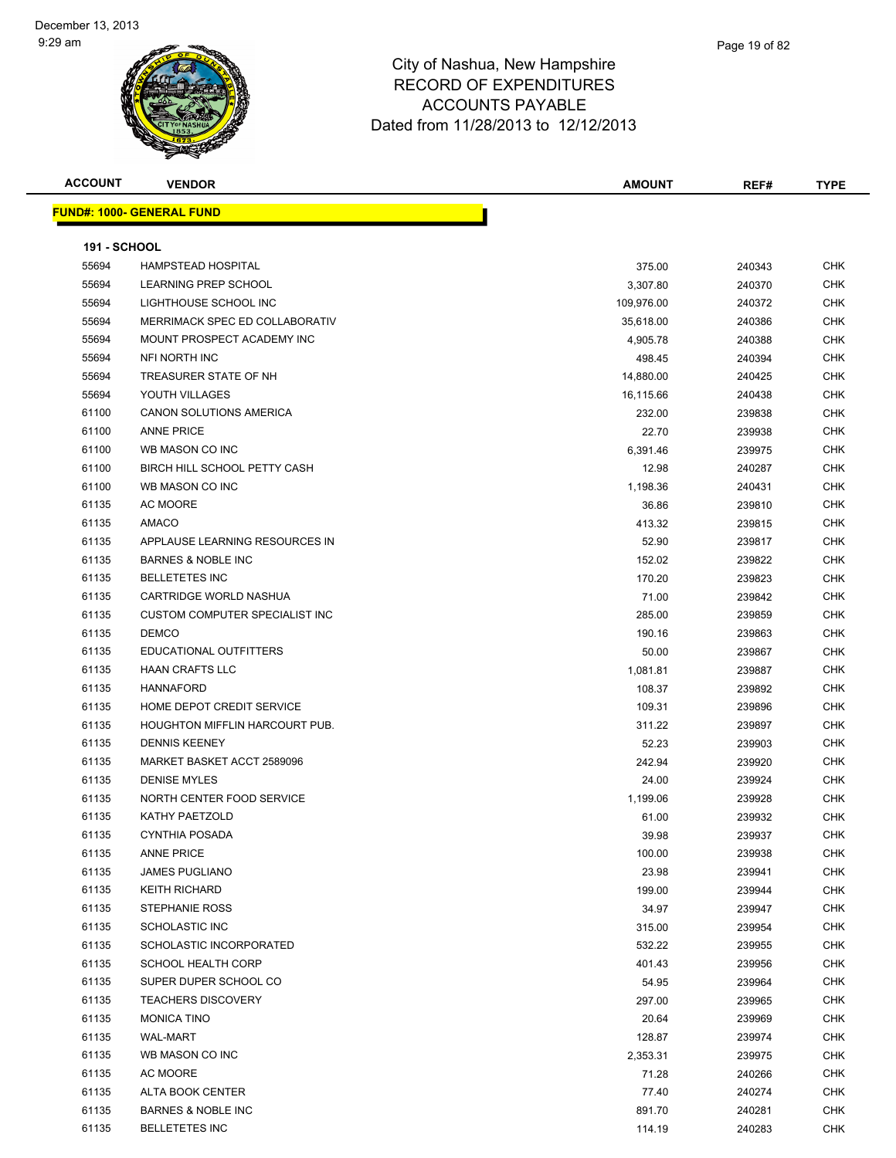| <b>ACCOUNT</b>      | <b>VENDOR</b>                         | <b>AMOUNT</b> | REF#   | <b>TYPE</b> |
|---------------------|---------------------------------------|---------------|--------|-------------|
|                     | <b>FUND#: 1000- GENERAL FUND</b>      |               |        |             |
|                     |                                       |               |        |             |
| <b>191 - SCHOOL</b> |                                       |               |        |             |
| 55694               | <b>HAMPSTEAD HOSPITAL</b>             | 375.00        | 240343 | <b>CHK</b>  |
| 55694               | <b>LEARNING PREP SCHOOL</b>           | 3,307.80      | 240370 | <b>CHK</b>  |
| 55694               | LIGHTHOUSE SCHOOL INC                 | 109,976.00    | 240372 | <b>CHK</b>  |
| 55694               | MERRIMACK SPEC ED COLLABORATIV        | 35,618.00     | 240386 | <b>CHK</b>  |
| 55694               | MOUNT PROSPECT ACADEMY INC            | 4,905.78      | 240388 | <b>CHK</b>  |
| 55694               | <b>NFI NORTH INC</b>                  | 498.45        | 240394 | <b>CHK</b>  |
| 55694               | TREASURER STATE OF NH                 | 14,880.00     | 240425 | <b>CHK</b>  |
| 55694               | YOUTH VILLAGES                        | 16,115.66     | 240438 | <b>CHK</b>  |
| 61100               | CANON SOLUTIONS AMERICA               | 232.00        | 239838 | <b>CHK</b>  |
| 61100               | <b>ANNE PRICE</b>                     | 22.70         | 239938 | <b>CHK</b>  |
| 61100               | WB MASON CO INC                       | 6,391.46      | 239975 | <b>CHK</b>  |
| 61100               | BIRCH HILL SCHOOL PETTY CASH          | 12.98         | 240287 | <b>CHK</b>  |
| 61100               | WB MASON CO INC                       | 1,198.36      | 240431 | <b>CHK</b>  |
| 61135               | <b>AC MOORE</b>                       | 36.86         | 239810 | <b>CHK</b>  |
| 61135               | AMACO                                 | 413.32        | 239815 | <b>CHK</b>  |
| 61135               | APPLAUSE LEARNING RESOURCES IN        | 52.90         | 239817 | <b>CHK</b>  |
| 61135               | <b>BARNES &amp; NOBLE INC</b>         | 152.02        | 239822 | <b>CHK</b>  |
| 61135               | <b>BELLETETES INC</b>                 | 170.20        | 239823 | <b>CHK</b>  |
| 61135               | CARTRIDGE WORLD NASHUA                | 71.00         | 239842 | <b>CHK</b>  |
| 61135               | <b>CUSTOM COMPUTER SPECIALIST INC</b> | 285.00        | 239859 | <b>CHK</b>  |
| 61135               | <b>DEMCO</b>                          | 190.16        | 239863 | <b>CHK</b>  |
| 61135               | EDUCATIONAL OUTFITTERS                | 50.00         | 239867 | <b>CHK</b>  |
| 61135               | <b>HAAN CRAFTS LLC</b>                | 1,081.81      | 239887 | <b>CHK</b>  |
| 61135               | <b>HANNAFORD</b>                      | 108.37        | 239892 | <b>CHK</b>  |
| 61135               | HOME DEPOT CREDIT SERVICE             | 109.31        | 239896 | <b>CHK</b>  |
| 61135               | HOUGHTON MIFFLIN HARCOURT PUB.        | 311.22        | 239897 | <b>CHK</b>  |
| 61135               | <b>DENNIS KEENEY</b>                  | 52.23         | 239903 | <b>CHK</b>  |
| 61135               | MARKET BASKET ACCT 2589096            | 242.94        | 239920 | <b>CHK</b>  |
| 61135               | <b>DENISE MYLES</b>                   | 24.00         | 239924 | <b>CHK</b>  |
| 61135               | NORTH CENTER FOOD SERVICE             | 1,199.06      | 239928 | <b>CHK</b>  |
| 61135               | KATHY PAETZOLD                        | 61.00         | 239932 | <b>CHK</b>  |
| 61135               | CYNTHIA POSADA                        | 39.98         | 239937 | <b>CHK</b>  |
| 61135               | <b>ANNE PRICE</b>                     | 100.00        | 239938 | <b>CHK</b>  |
| 61135               | <b>JAMES PUGLIANO</b>                 | 23.98         | 239941 | <b>CHK</b>  |
| 61135               | <b>KEITH RICHARD</b>                  | 199.00        | 239944 | <b>CHK</b>  |
| 61135               | <b>STEPHANIE ROSS</b>                 | 34.97         | 239947 | <b>CHK</b>  |
| 61135               | <b>SCHOLASTIC INC</b>                 | 315.00        | 239954 | <b>CHK</b>  |
| 61135               | SCHOLASTIC INCORPORATED               | 532.22        | 239955 | <b>CHK</b>  |
| 61135               | <b>SCHOOL HEALTH CORP</b>             | 401.43        | 239956 | <b>CHK</b>  |
| 61135               | SUPER DUPER SCHOOL CO                 | 54.95         | 239964 | <b>CHK</b>  |
| 61135               | <b>TEACHERS DISCOVERY</b>             | 297.00        | 239965 | <b>CHK</b>  |
| 61135               | <b>MONICA TINO</b>                    | 20.64         | 239969 | <b>CHK</b>  |
| 61135               | <b>WAL-MART</b>                       | 128.87        | 239974 | <b>CHK</b>  |
| 61135               | WB MASON CO INC                       | 2,353.31      | 239975 | <b>CHK</b>  |
| 61135               | AC MOORE                              | 71.28         | 240266 | <b>CHK</b>  |
| 61135               | ALTA BOOK CENTER                      | 77.40         | 240274 | <b>CHK</b>  |
| 61135               | <b>BARNES &amp; NOBLE INC</b>         | 891.70        | 240281 | CHK         |
| 61135               | <b>BELLETETES INC</b>                 | 114.19        | 240283 | <b>CHK</b>  |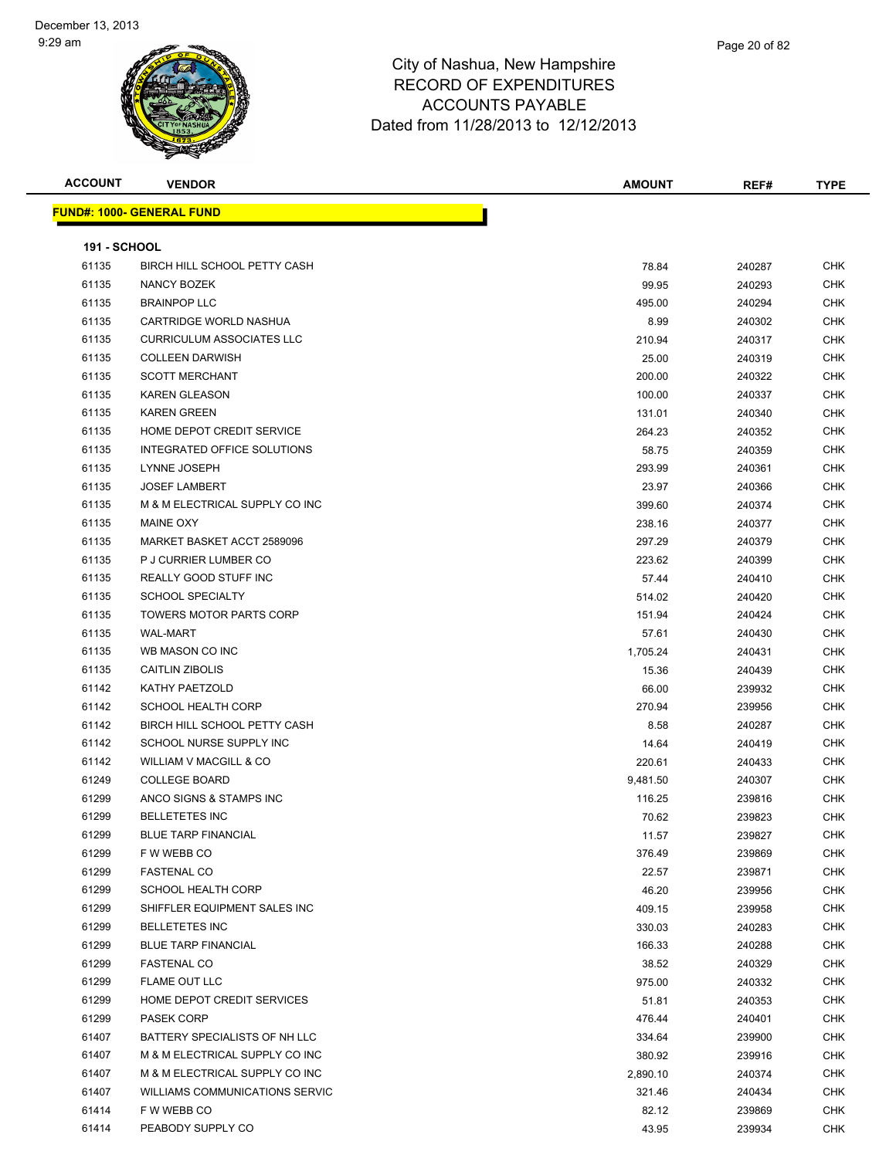| <b>ACCOUNT</b>      | <b>VENDOR</b>                            | <b>AMOUNT</b> | REF#   | <b>TYPE</b> |
|---------------------|------------------------------------------|---------------|--------|-------------|
|                     | <b>FUND#: 1000- GENERAL FUND</b>         |               |        |             |
|                     |                                          |               |        |             |
| <b>191 - SCHOOL</b> |                                          |               |        |             |
| 61135               | BIRCH HILL SCHOOL PETTY CASH             | 78.84         | 240287 | <b>CHK</b>  |
| 61135               | NANCY BOZEK                              | 99.95         | 240293 | <b>CHK</b>  |
| 61135               | <b>BRAINPOP LLC</b>                      | 495.00        | 240294 | <b>CHK</b>  |
| 61135               | CARTRIDGE WORLD NASHUA                   | 8.99          | 240302 | <b>CHK</b>  |
| 61135               | <b>CURRICULUM ASSOCIATES LLC</b>         | 210.94        | 240317 | <b>CHK</b>  |
| 61135               | <b>COLLEEN DARWISH</b>                   | 25.00         | 240319 | <b>CHK</b>  |
| 61135               | <b>SCOTT MERCHANT</b>                    | 200.00        | 240322 | <b>CHK</b>  |
| 61135               | <b>KAREN GLEASON</b>                     | 100.00        | 240337 | <b>CHK</b>  |
| 61135               | <b>KAREN GREEN</b>                       | 131.01        | 240340 | <b>CHK</b>  |
| 61135               | HOME DEPOT CREDIT SERVICE                | 264.23        | 240352 | <b>CHK</b>  |
| 61135               | INTEGRATED OFFICE SOLUTIONS              | 58.75         | 240359 | <b>CHK</b>  |
| 61135               | LYNNE JOSEPH                             | 293.99        | 240361 | <b>CHK</b>  |
| 61135               | <b>JOSEF LAMBERT</b>                     | 23.97         | 240366 | <b>CHK</b>  |
| 61135               | M & M ELECTRICAL SUPPLY CO INC           | 399.60        | 240374 | <b>CHK</b>  |
| 61135               | <b>MAINE OXY</b>                         | 238.16        | 240377 | <b>CHK</b>  |
| 61135               | MARKET BASKET ACCT 2589096               | 297.29        | 240379 | <b>CHK</b>  |
| 61135               | P J CURRIER LUMBER CO                    | 223.62        | 240399 | CHK         |
| 61135               | <b>REALLY GOOD STUFF INC</b>             | 57.44         | 240410 | <b>CHK</b>  |
| 61135               | <b>SCHOOL SPECIALTY</b>                  | 514.02        | 240420 | <b>CHK</b>  |
| 61135               | <b>TOWERS MOTOR PARTS CORP</b>           | 151.94        | 240424 | <b>CHK</b>  |
| 61135               | <b>WAL-MART</b>                          | 57.61         | 240430 | <b>CHK</b>  |
| 61135               | WB MASON CO INC                          | 1,705.24      | 240431 | <b>CHK</b>  |
| 61135               | <b>CAITLIN ZIBOLIS</b>                   | 15.36         | 240439 | <b>CHK</b>  |
| 61142               | KATHY PAETZOLD                           | 66.00         | 239932 | <b>CHK</b>  |
| 61142               | <b>SCHOOL HEALTH CORP</b>                | 270.94        | 239956 | <b>CHK</b>  |
| 61142               | BIRCH HILL SCHOOL PETTY CASH             | 8.58          | 240287 | <b>CHK</b>  |
| 61142               | SCHOOL NURSE SUPPLY INC                  | 14.64         | 240419 | <b>CHK</b>  |
| 61142               | WILLIAM V MACGILL & CO                   | 220.61        | 240433 | <b>CHK</b>  |
| 61249               | <b>COLLEGE BOARD</b>                     | 9,481.50      | 240307 | <b>CHK</b>  |
| 61299               | ANCO SIGNS & STAMPS INC                  | 116.25        | 239816 | <b>CHK</b>  |
| 61299               | <b>BELLETETES INC</b>                    | 70.62         | 239823 | <b>CHK</b>  |
| 61299               | <b>BLUE TARP FINANCIAL</b>               | 11.57         | 239827 | CHK         |
| 61299               | F W WEBB CO                              | 376.49        | 239869 | <b>CHK</b>  |
| 61299               |                                          |               |        | <b>CHK</b>  |
| 61299               | <b>FASTENAL CO</b><br>SCHOOL HEALTH CORP | 22.57         | 239871 |             |
|                     |                                          | 46.20         | 239956 | <b>CHK</b>  |
| 61299               | SHIFFLER EQUIPMENT SALES INC             | 409.15        | 239958 | <b>CHK</b>  |
| 61299               | <b>BELLETETES INC</b>                    | 330.03        | 240283 | <b>CHK</b>  |
| 61299               | <b>BLUE TARP FINANCIAL</b>               | 166.33        | 240288 | <b>CHK</b>  |
| 61299               | <b>FASTENAL CO</b>                       | 38.52         | 240329 | <b>CHK</b>  |
| 61299               | <b>FLAME OUT LLC</b>                     | 975.00        | 240332 | <b>CHK</b>  |
| 61299               | HOME DEPOT CREDIT SERVICES               | 51.81         | 240353 | <b>CHK</b>  |
| 61299               | <b>PASEK CORP</b>                        | 476.44        | 240401 | <b>CHK</b>  |
| 61407               | BATTERY SPECIALISTS OF NH LLC            | 334.64        | 239900 | <b>CHK</b>  |
| 61407               | M & M ELECTRICAL SUPPLY CO INC           | 380.92        | 239916 | <b>CHK</b>  |
| 61407               | M & M ELECTRICAL SUPPLY CO INC           | 2,890.10      | 240374 | <b>CHK</b>  |
| 61407               | <b>WILLIAMS COMMUNICATIONS SERVIC</b>    | 321.46        | 240434 | <b>CHK</b>  |
| 61414               | F W WEBB CO                              | 82.12         | 239869 | <b>CHK</b>  |
| 61414               | PEABODY SUPPLY CO                        | 43.95         | 239934 | <b>CHK</b>  |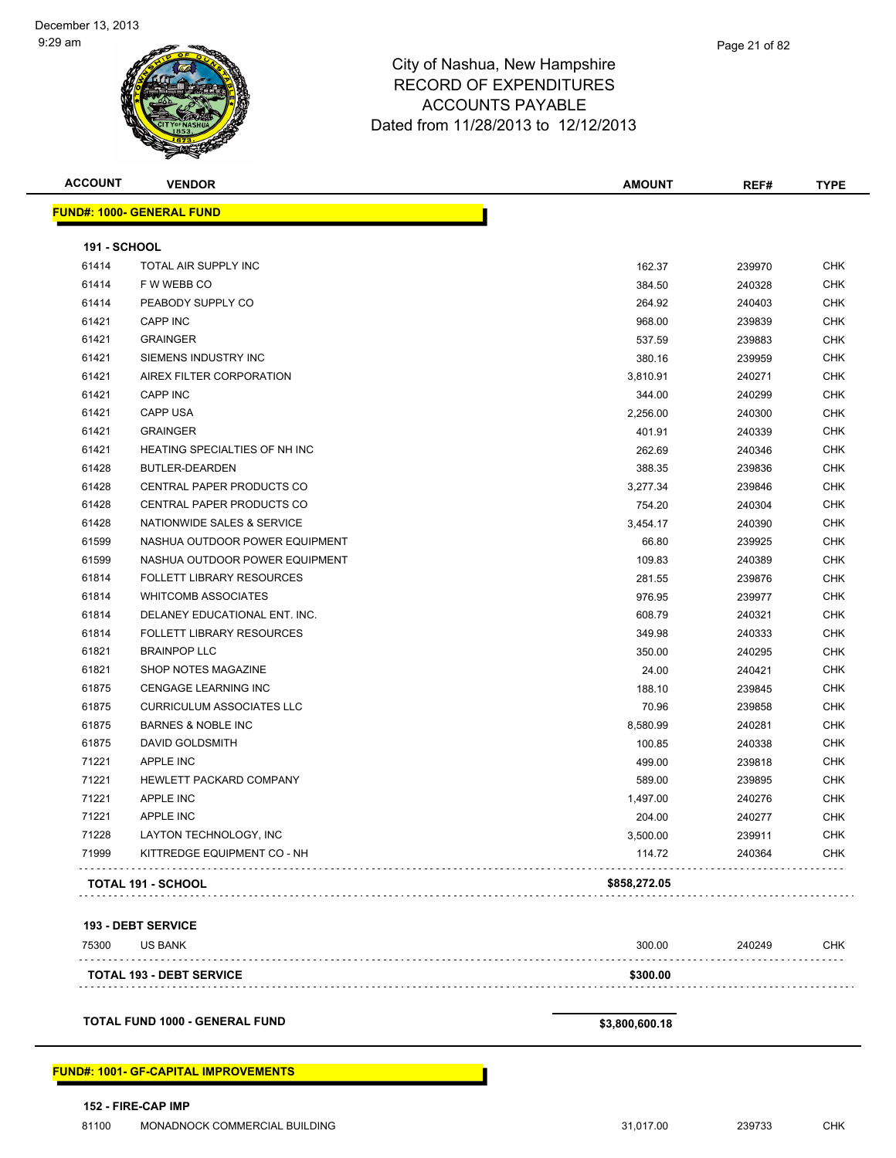

| <b>ACCOUNT</b>      | <b>VENDOR</b>                    | <b>AMOUNT</b> | REF#   | <b>TYPE</b> |
|---------------------|----------------------------------|---------------|--------|-------------|
|                     | <b>FUND#: 1000- GENERAL FUND</b> |               |        |             |
| <b>191 - SCHOOL</b> |                                  |               |        |             |
| 61414               | TOTAL AIR SUPPLY INC             | 162.37        | 239970 | <b>CHK</b>  |
| 61414               | F W WEBB CO                      | 384.50        | 240328 | <b>CHK</b>  |
| 61414               | PEABODY SUPPLY CO                | 264.92        | 240403 | <b>CHK</b>  |
| 61421               | <b>CAPP INC</b>                  | 968.00        | 239839 | <b>CHK</b>  |
| 61421               | <b>GRAINGER</b>                  | 537.59        | 239883 | <b>CHK</b>  |
| 61421               | SIEMENS INDUSTRY INC             | 380.16        | 239959 | <b>CHK</b>  |
| 61421               | AIREX FILTER CORPORATION         | 3,810.91      | 240271 | <b>CHK</b>  |
| 61421               | <b>CAPP INC</b>                  | 344.00        | 240299 | <b>CHK</b>  |
| 61421               | <b>CAPP USA</b>                  | 2,256.00      | 240300 | <b>CHK</b>  |
| 61421               | <b>GRAINGER</b>                  | 401.91        | 240339 | <b>CHK</b>  |
| 61421               | HEATING SPECIALTIES OF NH INC    | 262.69        | 240346 | <b>CHK</b>  |
| 61428               | BUTLER-DEARDEN                   | 388.35        | 239836 | <b>CHK</b>  |
| 61428               | CENTRAL PAPER PRODUCTS CO        | 3,277.34      | 239846 | <b>CHK</b>  |
| 61428               | CENTRAL PAPER PRODUCTS CO        | 754.20        | 240304 | <b>CHK</b>  |
| 61428               | NATIONWIDE SALES & SERVICE       | 3,454.17      | 240390 | <b>CHK</b>  |
| 61599               | NASHUA OUTDOOR POWER EQUIPMENT   | 66.80         | 239925 | <b>CHK</b>  |
| 61599               | NASHUA OUTDOOR POWER EQUIPMENT   | 109.83        | 240389 | <b>CHK</b>  |
| 61814               | <b>FOLLETT LIBRARY RESOURCES</b> | 281.55        | 239876 | <b>CHK</b>  |
| 61814               | <b>WHITCOMB ASSOCIATES</b>       | 976.95        | 239977 | <b>CHK</b>  |
| 61814               | DELANEY EDUCATIONAL ENT. INC.    | 608.79        | 240321 | <b>CHK</b>  |
| 61814               | <b>FOLLETT LIBRARY RESOURCES</b> | 349.98        | 240333 | <b>CHK</b>  |
| 61821               | <b>BRAINPOP LLC</b>              | 350.00        | 240295 | <b>CHK</b>  |
| 61821               | SHOP NOTES MAGAZINE              | 24.00         | 240421 | <b>CHK</b>  |
| 61875               | <b>CENGAGE LEARNING INC</b>      | 188.10        | 239845 | <b>CHK</b>  |
| 61875               | <b>CURRICULUM ASSOCIATES LLC</b> | 70.96         | 239858 | <b>CHK</b>  |
| 61875               | <b>BARNES &amp; NOBLE INC</b>    | 8,580.99      | 240281 | <b>CHK</b>  |
| 61875               | DAVID GOLDSMITH                  | 100.85        | 240338 | <b>CHK</b>  |
| 71221               | <b>APPLE INC</b>                 | 499.00        | 239818 | <b>CHK</b>  |
| 71221               | HEWLETT PACKARD COMPANY          | 589.00        | 239895 | <b>CHK</b>  |
| 71221               | <b>APPLE INC</b>                 | 1,497.00      | 240276 | <b>CHK</b>  |
| 71221               | <b>APPLE INC</b>                 | 204.00        | 240277 | <b>CHK</b>  |
| 71228               | LAYTON TECHNOLOGY, INC           | 3,500.00      | 239911 | <b>CHK</b>  |
| 71999               | KITTREDGE EQUIPMENT CO - NH      | 114.72        | 240364 | CHK         |
|                     | <b>TOTAL 191 - SCHOOL</b>        | \$858,272.05  |        |             |
|                     |                                  |               |        |             |

#### **193 - DEBT SERVICE**

| 75300 | <b>US BANK</b>                  | 300.00   | 240249 | <b>CHK</b> |
|-------|---------------------------------|----------|--------|------------|
|       | <b>TOTAL 193 - DEBT SERVICE</b> | \$300.00 |        |            |
|       |                                 |          |        |            |

**TOTAL FUND 1000 - GENERAL FUND \$3,800,600.18** 

#### **FUND#: 1001- GF-CAPITAL IMPROVEMENTS**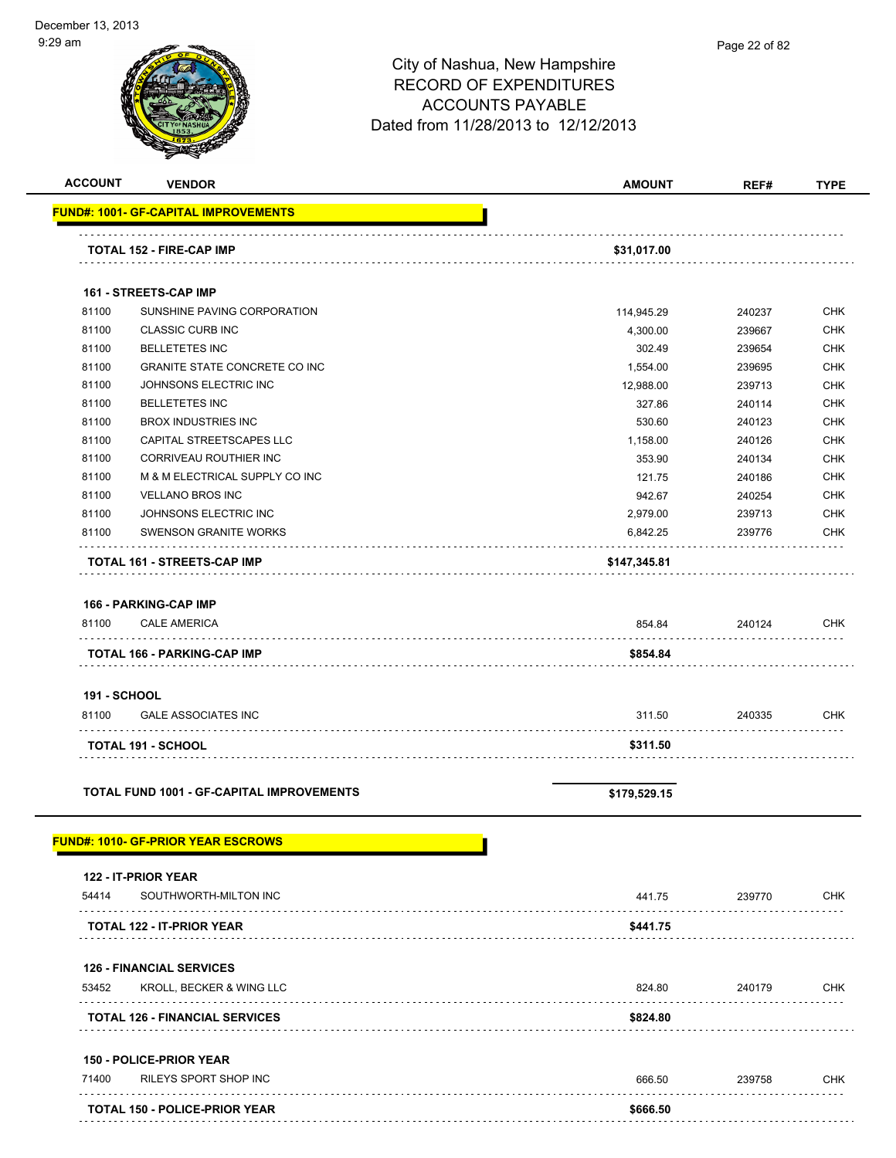| '9 am                        |                                                  | City of Nashua, New Hampshire<br><b>RECORD OF EXPENDITURES</b><br><b>ACCOUNTS PAYABLE</b><br>Dated from 11/28/2013 to 12/12/2013 | Page 22 of 82 |             |
|------------------------------|--------------------------------------------------|----------------------------------------------------------------------------------------------------------------------------------|---------------|-------------|
| <b>ACCOUNT</b>               | <b>VENDOR</b>                                    | <b>AMOUNT</b>                                                                                                                    | REF#          | <b>TYPE</b> |
|                              | <b>FUND#: 1001- GF-CAPITAL IMPROVEMENTS</b>      |                                                                                                                                  |               |             |
|                              | <b>TOTAL 152 - FIRE-CAP IMP</b>                  | \$31,017.00                                                                                                                      |               |             |
|                              | <b>161 - STREETS-CAP IMP</b>                     |                                                                                                                                  |               |             |
| 81100                        | SUNSHINE PAVING CORPORATION                      | 114,945.29                                                                                                                       | 240237        | <b>CHK</b>  |
| 81100                        | <b>CLASSIC CURB INC</b>                          | 4,300.00                                                                                                                         | 239667        | <b>CHK</b>  |
| 81100                        | <b>BELLETETES INC</b>                            | 302.49                                                                                                                           | 239654        | <b>CHK</b>  |
| 81100                        | GRANITE STATE CONCRETE CO INC                    | 1,554.00                                                                                                                         | 239695        | <b>CHK</b>  |
| 81100                        | JOHNSONS ELECTRIC INC                            | 12,988.00                                                                                                                        | 239713        | <b>CHK</b>  |
| 81100                        | <b>BELLETETES INC</b>                            | 327.86                                                                                                                           | 240114        | CHK         |
| 81100                        | <b>BROX INDUSTRIES INC</b>                       | 530.60                                                                                                                           | 240123        | <b>CHK</b>  |
| 81100                        | CAPITAL STREETSCAPES LLC                         | 1,158.00                                                                                                                         | 240126        | <b>CHK</b>  |
| 81100                        | CORRIVEAU ROUTHIER INC                           | 353.90                                                                                                                           | 240134        | <b>CHK</b>  |
| 81100                        | M & M ELECTRICAL SUPPLY CO INC                   | 121.75                                                                                                                           | 240186        | <b>CHK</b>  |
| 81100                        | <b>VELLANO BROS INC</b>                          | 942.67                                                                                                                           | 240254        | <b>CHK</b>  |
| 81100                        | JOHNSONS ELECTRIC INC                            | 2,979.00                                                                                                                         | 239713        | <b>CHK</b>  |
| 81100                        | <b>SWENSON GRANITE WORKS</b>                     | 6,842.25                                                                                                                         | 239776        | <b>CHK</b>  |
|                              | <b>TOTAL 161 - STREETS-CAP IMP</b>               | \$147,345.81                                                                                                                     |               |             |
|                              | 166 - PARKING-CAP IMP                            |                                                                                                                                  |               |             |
| 81100                        | <b>CALE AMERICA</b>                              | 854.84                                                                                                                           | 240124        | <b>CHK</b>  |
|                              | <b>TOTAL 166 - PARKING-CAP IMP</b>               | \$854.84                                                                                                                         |               |             |
|                              |                                                  |                                                                                                                                  |               |             |
| <b>191 - SCHOOL</b><br>81100 | <b>GALE ASSOCIATES INC</b>                       | 311.50                                                                                                                           | 240335        | <b>CHK</b>  |
|                              |                                                  |                                                                                                                                  |               |             |
|                              | TOTAL 191 - SCHOOL                               | \$311.50                                                                                                                         |               |             |
|                              | <b>TOTAL FUND 1001 - GF-CAPITAL IMPROVEMENTS</b> | \$179,529.15                                                                                                                     |               |             |
|                              | <u> FUND#: 1010- GF-PRIOR YEAR ESCROWS</u>       |                                                                                                                                  |               |             |
|                              | 122 - IT-PRIOR YEAR                              |                                                                                                                                  |               |             |
| 54414                        | SOUTHWORTH-MILTON INC                            | 441.75                                                                                                                           | 239770        | <b>CHK</b>  |
|                              | TOTAL 122 - IT-PRIOR YEAR                        | \$441.75                                                                                                                         |               |             |
|                              | <b>126 - FINANCIAL SERVICES</b>                  |                                                                                                                                  |               |             |
| 53452                        | KROLL, BECKER & WING LLC                         | 824.80                                                                                                                           | 240179        | <b>CHK</b>  |
|                              | <b>TOTAL 126 - FINANCIAL SERVICES</b>            | \$824.80                                                                                                                         |               |             |
|                              | <b>150 - POLICE-PRIOR YEAR</b>                   |                                                                                                                                  |               |             |

| 71400 | RILEYS SPORT SHOP INC                | 666.50   | 239758 | C.HK |
|-------|--------------------------------------|----------|--------|------|
|       | <b>TOTAL 150 - POLICE-PRIOR YEAR</b> | \$666.50 |        |      |
|       |                                      |          |        |      |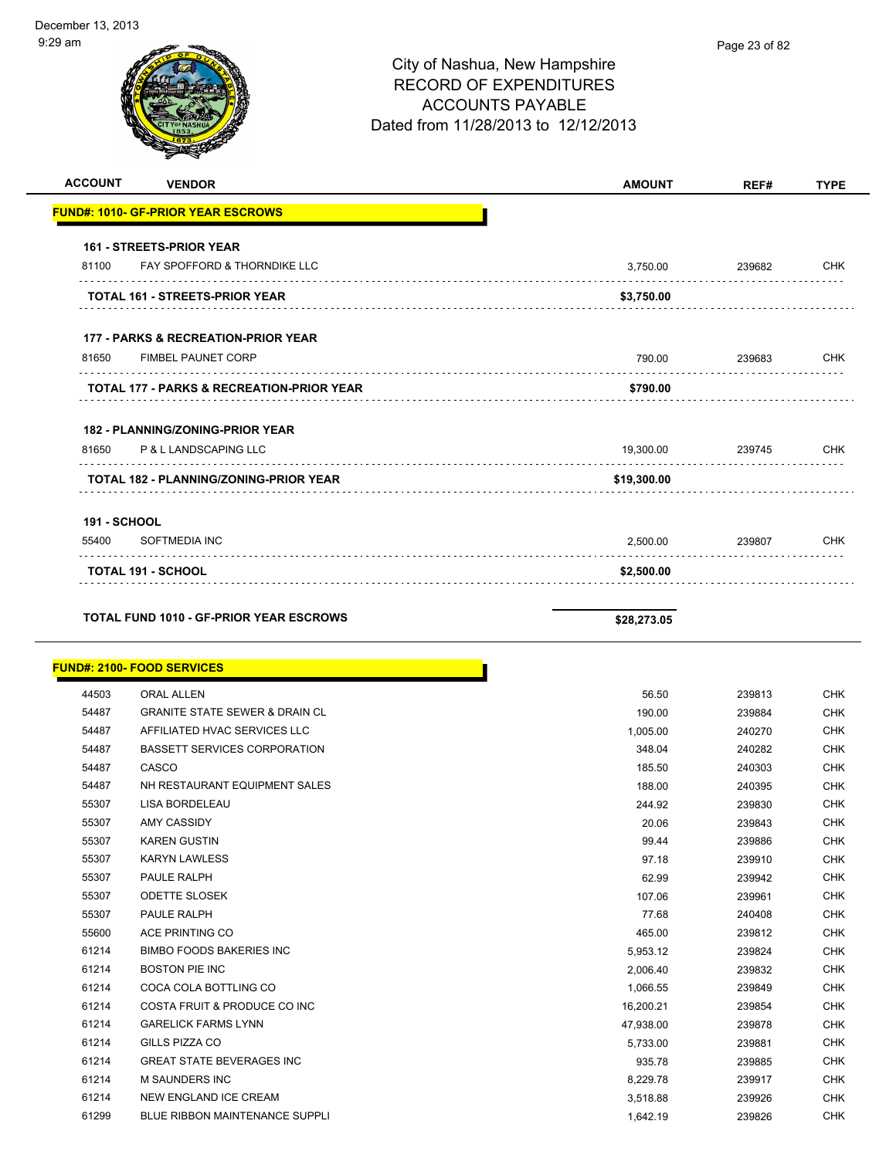# City of Nashua, New Hampshire RECORD OF EXPENDITURES ACCOUNTS PAYABLE Dated from 11/28/2013 to 12/12/2013 **ACCOUNT VENDOR AMOUNT REF# TYPE FUND#: 1010- GF-PRIOR YEAR ESCROWS 161 - STREETS-PRIOR YEAR**

| <b>TOTAL 191 - SCHOOL</b>                            | \$2,500.00  |        |            |
|------------------------------------------------------|-------------|--------|------------|
| SOFTMEDIA INC<br>55400                               | 2,500.00    | 239807 | <b>CHK</b> |
| <b>191 - SCHOOL</b>                                  |             |        |            |
| <b>TOTAL 182 - PLANNING/ZONING-PRIOR YEAR</b>        | \$19,300.00 |        |            |
| P & L LANDSCAPING LLC<br>81650                       | 19,300.00   | 239745 | <b>CHK</b> |
| <b>182 - PLANNING/ZONING-PRIOR YEAR</b>              |             |        |            |
| <b>TOTAL 177 - PARKS &amp; RECREATION-PRIOR YEAR</b> | \$790.00    |        |            |
| <b>FIMBEL PAUNET CORP</b><br>81650                   | 790.00      | 239683 | <b>CHK</b> |
| <b>177 - PARKS &amp; RECREATION-PRIOR YEAR</b>       |             |        |            |
| <b>TOTAL 161 - STREETS-PRIOR YEAR</b>                | \$3,750.00  |        |            |
| FAY SPOFFORD & THORNDIKE LLC<br>81100                | 3,750.00    | 239682 | <b>CHK</b> |
| <b>161 - STREETS-PRIOR YEAR</b>                      |             |        |            |

**TOTAL FUND 1010 - GF-PRIOR YEAR ESCROWS \$28,273.05** 

|       | <b>FUND#: 2100- FOOD SERVICES</b>         |           |        |            |
|-------|-------------------------------------------|-----------|--------|------------|
| 44503 | <b>ORAL ALLEN</b>                         | 56.50     | 239813 | <b>CHK</b> |
| 54487 | <b>GRANITE STATE SEWER &amp; DRAIN CL</b> | 190.00    | 239884 | <b>CHK</b> |
| 54487 | AFFILIATED HVAC SERVICES LLC              | 1,005.00  | 240270 | <b>CHK</b> |
| 54487 | <b>BASSETT SERVICES CORPORATION</b>       | 348.04    | 240282 | <b>CHK</b> |
| 54487 | CASCO                                     | 185.50    | 240303 | <b>CHK</b> |
| 54487 | NH RESTAURANT EQUIPMENT SALES             | 188.00    | 240395 | <b>CHK</b> |
| 55307 | <b>LISA BORDELEAU</b>                     | 244.92    | 239830 | <b>CHK</b> |
| 55307 | <b>AMY CASSIDY</b>                        | 20.06     | 239843 | <b>CHK</b> |
| 55307 | <b>KAREN GUSTIN</b>                       | 99.44     | 239886 | <b>CHK</b> |
| 55307 | <b>KARYN LAWLESS</b>                      | 97.18     | 239910 | <b>CHK</b> |
| 55307 | <b>PAULE RALPH</b>                        | 62.99     | 239942 | <b>CHK</b> |
| 55307 | <b>ODETTE SLOSEK</b>                      | 107.06    | 239961 | <b>CHK</b> |
| 55307 | <b>PAULE RALPH</b>                        | 77.68     | 240408 | <b>CHK</b> |
| 55600 | ACE PRINTING CO                           | 465.00    | 239812 | <b>CHK</b> |
| 61214 | <b>BIMBO FOODS BAKERIES INC</b>           | 5,953.12  | 239824 | <b>CHK</b> |
| 61214 | <b>BOSTON PIE INC</b>                     | 2,006.40  | 239832 | <b>CHK</b> |
| 61214 | COCA COLA BOTTLING CO                     | 1,066.55  | 239849 | <b>CHK</b> |
| 61214 | COSTA FRUIT & PRODUCE CO INC              | 16,200.21 | 239854 | <b>CHK</b> |
| 61214 | <b>GARELICK FARMS LYNN</b>                | 47,938.00 | 239878 | <b>CHK</b> |
| 61214 | GILLS PIZZA CO                            | 5,733.00  | 239881 | <b>CHK</b> |
| 61214 | <b>GREAT STATE BEVERAGES INC</b>          | 935.78    | 239885 | <b>CHK</b> |
| 61214 | <b>M SAUNDERS INC</b>                     | 8,229.78  | 239917 | <b>CHK</b> |
| 61214 | <b>NEW ENGLAND ICE CREAM</b>              | 3,518.88  | 239926 | <b>CHK</b> |
| 61299 | <b>BLUE RIBBON MAINTENANCE SUPPLI</b>     | 1,642.19  | 239826 | <b>CHK</b> |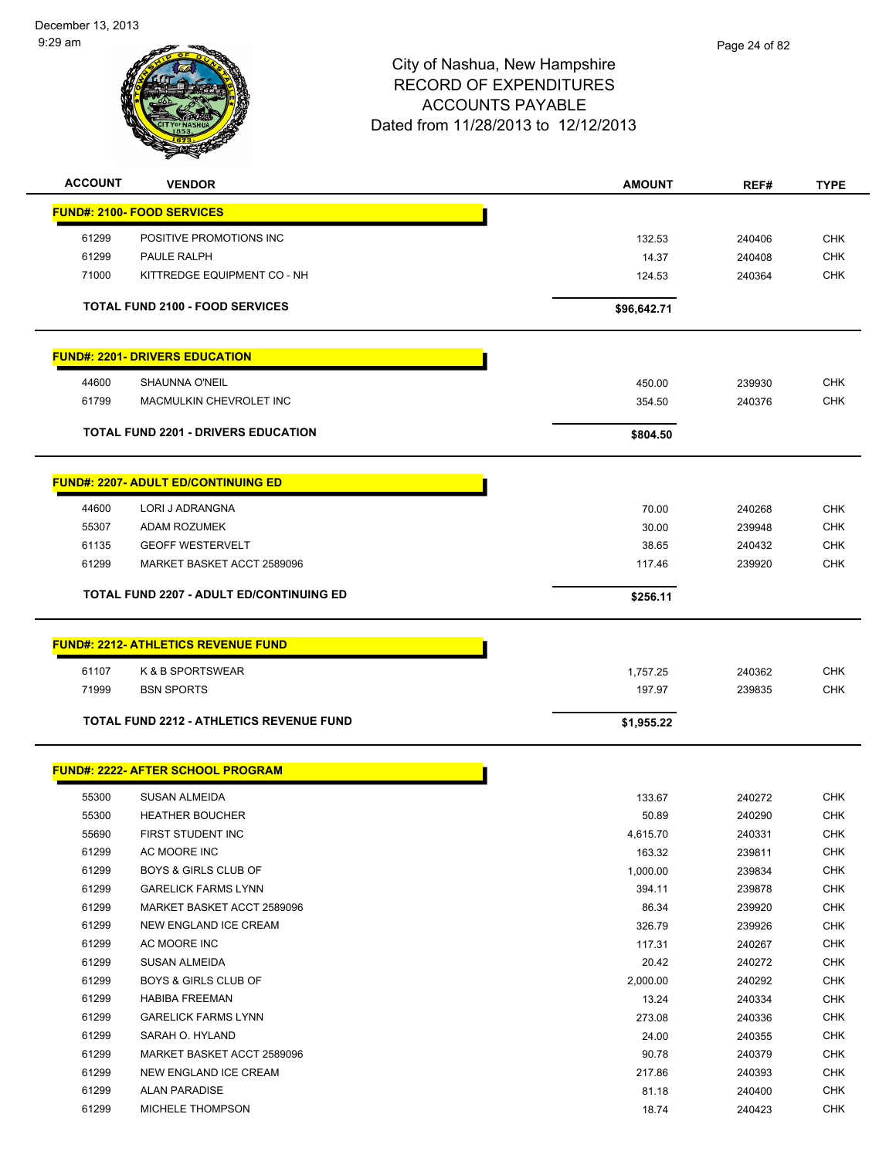

| <b>ACCOUNT</b> | <b>VENDOR</b>                                   | <b>AMOUNT</b> | REF#   | <b>TYPE</b> |
|----------------|-------------------------------------------------|---------------|--------|-------------|
|                | <b>FUND#: 2100- FOOD SERVICES</b>               |               |        |             |
| 61299          | POSITIVE PROMOTIONS INC                         | 132.53        | 240406 | <b>CHK</b>  |
| 61299          | PAULE RALPH                                     | 14.37         | 240408 | <b>CHK</b>  |
| 71000          | KITTREDGE EQUIPMENT CO - NH                     | 124.53        | 240364 | <b>CHK</b>  |
|                |                                                 |               |        |             |
|                | <b>TOTAL FUND 2100 - FOOD SERVICES</b>          | \$96,642.71   |        |             |
|                | <b>FUND#: 2201- DRIVERS EDUCATION</b>           |               |        |             |
| 44600          | <b>SHAUNNA O'NEIL</b>                           | 450.00        | 239930 | <b>CHK</b>  |
| 61799          | MACMULKIN CHEVROLET INC                         | 354.50        | 240376 | <b>CHK</b>  |
|                | <b>TOTAL FUND 2201 - DRIVERS EDUCATION</b>      | \$804.50      |        |             |
|                |                                                 |               |        |             |
|                | <b>FUND#: 2207- ADULT ED/CONTINUING ED</b>      |               |        |             |
| 44600          | LORI J ADRANGNA                                 | 70.00         | 240268 | <b>CHK</b>  |
| 55307          | <b>ADAM ROZUMEK</b>                             | 30.00         | 239948 | <b>CHK</b>  |
| 61135          | <b>GEOFF WESTERVELT</b>                         | 38.65         | 240432 | <b>CHK</b>  |
| 61299          | MARKET BASKET ACCT 2589096                      | 117.46        | 239920 | <b>CHK</b>  |
|                | <b>TOTAL FUND 2207 - ADULT ED/CONTINUING ED</b> | \$256.11      |        |             |
|                |                                                 |               |        |             |
|                | <b>FUND#: 2212- ATHLETICS REVENUE FUND</b>      |               |        |             |
| 61107          | K & B SPORTSWEAR                                | 1,757.25      | 240362 | <b>CHK</b>  |
| 71999          | <b>BSN SPORTS</b>                               | 197.97        | 239835 | <b>CHK</b>  |
|                | <b>TOTAL FUND 2212 - ATHLETICS REVENUE FUND</b> | \$1,955.22    |        |             |
|                | <b>FUND#: 2222- AFTER SCHOOL PROGRAM</b>        |               |        |             |
|                |                                                 |               |        |             |
| 55300          | <b>SUSAN ALMEIDA</b>                            | 133.67        | 240272 | <b>CHK</b>  |
| 55300          | <b>HEATHER BOUCHER</b>                          | 50.89         | 240290 | <b>CHK</b>  |
| 55690          | FIRST STUDENT INC                               | 4,615.70      | 240331 | <b>CHK</b>  |
| 61299          | AC MOORE INC                                    | 163.32        | 239811 | <b>CHK</b>  |
| 61299          | <b>BOYS &amp; GIRLS CLUB OF</b>                 | 1,000.00      | 239834 | <b>CHK</b>  |
| 61299          | <b>GARELICK FARMS LYNN</b>                      | 394.11        | 239878 | <b>CHK</b>  |
| 61299          | MARKET BASKET ACCT 2589096                      | 86.34         | 239920 | <b>CHK</b>  |
| 61299          | NEW ENGLAND ICE CREAM                           | 326.79        | 239926 | <b>CHK</b>  |
| 61299          | AC MOORE INC                                    | 117.31        | 240267 | <b>CHK</b>  |
| 61299          | <b>SUSAN ALMEIDA</b>                            | 20.42         | 240272 | <b>CHK</b>  |
| 61299          | <b>BOYS &amp; GIRLS CLUB OF</b>                 | 2,000.00      | 240292 | <b>CHK</b>  |
| 61299          | <b>HABIBA FREEMAN</b>                           | 13.24         | 240334 | <b>CHK</b>  |
| 61299          | <b>GARELICK FARMS LYNN</b>                      | 273.08        | 240336 | <b>CHK</b>  |
| 61299          | SARAH O. HYLAND                                 | 24.00         | 240355 | <b>CHK</b>  |
| 61299          | MARKET BASKET ACCT 2589096                      | 90.78         | 240379 | <b>CHK</b>  |
| 61299          | NEW ENGLAND ICE CREAM                           | 217.86        | 240393 | CHK         |
| 61299          | <b>ALAN PARADISE</b>                            | 81.18         | 240400 | <b>CHK</b>  |
| 61299          | MICHELE THOMPSON                                | 18.74         | 240423 | <b>CHK</b>  |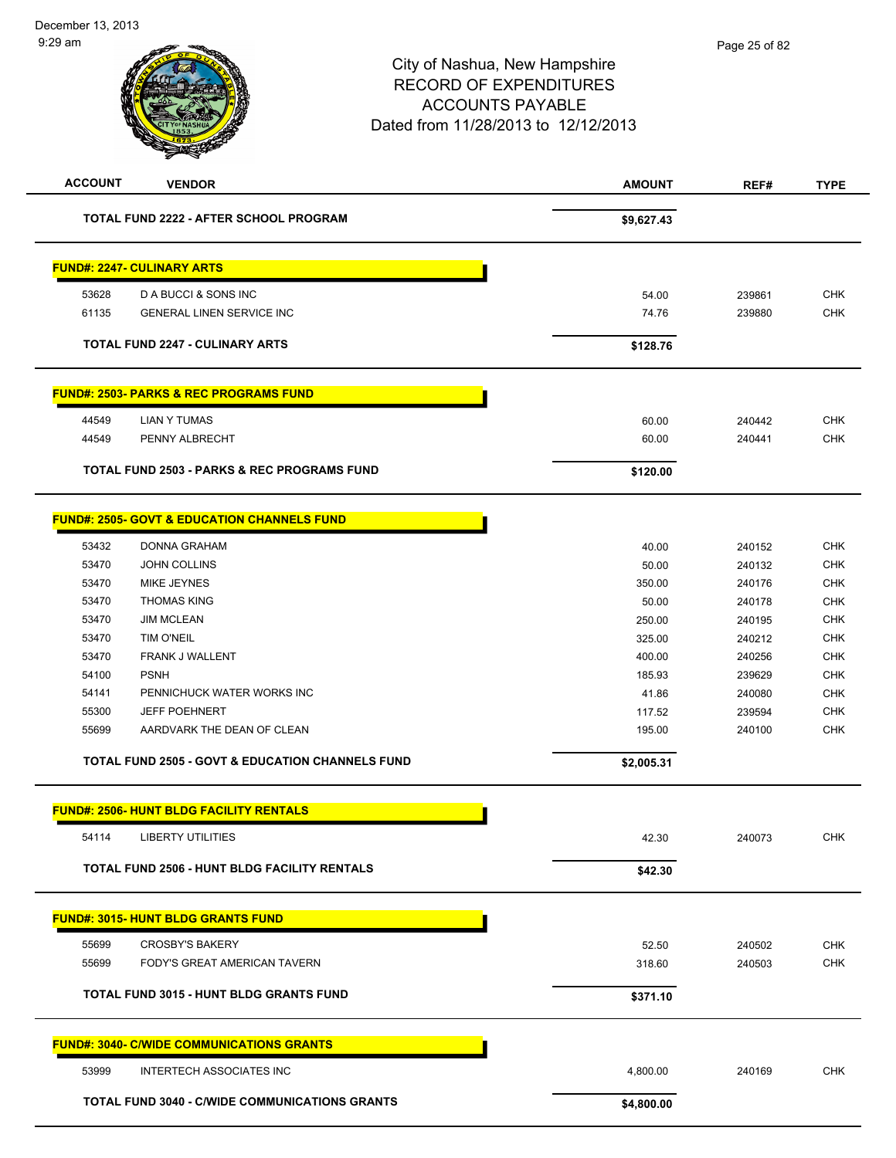| <b>ACCOUNT</b><br><b>VENDOR</b>                             | <b>AMOUNT</b>   | REF#             | <b>TYPE</b>              |
|-------------------------------------------------------------|-----------------|------------------|--------------------------|
| <b>TOTAL FUND 2222 - AFTER SCHOOL PROGRAM</b>               | \$9,627.43      |                  |                          |
| <b>FUND#: 2247- CULINARY ARTS</b>                           |                 |                  |                          |
| 53628<br>D A BUCCI & SONS INC                               | 54.00           | 239861           | <b>CHK</b>               |
| 61135<br><b>GENERAL LINEN SERVICE INC</b>                   | 74.76           | 239880           | <b>CHK</b>               |
| <b>TOTAL FUND 2247 - CULINARY ARTS</b>                      | \$128.76        |                  |                          |
| <b>FUND#: 2503- PARKS &amp; REC PROGRAMS FUND</b>           |                 |                  |                          |
| 44549<br><b>LIAN Y TUMAS</b>                                | 60.00           | 240442           | <b>CHK</b>               |
| 44549<br>PENNY ALBRECHT                                     | 60.00           | 240441           | CHK                      |
| <b>TOTAL FUND 2503 - PARKS &amp; REC PROGRAMS FUND</b>      | \$120.00        |                  |                          |
| <b>FUND#: 2505- GOVT &amp; EDUCATION CHANNELS FUND</b>      |                 |                  |                          |
|                                                             |                 |                  |                          |
| 53432<br><b>DONNA GRAHAM</b><br><b>JOHN COLLINS</b>         | 40.00           | 240152           | <b>CHK</b>               |
| 53470<br>53470<br><b>MIKE JEYNES</b>                        | 50.00<br>350.00 | 240132<br>240176 | <b>CHK</b><br><b>CHK</b> |
| 53470<br><b>THOMAS KING</b>                                 | 50.00           | 240178           | <b>CHK</b>               |
| <b>JIM MCLEAN</b><br>53470                                  | 250.00          | 240195           | <b>CHK</b>               |
| <b>TIM O'NEIL</b><br>53470                                  | 325.00          | 240212           | CHK                      |
| FRANK J WALLENT<br>53470                                    | 400.00          | 240256           | <b>CHK</b>               |
| <b>PSNH</b><br>54100                                        | 185.93          | 239629           | <b>CHK</b>               |
| PENNICHUCK WATER WORKS INC<br>54141                         | 41.86           | 240080           | <b>CHK</b>               |
| 55300<br><b>JEFF POEHNERT</b>                               | 117.52          | 239594           | <b>CHK</b>               |
| AARDVARK THE DEAN OF CLEAN<br>55699                         | 195.00          | 240100           | <b>CHK</b>               |
| <b>TOTAL FUND 2505 - GOVT &amp; EDUCATION CHANNELS FUND</b> | \$2,005.31      |                  |                          |
| <b>FUND#: 2506- HUNT BLDG FACILITY RENTALS</b>              |                 |                  |                          |
| <b>LIBERTY UTILITIES</b><br>54114                           | 42.30           | 240073           | CHK                      |
| <b>TOTAL FUND 2506 - HUNT BLDG FACILITY RENTALS</b>         | \$42.30         |                  |                          |
|                                                             |                 |                  |                          |
| <u>FUND#: 3015- HUNT BLDG GRANTS FUND</u>                   |                 |                  |                          |
| 55699<br><b>CROSBY'S BAKERY</b>                             | 52.50           | 240502           | CHK                      |
| 55699<br>FODY'S GREAT AMERICAN TAVERN                       | 318.60          | 240503           | <b>CHK</b>               |
| TOTAL FUND 3015 - HUNT BLDG GRANTS FUND                     | \$371.10        |                  |                          |
| <b>FUND#: 3040- C/WIDE COMMUNICATIONS GRANTS</b>            |                 |                  |                          |
| 53999<br><b>INTERTECH ASSOCIATES INC</b>                    | 4,800.00        | 240169           | <b>CHK</b>               |
| TOTAL FUND 3040 - C/WIDE COMMUNICATIONS GRANTS              | \$4,800.00      |                  |                          |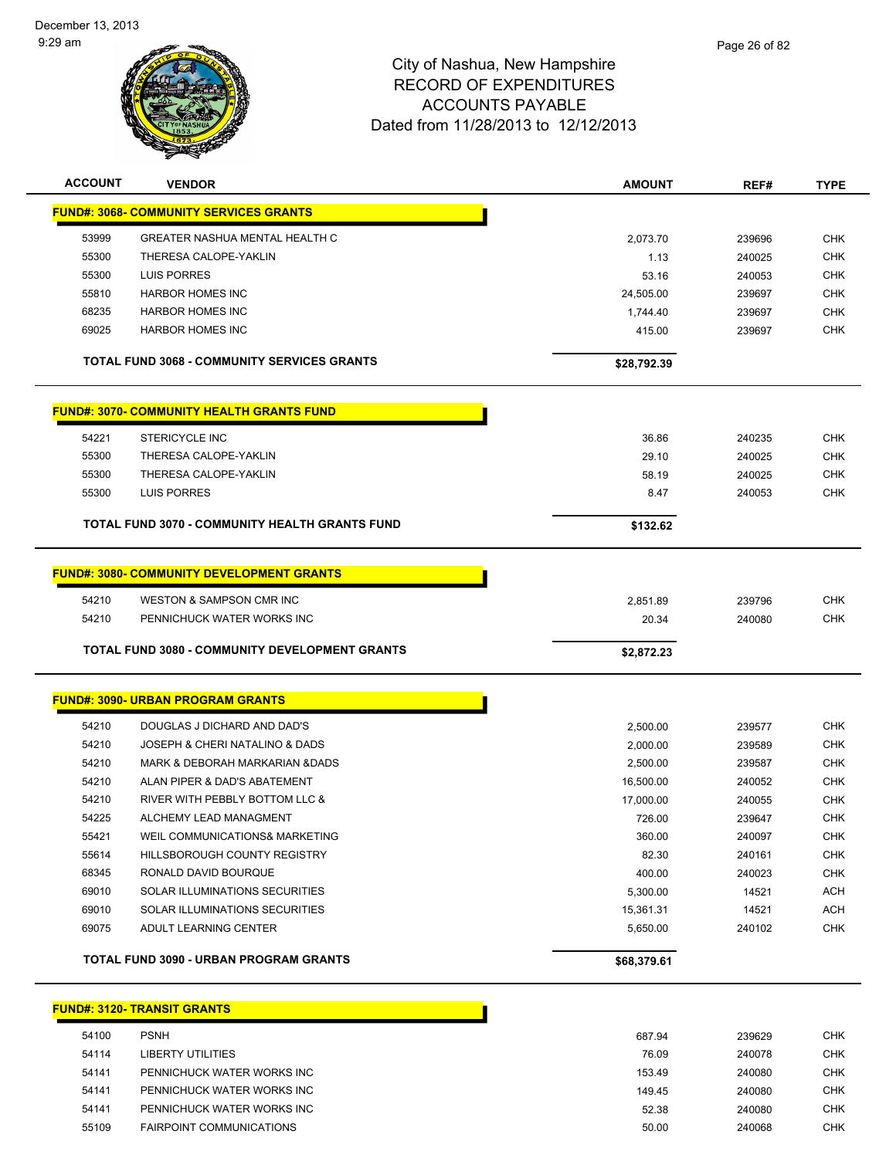

| <b>ACCOUNT</b> | <b>VENDOR</b>                                         | AMOUNT      | REF#   | <b>TYPE</b> |
|----------------|-------------------------------------------------------|-------------|--------|-------------|
|                | <b>FUND#: 3068- COMMUNITY SERVICES GRANTS</b>         |             |        |             |
| 53999          | <b>GREATER NASHUA MENTAL HEALTH C</b>                 | 2,073.70    | 239696 | <b>CHK</b>  |
| 55300          | THERESA CALOPE-YAKLIN                                 | 1.13        | 240025 | <b>CHK</b>  |
| 55300          | <b>LUIS PORRES</b>                                    | 53.16       | 240053 | <b>CHK</b>  |
| 55810          | <b>HARBOR HOMES INC</b>                               | 24,505.00   | 239697 | CHK         |
| 68235          | <b>HARBOR HOMES INC</b>                               | 1,744.40    | 239697 | CHK         |
| 69025          | <b>HARBOR HOMES INC</b>                               | 415.00      | 239697 | <b>CHK</b>  |
|                | TOTAL FUND 3068 - COMMUNITY SERVICES GRANTS           | \$28,792.39 |        |             |
|                | <b>FUND#: 3070- COMMUNITY HEALTH GRANTS FUND</b>      |             |        |             |
| 54221          | STERICYCLE INC                                        | 36.86       | 240235 | <b>CHK</b>  |
| 55300          | THERESA CALOPE-YAKLIN                                 | 29.10       | 240025 | <b>CHK</b>  |
| 55300          | THERESA CALOPE-YAKLIN                                 | 58.19       | 240025 | <b>CHK</b>  |
| 55300          | LUIS PORRES                                           | 8.47        | 240053 | <b>CHK</b>  |
|                | TOTAL FUND 3070 - COMMUNITY HEALTH GRANTS FUND        | \$132.62    |        |             |
|                | <b>FUND#: 3080- COMMUNITY DEVELOPMENT GRANTS</b>      |             |        |             |
| 54210          | WESTON & SAMPSON CMR INC                              | 2,851.89    | 239796 | <b>CHK</b>  |
| 54210          | PENNICHUCK WATER WORKS INC                            | 20.34       | 240080 | <b>CHK</b>  |
|                | <b>TOTAL FUND 3080 - COMMUNITY DEVELOPMENT GRANTS</b> | \$2,872.23  |        |             |
|                | <u>FUND#: 3090- URBAN PROGRAM GRANTS</u>              |             |        |             |
| 54210          | DOUGLAS J DICHARD AND DAD'S                           | 2,500.00    | 239577 | <b>CHK</b>  |
| 54210          | JOSEPH & CHERI NATALINO & DADS                        | 2,000.00    | 239589 | <b>CHK</b>  |
| 54210          | <b>MARK &amp; DEBORAH MARKARIAN &amp;DADS</b>         | 2,500.00    | 239587 | CHK         |
| 54210          | ALAN PIPER & DAD'S ABATEMENT                          | 16,500.00   | 240052 | CHK         |
| 54210          | RIVER WITH PEBBLY BOTTOM LLC &                        | 17,000.00   | 240055 | <b>CHK</b>  |
| 54225          | ALCHEMY LEAD MANAGMENT                                | 726.00      | 239647 | CHK         |
| 55421          | WEIL COMMUNICATIONS& MARKETING                        | 360.00      | 240097 | <b>CHK</b>  |
| 55614          | HILLSBOROUGH COUNTY REGISTRY                          | 82.30       | 240161 | <b>CHK</b>  |
| 68345          | RONALD DAVID BOURQUE                                  | 400.00      | 240023 | <b>CHK</b>  |
| 69010          | SOLAR ILLUMINATIONS SECURITIES                        | 5,300.00    | 14521  | <b>ACH</b>  |
| 69010          | SOLAR ILLUMINATIONS SECURITIES                        | 15,361.31   | 14521  | <b>ACH</b>  |
| 69075          | ADULT LEARNING CENTER                                 | 5,650.00    | 240102 | <b>CHK</b>  |
|                | <b>TOTAL FUND 3090 - URBAN PROGRAM GRANTS</b>         | \$68,379.61 |        |             |
|                | <u>FUND#: 3120- TRANSIT GRANTS</u>                    |             |        |             |

| 54100 | <b>PSNH</b>                     |
|-------|---------------------------------|
| 54114 | LIBERTY UTILITIES               |
| 54141 | PENNICHUCK WATER WORKS INC      |
| 54141 | PENNICHUCK WATER WORKS INC      |
| 54141 | PENNICHUCK WATER WORKS INC      |
| 55109 | <b>FAIRPOINT COMMUNICATIONS</b> |
|       |                                 |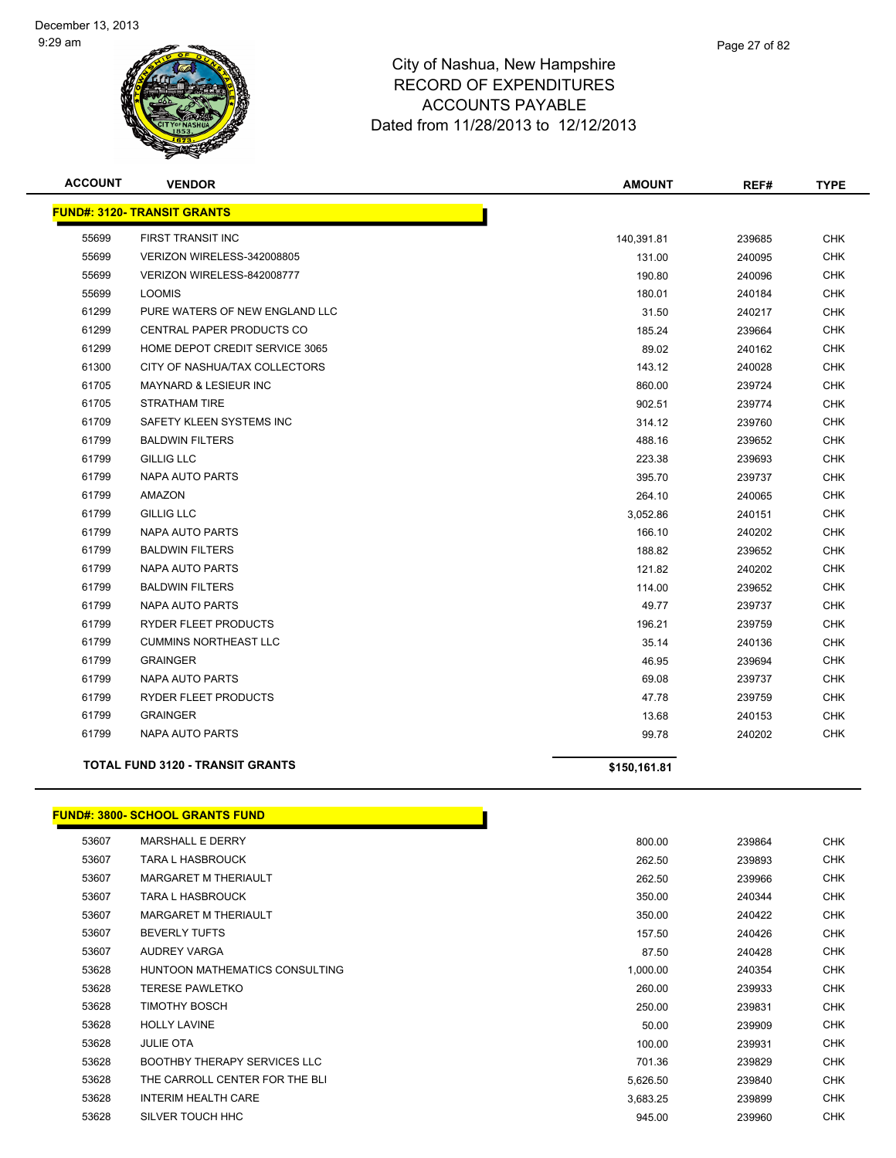

| <b>ACCOUNT</b> | <b>VENDOR</b>                           | <b>AMOUNT</b> | REF#   | <b>TYPE</b> |
|----------------|-----------------------------------------|---------------|--------|-------------|
|                | <b>FUND#: 3120- TRANSIT GRANTS</b>      |               |        |             |
| 55699          | FIRST TRANSIT INC                       | 140,391.81    | 239685 | <b>CHK</b>  |
| 55699          | VERIZON WIRELESS-342008805              | 131.00        | 240095 | <b>CHK</b>  |
| 55699          | VERIZON WIRELESS-842008777              | 190.80        | 240096 | CHK         |
| 55699          | <b>LOOMIS</b>                           | 180.01        | 240184 | <b>CHK</b>  |
| 61299          | PURE WATERS OF NEW ENGLAND LLC          | 31.50         | 240217 | <b>CHK</b>  |
| 61299          | CENTRAL PAPER PRODUCTS CO               | 185.24        | 239664 | <b>CHK</b>  |
| 61299          | HOME DEPOT CREDIT SERVICE 3065          | 89.02         | 240162 | <b>CHK</b>  |
| 61300          | CITY OF NASHUA/TAX COLLECTORS           | 143.12        | 240028 | CHK         |
| 61705          | MAYNARD & LESIEUR INC                   | 860.00        | 239724 | <b>CHK</b>  |
| 61705          | <b>STRATHAM TIRE</b>                    | 902.51        | 239774 | <b>CHK</b>  |
| 61709          | SAFETY KLEEN SYSTEMS INC                | 314.12        | 239760 | <b>CHK</b>  |
| 61799          | <b>BALDWIN FILTERS</b>                  | 488.16        | 239652 | <b>CHK</b>  |
| 61799          | <b>GILLIG LLC</b>                       | 223.38        | 239693 | <b>CHK</b>  |
| 61799          | <b>NAPA AUTO PARTS</b>                  | 395.70        | 239737 | <b>CHK</b>  |
| 61799          | AMAZON                                  | 264.10        | 240065 | <b>CHK</b>  |
| 61799          | <b>GILLIG LLC</b>                       | 3,052.86      | 240151 | CHK         |
| 61799          | <b>NAPA AUTO PARTS</b>                  | 166.10        | 240202 | <b>CHK</b>  |
| 61799          | <b>BALDWIN FILTERS</b>                  | 188.82        | 239652 | <b>CHK</b>  |
| 61799          | NAPA AUTO PARTS                         | 121.82        | 240202 | <b>CHK</b>  |
| 61799          | <b>BALDWIN FILTERS</b>                  | 114.00        | 239652 | <b>CHK</b>  |
| 61799          | NAPA AUTO PARTS                         | 49.77         | 239737 | <b>CHK</b>  |
| 61799          | <b>RYDER FLEET PRODUCTS</b>             | 196.21        | 239759 | <b>CHK</b>  |
| 61799          | <b>CUMMINS NORTHEAST LLC</b>            | 35.14         | 240136 | <b>CHK</b>  |
| 61799          | <b>GRAINGER</b>                         | 46.95         | 239694 | <b>CHK</b>  |
| 61799          | <b>NAPA AUTO PARTS</b>                  | 69.08         | 239737 | <b>CHK</b>  |
| 61799          | RYDER FLEET PRODUCTS                    | 47.78         | 239759 | <b>CHK</b>  |
| 61799          | <b>GRAINGER</b>                         | 13.68         | 240153 | <b>CHK</b>  |
| 61799          | <b>NAPA AUTO PARTS</b>                  | 99.78         | 240202 | <b>CHK</b>  |
|                | <b>TOTAL FUND 3120 - TRANSIT GRANTS</b> | \$150,161.81  |        |             |

#### **FUND#: 3800- SCHOOL GRANTS FUND**

| 53607 | <b>MARSHALL E DERRY</b>             | 800.00   | 239864 | <b>CHK</b> |
|-------|-------------------------------------|----------|--------|------------|
| 53607 | <b>TARA L HASBROUCK</b>             | 262.50   | 239893 | <b>CHK</b> |
| 53607 | <b>MARGARET M THERIAULT</b>         | 262.50   | 239966 | <b>CHK</b> |
| 53607 | TARA L HASBROUCK                    | 350.00   | 240344 | <b>CHK</b> |
| 53607 | MARGARET M THERIAULT                | 350.00   | 240422 | <b>CHK</b> |
| 53607 | <b>BEVERLY TUFTS</b>                | 157.50   | 240426 | <b>CHK</b> |
| 53607 | <b>AUDREY VARGA</b>                 | 87.50    | 240428 | <b>CHK</b> |
| 53628 | HUNTOON MATHEMATICS CONSULTING      | 1,000.00 | 240354 | <b>CHK</b> |
| 53628 | <b>TERESE PAWLETKO</b>              | 260.00   | 239933 | <b>CHK</b> |
| 53628 | <b>TIMOTHY BOSCH</b>                | 250.00   | 239831 | <b>CHK</b> |
| 53628 | <b>HOLLY LAVINE</b>                 | 50.00    | 239909 | <b>CHK</b> |
| 53628 | <b>JULIE OTA</b>                    | 100.00   | 239931 | CHK        |
| 53628 | <b>BOOTHBY THERAPY SERVICES LLC</b> | 701.36   | 239829 | <b>CHK</b> |
| 53628 | THE CARROLL CENTER FOR THE BLI      | 5,626.50 | 239840 | <b>CHK</b> |
| 53628 | <b>INTERIM HEALTH CARE</b>          | 3,683.25 | 239899 | <b>CHK</b> |
| 53628 | SILVER TOUCH HHC                    | 945.00   | 239960 | <b>CHK</b> |
|       |                                     |          |        |            |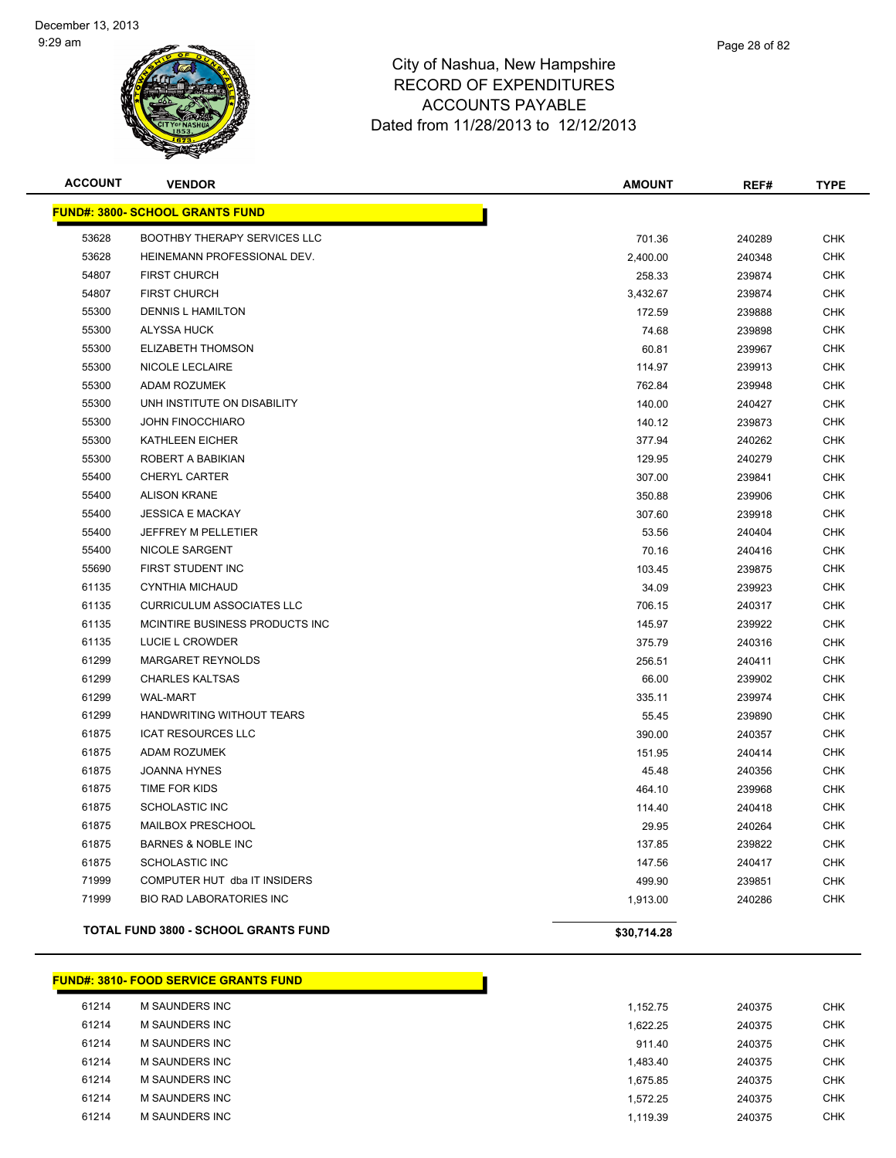

| <b>ACCOUNT</b> | <b>VENDOR</b>                               | <b>AMOUNT</b> | REF#   | <b>TYPE</b> |
|----------------|---------------------------------------------|---------------|--------|-------------|
|                | <b>FUND#: 3800- SCHOOL GRANTS FUND</b>      |               |        |             |
| 53628          | <b>BOOTHBY THERAPY SERVICES LLC</b>         | 701.36        | 240289 | <b>CHK</b>  |
| 53628          | HEINEMANN PROFESSIONAL DEV.                 | 2,400.00      | 240348 | <b>CHK</b>  |
| 54807          | <b>FIRST CHURCH</b>                         | 258.33        | 239874 | <b>CHK</b>  |
| 54807          | <b>FIRST CHURCH</b>                         | 3,432.67      | 239874 | <b>CHK</b>  |
| 55300          | <b>DENNIS L HAMILTON</b>                    | 172.59        | 239888 | <b>CHK</b>  |
| 55300          | ALYSSA HUCK                                 | 74.68         | 239898 | <b>CHK</b>  |
| 55300          | <b>ELIZABETH THOMSON</b>                    | 60.81         | 239967 | <b>CHK</b>  |
| 55300          | NICOLE LECLAIRE                             | 114.97        | 239913 | <b>CHK</b>  |
| 55300          | <b>ADAM ROZUMEK</b>                         | 762.84        | 239948 | <b>CHK</b>  |
| 55300          | UNH INSTITUTE ON DISABILITY                 | 140.00        | 240427 | <b>CHK</b>  |
| 55300          | <b>JOHN FINOCCHIARO</b>                     | 140.12        | 239873 | <b>CHK</b>  |
| 55300          | <b>KATHLEEN EICHER</b>                      | 377.94        | 240262 | <b>CHK</b>  |
| 55300          | ROBERT A BABIKIAN                           | 129.95        | 240279 | <b>CHK</b>  |
| 55400          | <b>CHERYL CARTER</b>                        | 307.00        | 239841 | <b>CHK</b>  |
| 55400          | <b>ALISON KRANE</b>                         | 350.88        | 239906 | <b>CHK</b>  |
| 55400          | <b>JESSICA E MACKAY</b>                     | 307.60        | 239918 | <b>CHK</b>  |
| 55400          | JEFFREY M PELLETIER                         | 53.56         | 240404 | <b>CHK</b>  |
| 55400          | <b>NICOLE SARGENT</b>                       | 70.16         | 240416 | <b>CHK</b>  |
| 55690          | FIRST STUDENT INC                           | 103.45        | 239875 | <b>CHK</b>  |
| 61135          | <b>CYNTHIA MICHAUD</b>                      | 34.09         | 239923 | <b>CHK</b>  |
| 61135          | <b>CURRICULUM ASSOCIATES LLC</b>            | 706.15        | 240317 | <b>CHK</b>  |
| 61135          | MCINTIRE BUSINESS PRODUCTS INC              | 145.97        | 239922 | <b>CHK</b>  |
| 61135          | LUCIE L CROWDER                             | 375.79        | 240316 | <b>CHK</b>  |
| 61299          | <b>MARGARET REYNOLDS</b>                    | 256.51        | 240411 | <b>CHK</b>  |
| 61299          | <b>CHARLES KALTSAS</b>                      | 66.00         | 239902 | <b>CHK</b>  |
| 61299          | <b>WAL-MART</b>                             | 335.11        | 239974 | <b>CHK</b>  |
| 61299          | HANDWRITING WITHOUT TEARS                   | 55.45         | 239890 | <b>CHK</b>  |
| 61875          | <b>ICAT RESOURCES LLC</b>                   | 390.00        | 240357 | <b>CHK</b>  |
| 61875          | <b>ADAM ROZUMEK</b>                         | 151.95        | 240414 | <b>CHK</b>  |
| 61875          | <b>JOANNA HYNES</b>                         | 45.48         | 240356 | <b>CHK</b>  |
| 61875          | TIME FOR KIDS                               | 464.10        | 239968 | <b>CHK</b>  |
| 61875          | <b>SCHOLASTIC INC</b>                       | 114.40        | 240418 | <b>CHK</b>  |
| 61875          | MAILBOX PRESCHOOL                           | 29.95         | 240264 | <b>CHK</b>  |
| 61875          | <b>BARNES &amp; NOBLE INC</b>               | 137.85        | 239822 | <b>CHK</b>  |
| 61875          | <b>SCHOLASTIC INC</b>                       | 147.56        | 240417 | <b>CHK</b>  |
| 71999          | COMPUTER HUT dba IT INSIDERS                | 499.90        | 239851 | <b>CHK</b>  |
| 71999          | BIO RAD LABORATORIES INC                    | 1,913.00      | 240286 | <b>CHK</b>  |
|                | <b>TOTAL FUND 3800 - SCHOOL GRANTS FUND</b> | \$30,714.28   |        |             |

| 61214 | <b>M SAUNDERS INC</b> | 1.152.75 | 240375 | <b>CHK</b> |
|-------|-----------------------|----------|--------|------------|
| 61214 | <b>M SAUNDERS INC</b> | 1,622.25 | 240375 | <b>CHK</b> |
| 61214 | M SAUNDERS INC        | 911.40   | 240375 | <b>CHK</b> |
| 61214 | M SAUNDERS INC        | 1,483.40 | 240375 | <b>CHK</b> |
| 61214 | M SAUNDERS INC        | 1.675.85 | 240375 | <b>CHK</b> |
| 61214 | <b>M SAUNDERS INC</b> | 1.572.25 | 240375 | <b>CHK</b> |
| 61214 | M SAUNDERS INC        | 1,119.39 | 240375 | <b>CHK</b> |

**FUND#: 3810- FOOD SERVICE GRANTS FUND**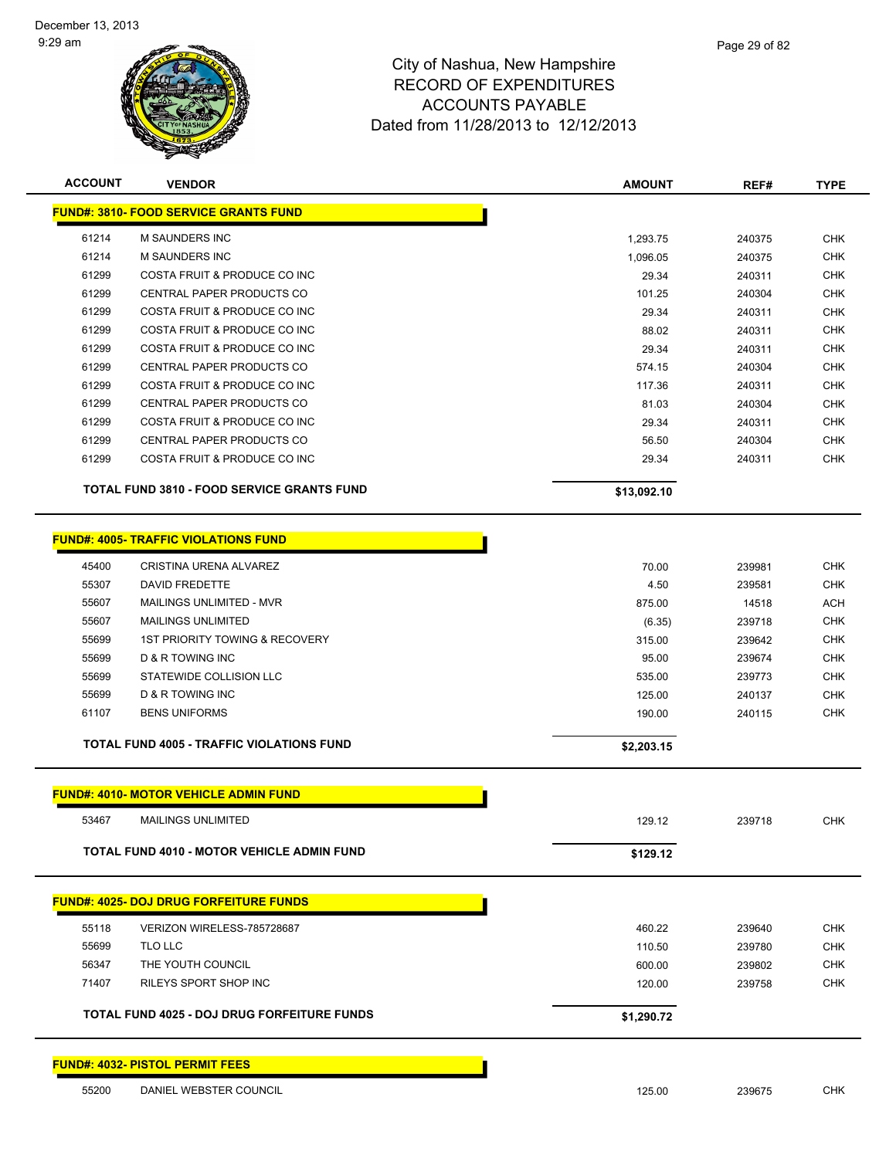

| <b>ACCOUNT</b> | <b>VENDOR</b>                                     | <b>AMOUNT</b> | REF#   | <b>TYPE</b> |
|----------------|---------------------------------------------------|---------------|--------|-------------|
|                | <b>FUND#: 3810- FOOD SERVICE GRANTS FUND</b>      |               |        |             |
| 61214          | <b>M SAUNDERS INC</b>                             | 1.293.75      | 240375 | <b>CHK</b>  |
| 61214          | <b>M SAUNDERS INC</b>                             | 1,096.05      | 240375 | <b>CHK</b>  |
| 61299          | COSTA FRUIT & PRODUCE CO INC                      | 29.34         | 240311 | <b>CHK</b>  |
| 61299          | <b>CENTRAL PAPER PRODUCTS CO</b>                  | 101.25        | 240304 | <b>CHK</b>  |
| 61299          | COSTA FRUIT & PRODUCE CO INC                      | 29.34         | 240311 | <b>CHK</b>  |
| 61299          | COSTA FRUIT & PRODUCE CO INC                      | 88.02         | 240311 | <b>CHK</b>  |
| 61299          | COSTA FRUIT & PRODUCE CO INC                      | 29.34         | 240311 | <b>CHK</b>  |
| 61299          | <b>CENTRAL PAPER PRODUCTS CO</b>                  | 574.15        | 240304 | <b>CHK</b>  |
| 61299          | COSTA FRUIT & PRODUCE CO INC                      | 117.36        | 240311 | <b>CHK</b>  |
| 61299          | <b>CENTRAL PAPER PRODUCTS CO</b>                  | 81.03         | 240304 | <b>CHK</b>  |
| 61299          | COSTA FRUIT & PRODUCE CO INC                      | 29.34         | 240311 | <b>CHK</b>  |
| 61299          | <b>CENTRAL PAPER PRODUCTS CO</b>                  | 56.50         | 240304 | <b>CHK</b>  |
| 61299          | COSTA FRUIT & PRODUCE CO INC                      | 29.34         | 240311 | <b>CHK</b>  |
|                | <b>TOTAL FUND 3810 - FOOD SERVICE GRANTS FUND</b> | \$13,092.10   |        |             |
|                |                                                   |               |        |             |

|       | <b>FUND#: 4005- TRAFFIC VIOLATIONS FUND</b>      |            |        |            |
|-------|--------------------------------------------------|------------|--------|------------|
| 45400 | CRISTINA URENA ALVAREZ                           | 70.00      | 239981 | <b>CHK</b> |
| 55307 | DAVID FREDETTE                                   | 4.50       | 239581 | <b>CHK</b> |
| 55607 | MAILINGS UNLIMITED - MVR                         | 875.00     | 14518  | <b>ACH</b> |
| 55607 | <b>MAILINGS UNLIMITED</b>                        | (6.35)     | 239718 | <b>CHK</b> |
| 55699 | 1ST PRIORITY TOWING & RECOVERY                   | 315.00     | 239642 | <b>CHK</b> |
| 55699 | D & R TOWING INC                                 | 95.00      | 239674 | <b>CHK</b> |
| 55699 | STATEWIDE COLLISION LLC                          | 535.00     | 239773 | <b>CHK</b> |
| 55699 | D & R TOWING INC                                 | 125.00     | 240137 | <b>CHK</b> |
| 61107 | <b>BENS UNIFORMS</b>                             | 190.00     | 240115 | <b>CHK</b> |
|       |                                                  |            |        |            |
|       | <b>TOTAL FUND 4005 - TRAFFIC VIOLATIONS FUND</b> | \$2,203.15 |        |            |

|       | <b>FUND#: 4010- MOTOR VEHICLE ADMIN FUND</b>       |            |        |            |
|-------|----------------------------------------------------|------------|--------|------------|
| 53467 | <b>MAILINGS UNLIMITED</b>                          | 129.12     | 239718 | <b>CHK</b> |
|       | <b>TOTAL FUND 4010 - MOTOR VEHICLE ADMIN FUND</b>  | \$129.12   |        |            |
|       | <b>FUND#: 4025- DOJ DRUG FORFEITURE FUNDS</b>      |            |        |            |
| 55118 | VERIZON WIRELESS-785728687                         | 460.22     | 239640 | <b>CHK</b> |
| 55699 | TLO LLC                                            | 110.50     | 239780 | <b>CHK</b> |
| 56347 | THE YOUTH COUNCIL                                  | 600.00     | 239802 | <b>CHK</b> |
| 71407 | RILEYS SPORT SHOP INC                              | 120.00     | 239758 | <b>CHK</b> |
|       | <b>TOTAL FUND 4025 - DOJ DRUG FORFEITURE FUNDS</b> | \$1,290.72 |        |            |

**FUND#: 4032- PISTOL PERMIT FEES**

55200 DANIEL WEBSTER COUNCIL **125.00** 239675 CHK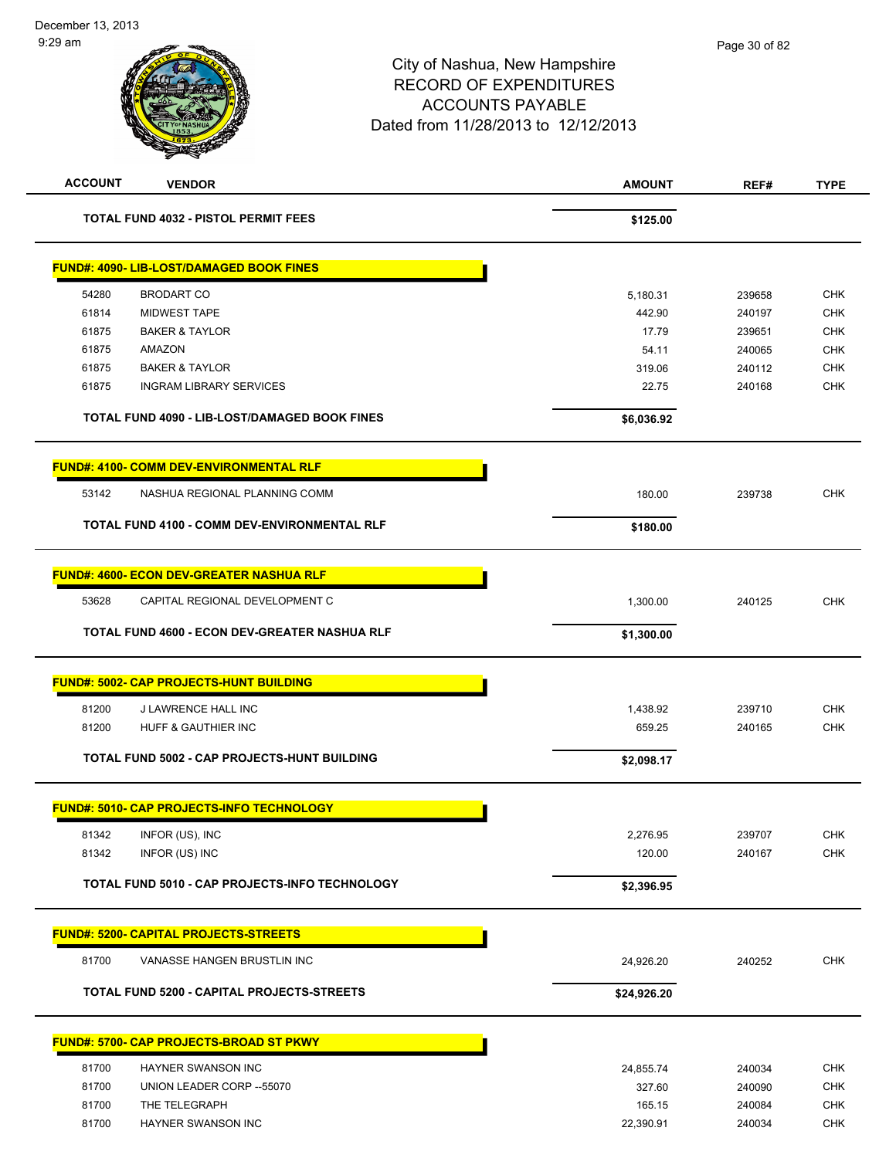| <b>ACCOUNT</b> | <b>VENDOR</b>                                    | <b>AMOUNT</b> | REF#   | <b>TYPE</b> |
|----------------|--------------------------------------------------|---------------|--------|-------------|
|                | <b>TOTAL FUND 4032 - PISTOL PERMIT FEES</b>      | \$125.00      |        |             |
|                | <b>FUND#: 4090- LIB-LOST/DAMAGED BOOK FINES</b>  |               |        |             |
| 54280          | <b>BRODART CO</b>                                | 5,180.31      | 239658 | <b>CHK</b>  |
| 61814          | <b>MIDWEST TAPE</b>                              | 442.90        | 240197 | <b>CHK</b>  |
| 61875          | <b>BAKER &amp; TAYLOR</b>                        | 17.79         | 239651 | <b>CHK</b>  |
| 61875          | AMAZON                                           | 54.11         | 240065 | <b>CHK</b>  |
| 61875          | <b>BAKER &amp; TAYLOR</b>                        | 319.06        | 240112 | <b>CHK</b>  |
| 61875          | <b>INGRAM LIBRARY SERVICES</b>                   | 22.75         | 240168 | <b>CHK</b>  |
|                | TOTAL FUND 4090 - LIB-LOST/DAMAGED BOOK FINES    | \$6,036.92    |        |             |
|                | <b>FUND#: 4100- COMM DEV-ENVIRONMENTAL RLF</b>   |               |        |             |
| 53142          | NASHUA REGIONAL PLANNING COMM                    | 180.00        | 239738 | <b>CHK</b>  |
|                | TOTAL FUND 4100 - COMM DEV-ENVIRONMENTAL RLF     | \$180.00      |        |             |
|                |                                                  |               |        |             |
|                | <b>FUND#: 4600- ECON DEV-GREATER NASHUA RLF</b>  |               |        |             |
| 53628          | CAPITAL REGIONAL DEVELOPMENT C                   | 1,300.00      | 240125 | <b>CHK</b>  |
|                | TOTAL FUND 4600 - ECON DEV-GREATER NASHUA RLF    | \$1,300.00    |        |             |
|                | <b>FUND#: 5002- CAP PROJECTS-HUNT BUILDING</b>   |               |        |             |
| 81200          | J LAWRENCE HALL INC                              | 1,438.92      | 239710 | <b>CHK</b>  |
| 81200          | HUFF & GAUTHIER INC                              | 659.25        | 240165 | <b>CHK</b>  |
|                | TOTAL FUND 5002 - CAP PROJECTS-HUNT BUILDING     | \$2,098.17    |        |             |
|                | <b>FUND#: 5010- CAP PROJECTS-INFO TECHNOLOGY</b> |               |        |             |
|                | INFOR (US), INC                                  | 2,276.95      | 239707 | CHK         |
| 81342<br>81342 | INFOR (US) INC                                   | 120.00        | 240167 | CHK         |
|                |                                                  |               |        |             |
|                | TOTAL FUND 5010 - CAP PROJECTS-INFO TECHNOLOGY   | \$2,396.95    |        |             |
|                | <b>FUND#: 5200- CAPITAL PROJECTS-STREETS</b>     |               |        |             |
| 81700          | VANASSE HANGEN BRUSTLIN INC                      | 24,926.20     | 240252 | CHK         |
|                | TOTAL FUND 5200 - CAPITAL PROJECTS-STREETS       | \$24,926.20   |        |             |
|                | FUND#: 5700- CAP PROJECTS-BROAD ST PKWY          |               |        |             |
| 81700          | HAYNER SWANSON INC                               | 24,855.74     | 240034 | <b>CHK</b>  |
| 81700          | UNION LEADER CORP -- 55070                       | 327.60        | 240090 | <b>CHK</b>  |
| 81700          | THE TELEGRAPH                                    | 165.15        | 240084 | CHK         |
| 81700          | HAYNER SWANSON INC                               | 22,390.91     | 240034 | <b>CHK</b>  |
|                |                                                  |               |        |             |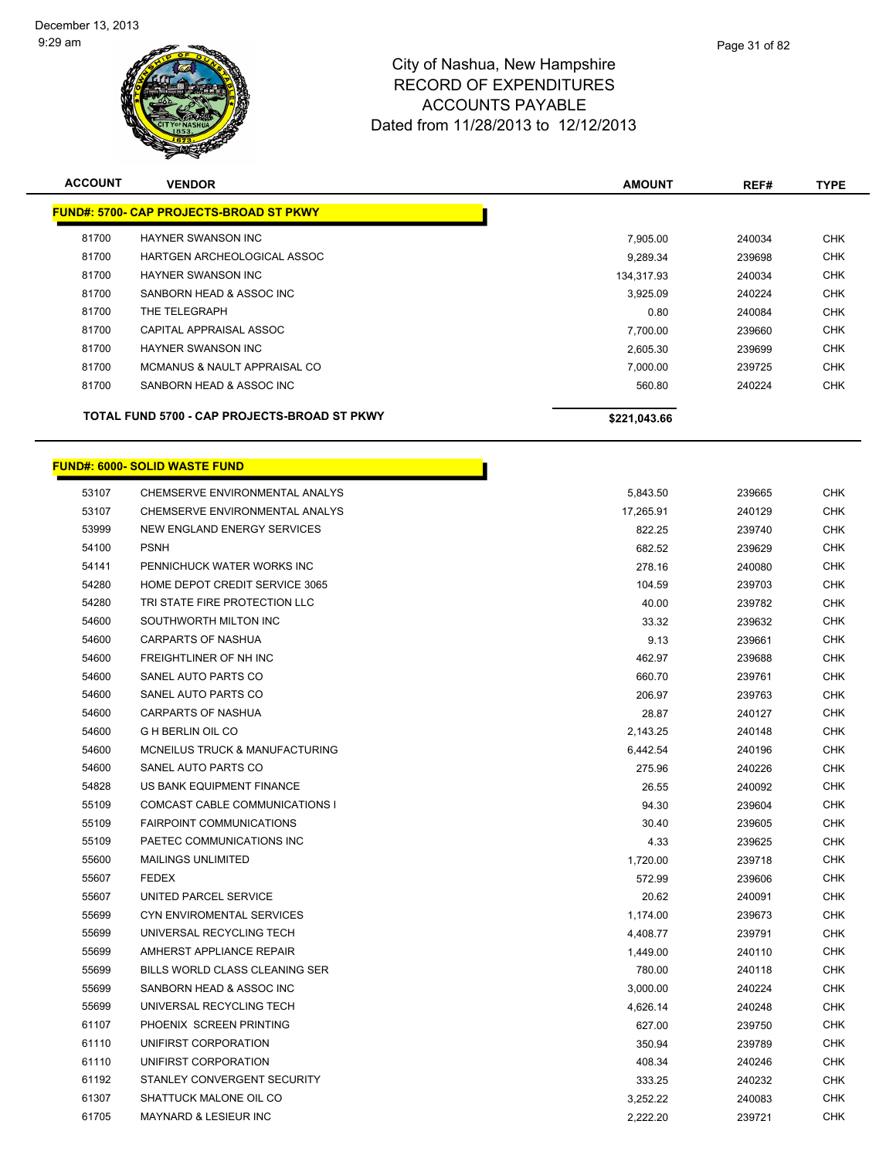

| <b>ACCOUNT</b> | <b>VENDOR</b>                                  | <b>AMOUNT</b> | REF#   | <b>TYPE</b> |
|----------------|------------------------------------------------|---------------|--------|-------------|
|                | <b>FUND#: 5700- CAP PROJECTS-BROAD ST PKWY</b> |               |        |             |
| 81700          | <b>HAYNER SWANSON INC</b>                      | 7,905.00      | 240034 | <b>CHK</b>  |
| 81700          | HARTGEN ARCHEOLOGICAL ASSOC                    | 9.289.34      | 239698 | <b>CHK</b>  |
| 81700          | <b>HAYNER SWANSON INC</b>                      | 134,317.93    | 240034 | <b>CHK</b>  |
| 81700          | SANBORN HEAD & ASSOC INC                       | 3,925.09      | 240224 | <b>CHK</b>  |
| 81700          | THE TELEGRAPH                                  | 0.80          | 240084 | <b>CHK</b>  |
| 81700          | CAPITAL APPRAISAL ASSOC                        | 7,700.00      | 239660 | <b>CHK</b>  |
| 81700          | <b>HAYNER SWANSON INC</b>                      | 2,605.30      | 239699 | <b>CHK</b>  |
| 81700          | MCMANUS & NAULT APPRAISAL CO                   | 7,000.00      | 239725 | <b>CHK</b>  |
| 81700          | SANBORN HEAD & ASSOC INC                       | 560.80        | 240224 | <b>CHK</b>  |
|                | TOTAL FUND 5700 - CAP PROJECTS-BROAD ST PKWY   | \$221,043.66  |        |             |

# **FUND#: 6000- SOLID WASTE FUND**

| 53107 | CHEMSERVE ENVIRONMENTAL ANALYS   | 5,843.50  | 239665 | <b>CHK</b> |
|-------|----------------------------------|-----------|--------|------------|
| 53107 | CHEMSERVE ENVIRONMENTAL ANALYS   | 17,265.91 | 240129 | <b>CHK</b> |
| 53999 | NEW ENGLAND ENERGY SERVICES      | 822.25    | 239740 | CHK        |
| 54100 | <b>PSNH</b>                      | 682.52    | 239629 | <b>CHK</b> |
| 54141 | PENNICHUCK WATER WORKS INC       | 278.16    | 240080 | CHK        |
| 54280 | HOME DEPOT CREDIT SERVICE 3065   | 104.59    | 239703 | <b>CHK</b> |
| 54280 | TRI STATE FIRE PROTECTION LLC    | 40.00     | 239782 | <b>CHK</b> |
| 54600 | SOUTHWORTH MILTON INC            | 33.32     | 239632 | <b>CHK</b> |
| 54600 | <b>CARPARTS OF NASHUA</b>        | 9.13      | 239661 | <b>CHK</b> |
| 54600 | FREIGHTLINER OF NH INC           | 462.97    | 239688 | <b>CHK</b> |
| 54600 | SANEL AUTO PARTS CO              | 660.70    | 239761 | CHK        |
| 54600 | SANEL AUTO PARTS CO              | 206.97    | 239763 | <b>CHK</b> |
| 54600 | <b>CARPARTS OF NASHUA</b>        | 28.87     | 240127 | CHK        |
| 54600 | <b>G H BERLIN OIL CO</b>         | 2,143.25  | 240148 | CHK        |
| 54600 | MCNEILUS TRUCK & MANUFACTURING   | 6,442.54  | 240196 | <b>CHK</b> |
| 54600 | SANEL AUTO PARTS CO              | 275.96    | 240226 | <b>CHK</b> |
| 54828 | US BANK EQUIPMENT FINANCE        | 26.55     | 240092 | <b>CHK</b> |
| 55109 | COMCAST CABLE COMMUNICATIONS I   | 94.30     | 239604 | <b>CHK</b> |
| 55109 | <b>FAIRPOINT COMMUNICATIONS</b>  | 30.40     | 239605 | <b>CHK</b> |
| 55109 | PAETEC COMMUNICATIONS INC        | 4.33      | 239625 | <b>CHK</b> |
| 55600 | <b>MAILINGS UNLIMITED</b>        | 1,720.00  | 239718 | <b>CHK</b> |
| 55607 | <b>FEDEX</b>                     | 572.99    | 239606 | CHK        |
| 55607 | UNITED PARCEL SERVICE            | 20.62     | 240091 | CHK        |
| 55699 | <b>CYN ENVIROMENTAL SERVICES</b> | 1,174.00  | 239673 | <b>CHK</b> |
| 55699 | UNIVERSAL RECYCLING TECH         | 4,408.77  | 239791 | <b>CHK</b> |
| 55699 | AMHERST APPLIANCE REPAIR         | 1,449.00  | 240110 | <b>CHK</b> |
| 55699 | BILLS WORLD CLASS CLEANING SER   | 780.00    | 240118 | <b>CHK</b> |
| 55699 | SANBORN HEAD & ASSOC INC         | 3,000.00  | 240224 | CHK        |
| 55699 | UNIVERSAL RECYCLING TECH         | 4,626.14  | 240248 | <b>CHK</b> |
| 61107 | PHOENIX SCREEN PRINTING          | 627.00    | 239750 | <b>CHK</b> |
| 61110 | UNIFIRST CORPORATION             | 350.94    | 239789 | <b>CHK</b> |
| 61110 | UNIFIRST CORPORATION             | 408.34    | 240246 | CHK        |
| 61192 | STANLEY CONVERGENT SECURITY      | 333.25    | 240232 | CHK        |
| 61307 | SHATTUCK MALONE OIL CO           | 3,252.22  | 240083 | <b>CHK</b> |
| 61705 | MAYNARD & LESIEUR INC            | 2,222.20  | 239721 | <b>CHK</b> |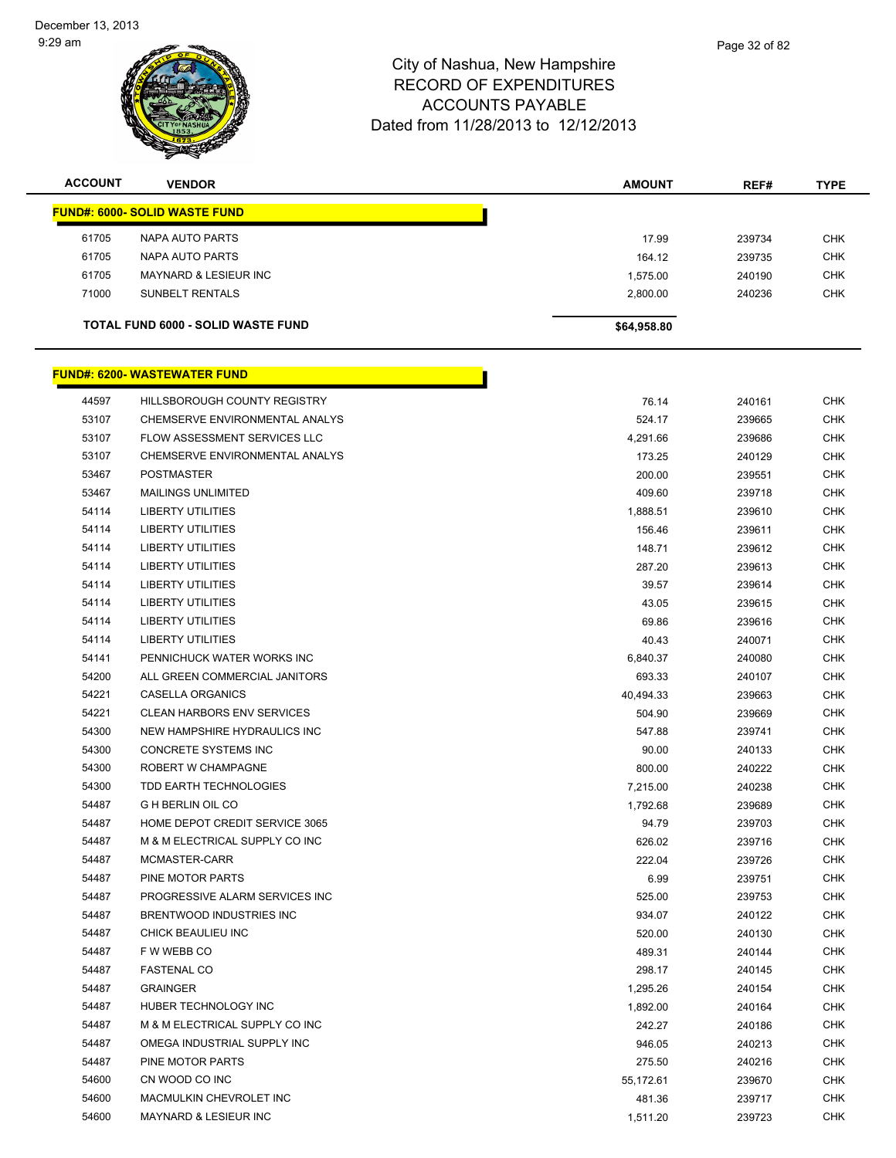

| <b>ACCOUNT</b> | <b>VENDOR</b>                             | <b>AMOUNT</b> | REF#   | <b>TYPE</b> |
|----------------|-------------------------------------------|---------------|--------|-------------|
|                | <b>FUND#: 6000- SOLID WASTE FUND</b>      |               |        |             |
| 61705          | NAPA AUTO PARTS                           | 17.99         | 239734 | <b>CHK</b>  |
| 61705          | NAPA AUTO PARTS                           | 164.12        | 239735 | <b>CHK</b>  |
| 61705          | <b>MAYNARD &amp; LESIEUR INC</b>          | 1,575.00      | 240190 | <b>CHK</b>  |
| 71000          | <b>SUNBELT RENTALS</b>                    | 2,800.00      | 240236 | <b>CHK</b>  |
|                | <b>TOTAL FUND 6000 - SOLID WASTE FUND</b> | \$64,958.80   |        |             |

#### **FUND#: 6200- WASTEWATER FUND** And the set of the set of the set of the set of the set of the set of the set of the set of the set of the set of the change of the set of the set of the set of the set of the set of the set of the set of the set of the se CHEMSERVE ENVIRONMENTAL ANALYS 524.17 239665 CHK 53107 FLOW ASSESSMENT SERVICES LLC **And Assessment Services CHK** And A 2391.66 239686 CHK 53107 CHEMSERVE ENVIRONMENTAL ANALYS 173.25 240129 CHK POSTMASTER 200.00 239551 CHK MAILINGS UNLIMITED 409.60 239718 CHK LIBERTY UTILITIES 1,888.51 239610 CHK LIBERTY UTILITIES 156.46 239611 CHK 54114 LIBERTY UTILITIES CHK CHARGE CHARGE AND THE CHARGE ASSESSED A 239612 CHK LIBERTY UTILITIES 287.20 239613 CHK LIBERTY UTILITIES 39.57 239614 CHK LIBERTY UTILITIES 43.05 239615 CHK LIBERTY UTILITIES 69.86 239616 CHK LIBERTY UTILITIES 40.43 240071 CHK 54141 PENNICHUCK WATER WORKS INC **EXECUTE: 1999 PENNICHUCK WATER WORKS INC** 6,840.37 ALL GREEN COMMERCIAL JANITORS 693.33 240107 CHK CASELLA ORGANICS 40,494.33 239663 CHK CLEAN HARBORS ENV SERVICES 504.90 239669 CHK NEW HAMPSHIRE HYDRAULICS INC 547.88 239741 CHK CONCRETE SYSTEMS INC 90.00 240133 CHK ROBERT W CHAMPAGNE 800.00 240222 CHK TDD EARTH TECHNOLOGIES 7,215.00 240238 CHK G H BERLIN OIL CO 1,792.68 239689 CHK HOME DEPOT CREDIT SERVICE 3065 94.79 239703 CHK M & M ELECTRICAL SUPPLY CO INC 626.02 239716 CHK MCMASTER-CARR 222.04 239726 CHK PINE MOTOR PARTS 6.99 239751 CHK 54487 PROGRESSIVE ALARM SERVICES INC SALE AND SALE SERVICES INCLUDED AND SERVICES INCLUDED A SERVICES INCLUDED A SERVICES INCLUDED AND SERVICES INCLUDED A SERVICES INCLUDED AND SERVICES INCLUDED A SERVICE SERVICES INCLUDED BRENTWOOD INDUSTRIES INC 934.07 240122 CHK CHICK BEAULIEU INC 520.00 240130 CHK F W WEBB CO 489.31 240144 CHK FASTENAL CO 298.17 240145 CHK GRAINGER 1,295.26 240154 CHK HUBER TECHNOLOGY INC 1,892.00 240164 CHK 54487 M & M ELECTRICAL SUPPLY CO INC 245 CHK 242.27 240.27 240186 CHK OMEGA INDUSTRIAL SUPPLY INC 946.05 240213 CHK PINE MOTOR PARTS 275.50 240216 CHK CN WOOD CO INC 55,172.61 239670 CHK MACMULKIN CHEVROLET INC 481.36 239717 CHK

MAYNARD & LESIEUR INC 1,511.20 239723 CHK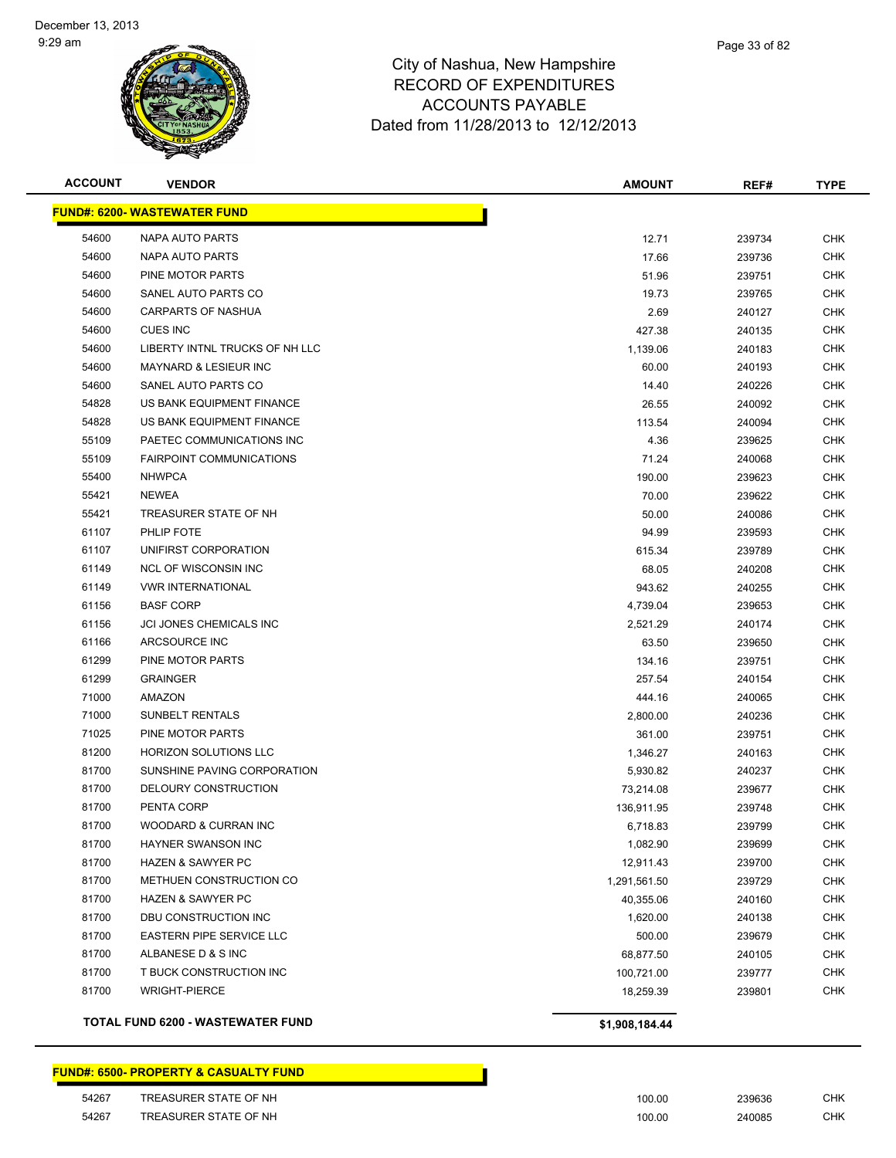

| Page 33 of 82 |
|---------------|
|               |

| <b>ACCOUNT</b>                      | <b>VENDOR</b>                     | <b>AMOUNT</b>  | REF#   | <b>TYPE</b> |  |
|-------------------------------------|-----------------------------------|----------------|--------|-------------|--|
| <b>FUND#: 6200- WASTEWATER FUND</b> |                                   |                |        |             |  |
| 54600                               | NAPA AUTO PARTS                   | 12.71          | 239734 | <b>CHK</b>  |  |
| 54600                               | NAPA AUTO PARTS                   | 17.66          | 239736 | <b>CHK</b>  |  |
| 54600                               | PINE MOTOR PARTS                  | 51.96          | 239751 | <b>CHK</b>  |  |
| 54600                               | SANEL AUTO PARTS CO               | 19.73          | 239765 | <b>CHK</b>  |  |
| 54600                               | <b>CARPARTS OF NASHUA</b>         | 2.69           | 240127 | <b>CHK</b>  |  |
| 54600                               | <b>CUES INC</b>                   | 427.38         | 240135 | <b>CHK</b>  |  |
| 54600                               | LIBERTY INTNL TRUCKS OF NH LLC    | 1,139.06       | 240183 | <b>CHK</b>  |  |
| 54600                               | <b>MAYNARD &amp; LESIEUR INC</b>  | 60.00          | 240193 | <b>CHK</b>  |  |
| 54600                               | SANEL AUTO PARTS CO               | 14.40          | 240226 | CHK         |  |
| 54828                               | US BANK EQUIPMENT FINANCE         | 26.55          | 240092 | <b>CHK</b>  |  |
| 54828                               | US BANK EQUIPMENT FINANCE         | 113.54         | 240094 | <b>CHK</b>  |  |
| 55109                               | PAETEC COMMUNICATIONS INC         | 4.36           | 239625 | <b>CHK</b>  |  |
| 55109                               | <b>FAIRPOINT COMMUNICATIONS</b>   | 71.24          | 240068 | <b>CHK</b>  |  |
| 55400                               | <b>NHWPCA</b>                     | 190.00         | 239623 | <b>CHK</b>  |  |
| 55421                               | <b>NEWEA</b>                      | 70.00          | 239622 | <b>CHK</b>  |  |
| 55421                               | TREASURER STATE OF NH             | 50.00          | 240086 | <b>CHK</b>  |  |
| 61107                               | PHLIP FOTE                        | 94.99          | 239593 | <b>CHK</b>  |  |
| 61107                               | UNIFIRST CORPORATION              | 615.34         | 239789 | <b>CHK</b>  |  |
| 61149                               | <b>NCL OF WISCONSIN INC</b>       | 68.05          | 240208 | <b>CHK</b>  |  |
| 61149                               | <b>VWR INTERNATIONAL</b>          | 943.62         | 240255 | <b>CHK</b>  |  |
| 61156                               | <b>BASF CORP</b>                  | 4,739.04       | 239653 | <b>CHK</b>  |  |
| 61156                               | JCI JONES CHEMICALS INC           | 2,521.29       | 240174 | <b>CHK</b>  |  |
| 61166                               | ARCSOURCE INC                     | 63.50          | 239650 | <b>CHK</b>  |  |
| 61299                               | PINE MOTOR PARTS                  | 134.16         | 239751 | <b>CHK</b>  |  |
| 61299                               | <b>GRAINGER</b>                   | 257.54         | 240154 | <b>CHK</b>  |  |
| 71000                               | <b>AMAZON</b>                     | 444.16         | 240065 | <b>CHK</b>  |  |
| 71000                               | <b>SUNBELT RENTALS</b>            | 2,800.00       | 240236 | <b>CHK</b>  |  |
| 71025                               | PINE MOTOR PARTS                  | 361.00         | 239751 | <b>CHK</b>  |  |
| 81200                               | <b>HORIZON SOLUTIONS LLC</b>      | 1,346.27       | 240163 | <b>CHK</b>  |  |
| 81700                               | SUNSHINE PAVING CORPORATION       | 5,930.82       | 240237 | <b>CHK</b>  |  |
| 81700                               | DELOURY CONSTRUCTION              | 73,214.08      | 239677 | CHK         |  |
| 81700                               | PENTA CORP                        | 136,911.95     | 239748 | <b>CHK</b>  |  |
| 81700                               | <b>WOODARD &amp; CURRAN INC</b>   | 6,718.83       | 239799 | <b>CHK</b>  |  |
| 81700                               | HAYNER SWANSON INC                | 1,082.90       | 239699 | <b>CHK</b>  |  |
| 81700                               | <b>HAZEN &amp; SAWYER PC</b>      | 12,911.43      | 239700 | <b>CHK</b>  |  |
| 81700                               | METHUEN CONSTRUCTION CO           | 1,291,561.50   | 239729 | <b>CHK</b>  |  |
| 81700                               | <b>HAZEN &amp; SAWYER PC</b>      | 40,355.06      | 240160 | <b>CHK</b>  |  |
| 81700                               | DBU CONSTRUCTION INC              | 1,620.00       | 240138 | <b>CHK</b>  |  |
| 81700                               | EASTERN PIPE SERVICE LLC          | 500.00         | 239679 | <b>CHK</b>  |  |
| 81700                               | ALBANESE D & S INC                | 68,877.50      | 240105 | <b>CHK</b>  |  |
| 81700                               | T BUCK CONSTRUCTION INC           | 100,721.00     | 239777 | <b>CHK</b>  |  |
| 81700                               | <b>WRIGHT-PIERCE</b>              | 18,259.39      | 239801 | <b>CHK</b>  |  |
|                                     | TOTAL FUND 6200 - WASTEWATER FUND | \$1,908,184.44 |        |             |  |

#### **FUND#: 6500- PROPERTY & CASUALTY FUND**

| 54267 | TREASURER STATE OF NH | 100.00      | 239636 | CHK |
|-------|-----------------------|-------------|--------|-----|
| 54267 | TREASURER STATE OF NH | 100.00<br>. | 240085 | СНК |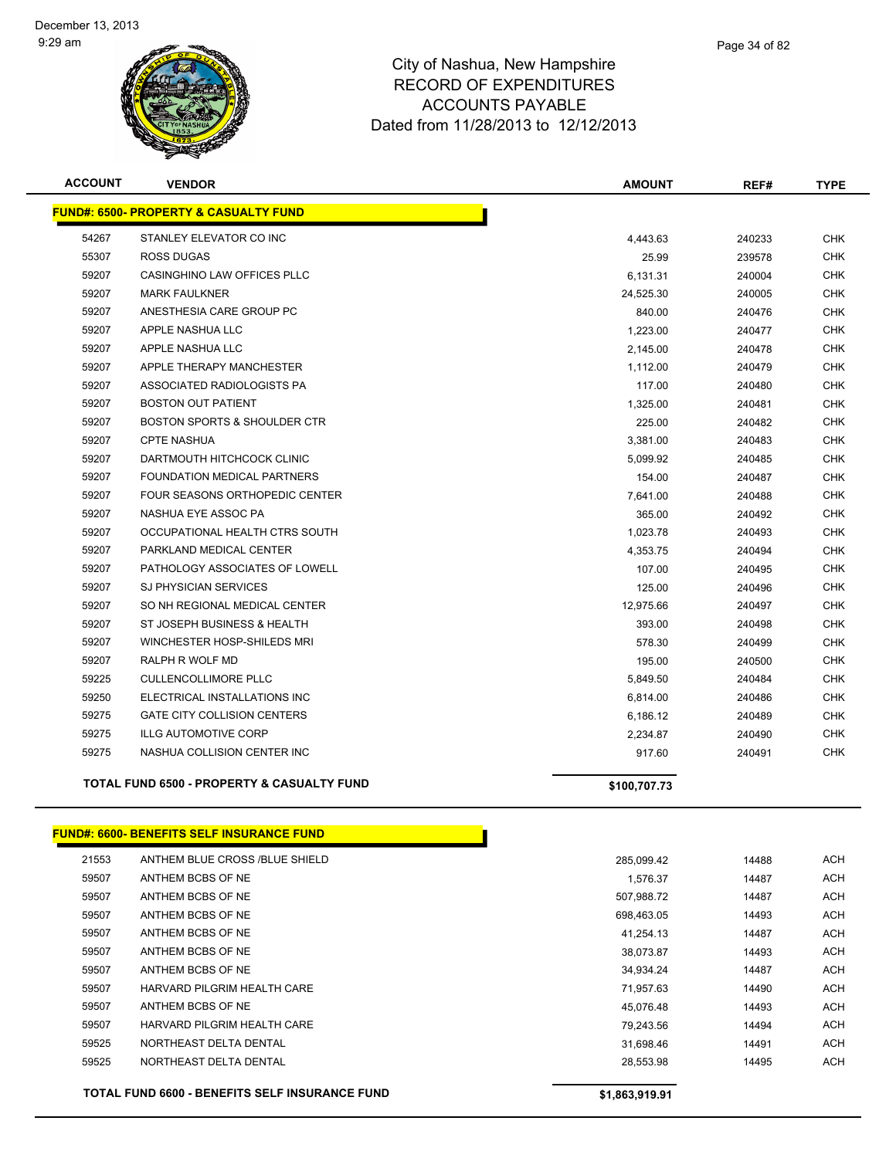

| <b>ACCOUNT</b> | <b>VENDOR</b>                                         | <b>AMOUNT</b> | REF#   | <b>TYPE</b> |
|----------------|-------------------------------------------------------|---------------|--------|-------------|
|                | <b>FUND#: 6500- PROPERTY &amp; CASUALTY FUND</b>      |               |        |             |
| 54267          | STANLEY ELEVATOR CO INC                               | 4,443.63      | 240233 | <b>CHK</b>  |
| 55307          | <b>ROSS DUGAS</b>                                     | 25.99         | 239578 | <b>CHK</b>  |
| 59207          | CASINGHINO LAW OFFICES PLLC                           | 6,131.31      | 240004 | <b>CHK</b>  |
| 59207          | <b>MARK FAULKNER</b>                                  | 24,525.30     | 240005 | <b>CHK</b>  |
| 59207          | ANESTHESIA CARE GROUP PC                              | 840.00        | 240476 | CHK         |
| 59207          | APPLE NASHUA LLC                                      | 1,223.00      | 240477 | <b>CHK</b>  |
| 59207          | APPLE NASHUA LLC                                      | 2,145.00      | 240478 | <b>CHK</b>  |
| 59207          | APPLE THERAPY MANCHESTER                              | 1,112.00      | 240479 | <b>CHK</b>  |
| 59207          | ASSOCIATED RADIOLOGISTS PA                            | 117.00        | 240480 | <b>CHK</b>  |
| 59207          | <b>BOSTON OUT PATIENT</b>                             | 1,325.00      | 240481 | <b>CHK</b>  |
| 59207          | BOSTON SPORTS & SHOULDER CTR                          | 225.00        | 240482 | <b>CHK</b>  |
| 59207          | <b>CPTE NASHUA</b>                                    | 3,381.00      | 240483 | CHK         |
| 59207          | DARTMOUTH HITCHCOCK CLINIC                            | 5,099.92      | 240485 | <b>CHK</b>  |
| 59207          | <b>FOUNDATION MEDICAL PARTNERS</b>                    | 154.00        | 240487 | <b>CHK</b>  |
| 59207          | <b>FOUR SEASONS ORTHOPEDIC CENTER</b>                 | 7,641.00      | 240488 | <b>CHK</b>  |
| 59207          | NASHUA EYE ASSOC PA                                   | 365.00        | 240492 | <b>CHK</b>  |
| 59207          | OCCUPATIONAL HEALTH CTRS SOUTH                        | 1,023.78      | 240493 | <b>CHK</b>  |
| 59207          | PARKLAND MEDICAL CENTER                               | 4,353.75      | 240494 | <b>CHK</b>  |
| 59207          | PATHOLOGY ASSOCIATES OF LOWELL                        | 107.00        | 240495 | <b>CHK</b>  |
| 59207          | SJ PHYSICIAN SERVICES                                 | 125.00        | 240496 | <b>CHK</b>  |
| 59207          | SO NH REGIONAL MEDICAL CENTER                         | 12,975.66     | 240497 | <b>CHK</b>  |
| 59207          | ST JOSEPH BUSINESS & HEALTH                           | 393.00        | 240498 | <b>CHK</b>  |
| 59207          | WINCHESTER HOSP-SHILEDS MRI                           | 578.30        | 240499 | <b>CHK</b>  |
| 59207          | RALPH R WOLF MD                                       | 195.00        | 240500 | <b>CHK</b>  |
| 59225          | <b>CULLENCOLLIMORE PLLC</b>                           | 5,849.50      | 240484 | CHK         |
| 59250          | ELECTRICAL INSTALLATIONS INC                          | 6,814.00      | 240486 | <b>CHK</b>  |
| 59275          | <b>GATE CITY COLLISION CENTERS</b>                    | 6,186.12      | 240489 | <b>CHK</b>  |
| 59275          | <b>ILLG AUTOMOTIVE CORP</b>                           | 2,234.87      | 240490 | <b>CHK</b>  |
| 59275          | NASHUA COLLISION CENTER INC                           | 917.60        | 240491 | <b>CHK</b>  |
|                | <b>TOTAL FUND 6500 - PROPERTY &amp; CASUALTY FUND</b> | \$100,707.73  |        |             |
|                |                                                       |               |        |             |

#### **FUND#: 6600- BENEFITS SELF INSURANCE FUND**

| 21553                                                 | ANTHEM BLUE CROSS /BLUE SHIELD | 285,099.42     | 14488 | ACH        |
|-------------------------------------------------------|--------------------------------|----------------|-------|------------|
| 59507                                                 | ANTHEM BCBS OF NE              | 1,576.37       | 14487 | <b>ACH</b> |
| 59507                                                 | ANTHEM BCBS OF NE              | 507,988.72     | 14487 | ACH        |
| 59507                                                 | ANTHEM BCBS OF NE              | 698,463.05     | 14493 | <b>ACH</b> |
| 59507                                                 | ANTHEM BCBS OF NE              | 41,254.13      | 14487 | <b>ACH</b> |
| 59507                                                 | ANTHEM BCBS OF NE              | 38,073.87      | 14493 | <b>ACH</b> |
| 59507                                                 | ANTHEM BCBS OF NE              | 34,934.24      | 14487 | ACH        |
| 59507                                                 | HARVARD PILGRIM HEALTH CARE    | 71,957.63      | 14490 | <b>ACH</b> |
| 59507                                                 | ANTHEM BCBS OF NE              | 45,076.48      | 14493 | ACH        |
| 59507                                                 | HARVARD PILGRIM HEALTH CARE    | 79,243.56      | 14494 | <b>ACH</b> |
| 59525                                                 | NORTHEAST DELTA DENTAL         | 31,698.46      | 14491 | <b>ACH</b> |
| 59525                                                 | NORTHEAST DELTA DENTAL         | 28,553.98      | 14495 | ACH        |
| <b>TOTAL FUND 6600 - BENEFITS SELF INSURANCE FUND</b> |                                | \$1,863,919.91 |       |            |

h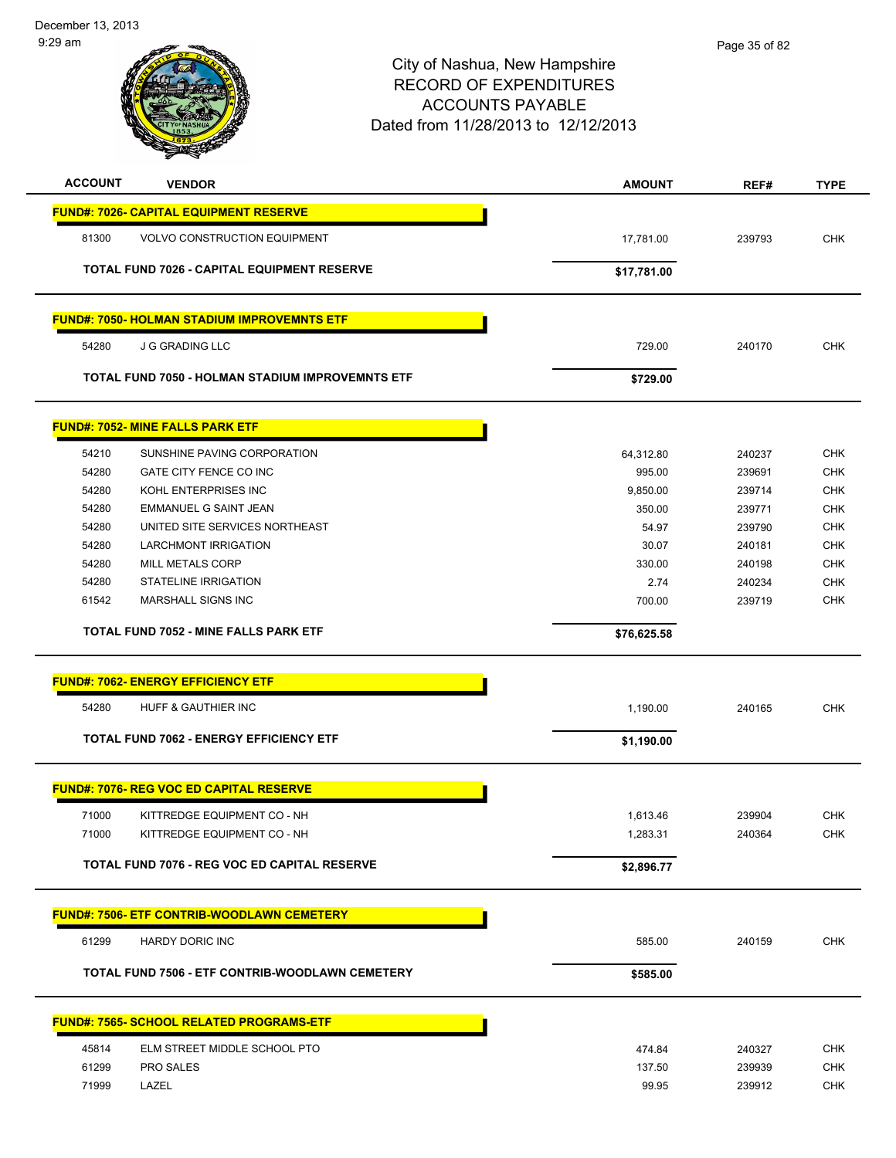

| <b>ACCOUNT</b> | <b>VENDOR</b>                                      | <b>AMOUNT</b> | REF#   | <b>TYPE</b> |
|----------------|----------------------------------------------------|---------------|--------|-------------|
|                | <b>FUND#: 7026- CAPITAL EQUIPMENT RESERVE</b>      |               |        |             |
| 81300          | <b>VOLVO CONSTRUCTION EQUIPMENT</b>                | 17,781.00     | 239793 | <b>CHK</b>  |
|                |                                                    |               |        |             |
|                | <b>TOTAL FUND 7026 - CAPITAL EQUIPMENT RESERVE</b> | \$17,781.00   |        |             |
|                | <b>FUND#: 7050- HOLMAN STADIUM IMPROVEMNTS ETF</b> |               |        |             |
| 54280          | <b>J G GRADING LLC</b>                             | 729.00        | 240170 | <b>CHK</b>  |
|                | TOTAL FUND 7050 - HOLMAN STADIUM IMPROVEMNTS ETF   | \$729.00      |        |             |
|                | <b>FUND#: 7052- MINE FALLS PARK ETF</b>            |               |        |             |
| 54210          | SUNSHINE PAVING CORPORATION                        | 64,312.80     | 240237 | <b>CHK</b>  |
| 54280          | GATE CITY FENCE CO INC                             | 995.00        | 239691 | <b>CHK</b>  |
| 54280          | KOHL ENTERPRISES INC                               | 9,850.00      | 239714 | <b>CHK</b>  |
| 54280          | <b>EMMANUEL G SAINT JEAN</b>                       | 350.00        | 239771 | <b>CHK</b>  |
| 54280          | UNITED SITE SERVICES NORTHEAST                     | 54.97         | 239790 | <b>CHK</b>  |
| 54280          | <b>LARCHMONT IRRIGATION</b>                        | 30.07         | 240181 | <b>CHK</b>  |
| 54280          | <b>MILL METALS CORP</b>                            | 330.00        | 240198 | <b>CHK</b>  |
| 54280          | <b>STATELINE IRRIGATION</b>                        | 2.74          | 240234 | <b>CHK</b>  |
| 61542          | <b>MARSHALL SIGNS INC</b>                          | 700.00        | 239719 | <b>CHK</b>  |
|                | <b>TOTAL FUND 7052 - MINE FALLS PARK ETF</b>       | \$76,625.58   |        |             |
|                | <b>FUND#: 7062- ENERGY EFFICIENCY ETF</b>          |               |        |             |
| 54280          | HUFF & GAUTHIER INC                                | 1,190.00      | 240165 | <b>CHK</b>  |
|                | TOTAL FUND 7062 - ENERGY EFFICIENCY ETF            | \$1,190.00    |        |             |
|                | <b>FUND#: 7076- REG VOC ED CAPITAL RESERVE</b>     |               |        |             |
| 71000          | KITTREDGE EQUIPMENT CO - NH                        | 1,613.46      | 239904 | <b>CHK</b>  |
| 71000          | KITTREDGE EQUIPMENT CO - NH                        | 1,283.31      | 240364 | CHK         |
|                | TOTAL FUND 7076 - REG VOC ED CAPITAL RESERVE       |               |        |             |
|                |                                                    | \$2,896.77    |        |             |
|                | <b>FUND#: 7506- ETF CONTRIB-WOODLAWN CEMETERY</b>  |               |        |             |
| 61299          | HARDY DORIC INC                                    | 585.00        | 240159 | <b>CHK</b>  |
|                | TOTAL FUND 7506 - ETF CONTRIB-WOODLAWN CEMETERY    | \$585.00      |        |             |
|                | <u>FUND#: 7565- SCHOOL RELATED PROGRAMS-ETF</u>    |               |        |             |
| 45814          | ELM STREET MIDDLE SCHOOL PTO                       | 474.84        | 240327 | <b>CHK</b>  |
| 61299          | <b>PRO SALES</b>                                   | 137.50        | 239939 | <b>CHK</b>  |
| 71999          | LAZEL                                              | 99.95         | 239912 | <b>CHK</b>  |
|                |                                                    |               |        |             |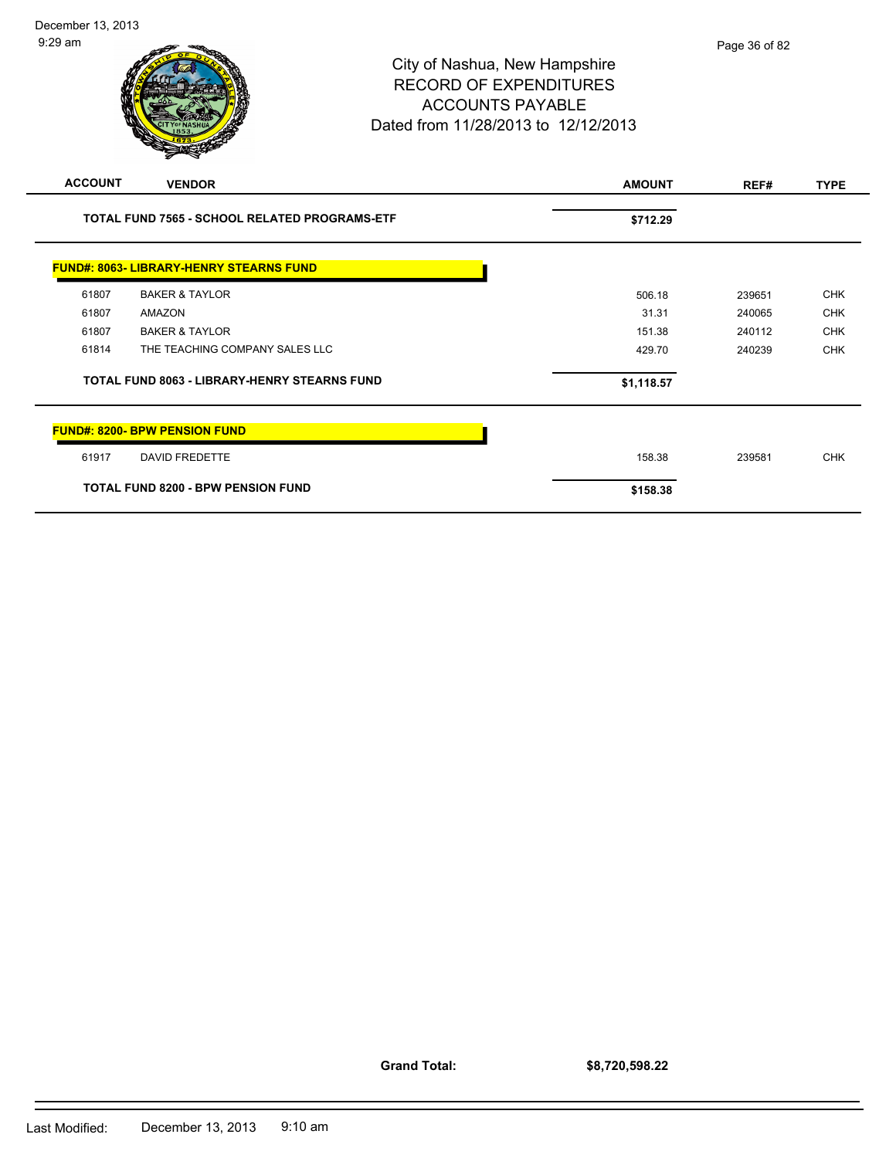

|                                                     | TOTAL FUND 7565 - SCHOOL RELATED PROGRAMS-ETF  | \$712.29   |        |            |
|-----------------------------------------------------|------------------------------------------------|------------|--------|------------|
|                                                     | <b>FUND#: 8063- LIBRARY-HENRY STEARNS FUND</b> |            |        |            |
| 61807                                               | <b>BAKER &amp; TAYLOR</b>                      | 506.18     | 239651 | <b>CHK</b> |
| 61807                                               | AMAZON                                         | 31.31      | 240065 | <b>CHK</b> |
| 61807                                               | <b>BAKER &amp; TAYLOR</b>                      | 151.38     | 240112 | <b>CHK</b> |
| 61814                                               | THE TEACHING COMPANY SALES LLC                 | 429.70     | 240239 | <b>CHK</b> |
| <b>TOTAL FUND 8063 - LIBRARY-HENRY STEARNS FUND</b> |                                                | \$1,118.57 |        |            |
|                                                     | <b>FUND#: 8200- BPW PENSION FUND</b>           |            |        |            |
| 61917                                               | <b>DAVID FREDETTE</b>                          | 158.38     | 239581 | <b>CHK</b> |
| <b>TOTAL FUND 8200 - BPW PENSION FUND</b>           |                                                | \$158.38   |        |            |

**Grand Total:**

**\$8,720,598.22**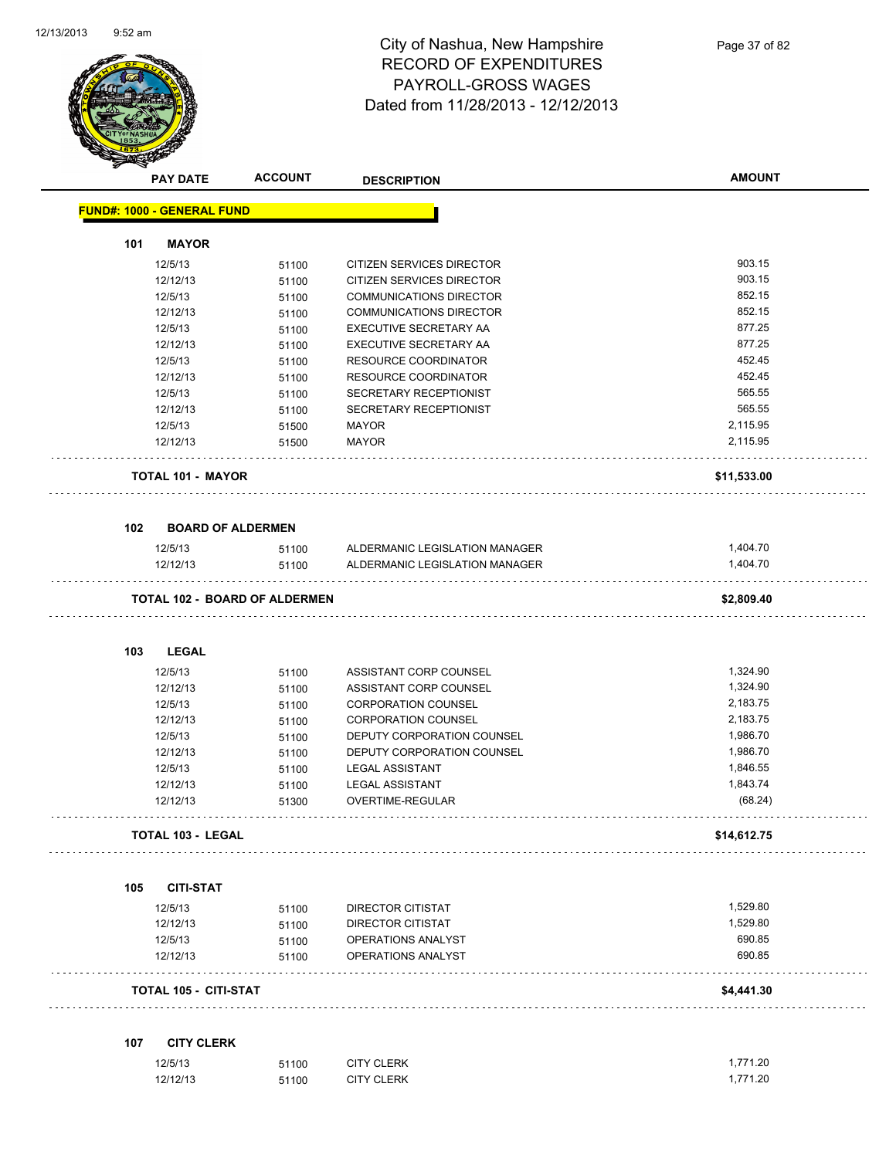

| <b>PAY DATE</b>                      | <b>ACCOUNT</b> | <b>DESCRIPTION</b>             | <b>AMOUNT</b>    |
|--------------------------------------|----------------|--------------------------------|------------------|
| <b>FUND#: 1000 - GENERAL FUND</b>    |                |                                |                  |
|                                      |                |                                |                  |
| <b>MAYOR</b><br>101                  |                |                                |                  |
| 12/5/13                              | 51100          | CITIZEN SERVICES DIRECTOR      | 903.15           |
| 12/12/13                             | 51100          | CITIZEN SERVICES DIRECTOR      | 903.15<br>852.15 |
| 12/5/13                              | 51100          | <b>COMMUNICATIONS DIRECTOR</b> | 852.15           |
| 12/12/13                             | 51100          | COMMUNICATIONS DIRECTOR        | 877.25           |
| 12/5/13                              | 51100          | EXECUTIVE SECRETARY AA         |                  |
| 12/12/13                             | 51100          | EXECUTIVE SECRETARY AA         | 877.25<br>452.45 |
| 12/5/13                              | 51100          | RESOURCE COORDINATOR           | 452.45           |
| 12/12/13                             | 51100          | RESOURCE COORDINATOR           | 565.55           |
| 12/5/13                              | 51100          | SECRETARY RECEPTIONIST         | 565.55           |
| 12/12/13                             | 51100          | SECRETARY RECEPTIONIST         |                  |
| 12/5/13                              | 51500          | <b>MAYOR</b>                   | 2,115.95         |
| 12/12/13                             | 51500          | <b>MAYOR</b>                   | 2,115.95         |
| <b>TOTAL 101 - MAYOR</b>             |                |                                | \$11,533.00      |
|                                      |                |                                |                  |
| <b>BOARD OF ALDERMEN</b><br>102      |                |                                |                  |
| 12/5/13                              | 51100          | ALDERMANIC LEGISLATION MANAGER | 1,404.70         |
| 12/12/13                             | 51100          | ALDERMANIC LEGISLATION MANAGER | 1,404.70         |
|                                      |                |                                |                  |
| <b>TOTAL 102 - BOARD OF ALDERMEN</b> |                |                                | \$2,809.40       |
|                                      |                |                                |                  |
| 103<br><b>LEGAL</b>                  |                |                                |                  |
| 12/5/13                              | 51100          | ASSISTANT CORP COUNSEL         | 1,324.90         |
| 12/12/13                             | 51100          | ASSISTANT CORP COUNSEL         | 1,324.90         |
| 12/5/13                              | 51100          | <b>CORPORATION COUNSEL</b>     | 2,183.75         |
| 12/12/13                             | 51100          | <b>CORPORATION COUNSEL</b>     | 2,183.75         |
| 12/5/13                              | 51100          | DEPUTY CORPORATION COUNSEL     | 1,986.70         |
| 12/12/13                             | 51100          | DEPUTY CORPORATION COUNSEL     | 1,986.70         |
| 12/5/13                              | 51100          | <b>LEGAL ASSISTANT</b>         | 1,846.55         |
| 12/12/13                             | 51100          | <b>LEGAL ASSISTANT</b>         | 1,843.74         |
| 12/12/13                             | 51300          | OVERTIME-REGULAR               | (68.24)          |
| TOTAL 103 - LEGAL                    |                |                                | \$14,612.75      |
|                                      |                |                                |                  |
| <b>CITI-STAT</b><br>105              |                |                                |                  |
| 12/5/13                              | 51100          | DIRECTOR CITISTAT              | 1,529.80         |
| 12/12/13                             | 51100          | <b>DIRECTOR CITISTAT</b>       | 1,529.80         |
| 12/5/13                              | 51100          | OPERATIONS ANALYST             | 690.85           |
| 12/12/13                             | 51100          | OPERATIONS ANALYST             | 690.85           |
| TOTAL 105 - CITI-STAT                |                |                                | \$4,441.30       |
|                                      |                |                                |                  |
| <b>CITY CLERK</b><br>107             |                |                                |                  |
| 12/5/13                              | 51100          | <b>CITY CLERK</b>              | 1,771.20         |
| 12/12/13                             | 51100          | <b>CITY CLERK</b>              | 1,771.20         |

12/12/13 51100 CITY CLERK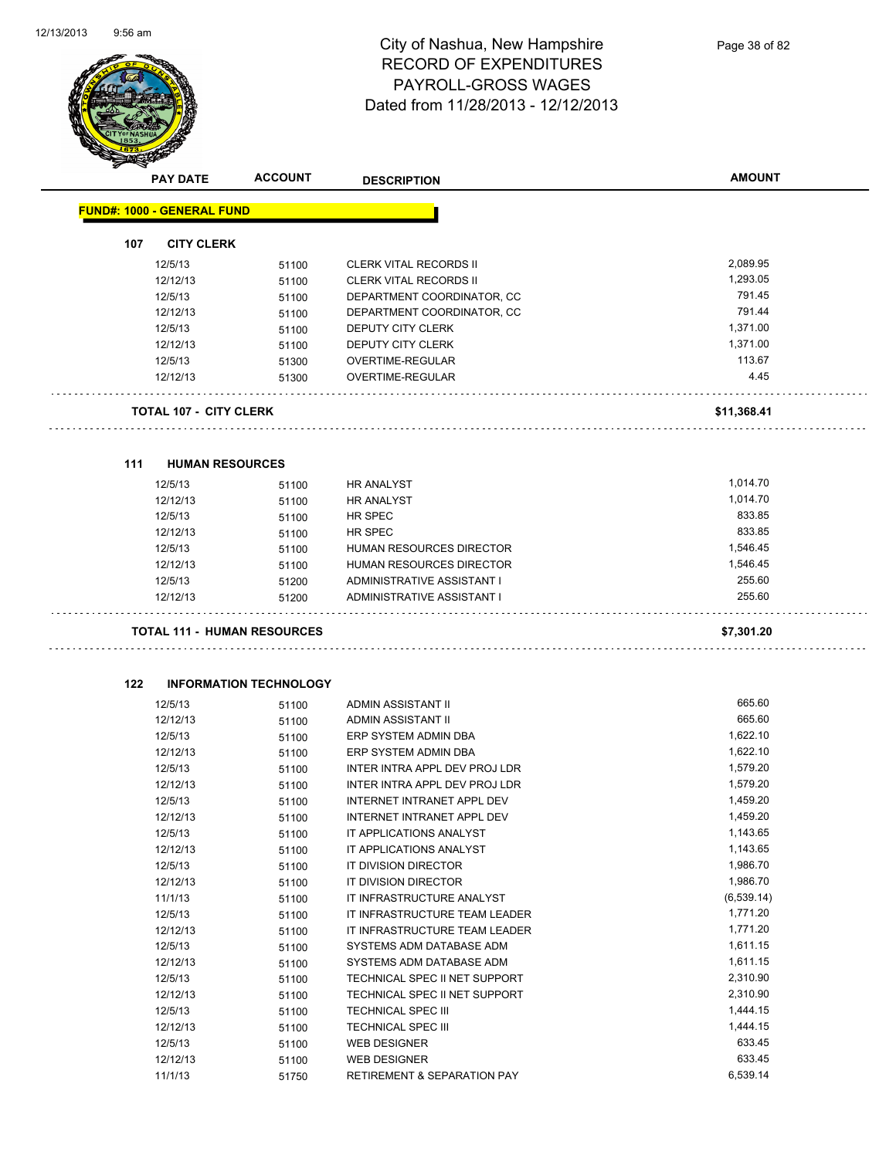

Page 38 of 82

| <b>PAY DATE</b>                   | <b>ACCOUNT</b>                     | <b>DESCRIPTION</b>                | <b>AMOUNT</b> |
|-----------------------------------|------------------------------------|-----------------------------------|---------------|
| <b>FUND#: 1000 - GENERAL FUND</b> |                                    |                                   |               |
| 107<br><b>CITY CLERK</b>          |                                    |                                   |               |
| 12/5/13                           | 51100                              | <b>CLERK VITAL RECORDS II</b>     | 2,089.95      |
| 12/12/13                          | 51100                              | CLERK VITAL RECORDS II            | 1,293.05      |
| 12/5/13                           | 51100                              | DEPARTMENT COORDINATOR, CC        | 791.45        |
| 12/12/13                          | 51100                              | DEPARTMENT COORDINATOR, CC        | 791.44        |
| 12/5/13                           | 51100                              | DEPUTY CITY CLERK                 | 1,371.00      |
| 12/12/13                          | 51100                              | DEPUTY CITY CLERK                 | 1,371.00      |
| 12/5/13                           | 51300                              | <b>OVERTIME-REGULAR</b>           | 113.67        |
| 12/12/13                          | 51300                              | OVERTIME-REGULAR                  | 4.45          |
| <b>TOTAL 107 - CITY CLERK</b>     |                                    |                                   | \$11,368.41   |
|                                   |                                    |                                   |               |
| 111<br>12/5/13                    | <b>HUMAN RESOURCES</b>             | <b>HR ANALYST</b>                 | 1,014.70      |
| 12/12/13                          | 51100<br>51100                     | HR ANALYST                        | 1,014.70      |
| 12/5/13                           |                                    | HR SPEC                           | 833.85        |
| 12/12/13                          | 51100                              | HR SPEC                           | 833.85        |
| 12/5/13                           | 51100<br>51100                     | HUMAN RESOURCES DIRECTOR          | 1,546.45      |
| 12/12/13                          | 51100                              | HUMAN RESOURCES DIRECTOR          | 1,546.45      |
| 12/5/13                           | 51200                              | ADMINISTRATIVE ASSISTANT I        | 255.60        |
| 12/12/13                          | 51200                              | ADMINISTRATIVE ASSISTANT I        | 255.60        |
|                                   | <b>TOTAL 111 - HUMAN RESOURCES</b> |                                   | \$7,301.20    |
| 122                               | <b>INFORMATION TECHNOLOGY</b>      |                                   |               |
| 12/5/13                           | 51100                              | ADMIN ASSISTANT II                | 665.60        |
| 12/12/13                          | 51100                              | ADMIN ASSISTANT II                | 665.60        |
| 12/5/13                           | 51100                              | ERP SYSTEM ADMIN DBA              | 1,622.10      |
| 12/12/13                          | 51100                              | ERP SYSTEM ADMIN DBA              | 1,622.10      |
| 12/5/13                           | 51100                              | INTER INTRA APPL DEV PROJ LDR     | 1,579.20      |
| 12/12/13                          | 51100                              | INTER INTRA APPL DEV PROJ LDR     | 1,579.20      |
| 12/5/13                           | 51100                              | <b>INTERNET INTRANET APPL DEV</b> | 1,459.20      |
| 12/12/13                          | 51100                              | INTERNET INTRANET APPL DEV        | 1,459.20      |
| 12/5/13                           | 51100                              | IT APPLICATIONS ANALYST           | 1,143.65      |
| 12/12/13                          | 51100                              | IT APPLICATIONS ANALYST           | 1,143.65      |
| 12/5/13                           | 51100                              | IT DIVISION DIRECTOR              | 1,986.70      |
| 12/12/13                          | 51100                              | IT DIVISION DIRECTOR              | 1,986.70      |
| 11/1/13                           | 51100                              | IT INFRASTRUCTURE ANALYST         | (6, 539.14)   |
| 12/5/13                           | 51100                              | IT INFRASTRUCTURE TEAM LEADER     | 1,771.20      |
| 12/12/13                          | 51100                              | IT INFRASTRUCTURE TEAM LEADER     | 1,771.20      |
| 12/5/13                           | 51100                              | SYSTEMS ADM DATABASE ADM          | 1,611.15      |
| 12/12/13                          | 51100                              | SYSTEMS ADM DATABASE ADM          | 1,611.15      |
| 12/5/13                           | 51100                              | TECHNICAL SPEC II NET SUPPORT     | 2,310.90      |
| 12/12/13                          | 51100                              | TECHNICAL SPEC II NET SUPPORT     | 2,310.90      |
| 12/5/13                           | 51100                              | <b>TECHNICAL SPEC III</b>         | 1,444.15      |
| 12/12/13                          | 51100                              | TECHNICAL SPEC III                | 1,444.15      |
| 12/5/13                           | 51100                              | WEB DESIGNER                      | 633.45        |

12/12/13 51100 WEB DESIGNER 633.45 11/1/13 51750 RETIREMENT & SEPARATION PAY 6,539.14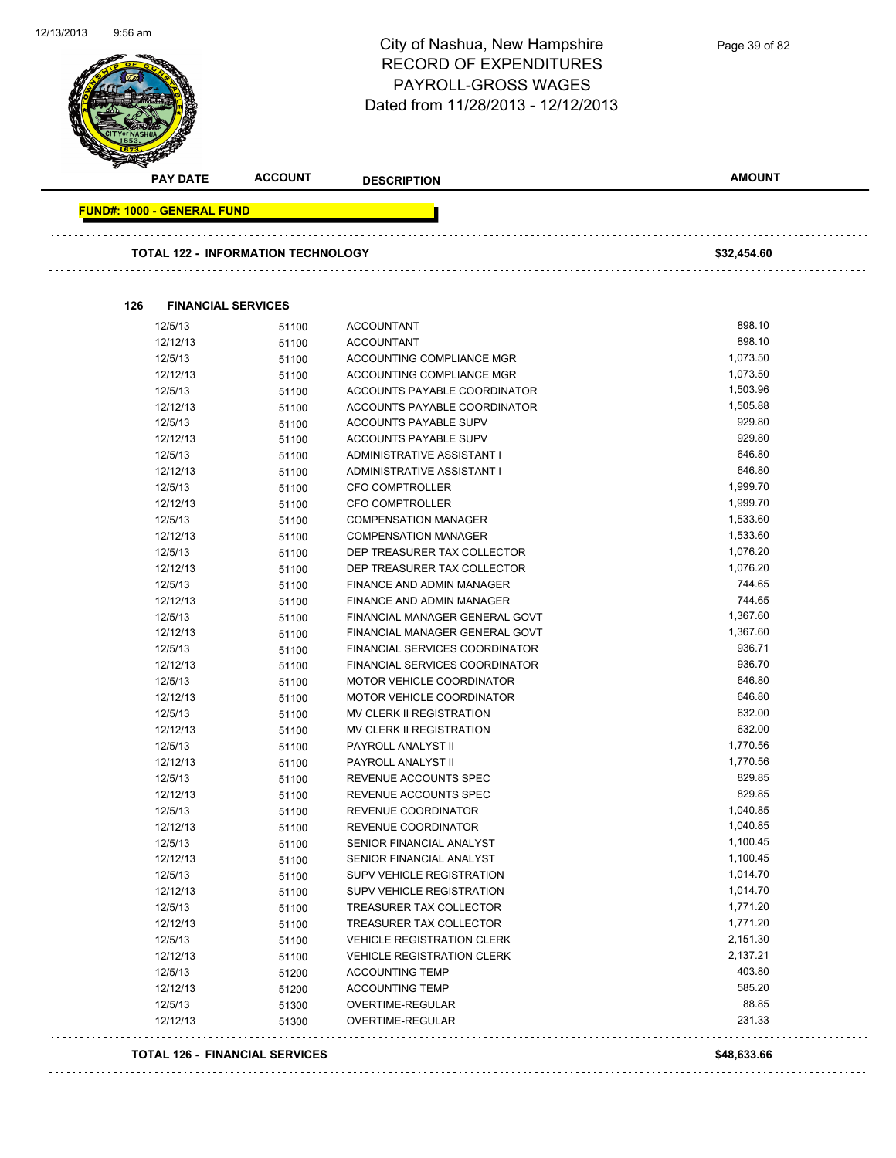Ġ,



### City of Nashua, New Hampshire RECORD OF EXPENDITURES PAYROLL-GROSS WAGES Dated from 11/28/2013 - 12/12/2013

| <b>PAY DATE</b>                   | <b>ACCOUNT</b>                            | <b>DESCRIPTION</b>                | <b>AMOUNT</b> |
|-----------------------------------|-------------------------------------------|-----------------------------------|---------------|
| <b>FUND#: 1000 - GENERAL FUND</b> |                                           |                                   |               |
|                                   | <b>TOTAL 122 - INFORMATION TECHNOLOGY</b> |                                   | \$32,454.60   |
|                                   |                                           |                                   |               |
| 126                               | <b>FINANCIAL SERVICES</b>                 |                                   |               |
| 12/5/13                           | 51100                                     | <b>ACCOUNTANT</b>                 | 898.10        |
| 12/12/13                          | 51100                                     | <b>ACCOUNTANT</b>                 | 898.10        |
| 12/5/13                           | 51100                                     | ACCOUNTING COMPLIANCE MGR         | 1,073.50      |
| 12/12/13                          | 51100                                     | ACCOUNTING COMPLIANCE MGR         | 1,073.50      |
| 12/5/13                           | 51100                                     | ACCOUNTS PAYABLE COORDINATOR      | 1,503.96      |
| 12/12/13                          | 51100                                     | ACCOUNTS PAYABLE COORDINATOR      | 1,505.88      |
| 12/5/13                           | 51100                                     | ACCOUNTS PAYABLE SUPV             | 929.80        |
| 12/12/13                          | 51100                                     | ACCOUNTS PAYABLE SUPV             | 929.80        |
| 12/5/13                           | 51100                                     | ADMINISTRATIVE ASSISTANT I        | 646.80        |
| 12/12/13                          | 51100                                     | ADMINISTRATIVE ASSISTANT I        | 646.80        |
| 12/5/13                           | 51100                                     | <b>CFO COMPTROLLER</b>            | 1,999.70      |
| 12/12/13                          | 51100                                     | <b>CFO COMPTROLLER</b>            | 1,999.70      |
| 12/5/13                           | 51100                                     | <b>COMPENSATION MANAGER</b>       | 1,533.60      |
| 12/12/13                          | 51100                                     | <b>COMPENSATION MANAGER</b>       | 1,533.60      |
| 12/5/13                           | 51100                                     | DEP TREASURER TAX COLLECTOR       | 1,076.20      |
| 12/12/13                          | 51100                                     | DEP TREASURER TAX COLLECTOR       | 1,076.20      |
| 12/5/13                           | 51100                                     | <b>FINANCE AND ADMIN MANAGER</b>  | 744.65        |
| 12/12/13                          | 51100                                     | FINANCE AND ADMIN MANAGER         | 744.65        |
| 12/5/13                           | 51100                                     | FINANCIAL MANAGER GENERAL GOVT    | 1,367.60      |
| 12/12/13                          | 51100                                     | FINANCIAL MANAGER GENERAL GOVT    | 1,367.60      |
| 12/5/13                           | 51100                                     | FINANCIAL SERVICES COORDINATOR    | 936.71        |
| 12/12/13                          | 51100                                     | FINANCIAL SERVICES COORDINATOR    | 936.70        |
| 12/5/13                           | 51100                                     | MOTOR VEHICLE COORDINATOR         | 646.80        |
| 12/12/13                          | 51100                                     | MOTOR VEHICLE COORDINATOR         | 646.80        |
| 12/5/13                           | 51100                                     | MV CLERK II REGISTRATION          | 632.00        |
| 12/12/13                          | 51100                                     | MV CLERK II REGISTRATION          | 632.00        |
| 12/5/13                           | 51100                                     | PAYROLL ANALYST II                | 1,770.56      |
| 12/12/13                          | 51100                                     | PAYROLL ANALYST II                | 1,770.56      |
| 12/5/13                           | 51100                                     | REVENUE ACCOUNTS SPEC             | 829.85        |
| 12/12/13                          | 51100                                     | REVENUE ACCOUNTS SPEC             | 829.85        |
| 12/5/13                           | 51100                                     | REVENUE COORDINATOR               | 1,040.85      |
| 12/12/13                          | 51100                                     | REVENUE COORDINATOR               | 1,040.85      |
| 12/5/13                           | 51100                                     | SENIOR FINANCIAL ANALYST          | 1,100.45      |
| 12/12/13                          | 51100                                     | SENIOR FINANCIAL ANALYST          | 1,100.45      |
| 12/5/13                           | 51100                                     | SUPV VEHICLE REGISTRATION         | 1,014.70      |
| 12/12/13                          | 51100                                     | SUPV VEHICLE REGISTRATION         | 1,014.70      |
| 12/5/13                           | 51100                                     | TREASURER TAX COLLECTOR           | 1,771.20      |
| 12/12/13                          | 51100                                     | TREASURER TAX COLLECTOR           | 1,771.20      |
| 12/5/13                           | 51100                                     | <b>VEHICLE REGISTRATION CLERK</b> | 2,151.30      |
| 12/12/13                          | 51100                                     | <b>VEHICLE REGISTRATION CLERK</b> | 2,137.21      |
| 12/5/13                           | 51200                                     | <b>ACCOUNTING TEMP</b>            | 403.80        |
| 12/12/13                          | 51200                                     | <b>ACCOUNTING TEMP</b>            | 585.20        |
| 12/5/13                           | 51300                                     | OVERTIME-REGULAR                  | 88.85         |
| 12/12/13                          | 51300                                     | OVERTIME-REGULAR                  | 231.33        |

#### **TOTAL 126 - FINANCIAL SERVICES \$48,633.66**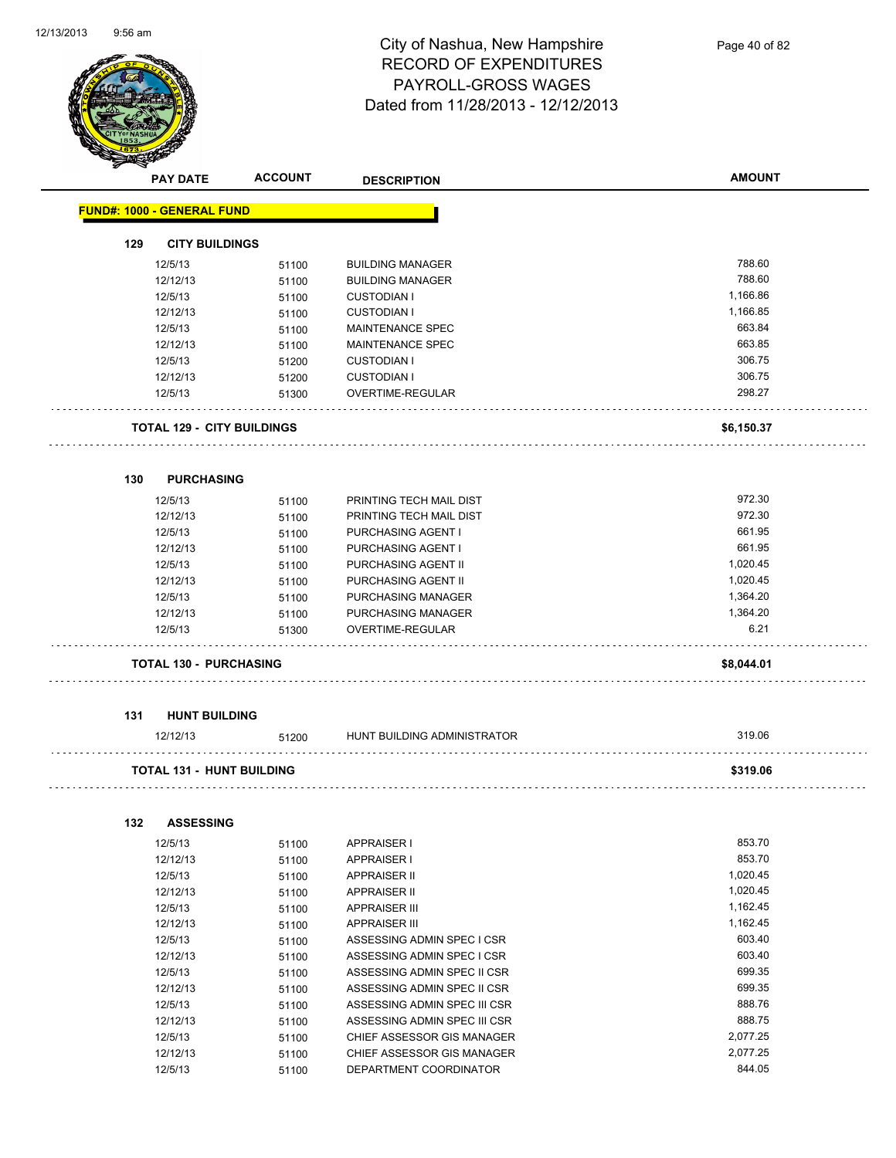

Page 40 of 82

|     | <b>PAY DATE</b>                   | <b>ACCOUNT</b> | <b>DESCRIPTION</b>           | <b>AMOUNT</b> |
|-----|-----------------------------------|----------------|------------------------------|---------------|
|     | <b>FUND#: 1000 - GENERAL FUND</b> |                |                              |               |
| 129 | <b>CITY BUILDINGS</b>             |                |                              |               |
|     | 12/5/13                           | 51100          | <b>BUILDING MANAGER</b>      | 788.60        |
|     | 12/12/13                          | 51100          | <b>BUILDING MANAGER</b>      | 788.60        |
|     | 12/5/13                           | 51100          | <b>CUSTODIAN I</b>           | 1,166.86      |
|     | 12/12/13                          | 51100          | <b>CUSTODIAN I</b>           | 1,166.85      |
|     | 12/5/13                           | 51100          | MAINTENANCE SPEC             | 663.84        |
|     | 12/12/13                          | 51100          | <b>MAINTENANCE SPEC</b>      | 663.85        |
|     | 12/5/13                           | 51200          | <b>CUSTODIAN I</b>           | 306.75        |
|     | 12/12/13                          | 51200          | <b>CUSTODIAN I</b>           | 306.75        |
|     | 12/5/13                           | 51300          | OVERTIME-REGULAR             | 298.27        |
|     | <b>TOTAL 129 - CITY BUILDINGS</b> |                |                              | \$6,150.37    |
| 130 | <b>PURCHASING</b>                 |                |                              |               |
|     | 12/5/13                           | 51100          | PRINTING TECH MAIL DIST      | 972.30        |
|     | 12/12/13                          | 51100          | PRINTING TECH MAIL DIST      | 972.30        |
|     | 12/5/13                           | 51100          | PURCHASING AGENT I           | 661.95        |
|     | 12/12/13                          | 51100          | PURCHASING AGENT I           | 661.95        |
|     | 12/5/13                           | 51100          | PURCHASING AGENT II          | 1,020.45      |
|     | 12/12/13                          | 51100          | PURCHASING AGENT II          | 1,020.45      |
|     | 12/5/13                           | 51100          | PURCHASING MANAGER           | 1,364.20      |
|     | 12/12/13                          | 51100          | PURCHASING MANAGER           | 1,364.20      |
|     | 12/5/13                           | 51300          | OVERTIME-REGULAR             | 6.21          |
|     | <b>TOTAL 130 - PURCHASING</b>     |                |                              | \$8,044.01    |
| 131 | <b>HUNT BUILDING</b>              |                |                              |               |
|     | 12/12/13                          | 51200          | HUNT BUILDING ADMINISTRATOR  | 319.06        |
|     | <b>TOTAL 131 - HUNT BUILDING</b>  |                |                              | \$319.06      |
| 132 | <b>ASSESSING</b>                  |                |                              |               |
|     | 12/5/13                           | 51100          | <b>APPRAISER I</b>           | 853.70        |
|     | 12/12/13                          | 51100          | <b>APPRAISER I</b>           | 853.70        |
|     | 12/5/13                           | 51100          | <b>APPRAISER II</b>          | 1,020.45      |
|     | 12/12/13                          | 51100          | <b>APPRAISER II</b>          | 1,020.45      |
|     | 12/5/13                           | 51100          | <b>APPRAISER III</b>         | 1,162.45      |
|     | 12/12/13                          | 51100          | <b>APPRAISER III</b>         | 1,162.45      |
|     | 12/5/13                           | 51100          | ASSESSING ADMIN SPEC I CSR   | 603.40        |
|     | 12/12/13                          | 51100          | ASSESSING ADMIN SPEC I CSR   | 603.40        |
|     | 12/5/13                           | 51100          | ASSESSING ADMIN SPEC II CSR  | 699.35        |
|     | 12/12/13                          | 51100          | ASSESSING ADMIN SPEC II CSR  | 699.35        |
|     | 12/5/13                           | 51100          | ASSESSING ADMIN SPEC III CSR | 888.76        |
|     | 12/12/13                          | 51100          | ASSESSING ADMIN SPEC III CSR | 888.75        |
|     | 12/5/13                           | 51100          | CHIEF ASSESSOR GIS MANAGER   | 2,077.25      |
|     | 12/12/13                          | 51100          | CHIEF ASSESSOR GIS MANAGER   | 2,077.25      |

12/5/13 51100 DEPARTMENT COORDINATOR 844.05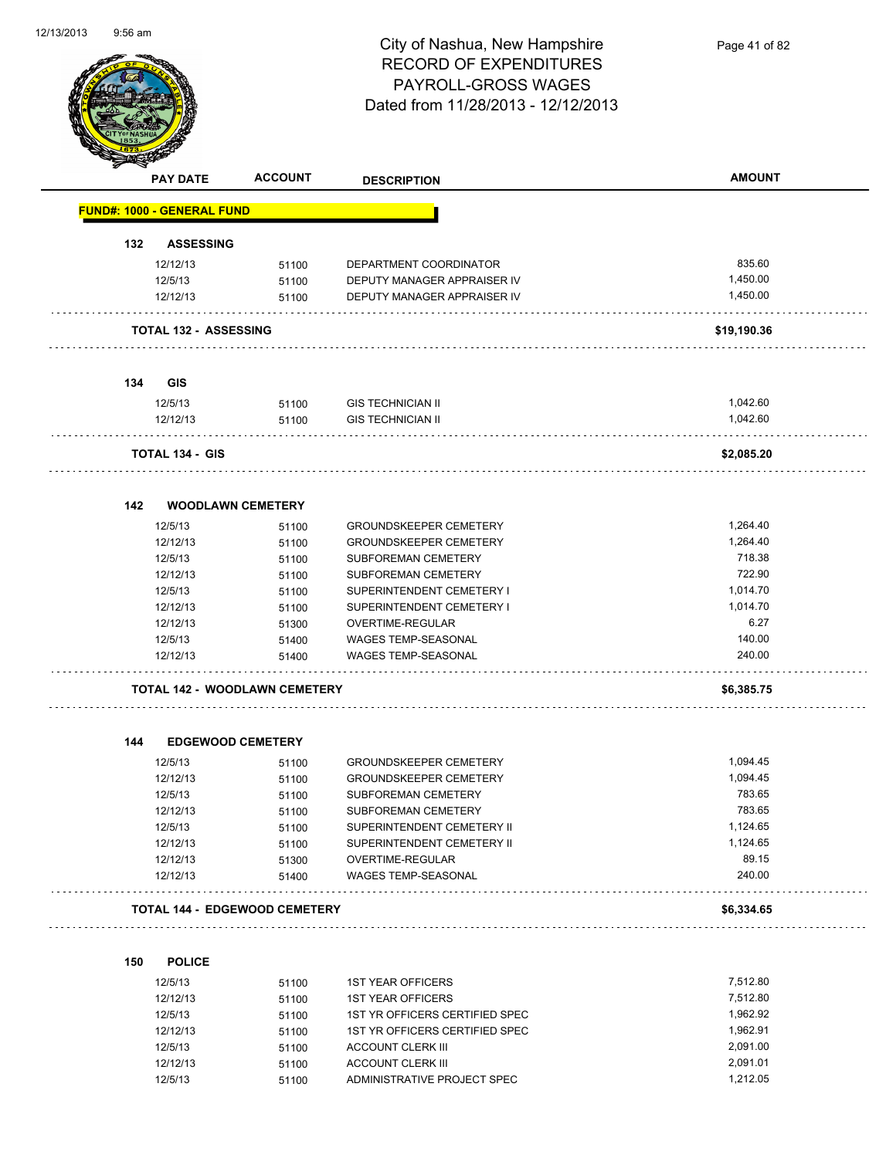

Page 41 of 82

| ❤   | <b>PAY DATE</b>                      | <b>ACCOUNT</b> | <b>DESCRIPTION</b>                                   | <b>AMOUNT</b>   |
|-----|--------------------------------------|----------------|------------------------------------------------------|-----------------|
|     | <b>FUND#: 1000 - GENERAL FUND</b>    |                |                                                      |                 |
| 132 | <b>ASSESSING</b>                     |                |                                                      |                 |
|     | 12/12/13                             | 51100          | DEPARTMENT COORDINATOR                               | 835.60          |
|     | 12/5/13                              | 51100          | DEPUTY MANAGER APPRAISER IV                          | 1,450.00        |
|     | 12/12/13                             | 51100          | DEPUTY MANAGER APPRAISER IV                          | 1,450.00        |
|     | <b>TOTAL 132 - ASSESSING</b>         |                |                                                      | \$19,190.36     |
|     |                                      |                |                                                      |                 |
| 134 | <b>GIS</b>                           |                |                                                      | 1,042.60        |
|     | 12/5/13<br>12/12/13                  | 51100          | <b>GIS TECHNICIAN II</b><br><b>GIS TECHNICIAN II</b> | 1,042.60        |
|     |                                      | 51100          |                                                      |                 |
|     | TOTAL 134 - GIS                      |                |                                                      | \$2,085.20      |
|     |                                      |                |                                                      |                 |
| 142 | <b>WOODLAWN CEMETERY</b><br>12/5/13  |                |                                                      | 1,264.40        |
|     |                                      | 51100          | <b>GROUNDSKEEPER CEMETERY</b>                        | 1,264.40        |
|     | 12/12/13<br>12/5/13                  | 51100          | <b>GROUNDSKEEPER CEMETERY</b><br>SUBFOREMAN CEMETERY | 718.38          |
|     | 12/12/13                             | 51100          | SUBFOREMAN CEMETERY                                  | 722.90          |
|     | 12/5/13                              | 51100          | SUPERINTENDENT CEMETERY I                            | 1,014.70        |
|     | 12/12/13                             | 51100<br>51100 | SUPERINTENDENT CEMETERY I                            | 1,014.70        |
|     | 12/12/13                             | 51300          | OVERTIME-REGULAR                                     | 6.27            |
|     | 12/5/13                              | 51400          | <b>WAGES TEMP-SEASONAL</b>                           | 140.00          |
|     | 12/12/13                             | 51400          | <b>WAGES TEMP-SEASONAL</b>                           | 240.00          |
|     | <b>TOTAL 142 - WOODLAWN CEMETERY</b> |                |                                                      | \$6,385.75      |
|     |                                      |                |                                                      |                 |
| 144 | <b>EDGEWOOD CEMETERY</b>             |                |                                                      |                 |
|     | 12/5/13                              | 51100          | <b>GROUNDSKEEPER CEMETERY</b>                        | 1,094.45        |
|     | 12/12/13                             | 51100          | <b>GROUNDSKEEPER CEMETERY</b>                        | 1,094.45        |
|     | 12/5/13                              | 51100          | SUBFOREMAN CEMETERY                                  | 783.65          |
|     | 12/12/13                             | 51100          | SUBFOREMAN CEMETERY                                  | 783.65          |
|     | 12/5/13                              | 51100          | SUPERINTENDENT CEMETERY II                           | 1,124.65        |
|     | 12/12/13                             | 51100          | SUPERINTENDENT CEMETERY II                           | 1,124.65        |
|     | 12/12/13<br>12/12/13                 | 51300<br>51400 | OVERTIME-REGULAR<br>WAGES TEMP-SEASONAL              | 89.15<br>240.00 |
|     |                                      |                |                                                      |                 |
|     | <b>TOTAL 144 - EDGEWOOD CEMETERY</b> |                |                                                      | \$6,334.65      |
| 150 | <b>POLICE</b>                        |                |                                                      |                 |
|     | 12/5/13                              | 51100          | <b>1ST YEAR OFFICERS</b>                             | 7,512.80        |
|     | 12/12/13                             | 51100          | <b>1ST YEAR OFFICERS</b>                             | 7,512.80        |
|     | 12/5/13                              | 51100          | 1ST YR OFFICERS CERTIFIED SPEC                       | 1,962.92        |
|     | 12/12/13                             | 51100          | 1ST YR OFFICERS CERTIFIED SPEC                       | 1,962.91        |

12/5/13 51100 ACCOUNT CLERK III 2.091.00<br>12/12/13 51100 ACCOUNT CLERK III 2,091.01 2,091.01 12/12/13 51100 ACCOUNT CLERK III 2001.01<br>12/5/13 51100 ADMINISTRATIVE PROJECT SPEC 1.212.05

12/5/13 51100 ADMINISTRATIVE PROJECT SPEC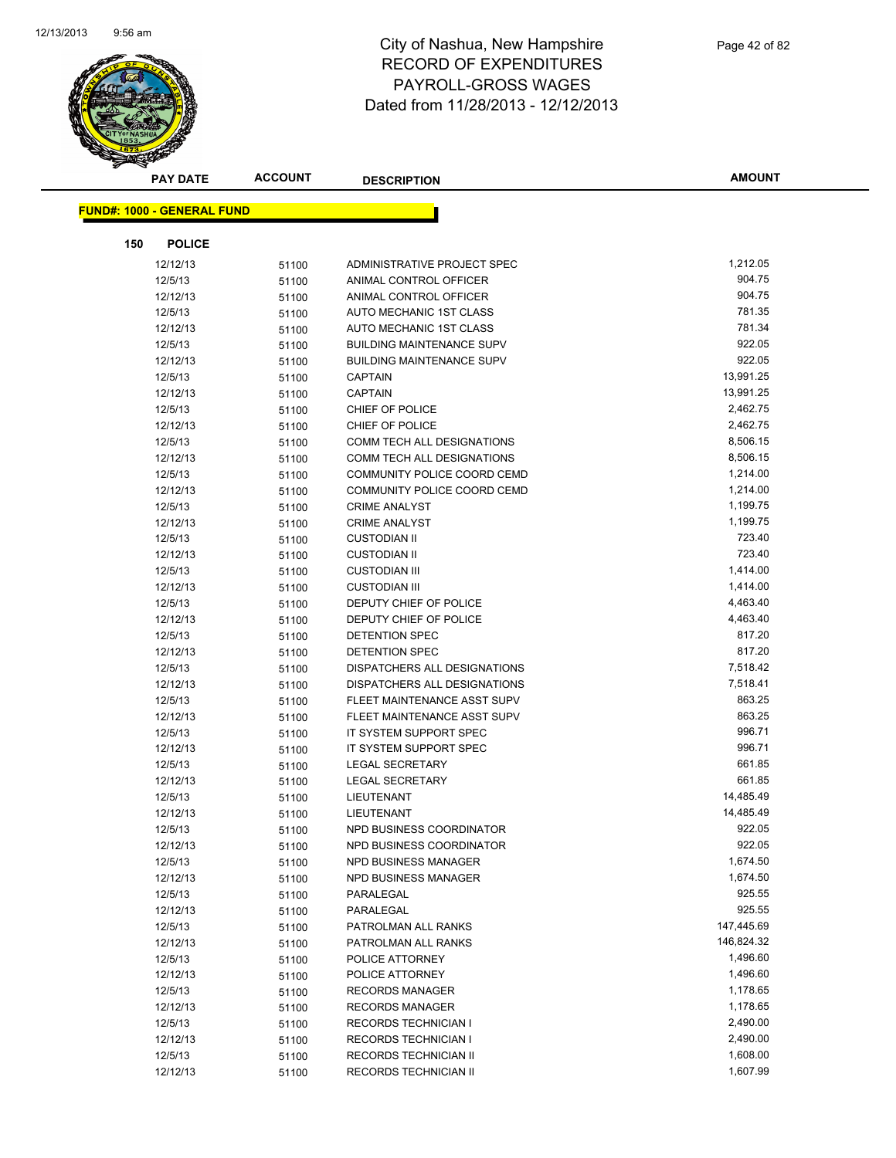

|     | <b>PAY DATE</b>                   | <b>ACCOUNT</b> | <b>DESCRIPTION</b>               | <b>AMOUNT</b> |
|-----|-----------------------------------|----------------|----------------------------------|---------------|
|     | <b>FUND#: 1000 - GENERAL FUND</b> |                |                                  |               |
|     |                                   |                |                                  |               |
| 150 | <b>POLICE</b>                     |                |                                  |               |
|     | 12/12/13                          | 51100          | ADMINISTRATIVE PROJECT SPEC      | 1,212.05      |
|     | 12/5/13                           | 51100          | ANIMAL CONTROL OFFICER           | 904.75        |
|     | 12/12/13                          | 51100          | ANIMAL CONTROL OFFICER           | 904.75        |
|     | 12/5/13                           | 51100          | AUTO MECHANIC 1ST CLASS          | 781.35        |
|     | 12/12/13                          | 51100          | AUTO MECHANIC 1ST CLASS          | 781.34        |
|     | 12/5/13                           | 51100          | <b>BUILDING MAINTENANCE SUPV</b> | 922.05        |
|     | 12/12/13                          | 51100          | <b>BUILDING MAINTENANCE SUPV</b> | 922.05        |
|     | 12/5/13                           | 51100          | <b>CAPTAIN</b>                   | 13,991.25     |
|     | 12/12/13                          | 51100          | <b>CAPTAIN</b>                   | 13,991.25     |
|     | 12/5/13                           | 51100          | CHIEF OF POLICE                  | 2,462.75      |
|     | 12/12/13                          | 51100          | CHIEF OF POLICE                  | 2,462.75      |
|     | 12/5/13                           | 51100          | COMM TECH ALL DESIGNATIONS       | 8,506.15      |
|     | 12/12/13                          | 51100          | COMM TECH ALL DESIGNATIONS       | 8,506.15      |
|     | 12/5/13                           | 51100          | COMMUNITY POLICE COORD CEMD      | 1,214.00      |
|     | 12/12/13                          | 51100          | COMMUNITY POLICE COORD CEMD      | 1,214.00      |
|     | 12/5/13                           | 51100          | <b>CRIME ANALYST</b>             | 1,199.75      |
|     | 12/12/13                          | 51100          | <b>CRIME ANALYST</b>             | 1,199.75      |
|     | 12/5/13                           | 51100          | <b>CUSTODIAN II</b>              | 723.40        |
|     | 12/12/13                          | 51100          | <b>CUSTODIAN II</b>              | 723.40        |
|     | 12/5/13                           | 51100          | <b>CUSTODIAN III</b>             | 1,414.00      |
|     | 12/12/13                          | 51100          | <b>CUSTODIAN III</b>             | 1,414.00      |
|     | 12/5/13                           | 51100          | DEPUTY CHIEF OF POLICE           | 4,463.40      |
|     | 12/12/13                          | 51100          | DEPUTY CHIEF OF POLICE           | 4,463.40      |
|     | 12/5/13                           | 51100          | <b>DETENTION SPEC</b>            | 817.20        |
|     | 12/12/13                          | 51100          | DETENTION SPEC                   | 817.20        |
|     | 12/5/13                           | 51100          | DISPATCHERS ALL DESIGNATIONS     | 7,518.42      |
|     | 12/12/13                          | 51100          | DISPATCHERS ALL DESIGNATIONS     | 7,518.41      |
|     | 12/5/13                           | 51100          | FLEET MAINTENANCE ASST SUPV      | 863.25        |
|     | 12/12/13                          | 51100          | FLEET MAINTENANCE ASST SUPV      | 863.25        |
|     | 12/5/13                           | 51100          | IT SYSTEM SUPPORT SPEC           | 996.71        |
|     | 12/12/13                          | 51100          | IT SYSTEM SUPPORT SPEC           | 996.71        |
|     | 12/5/13                           | 51100          | <b>LEGAL SECRETARY</b>           | 661.85        |
|     | 12/12/13                          | 51100          | <b>LEGAL SECRETARY</b>           | 661.85        |
|     | 12/5/13                           | 51100          | LIEUTENANT                       | 14,485.49     |
|     | 12/12/13                          | 51100          | LIEUTENANT                       | 14,485.49     |
|     | 12/5/13                           | 51100          | NPD BUSINESS COORDINATOR         | 922.05        |
|     | 12/12/13                          | 51100          | NPD BUSINESS COORDINATOR         | 922.05        |
|     | 12/5/13                           | 51100          | NPD BUSINESS MANAGER             | 1,674.50      |
|     | 12/12/13                          | 51100          | NPD BUSINESS MANAGER             | 1,674.50      |
|     | 12/5/13                           | 51100          | PARALEGAL                        | 925.55        |
|     | 12/12/13                          | 51100          | PARALEGAL                        | 925.55        |
|     | 12/5/13                           | 51100          | PATROLMAN ALL RANKS              | 147,445.69    |
|     | 12/12/13                          | 51100          | PATROLMAN ALL RANKS              | 146,824.32    |
|     | 12/5/13                           | 51100          | POLICE ATTORNEY                  | 1,496.60      |
|     | 12/12/13                          | 51100          | POLICE ATTORNEY                  | 1,496.60      |
|     | 12/5/13                           | 51100          | <b>RECORDS MANAGER</b>           | 1,178.65      |
|     | 12/12/13                          | 51100          | <b>RECORDS MANAGER</b>           | 1,178.65      |
|     | 12/5/13                           | 51100          | <b>RECORDS TECHNICIAN I</b>      | 2,490.00      |
|     | 12/12/13                          | 51100          | <b>RECORDS TECHNICIAN I</b>      | 2,490.00      |
|     | 12/5/13                           | 51100          | RECORDS TECHNICIAN II            | 1,608.00      |
|     | 12/12/13                          | 51100          | RECORDS TECHNICIAN II            | 1,607.99      |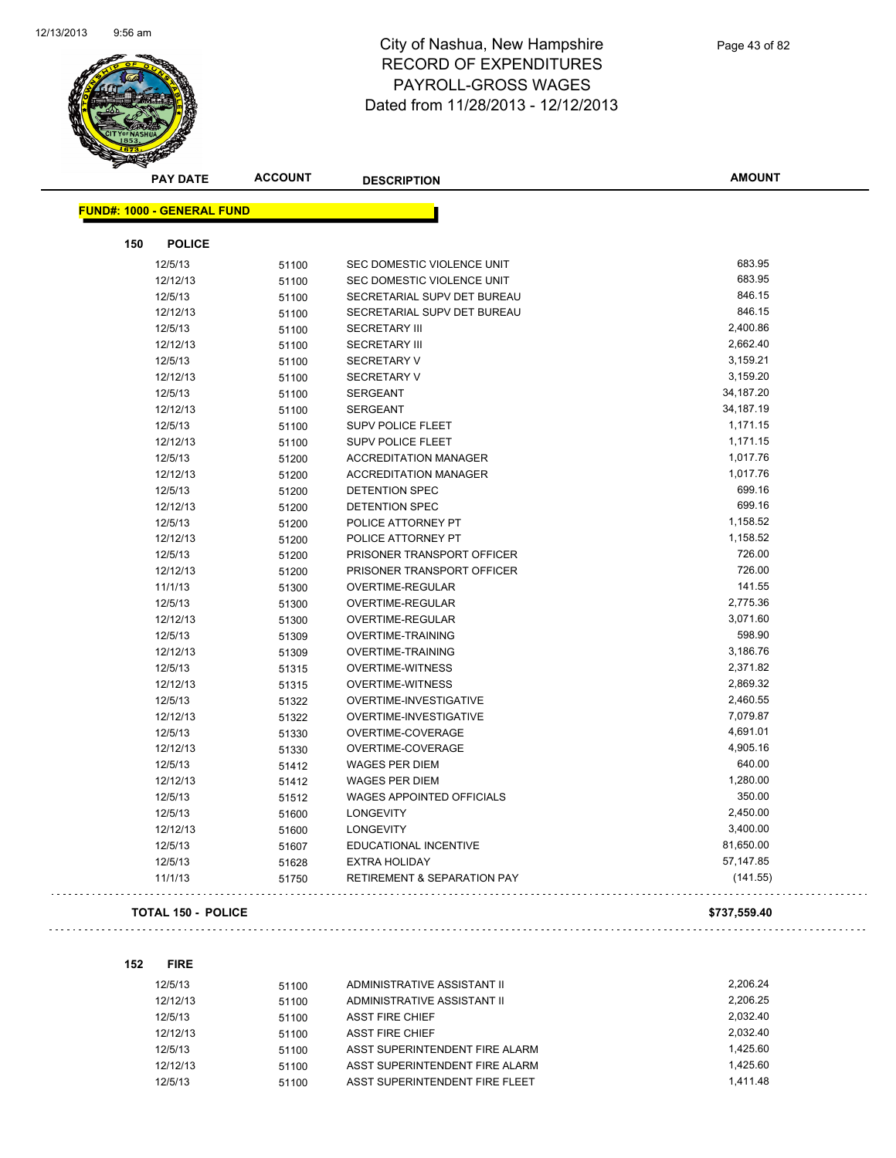

| <b>PAY DATE</b>                   | <b>ACCOUNT</b> | <b>DESCRIPTION</b>                     | <b>AMOUNT</b> |
|-----------------------------------|----------------|----------------------------------------|---------------|
| <b>FUND#: 1000 - GENERAL FUND</b> |                |                                        |               |
|                                   |                |                                        |               |
| 150                               | <b>POLICE</b>  |                                        |               |
| 12/5/13                           | 51100          | SEC DOMESTIC VIOLENCE UNIT             | 683.95        |
| 12/12/13                          | 51100          | SEC DOMESTIC VIOLENCE UNIT             | 683.95        |
| 12/5/13                           | 51100          | SECRETARIAL SUPV DET BUREAU            | 846.15        |
| 12/12/13                          | 51100          | SECRETARIAL SUPV DET BUREAU            | 846.15        |
| 12/5/13                           | 51100          | <b>SECRETARY III</b>                   | 2,400.86      |
| 12/12/13                          | 51100          | <b>SECRETARY III</b>                   | 2,662.40      |
| 12/5/13                           | 51100          | <b>SECRETARY V</b>                     | 3,159.21      |
| 12/12/13                          | 51100          | <b>SECRETARY V</b>                     | 3,159.20      |
| 12/5/13                           | 51100          | <b>SERGEANT</b>                        | 34,187.20     |
| 12/12/13                          | 51100          | <b>SERGEANT</b>                        | 34,187.19     |
| 12/5/13                           | 51100          | <b>SUPV POLICE FLEET</b>               | 1,171.15      |
| 12/12/13                          | 51100          | SUPV POLICE FLEET                      | 1,171.15      |
| 12/5/13                           | 51200          | <b>ACCREDITATION MANAGER</b>           | 1,017.76      |
| 12/12/13                          | 51200          | <b>ACCREDITATION MANAGER</b>           | 1,017.76      |
| 12/5/13                           | 51200          | <b>DETENTION SPEC</b>                  | 699.16        |
| 12/12/13                          | 51200          | <b>DETENTION SPEC</b>                  | 699.16        |
| 12/5/13                           | 51200          | POLICE ATTORNEY PT                     | 1,158.52      |
| 12/12/13                          | 51200          | POLICE ATTORNEY PT                     | 1,158.52      |
| 12/5/13                           | 51200          | PRISONER TRANSPORT OFFICER             | 726.00        |
| 12/12/13                          | 51200          | PRISONER TRANSPORT OFFICER             | 726.00        |
| 11/1/13                           | 51300          | OVERTIME-REGULAR                       | 141.55        |
| 12/5/13                           | 51300          | OVERTIME-REGULAR                       | 2,775.36      |
| 12/12/13                          | 51300          | OVERTIME-REGULAR                       | 3,071.60      |
| 12/5/13                           | 51309          | <b>OVERTIME-TRAINING</b>               | 598.90        |
| 12/12/13                          | 51309          | <b>OVERTIME-TRAINING</b>               | 3,186.76      |
| 12/5/13                           | 51315          | <b>OVERTIME-WITNESS</b>                | 2,371.82      |
| 12/12/13                          | 51315          | <b>OVERTIME-WITNESS</b>                | 2,869.32      |
| 12/5/13                           | 51322          | OVERTIME-INVESTIGATIVE                 | 2,460.55      |
| 12/12/13                          | 51322          | OVERTIME-INVESTIGATIVE                 | 7,079.87      |
| 12/5/13                           | 51330          | OVERTIME-COVERAGE                      | 4,691.01      |
| 12/12/13                          | 51330          | OVERTIME-COVERAGE                      | 4,905.16      |
| 12/5/13                           | 51412          | <b>WAGES PER DIEM</b>                  | 640.00        |
| 12/12/13                          | 51412          | <b>WAGES PER DIEM</b>                  | 1,280.00      |
| 12/5/13                           | 51512          | <b>WAGES APPOINTED OFFICIALS</b>       | 350.00        |
| 12/5/13                           | 51600          | <b>LONGEVITY</b>                       | 2,450.00      |
| 12/12/13                          | 51600          | <b>LONGEVITY</b>                       | 3,400.00      |
| 12/5/13                           | 51607          | EDUCATIONAL INCENTIVE                  | 81,650.00     |
| 12/5/13                           | 51628          | <b>EXTRA HOLIDAY</b>                   | 57,147.85     |
| 11/1/13                           | 51750          | <b>RETIREMENT &amp; SEPARATION PAY</b> | (141.55)      |
|                                   |                |                                        |               |

#### **TOTAL 150 - POLICE \$737,559.40**

```
152 FIRE
```

| 12/5/13  | 51100 | ADMINISTRATIVE ASSISTANT II    | 2.206.24 |
|----------|-------|--------------------------------|----------|
| 12/12/13 | 51100 | ADMINISTRATIVE ASSISTANT II    | 2.206.25 |
| 12/5/13  | 51100 | <b>ASST FIRE CHIEF</b>         | 2.032.40 |
| 12/12/13 | 51100 | <b>ASST FIRE CHIEF</b>         | 2.032.40 |
| 12/5/13  | 51100 | ASST SUPERINTENDENT FIRE ALARM | 1.425.60 |
| 12/12/13 | 51100 | ASST SUPERINTENDENT FIRE ALARM | 1.425.60 |
| 12/5/13  | 51100 | ASST SUPERINTENDENT FIRE FLEET | 1.411.48 |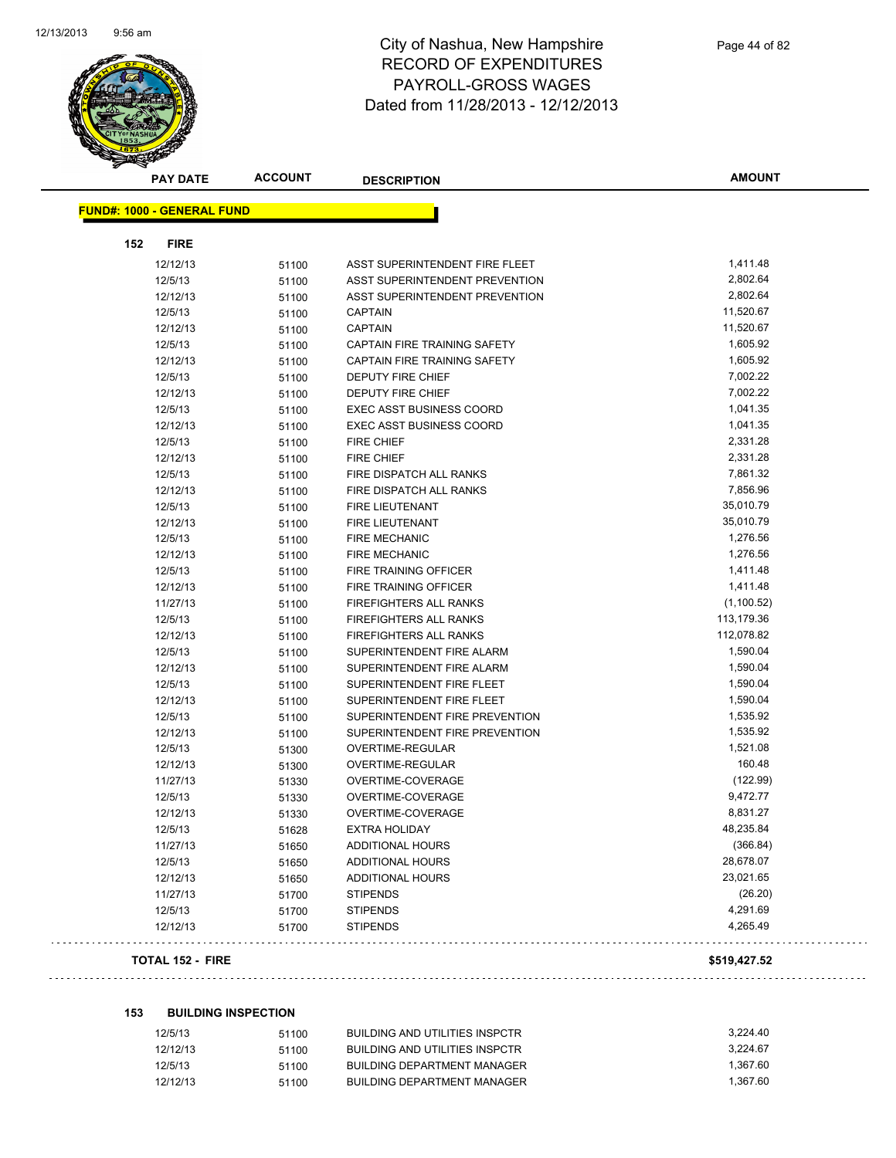

|     | <b>PAY DATE</b>                   | <b>ACCOUNT</b> | <b>DESCRIPTION</b>                  | <b>AMOUNT</b> |
|-----|-----------------------------------|----------------|-------------------------------------|---------------|
|     | <b>FUND#: 1000 - GENERAL FUND</b> |                |                                     |               |
|     |                                   |                |                                     |               |
| 152 | <b>FIRE</b>                       |                |                                     |               |
|     | 12/12/13                          | 51100          | ASST SUPERINTENDENT FIRE FLEET      | 1,411.48      |
|     | 12/5/13                           | 51100          | ASST SUPERINTENDENT PREVENTION      | 2,802.64      |
|     | 12/12/13                          | 51100          | ASST SUPERINTENDENT PREVENTION      | 2,802.64      |
|     | 12/5/13                           | 51100          | <b>CAPTAIN</b>                      | 11,520.67     |
|     | 12/12/13                          | 51100          | CAPTAIN                             | 11,520.67     |
|     | 12/5/13                           | 51100          | <b>CAPTAIN FIRE TRAINING SAFETY</b> | 1,605.92      |
|     | 12/12/13                          | 51100          | CAPTAIN FIRE TRAINING SAFETY        | 1,605.92      |
|     | 12/5/13                           | 51100          | DEPUTY FIRE CHIEF                   | 7,002.22      |
|     | 12/12/13                          | 51100          | <b>DEPUTY FIRE CHIEF</b>            | 7,002.22      |
|     | 12/5/13                           | 51100          | <b>EXEC ASST BUSINESS COORD</b>     | 1,041.35      |
|     | 12/12/13                          | 51100          | <b>EXEC ASST BUSINESS COORD</b>     | 1,041.35      |
|     | 12/5/13                           | 51100          | FIRE CHIEF                          | 2,331.28      |
|     | 12/12/13                          | 51100          | <b>FIRE CHIEF</b>                   | 2,331.28      |
|     | 12/5/13                           | 51100          | FIRE DISPATCH ALL RANKS             | 7,861.32      |
|     | 12/12/13                          | 51100          | FIRE DISPATCH ALL RANKS             | 7,856.96      |
|     | 12/5/13                           | 51100          | <b>FIRE LIEUTENANT</b>              | 35,010.79     |
|     | 12/12/13                          | 51100          | <b>FIRE LIEUTENANT</b>              | 35,010.79     |
|     | 12/5/13                           | 51100          | <b>FIRE MECHANIC</b>                | 1,276.56      |
|     | 12/12/13                          | 51100          | <b>FIRE MECHANIC</b>                | 1,276.56      |
|     | 12/5/13                           | 51100          | FIRE TRAINING OFFICER               | 1,411.48      |
|     | 12/12/13                          | 51100          | FIRE TRAINING OFFICER               | 1,411.48      |
|     | 11/27/13                          | 51100          | FIREFIGHTERS ALL RANKS              | (1, 100.52)   |
|     | 12/5/13                           | 51100          | FIREFIGHTERS ALL RANKS              | 113,179.36    |
|     | 12/12/13                          | 51100          | <b>FIREFIGHTERS ALL RANKS</b>       | 112,078.82    |
|     | 12/5/13                           | 51100          | SUPERINTENDENT FIRE ALARM           | 1,590.04      |
|     | 12/12/13                          | 51100          | SUPERINTENDENT FIRE ALARM           | 1,590.04      |
|     | 12/5/13                           | 51100          | SUPERINTENDENT FIRE FLEET           | 1,590.04      |
|     | 12/12/13                          | 51100          | SUPERINTENDENT FIRE FLEET           | 1,590.04      |
|     | 12/5/13                           | 51100          | SUPERINTENDENT FIRE PREVENTION      | 1,535.92      |
|     | 12/12/13                          | 51100          | SUPERINTENDENT FIRE PREVENTION      | 1,535.92      |
|     | 12/5/13                           | 51300          | OVERTIME-REGULAR                    | 1,521.08      |
|     | 12/12/13                          | 51300          | OVERTIME-REGULAR                    | 160.48        |
|     | 11/27/13                          | 51330          | OVERTIME-COVERAGE                   | (122.99)      |
|     | 12/5/13                           | 51330          | OVERTIME-COVERAGE                   | 9,472.77      |
|     | 12/12/13                          | 51330          | OVERTIME-COVERAGE                   | 8,831.27      |
|     | 12/5/13                           | 51628          | <b>EXTRA HOLIDAY</b>                | 48,235.84     |
|     | 11/27/13                          | 51650          | <b>ADDITIONAL HOURS</b>             | (366.84)      |
|     | 12/5/13                           | 51650          | ADDITIONAL HOURS                    | 28,678.07     |
|     | 12/12/13                          | 51650          | <b>ADDITIONAL HOURS</b>             | 23,021.65     |
|     | 11/27/13                          | 51700          | <b>STIPENDS</b>                     | (26.20)       |
|     | 12/5/13                           | 51700          | <b>STIPENDS</b>                     | 4,291.69      |
|     | 12/12/13                          | 51700          | <b>STIPENDS</b>                     | 4,265.49      |
|     |                                   |                |                                     |               |

#### **TOTAL 152 - FIRE \$519,427.52**

**153 BUILDING INSPECTION**

| 12/5/13  | 51100 | BUILDING AND UTILITIES INSPCTR     | 3.224.40 |
|----------|-------|------------------------------------|----------|
| 12/12/13 | 51100 | BUILDING AND UTILITIES INSPCTR     | 3.224.67 |
| 12/5/13  | 51100 | <b>BUILDING DEPARTMENT MANAGER</b> | 1.367.60 |
| 12/12/13 | 51100 | BUILDING DEPARTMENT MANAGER        | 1.367.60 |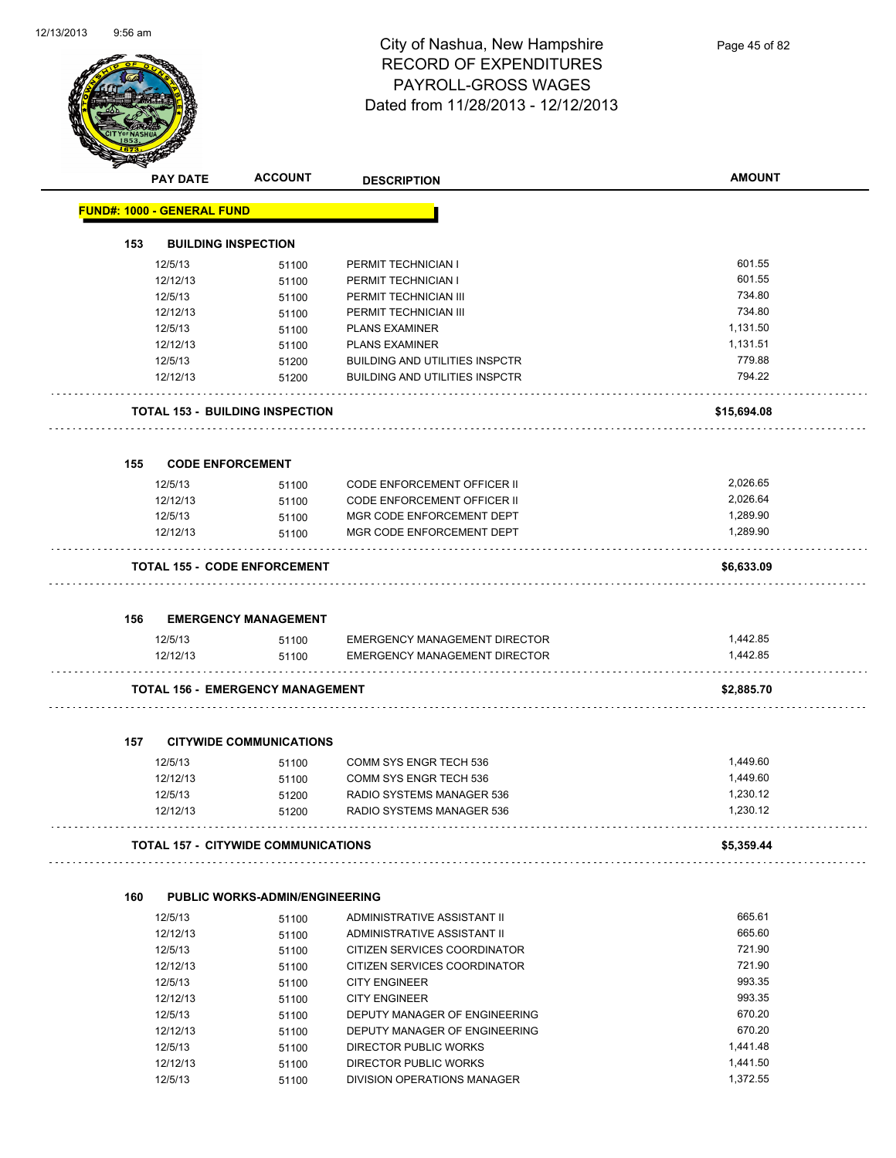

|     | <b>PAY DATE</b>                   | <b>ACCOUNT</b>                             | <b>DESCRIPTION</b>                         | <b>AMOUNT</b> |
|-----|-----------------------------------|--------------------------------------------|--------------------------------------------|---------------|
|     | <b>FUND#: 1000 - GENERAL FUND</b> |                                            |                                            |               |
| 153 | <b>BUILDING INSPECTION</b>        |                                            |                                            |               |
|     |                                   |                                            |                                            | 601.55        |
|     | 12/5/13<br>12/12/13               | 51100                                      | PERMIT TECHNICIAN I<br>PERMIT TECHNICIAN I | 601.55        |
|     | 12/5/13                           | 51100                                      | PERMIT TECHNICIAN III                      | 734.80        |
|     | 12/12/13                          | 51100<br>51100                             | PERMIT TECHNICIAN III                      | 734.80        |
|     | 12/5/13                           | 51100                                      | <b>PLANS EXAMINER</b>                      | 1,131.50      |
|     | 12/12/13                          | 51100                                      | <b>PLANS EXAMINER</b>                      | 1,131.51      |
|     | 12/5/13                           | 51200                                      | <b>BUILDING AND UTILITIES INSPCTR</b>      | 779.88        |
|     | 12/12/13                          | 51200                                      | <b>BUILDING AND UTILITIES INSPCTR</b>      | 794.22        |
|     |                                   | TOTAL 153 - BUILDING INSPECTION            |                                            | \$15,694.08   |
| 155 | <b>CODE ENFORCEMENT</b>           |                                            |                                            |               |
|     | 12/5/13                           | 51100                                      | <b>CODE ENFORCEMENT OFFICER II</b>         | 2,026.65      |
|     | 12/12/13                          | 51100                                      | CODE ENFORCEMENT OFFICER II                | 2,026.64      |
|     | 12/5/13                           | 51100                                      | MGR CODE ENFORCEMENT DEPT                  | 1,289.90      |
|     | 12/12/13                          | 51100                                      | MGR CODE ENFORCEMENT DEPT                  | 1,289.90      |
|     |                                   | TOTAL 155 - CODE ENFORCEMENT               |                                            | \$6,633.09    |
| 156 |                                   | <b>EMERGENCY MANAGEMENT</b>                |                                            |               |
|     | 12/5/13                           | 51100                                      | <b>EMERGENCY MANAGEMENT DIRECTOR</b>       | 1,442.85      |
|     | 12/12/13                          | 51100                                      | EMERGENCY MANAGEMENT DIRECTOR              | 1,442.85      |
|     |                                   | <b>TOTAL 156 - EMERGENCY MANAGEMENT</b>    |                                            | \$2,885.70    |
| 157 |                                   | <b>CITYWIDE COMMUNICATIONS</b>             |                                            |               |
|     | 12/5/13                           | 51100                                      | COMM SYS ENGR TECH 536                     | 1,449.60      |
|     | 12/12/13                          | 51100                                      | COMM SYS ENGR TECH 536                     | 1,449.60      |
|     | 12/5/13                           | 51200                                      | RADIO SYSTEMS MANAGER 536                  | 1,230.12      |
|     | 12/12/13                          | 51200                                      | RADIO SYSTEMS MANAGER 536                  | 1,230.12      |
|     |                                   | <b>TOTAL 157 - CITYWIDE COMMUNICATIONS</b> |                                            | \$5,359.44    |
|     |                                   |                                            |                                            |               |
| 160 |                                   | <b>PUBLIC WORKS-ADMIN/ENGINEERING</b>      |                                            |               |
|     | 12/5/13                           | 51100                                      | ADMINISTRATIVE ASSISTANT II                | 665.61        |
|     | 12/12/13                          | 51100                                      | ADMINISTRATIVE ASSISTANT II                | 665.60        |
|     | 12/5/13                           | 51100                                      | CITIZEN SERVICES COORDINATOR               | 721.90        |
|     | 12/12/13                          | 51100                                      | CITIZEN SERVICES COORDINATOR               | 721.90        |
|     | 12/5/13                           | 51100                                      | <b>CITY ENGINEER</b>                       | 993.35        |

12/12/13 51100 CITY ENGINEER 993.35 12/5/13 51100 DEPUTY MANAGER OF ENGINEERING 670.20 12/12/13 51100 DEPUTY MANAGER OF ENGINEERING 670.20 12/5/13 51100 DIRECTOR PUBLIC WORKS 1.441.48<br>12/12/13 51100 DIRECTOR PUBLIC WORKS 1.441.50

12/5/13 51100 DIVISION OPERATIONS MANAGER 1,372.55

12/12/13 51100 DIRECTOR PUBLIC WORKS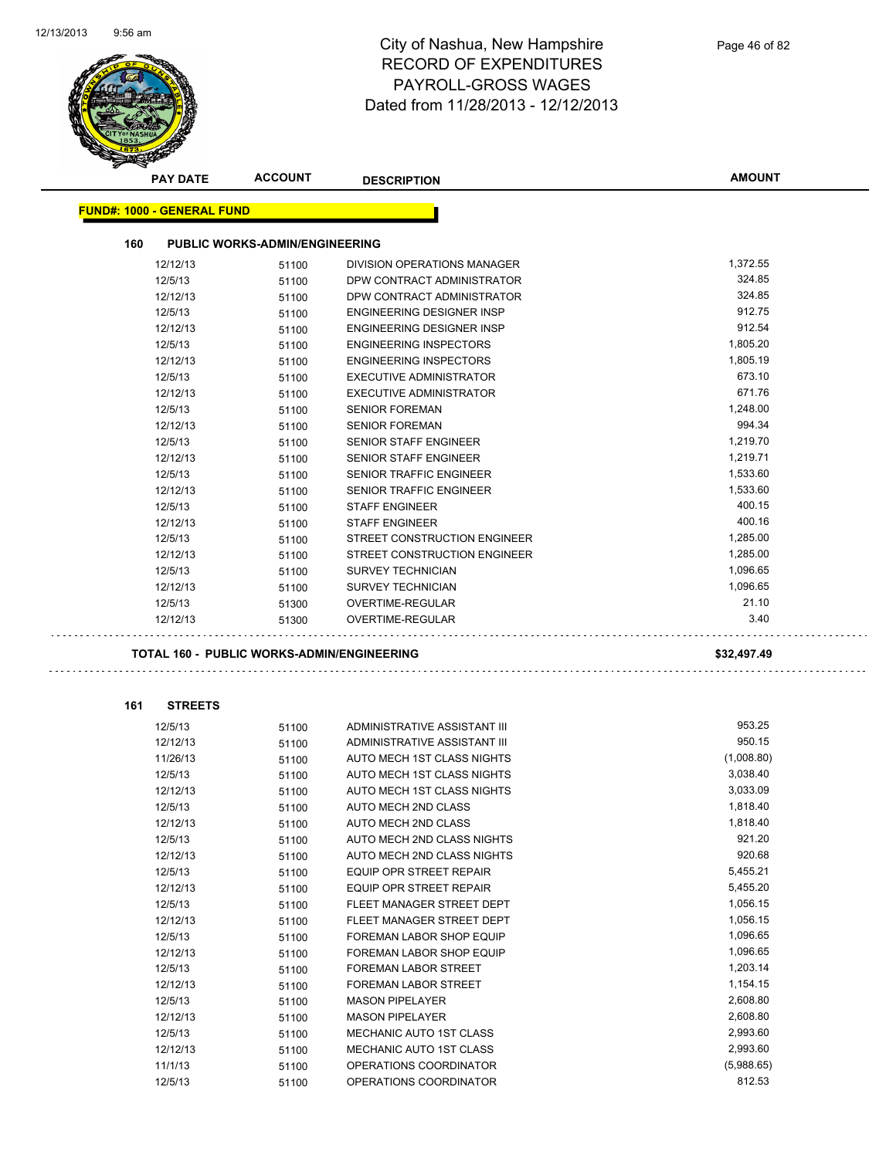

|     | <b>PAY DATE</b>                   | <b>ACCOUNT</b>                                    | <b>DESCRIPTION</b>             | <b>AMOUNT</b> |
|-----|-----------------------------------|---------------------------------------------------|--------------------------------|---------------|
|     | <b>FUND#: 1000 - GENERAL FUND</b> |                                                   |                                |               |
|     |                                   |                                                   |                                |               |
| 160 |                                   | <b>PUBLIC WORKS-ADMIN/ENGINEERING</b>             |                                |               |
|     | 12/12/13                          | 51100                                             | DIVISION OPERATIONS MANAGER    | 1,372.55      |
|     | 12/5/13                           | 51100                                             | DPW CONTRACT ADMINISTRATOR     | 324.85        |
|     | 12/12/13                          | 51100                                             | DPW CONTRACT ADMINISTRATOR     | 324.85        |
|     | 12/5/13                           | 51100                                             | ENGINEERING DESIGNER INSP      | 912.75        |
|     | 12/12/13                          | 51100                                             | ENGINEERING DESIGNER INSP      | 912.54        |
|     | 12/5/13                           | 51100                                             | <b>ENGINEERING INSPECTORS</b>  | 1,805.20      |
|     | 12/12/13                          | 51100                                             | <b>ENGINEERING INSPECTORS</b>  | 1,805.19      |
|     | 12/5/13                           | 51100                                             | EXECUTIVE ADMINISTRATOR        | 673.10        |
|     | 12/12/13                          | 51100                                             | <b>EXECUTIVE ADMINISTRATOR</b> | 671.76        |
|     | 12/5/13                           | 51100                                             | <b>SENIOR FOREMAN</b>          | 1,248.00      |
|     | 12/12/13                          | 51100                                             | <b>SENIOR FOREMAN</b>          | 994.34        |
|     | 12/5/13                           | 51100                                             | <b>SENIOR STAFF ENGINEER</b>   | 1,219.70      |
|     | 12/12/13                          | 51100                                             | <b>SENIOR STAFF ENGINEER</b>   | 1,219.71      |
|     | 12/5/13                           | 51100                                             | SENIOR TRAFFIC ENGINEER        | 1,533.60      |
|     | 12/12/13                          | 51100                                             | <b>SENIOR TRAFFIC ENGINEER</b> | 1,533.60      |
|     | 12/5/13                           | 51100                                             | <b>STAFF ENGINEER</b>          | 400.15        |
|     | 12/12/13                          | 51100                                             | <b>STAFF ENGINEER</b>          | 400.16        |
|     | 12/5/13                           | 51100                                             | STREET CONSTRUCTION ENGINEER   | 1,285.00      |
|     | 12/12/13                          | 51100                                             | STREET CONSTRUCTION ENGINEER   | 1,285.00      |
|     | 12/5/13                           | 51100                                             | <b>SURVEY TECHNICIAN</b>       | 1,096.65      |
|     | 12/12/13                          | 51100                                             | <b>SURVEY TECHNICIAN</b>       | 1,096.65      |
|     | 12/5/13                           | 51300                                             | OVERTIME-REGULAR               | 21.10         |
|     | 12/12/13                          | 51300                                             | OVERTIME-REGULAR               | 3.40          |
|     |                                   |                                                   |                                |               |
|     |                                   |                                                   |                                |               |
|     |                                   | <b>TOTAL 160 - PUBLIC WORKS-ADMIN/ENGINEERING</b> |                                | \$32,497.49   |
|     |                                   |                                                   |                                |               |
| 161 | <b>STREETS</b>                    |                                                   |                                |               |
|     | 12/5/13                           | 51100                                             | ADMINISTRATIVE ASSISTANT III   | 953.25        |
|     | 12/12/13                          | 51100                                             | ADMINISTRATIVE ASSISTANT III   | 950.15        |
|     | 11/26/13                          | 51100                                             | AUTO MECH 1ST CLASS NIGHTS     | (1,008.80)    |
|     | 12/5/13                           | 51100                                             | AUTO MECH 1ST CLASS NIGHTS     | 3,038.40      |
|     | 12/12/13                          | 51100                                             | AUTO MECH 1ST CLASS NIGHTS     | 3,033.09      |
|     | 12/5/13                           | 51100                                             | AUTO MECH 2ND CLASS            | 1,818.40      |
|     | 12/12/13                          | 51100                                             | AUTO MECH 2ND CLASS            | 1,818.40      |
|     | 12/5/13                           | 51100                                             | AUTO MECH 2ND CLASS NIGHTS     | 921.20        |
|     | 12/12/13                          | 51100                                             | AUTO MECH 2ND CLASS NIGHTS     | 920.68        |
|     | 12/5/13                           | 51100                                             | EQUIP OPR STREET REPAIR        | 5,455.21      |
|     | 12/12/13                          | 51100                                             | EQUIP OPR STREET REPAIR        | 5,455.20      |
|     | 12/5/13                           | 51100                                             | FLEET MANAGER STREET DEPT      | 1,056.15      |
|     | 12/12/13                          | 51100                                             | FLEET MANAGER STREET DEPT      | 1,056.15      |
|     | 12/5/13                           | 51100                                             | FOREMAN LABOR SHOP EQUIP       | 1,096.65      |
|     | 12/12/13                          | 51100                                             | FOREMAN LABOR SHOP EQUIP       | 1,096.65      |
|     | 12/5/13                           | 51100                                             | FOREMAN LABOR STREET           | 1,203.14      |
|     | 12/12/13                          | 51100                                             | FOREMAN LABOR STREET           | 1,154.15      |
|     | 12/5/13                           | 51100                                             | <b>MASON PIPELAYER</b>         | 2,608.80      |
|     | 12/12/13                          | 51100                                             | <b>MASON PIPELAYER</b>         | 2,608.80      |
|     | 12/5/13                           | 51100                                             | MECHANIC AUTO 1ST CLASS        | 2,993.60      |
|     | 12/12/13                          | 51100                                             | MECHANIC AUTO 1ST CLASS        | 2,993.60      |
|     | 11/1/13                           | 51100                                             | OPERATIONS COORDINATOR         | (5,988.65)    |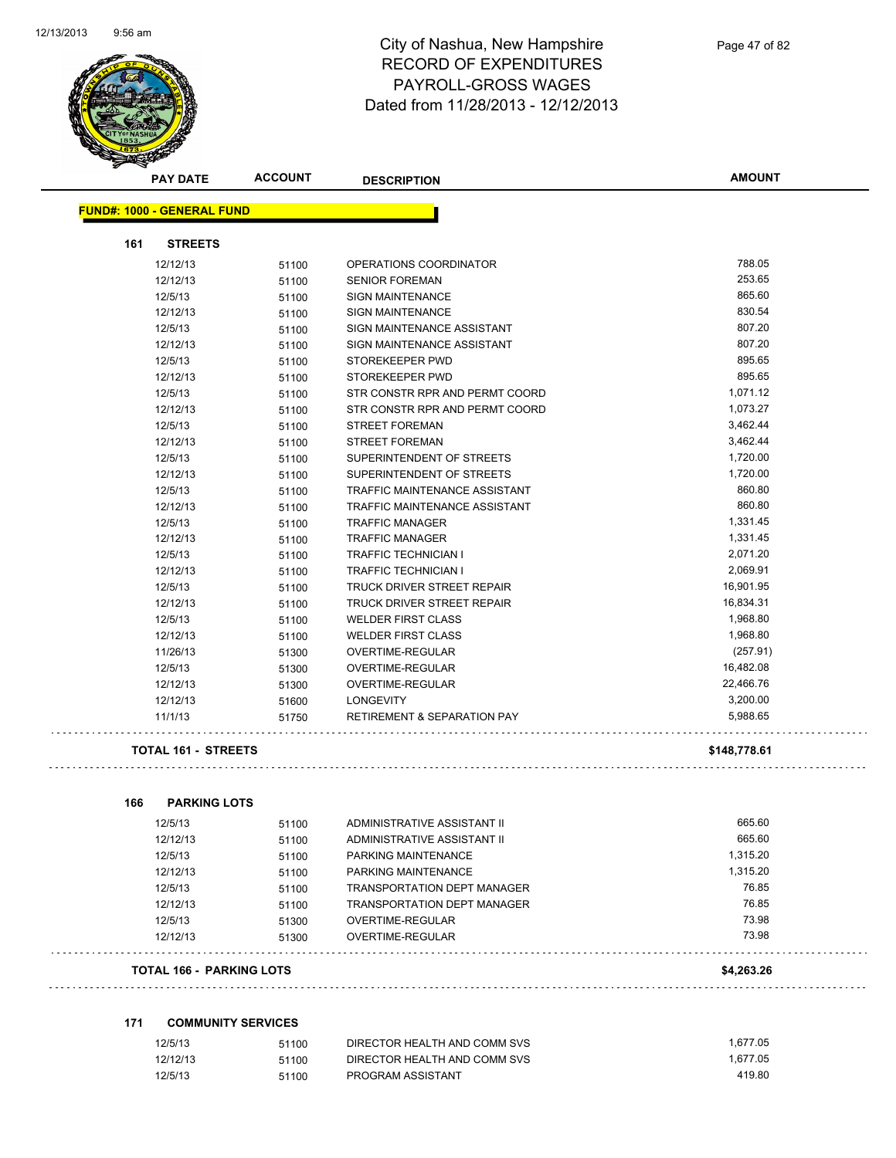

| <b>PAY DATE</b>                   | <b>ACCOUNT</b> | <b>DESCRIPTION</b>                     | <b>AMOUNT</b> |
|-----------------------------------|----------------|----------------------------------------|---------------|
| <b>FUND#: 1000 - GENERAL FUND</b> |                |                                        |               |
| 161<br><b>STREETS</b>             |                |                                        |               |
| 12/12/13                          | 51100          | OPERATIONS COORDINATOR                 | 788.05        |
| 12/12/13                          | 51100          | <b>SENIOR FOREMAN</b>                  | 253.65        |
| 12/5/13                           | 51100          | <b>SIGN MAINTENANCE</b>                | 865.60        |
| 12/12/13                          | 51100          | <b>SIGN MAINTENANCE</b>                | 830.54        |
| 12/5/13                           | 51100          | SIGN MAINTENANCE ASSISTANT             | 807.20        |
| 12/12/13                          | 51100          | SIGN MAINTENANCE ASSISTANT             | 807.20        |
| 12/5/13                           | 51100          | STOREKEEPER PWD                        | 895.65        |
| 12/12/13                          | 51100          | STOREKEEPER PWD                        | 895.65        |
| 12/5/13                           | 51100          | STR CONSTR RPR AND PERMT COORD         | 1,071.12      |
| 12/12/13                          | 51100          | STR CONSTR RPR AND PERMT COORD         | 1,073.27      |
| 12/5/13                           | 51100          | <b>STREET FOREMAN</b>                  | 3,462.44      |
| 12/12/13                          | 51100          | <b>STREET FOREMAN</b>                  | 3,462.44      |
| 12/5/13                           | 51100          | SUPERINTENDENT OF STREETS              | 1,720.00      |
| 12/12/13                          | 51100          | SUPERINTENDENT OF STREETS              | 1,720.00      |
| 12/5/13                           | 51100          | TRAFFIC MAINTENANCE ASSISTANT          | 860.80        |
| 12/12/13                          | 51100          | TRAFFIC MAINTENANCE ASSISTANT          | 860.80        |
| 12/5/13                           | 51100          | <b>TRAFFIC MANAGER</b>                 | 1,331.45      |
| 12/12/13                          | 51100          | <b>TRAFFIC MANAGER</b>                 | 1,331.45      |
| 12/5/13                           | 51100          | <b>TRAFFIC TECHNICIAN I</b>            | 2,071.20      |
| 12/12/13                          | 51100          | <b>TRAFFIC TECHNICIAN I</b>            | 2,069.91      |
| 12/5/13                           | 51100          | TRUCK DRIVER STREET REPAIR             | 16,901.95     |
| 12/12/13                          | 51100          | <b>TRUCK DRIVER STREET REPAIR</b>      | 16,834.31     |
| 12/5/13                           | 51100          | <b>WELDER FIRST CLASS</b>              | 1,968.80      |
| 12/12/13                          | 51100          | <b>WELDER FIRST CLASS</b>              | 1,968.80      |
| 11/26/13                          | 51300          | OVERTIME-REGULAR                       | (257.91)      |
| 12/5/13                           | 51300          | OVERTIME-REGULAR                       | 16,482.08     |
| 12/12/13                          | 51300          | OVERTIME-REGULAR                       | 22,466.76     |
| 12/12/13                          | 51600          | <b>LONGEVITY</b>                       | 3,200.00      |
| 11/1/13                           | 51750          | <b>RETIREMENT &amp; SEPARATION PAY</b> | 5,988.65      |
| <b>TOTAL 161 - STREETS</b>        |                |                                        | \$148,778.61  |
| 166<br><b>PARKING LOTS</b>        |                |                                        |               |
| 12/5/13                           | 51100          | ADMINISTRATIVE ASSISTANT II            | 665.60        |
| 12/12/13                          | 51100          | ADMINISTRATIVE ASSISTANT II            | 665.60        |
| 12/5/13                           | 51100          | PARKING MAINTENANCE                    | 1,315.20      |
| 12/12/13                          | 51100          | PARKING MAINTENANCE                    | 1,315.20      |
| 12/5/13                           | 51100          | <b>TRANSPORTATION DEPT MANAGER</b>     | 76.85         |
| 12/12/13                          | 51100          | <b>TRANSPORTATION DEPT MANAGER</b>     | 76.85         |
| 12/5/13                           | 51300          | OVERTIME-REGULAR                       | 73.98         |
| 12/12/13                          | 51300          | OVERTIME-REGULAR                       | 73.98         |
| TOTAL 166 - PARKING LOTS          |                |                                        | \$4,263.26    |

#### **171 COMMUNITY SERVICES**

| 12/5/13  | 51100 | DIRECTOR HEALTH AND COMM SVS | 1.677.05 |
|----------|-------|------------------------------|----------|
| 12/12/13 | 51100 | DIRECTOR HEALTH AND COMM SVS | 1.677.05 |
| 12/5/13  | 51100 | PROGRAM ASSISTANT            | 419.80   |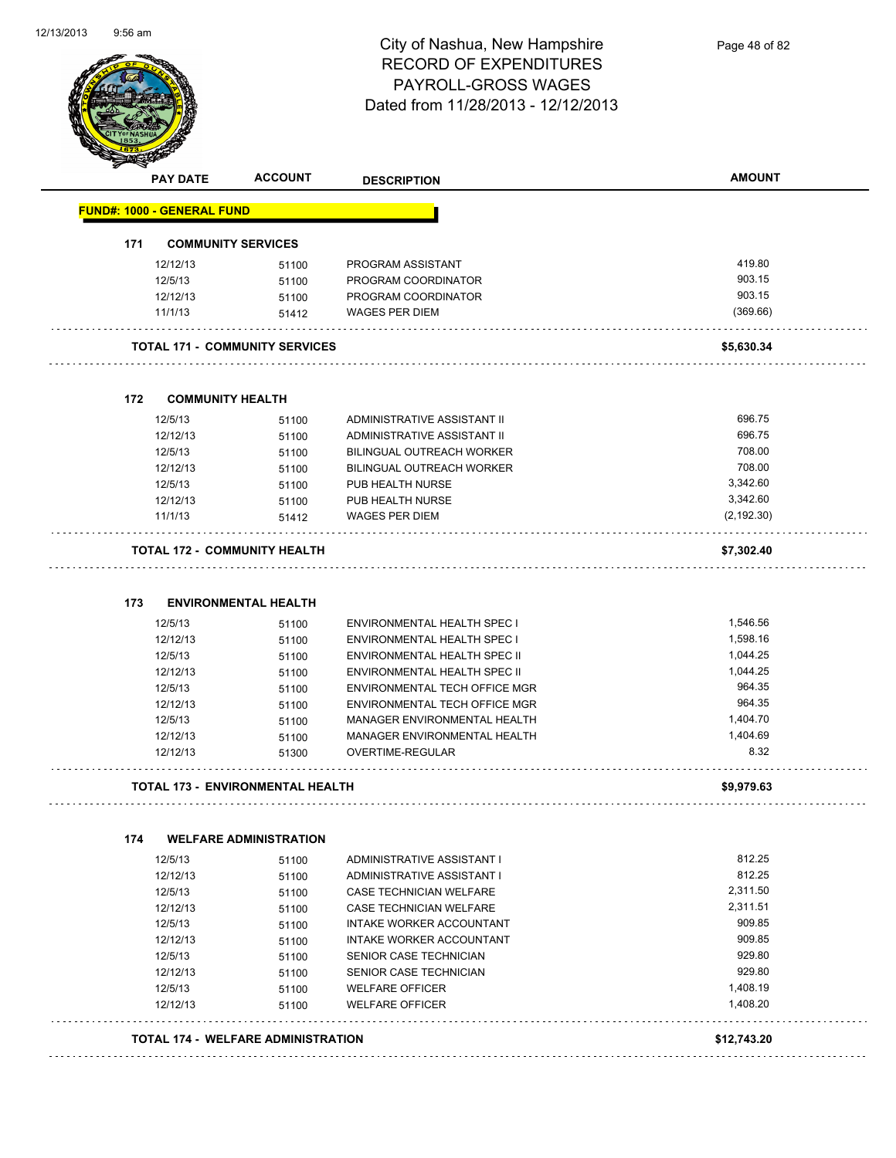

| <b>PAY DATE</b>                       | <b>ACCOUNT</b>                            | <b>DESCRIPTION</b>              | <b>AMOUNT</b> |
|---------------------------------------|-------------------------------------------|---------------------------------|---------------|
| <b>FUND#: 1000 - GENERAL FUND</b>     |                                           |                                 |               |
| 171<br><b>COMMUNITY SERVICES</b>      |                                           |                                 |               |
| 12/12/13                              | 51100                                     | PROGRAM ASSISTANT               | 419.80        |
| 12/5/13                               | 51100                                     | PROGRAM COORDINATOR             | 903.15        |
| 12/12/13                              | 51100                                     | PROGRAM COORDINATOR             | 903.15        |
| 11/1/13                               | 51412                                     | <b>WAGES PER DIEM</b>           | (369.66)      |
| <b>TOTAL 171 - COMMUNITY SERVICES</b> |                                           |                                 | \$5,630.34    |
| 172<br><b>COMMUNITY HEALTH</b>        |                                           |                                 |               |
| 12/5/13                               | 51100                                     | ADMINISTRATIVE ASSISTANT II     | 696.75        |
| 12/12/13                              | 51100                                     | ADMINISTRATIVE ASSISTANT II     | 696.75        |
| 12/5/13                               | 51100                                     | BILINGUAL OUTREACH WORKER       | 708.00        |
| 12/12/13                              | 51100                                     | BILINGUAL OUTREACH WORKER       | 708.00        |
| 12/5/13                               | 51100                                     | PUB HEALTH NURSE                | 3,342.60      |
| 12/12/13                              | 51100                                     | PUB HEALTH NURSE                | 3,342.60      |
| 11/1/13                               | 51412                                     | <b>WAGES PER DIEM</b>           | (2, 192.30)   |
| <b>TOTAL 172 - COMMUNITY HEALTH</b>   |                                           |                                 | \$7,302.40    |
| 173                                   | <b>ENVIRONMENTAL HEALTH</b>               |                                 |               |
| 12/5/13                               | 51100                                     | ENVIRONMENTAL HEALTH SPEC I     | 1,546.56      |
| 12/12/13                              | 51100                                     | ENVIRONMENTAL HEALTH SPEC I     | 1,598.16      |
| 12/5/13                               | 51100                                     | ENVIRONMENTAL HEALTH SPEC II    | 1,044.25      |
| 12/12/13                              | 51100                                     | ENVIRONMENTAL HEALTH SPEC II    | 1,044.25      |
| 12/5/13                               | 51100                                     | ENVIRONMENTAL TECH OFFICE MGR   | 964.35        |
| 12/12/13                              | 51100                                     | ENVIRONMENTAL TECH OFFICE MGR   | 964.35        |
| 12/5/13                               | 51100                                     | MANAGER ENVIRONMENTAL HEALTH    | 1,404.70      |
| 12/12/13                              | 51100                                     | MANAGER ENVIRONMENTAL HEALTH    | 1,404.69      |
| 12/12/13                              | 51300                                     | OVERTIME-REGULAR                | 8.32          |
| TOTAL 173 - ENVIRONMENTAL HEALTH      |                                           |                                 | \$9,979.63    |
| 174                                   | <b>WELFARE ADMINISTRATION</b>             |                                 |               |
| 12/5/13                               | 51100                                     | ADMINISTRATIVE ASSISTANT I      | 812.25        |
| 12/12/13                              | 51100                                     | ADMINISTRATIVE ASSISTANT I      | 812.25        |
| 12/5/13                               | 51100                                     | CASE TECHNICIAN WELFARE         | 2,311.50      |
| 12/12/13                              | 51100                                     | CASE TECHNICIAN WELFARE         | 2,311.51      |
| 12/5/13                               | 51100                                     | <b>INTAKE WORKER ACCOUNTANT</b> | 909.85        |
| 12/12/13                              | 51100                                     | INTAKE WORKER ACCOUNTANT        | 909.85        |
| 12/5/13                               | 51100                                     | SENIOR CASE TECHNICIAN          | 929.80        |
| 12/12/13                              | 51100                                     | SENIOR CASE TECHNICIAN          | 929.80        |
| 12/5/13                               | 51100                                     | <b>WELFARE OFFICER</b>          | 1,408.19      |
| 12/12/13                              | 51100                                     | <b>WELFARE OFFICER</b>          | 1,408.20      |
|                                       | <b>TOTAL 174 - WELFARE ADMINISTRATION</b> |                                 | \$12,743.20   |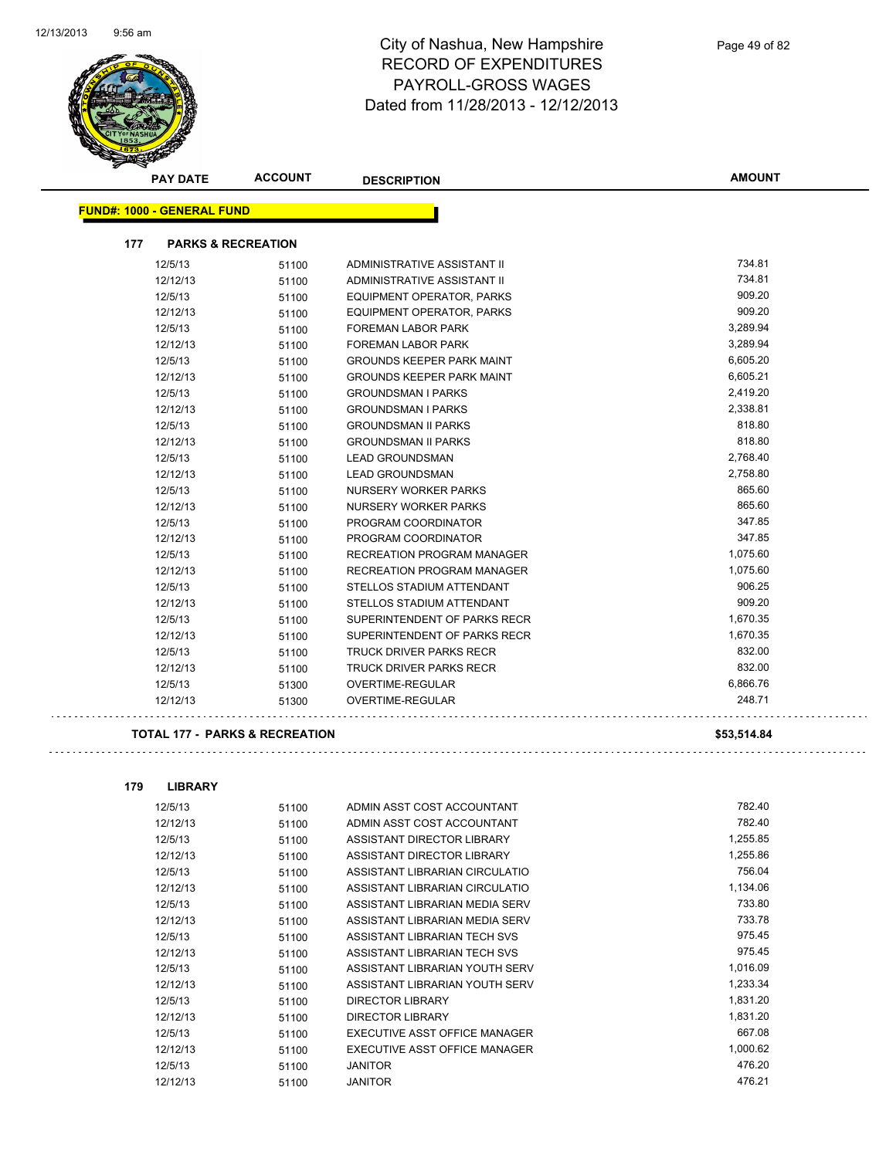

|     | <b>PAY DATE</b>                   | <b>ACCOUNT</b>                | <b>DESCRIPTION</b>               | <b>AMOUNT</b> |
|-----|-----------------------------------|-------------------------------|----------------------------------|---------------|
|     | <b>FUND#: 1000 - GENERAL FUND</b> |                               |                                  |               |
| 177 |                                   | <b>PARKS &amp; RECREATION</b> |                                  |               |
|     | 12/5/13                           | 51100                         | ADMINISTRATIVE ASSISTANT II      | 734.81        |
|     | 12/12/13                          | 51100                         | ADMINISTRATIVE ASSISTANT II      | 734.81        |
|     | 12/5/13                           | 51100                         | <b>EQUIPMENT OPERATOR, PARKS</b> | 909.20        |
|     | 12/12/13                          | 51100                         | <b>EQUIPMENT OPERATOR, PARKS</b> | 909.20        |
|     | 12/5/13                           | 51100                         | <b>FOREMAN LABOR PARK</b>        | 3,289.94      |
|     | 12/12/13                          | 51100                         | FOREMAN LABOR PARK               | 3,289.94      |
|     | 12/5/13                           | 51100                         | <b>GROUNDS KEEPER PARK MAINT</b> | 6,605.20      |
|     | 12/12/13                          | 51100                         | <b>GROUNDS KEEPER PARK MAINT</b> | 6,605.21      |
|     | 12/5/13                           | 51100                         | <b>GROUNDSMAN I PARKS</b>        | 2,419.20      |
|     | 12/12/13                          | 51100                         | <b>GROUNDSMAN I PARKS</b>        | 2,338.81      |
|     | 12/5/13                           | 51100                         | <b>GROUNDSMAN II PARKS</b>       | 818.80        |
|     | 12/12/13                          | 51100                         | <b>GROUNDSMAN II PARKS</b>       | 818.80        |
|     | 12/5/13                           | 51100                         | <b>LEAD GROUNDSMAN</b>           | 2,768.40      |
|     | 12/12/13                          | 51100                         | <b>LEAD GROUNDSMAN</b>           | 2,758.80      |
|     | 12/5/13                           | 51100                         | <b>NURSERY WORKER PARKS</b>      | 865.60        |
|     | 12/12/13                          | 51100                         | NURSERY WORKER PARKS             | 865.60        |
|     | 12/5/13                           | 51100                         | PROGRAM COORDINATOR              | 347.85        |
|     | 12/12/13                          | 51100                         | PROGRAM COORDINATOR              | 347.85        |
|     | 12/5/13                           | 51100                         | RECREATION PROGRAM MANAGER       | 1,075.60      |
|     | 12/12/13                          | 51100                         | RECREATION PROGRAM MANAGER       | 1,075.60      |
|     | 12/5/13                           | 51100                         | STELLOS STADIUM ATTENDANT        | 906.25        |
|     | 12/12/13                          | 51100                         | STELLOS STADIUM ATTENDANT        | 909.20        |
|     | 12/5/13                           | 51100                         | SUPERINTENDENT OF PARKS RECR     | 1,670.35      |
|     | 12/12/13                          | 51100                         | SUPERINTENDENT OF PARKS RECR     | 1,670.35      |
|     | 12/5/13                           | 51100                         | TRUCK DRIVER PARKS RECR          | 832.00        |
|     | 12/12/13                          | 51100                         | TRUCK DRIVER PARKS RECR          | 832.00        |
|     | 12/5/13                           | 51300                         | <b>OVERTIME-REGULAR</b>          | 6,866.76      |
|     | 12/12/13                          | 51300                         | OVERTIME-REGULAR                 | 248.71        |

#### **TOTAL 177 - PARKS & RECREATION \$53,514.84**

| 179 | <b>LIBRARY</b> |       |                                |          |
|-----|----------------|-------|--------------------------------|----------|
|     | 12/5/13        | 51100 | ADMIN ASST COST ACCOUNTANT     | 782.40   |
|     | 12/12/13       | 51100 | ADMIN ASST COST ACCOUNTANT     | 782.40   |
|     | 12/5/13        | 51100 | ASSISTANT DIRECTOR LIBRARY     | 1,255.85 |
|     | 12/12/13       | 51100 | ASSISTANT DIRECTOR LIBRARY     | 1,255.86 |
|     | 12/5/13        | 51100 | ASSISTANT LIBRARIAN CIRCULATIO | 756.04   |
|     | 12/12/13       | 51100 | ASSISTANT LIBRARIAN CIRCULATIO | 1,134.06 |
|     | 12/5/13        | 51100 | ASSISTANT LIBRARIAN MEDIA SERV | 733.80   |
|     | 12/12/13       | 51100 | ASSISTANT LIBRARIAN MEDIA SERV | 733.78   |
|     | 12/5/13        | 51100 | ASSISTANT LIBRARIAN TECH SVS   | 975.45   |
|     | 12/12/13       | 51100 | ASSISTANT LIBRARIAN TECH SVS   | 975.45   |
|     | 12/5/13        | 51100 | ASSISTANT LIBRARIAN YOUTH SERV | 1,016.09 |
|     | 12/12/13       | 51100 | ASSISTANT LIBRARIAN YOUTH SERV | 1,233.34 |
|     | 12/5/13        | 51100 | <b>DIRECTOR LIBRARY</b>        | 1,831.20 |
|     | 12/12/13       | 51100 | DIRECTOR LIBRARY               | 1.831.20 |
|     | 12/5/13        | 51100 | EXECUTIVE ASST OFFICE MANAGER  | 667.08   |
|     | 12/12/13       | 51100 | EXECUTIVE ASST OFFICE MANAGER  | 1,000.62 |
|     | 12/5/13        | 51100 | <b>JANITOR</b>                 | 476.20   |
|     | 12/12/13       | 51100 | <b>JANITOR</b>                 | 476.21   |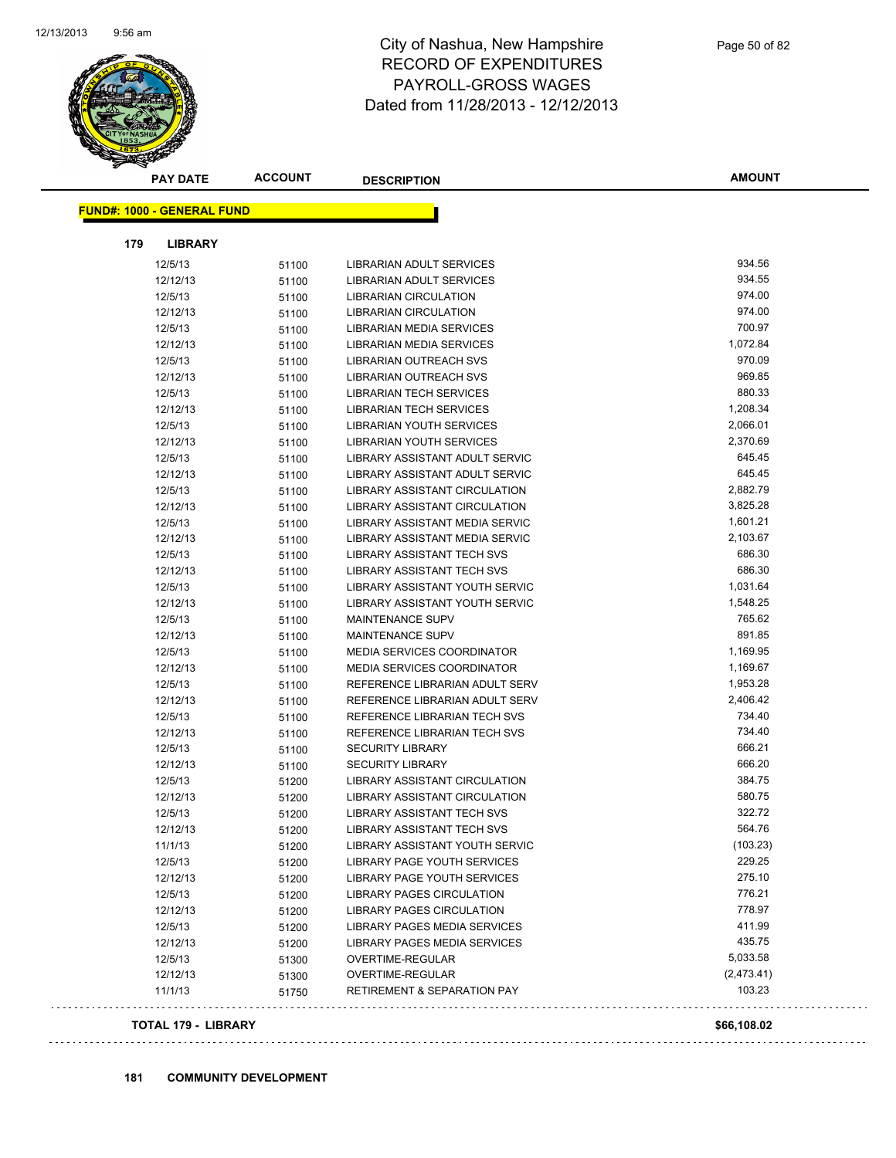

|     | <b>PAY DATE</b>                   | <b>ACCOUNT</b> | <b>DESCRIPTION</b>                     | <b>AMOUNT</b> |
|-----|-----------------------------------|----------------|----------------------------------------|---------------|
|     | <b>FUND#: 1000 - GENERAL FUND</b> |                |                                        |               |
|     |                                   |                |                                        |               |
| 179 | <b>LIBRARY</b>                    |                |                                        |               |
|     | 12/5/13                           | 51100          | LIBRARIAN ADULT SERVICES               | 934.56        |
|     | 12/12/13                          | 51100          | LIBRARIAN ADULT SERVICES               | 934.55        |
|     | 12/5/13                           | 51100          | <b>LIBRARIAN CIRCULATION</b>           | 974.00        |
|     | 12/12/13                          | 51100          | LIBRARIAN CIRCULATION                  | 974.00        |
|     | 12/5/13                           | 51100          | <b>LIBRARIAN MEDIA SERVICES</b>        | 700.97        |
|     | 12/12/13                          | 51100          | <b>LIBRARIAN MEDIA SERVICES</b>        | 1,072.84      |
|     | 12/5/13                           | 51100          | LIBRARIAN OUTREACH SVS                 | 970.09        |
|     | 12/12/13                          | 51100          | LIBRARIAN OUTREACH SVS                 | 969.85        |
|     | 12/5/13                           | 51100          | LIBRARIAN TECH SERVICES                | 880.33        |
|     | 12/12/13                          | 51100          | LIBRARIAN TECH SERVICES                | 1,208.34      |
|     | 12/5/13                           | 51100          | LIBRARIAN YOUTH SERVICES               | 2,066.01      |
|     | 12/12/13                          | 51100          | LIBRARIAN YOUTH SERVICES               | 2,370.69      |
|     | 12/5/13                           | 51100          | LIBRARY ASSISTANT ADULT SERVIC         | 645.45        |
|     | 12/12/13                          | 51100          | LIBRARY ASSISTANT ADULT SERVIC         | 645.45        |
|     | 12/5/13                           | 51100          | LIBRARY ASSISTANT CIRCULATION          | 2,882.79      |
|     | 12/12/13                          | 51100          | <b>LIBRARY ASSISTANT CIRCULATION</b>   | 3,825.28      |
|     | 12/5/13                           | 51100          | LIBRARY ASSISTANT MEDIA SERVIC         | 1,601.21      |
|     | 12/12/13                          | 51100          | LIBRARY ASSISTANT MEDIA SERVIC         | 2,103.67      |
|     | 12/5/13                           | 51100          | LIBRARY ASSISTANT TECH SVS             | 686.30        |
|     | 12/12/13                          | 51100          | LIBRARY ASSISTANT TECH SVS             | 686.30        |
|     | 12/5/13                           | 51100          | LIBRARY ASSISTANT YOUTH SERVIC         | 1,031.64      |
|     | 12/12/13                          | 51100          | LIBRARY ASSISTANT YOUTH SERVIC         | 1,548.25      |
|     | 12/5/13                           | 51100          | <b>MAINTENANCE SUPV</b>                | 765.62        |
|     | 12/12/13                          | 51100          | <b>MAINTENANCE SUPV</b>                | 891.85        |
|     | 12/5/13                           | 51100          | <b>MEDIA SERVICES COORDINATOR</b>      | 1,169.95      |
|     | 12/12/13                          | 51100          | <b>MEDIA SERVICES COORDINATOR</b>      | 1,169.67      |
|     | 12/5/13                           | 51100          | REFERENCE LIBRARIAN ADULT SERV         | 1,953.28      |
|     | 12/12/13                          | 51100          | REFERENCE LIBRARIAN ADULT SERV         | 2,406.42      |
|     | 12/5/13                           | 51100          | REFERENCE LIBRARIAN TECH SVS           | 734.40        |
|     | 12/12/13                          | 51100          | REFERENCE LIBRARIAN TECH SVS           | 734.40        |
|     | 12/5/13                           | 51100          | <b>SECURITY LIBRARY</b>                | 666.21        |
|     | 12/12/13                          | 51100          | <b>SECURITY LIBRARY</b>                | 666.20        |
|     | 12/5/13                           | 51200          | LIBRARY ASSISTANT CIRCULATION          | 384.75        |
|     | 12/12/13                          | 51200          | LIBRARY ASSISTANT CIRCULATION          | 580.75        |
|     | 12/5/13                           | 51200          | <b>LIBRARY ASSISTANT TECH SVS</b>      | 322.72        |
|     | 12/12/13                          | 51200          | LIBRARY ASSISTANT TECH SVS             | 564.76        |
|     | 11/1/13                           | 51200          | LIBRARY ASSISTANT YOUTH SERVIC         | (103.23)      |
|     | 12/5/13                           | 51200          | LIBRARY PAGE YOUTH SERVICES            | 229.25        |
|     | 12/12/13                          | 51200          | <b>LIBRARY PAGE YOUTH SERVICES</b>     | 275.10        |
|     | 12/5/13                           | 51200          | LIBRARY PAGES CIRCULATION              | 776.21        |
|     | 12/12/13                          | 51200          | LIBRARY PAGES CIRCULATION              | 778.97        |
|     | 12/5/13                           | 51200          | LIBRARY PAGES MEDIA SERVICES           | 411.99        |
|     | 12/12/13                          | 51200          | LIBRARY PAGES MEDIA SERVICES           | 435.75        |
|     | 12/5/13                           | 51300          | <b>OVERTIME-REGULAR</b>                | 5,033.58      |
|     | 12/12/13                          | 51300          | OVERTIME-REGULAR                       | (2,473.41)    |
|     | 11/1/13                           | 51750          | <b>RETIREMENT &amp; SEPARATION PAY</b> | 103.23        |

#### **TOTAL 179 - LIBRARY \$66,108.02**

 $\Box$  .

 $\sim$   $\sim$ 

. . . . . . . . . . . . . .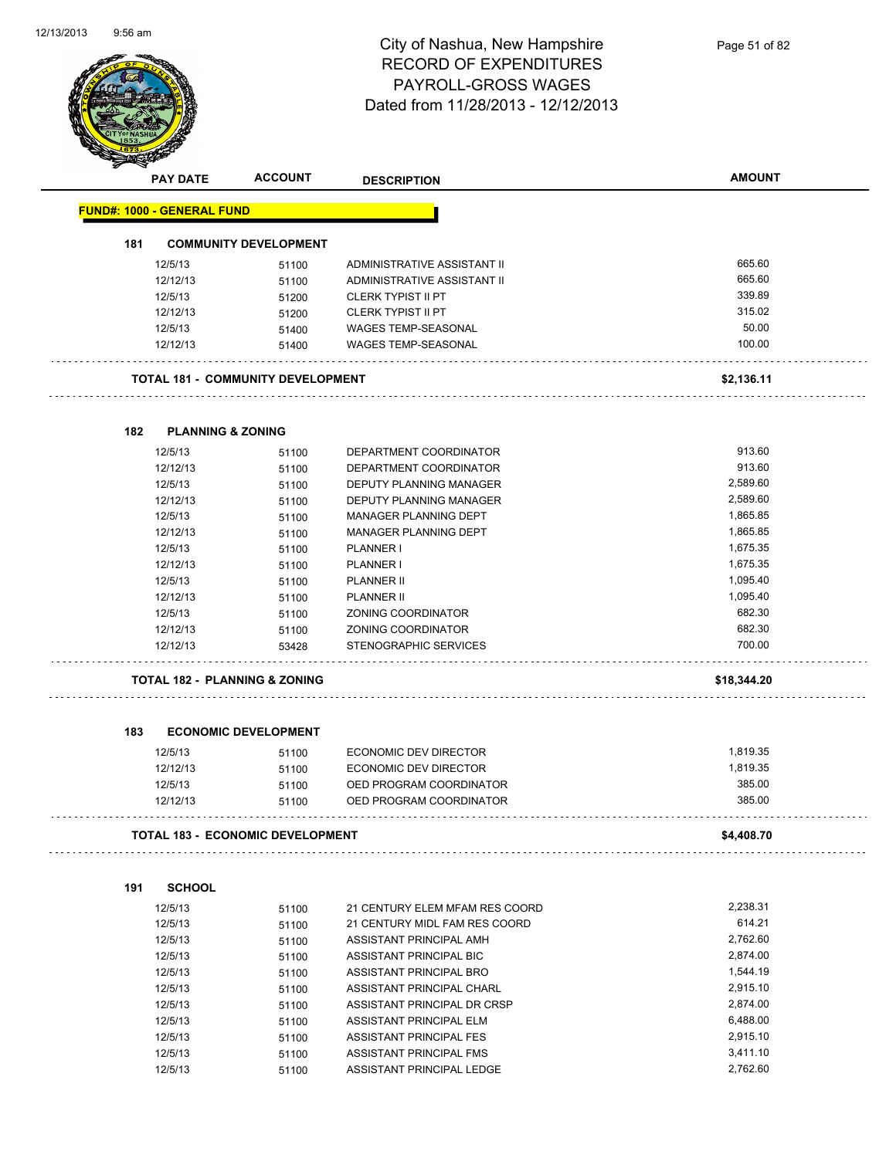

| <b>PAY DATE</b>                                                                                                                    | <b>ACCOUNT</b>                                                                         | <b>DESCRIPTION</b>                                                                                                                                                                                                                                                                            | <b>AMOUNT</b>                                                                                                      |
|------------------------------------------------------------------------------------------------------------------------------------|----------------------------------------------------------------------------------------|-----------------------------------------------------------------------------------------------------------------------------------------------------------------------------------------------------------------------------------------------------------------------------------------------|--------------------------------------------------------------------------------------------------------------------|
| <b>FUND#: 1000 - GENERAL FUND</b>                                                                                                  |                                                                                        |                                                                                                                                                                                                                                                                                               |                                                                                                                    |
| 181                                                                                                                                | <b>COMMUNITY DEVELOPMENT</b>                                                           |                                                                                                                                                                                                                                                                                               |                                                                                                                    |
| 12/5/13                                                                                                                            | 51100                                                                                  | ADMINISTRATIVE ASSISTANT II                                                                                                                                                                                                                                                                   | 665.60                                                                                                             |
| 12/12/13                                                                                                                           | 51100                                                                                  | ADMINISTRATIVE ASSISTANT II                                                                                                                                                                                                                                                                   | 665.60                                                                                                             |
| 12/5/13                                                                                                                            | 51200                                                                                  | <b>CLERK TYPIST II PT</b>                                                                                                                                                                                                                                                                     | 339.89                                                                                                             |
| 12/12/13                                                                                                                           | 51200                                                                                  | <b>CLERK TYPIST II PT</b>                                                                                                                                                                                                                                                                     | 315.02                                                                                                             |
| 12/5/13                                                                                                                            | 51400                                                                                  | WAGES TEMP-SEASONAL                                                                                                                                                                                                                                                                           | 50.00                                                                                                              |
| 12/12/13                                                                                                                           | 51400                                                                                  | <b>WAGES TEMP-SEASONAL</b>                                                                                                                                                                                                                                                                    | 100.00                                                                                                             |
|                                                                                                                                    | <b>TOTAL 181 - COMMUNITY DEVELOPMENT</b>                                               |                                                                                                                                                                                                                                                                                               | \$2,136.11                                                                                                         |
| <b>PLANNING &amp; ZONING</b><br>182                                                                                                |                                                                                        |                                                                                                                                                                                                                                                                                               |                                                                                                                    |
| 12/5/13                                                                                                                            | 51100                                                                                  | DEPARTMENT COORDINATOR                                                                                                                                                                                                                                                                        | 913.60                                                                                                             |
| 12/12/13                                                                                                                           | 51100                                                                                  | DEPARTMENT COORDINATOR                                                                                                                                                                                                                                                                        | 913.60                                                                                                             |
| 12/5/13                                                                                                                            | 51100                                                                                  | <b>DEPUTY PLANNING MANAGER</b>                                                                                                                                                                                                                                                                | 2,589.60                                                                                                           |
| 12/12/13                                                                                                                           | 51100                                                                                  | DEPUTY PLANNING MANAGER                                                                                                                                                                                                                                                                       | 2,589.60                                                                                                           |
| 12/5/13                                                                                                                            | 51100                                                                                  | MANAGER PLANNING DEPT                                                                                                                                                                                                                                                                         | 1,865.85                                                                                                           |
| 12/12/13                                                                                                                           | 51100                                                                                  | <b>MANAGER PLANNING DEPT</b>                                                                                                                                                                                                                                                                  | 1,865.85                                                                                                           |
| 12/5/13                                                                                                                            | 51100                                                                                  | <b>PLANNER I</b>                                                                                                                                                                                                                                                                              | 1,675.35                                                                                                           |
| 12/12/13                                                                                                                           | 51100                                                                                  | <b>PLANNER I</b>                                                                                                                                                                                                                                                                              | 1,675.35                                                                                                           |
| 12/5/13                                                                                                                            | 51100                                                                                  | <b>PLANNER II</b>                                                                                                                                                                                                                                                                             | 1,095.40                                                                                                           |
| 12/12/13                                                                                                                           | 51100                                                                                  | <b>PLANNER II</b>                                                                                                                                                                                                                                                                             | 1,095.40                                                                                                           |
| 12/5/13                                                                                                                            | 51100                                                                                  | ZONING COORDINATOR                                                                                                                                                                                                                                                                            | 682.30                                                                                                             |
| 12/12/13                                                                                                                           | 51100                                                                                  | ZONING COORDINATOR                                                                                                                                                                                                                                                                            | 682.30                                                                                                             |
| 12/12/13                                                                                                                           | 53428                                                                                  | STENOGRAPHIC SERVICES                                                                                                                                                                                                                                                                         | 700.00                                                                                                             |
|                                                                                                                                    | <b>TOTAL 182 - PLANNING &amp; ZONING</b>                                               |                                                                                                                                                                                                                                                                                               |                                                                                                                    |
|                                                                                                                                    |                                                                                        |                                                                                                                                                                                                                                                                                               | \$18,344.20                                                                                                        |
| 183                                                                                                                                | <b>ECONOMIC DEVELOPMENT</b>                                                            |                                                                                                                                                                                                                                                                                               |                                                                                                                    |
| 12/5/13                                                                                                                            | 51100                                                                                  | <b>ECONOMIC DEV DIRECTOR</b>                                                                                                                                                                                                                                                                  | 1,819.35                                                                                                           |
| 12/12/13                                                                                                                           | 51100                                                                                  | ECONOMIC DEV DIRECTOR                                                                                                                                                                                                                                                                         | 1,819.35                                                                                                           |
| 12/5/13                                                                                                                            | 51100                                                                                  | OED PROGRAM COORDINATOR                                                                                                                                                                                                                                                                       | 385.00                                                                                                             |
| 12/12/13                                                                                                                           | 51100                                                                                  | OED PROGRAM COORDINATOR                                                                                                                                                                                                                                                                       | 385.00                                                                                                             |
|                                                                                                                                    | <b>TOTAL 183 - ECONOMIC DEVELOPMENT</b>                                                |                                                                                                                                                                                                                                                                                               | \$4,408.70                                                                                                         |
|                                                                                                                                    |                                                                                        |                                                                                                                                                                                                                                                                                               |                                                                                                                    |
|                                                                                                                                    |                                                                                        |                                                                                                                                                                                                                                                                                               |                                                                                                                    |
|                                                                                                                                    |                                                                                        |                                                                                                                                                                                                                                                                                               |                                                                                                                    |
|                                                                                                                                    |                                                                                        |                                                                                                                                                                                                                                                                                               |                                                                                                                    |
|                                                                                                                                    |                                                                                        |                                                                                                                                                                                                                                                                                               |                                                                                                                    |
|                                                                                                                                    |                                                                                        |                                                                                                                                                                                                                                                                                               |                                                                                                                    |
|                                                                                                                                    |                                                                                        |                                                                                                                                                                                                                                                                                               |                                                                                                                    |
|                                                                                                                                    |                                                                                        |                                                                                                                                                                                                                                                                                               |                                                                                                                    |
|                                                                                                                                    |                                                                                        |                                                                                                                                                                                                                                                                                               |                                                                                                                    |
|                                                                                                                                    |                                                                                        |                                                                                                                                                                                                                                                                                               |                                                                                                                    |
|                                                                                                                                    |                                                                                        |                                                                                                                                                                                                                                                                                               |                                                                                                                    |
| <b>SCHOOL</b><br>191<br>12/5/13<br>12/5/13<br>12/5/13<br>12/5/13<br>12/5/13<br>12/5/13<br>12/5/13<br>12/5/13<br>12/5/13<br>12/5/13 | 51100<br>51100<br>51100<br>51100<br>51100<br>51100<br>51100<br>51100<br>51100<br>51100 | 21 CENTURY ELEM MFAM RES COORD<br>21 CENTURY MIDL FAM RES COORD<br>ASSISTANT PRINCIPAL AMH<br>ASSISTANT PRINCIPAL BIC<br>ASSISTANT PRINCIPAL BRO<br>ASSISTANT PRINCIPAL CHARL<br>ASSISTANT PRINCIPAL DR CRSP<br>ASSISTANT PRINCIPAL ELM<br>ASSISTANT PRINCIPAL FES<br>ASSISTANT PRINCIPAL FMS | 2,238.31<br>614.21<br>2,762.60<br>2,874.00<br>1,544.19<br>2,915.10<br>2,874.00<br>6,488.00<br>2,915.10<br>3,411.10 |

12/5/13 51100 ASSISTANT PRINCIPAL LEDGE 2,762.60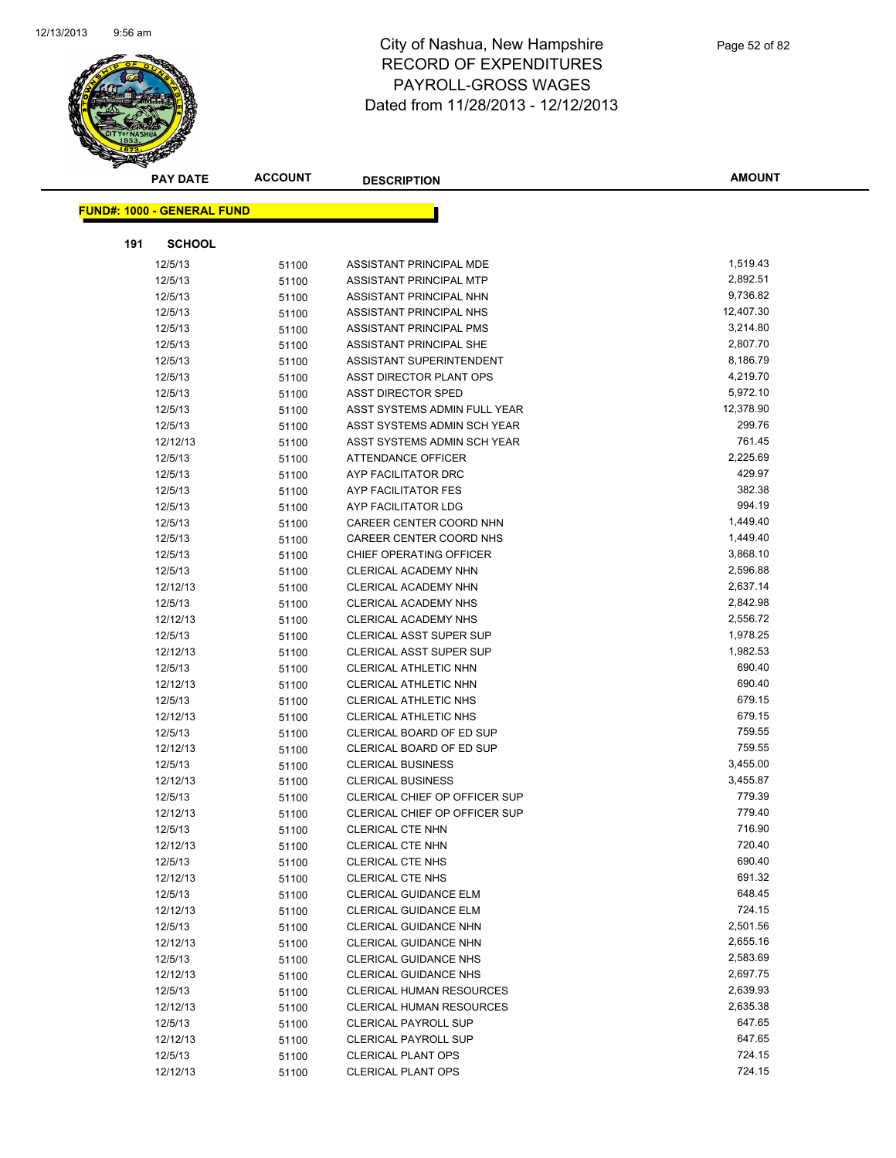

|     | <b>PAY DATE</b>                   | <b>ACCOUNT</b> | <b>DESCRIPTION</b>                                           | <b>AMOUNT</b>      |
|-----|-----------------------------------|----------------|--------------------------------------------------------------|--------------------|
|     | <b>FUND#: 1000 - GENERAL FUND</b> |                |                                                              |                    |
|     |                                   |                |                                                              |                    |
| 191 | <b>SCHOOL</b>                     |                |                                                              |                    |
|     | 12/5/13                           | 51100          | ASSISTANT PRINCIPAL MDE                                      | 1,519.43           |
|     | 12/5/13                           | 51100          | ASSISTANT PRINCIPAL MTP                                      | 2,892.51           |
|     | 12/5/13                           | 51100          | ASSISTANT PRINCIPAL NHN                                      | 9,736.82           |
|     | 12/5/13                           | 51100          | ASSISTANT PRINCIPAL NHS                                      | 12,407.30          |
|     | 12/5/13                           | 51100          | ASSISTANT PRINCIPAL PMS                                      | 3,214.80           |
|     | 12/5/13                           | 51100          | ASSISTANT PRINCIPAL SHE                                      | 2,807.70           |
|     | 12/5/13                           | 51100          | ASSISTANT SUPERINTENDENT                                     | 8,186.79           |
|     | 12/5/13                           | 51100          | ASST DIRECTOR PLANT OPS                                      | 4,219.70           |
|     | 12/5/13                           | 51100          | <b>ASST DIRECTOR SPED</b>                                    | 5,972.10           |
|     | 12/5/13                           | 51100          | ASST SYSTEMS ADMIN FULL YEAR                                 | 12,378.90          |
|     | 12/5/13                           | 51100          | ASST SYSTEMS ADMIN SCH YEAR                                  | 299.76             |
|     | 12/12/13                          | 51100          | ASST SYSTEMS ADMIN SCH YEAR                                  | 761.45             |
|     | 12/5/13                           | 51100          | ATTENDANCE OFFICER                                           | 2,225.69           |
|     | 12/5/13                           | 51100          | AYP FACILITATOR DRC                                          | 429.97             |
|     | 12/5/13                           | 51100          | AYP FACILITATOR FES                                          | 382.38             |
|     | 12/5/13                           | 51100          | AYP FACILITATOR LDG                                          | 994.19             |
|     | 12/5/13                           | 51100          | CAREER CENTER COORD NHN                                      | 1,449.40           |
|     | 12/5/13                           | 51100          | CAREER CENTER COORD NHS                                      | 1,449.40           |
|     | 12/5/13                           | 51100          | CHIEF OPERATING OFFICER                                      | 3,868.10           |
|     | 12/5/13                           | 51100          | CLERICAL ACADEMY NHN                                         | 2,596.88           |
|     | 12/12/13                          | 51100          | CLERICAL ACADEMY NHN                                         | 2,637.14           |
|     | 12/5/13                           | 51100          | <b>CLERICAL ACADEMY NHS</b>                                  | 2,842.98           |
|     | 12/12/13                          | 51100          | <b>CLERICAL ACADEMY NHS</b>                                  | 2,556.72           |
|     | 12/5/13                           | 51100          | <b>CLERICAL ASST SUPER SUP</b>                               | 1,978.25           |
|     | 12/12/13                          | 51100          | <b>CLERICAL ASST SUPER SUP</b>                               | 1,982.53           |
|     | 12/5/13                           | 51100          | CLERICAL ATHLETIC NHN                                        | 690.40             |
|     | 12/12/13                          | 51100          | CLERICAL ATHLETIC NHN                                        | 690.40             |
|     | 12/5/13                           | 51100          | CLERICAL ATHLETIC NHS                                        | 679.15             |
|     | 12/12/13                          | 51100          | <b>CLERICAL ATHLETIC NHS</b>                                 | 679.15             |
|     | 12/5/13                           | 51100          | CLERICAL BOARD OF ED SUP                                     | 759.55             |
|     | 12/12/13                          | 51100          | CLERICAL BOARD OF ED SUP                                     | 759.55             |
|     | 12/5/13                           | 51100          | <b>CLERICAL BUSINESS</b>                                     | 3,455.00           |
|     | 12/12/13                          | 51100          | <b>CLERICAL BUSINESS</b>                                     | 3,455.87           |
|     | 12/5/13                           | 51100          | <b>CLERICAL CHIEF OP OFFICER SUP</b>                         | 779.39             |
|     | 12/12/13                          | 51100          | <b>CLERICAL CHIEF OP OFFICER SUP</b>                         | 779.40             |
|     | 12/5/13                           | 51100          | CLERICAL CTE NHN                                             | 716.90             |
|     | 12/12/13                          | 51100          | <b>CLERICAL CTE NHN</b>                                      | 720.40             |
|     | 12/5/13                           | 51100          | <b>CLERICAL CTE NHS</b>                                      | 690.40             |
|     | 12/12/13                          | 51100          | <b>CLERICAL CTE NHS</b>                                      | 691.32             |
|     | 12/5/13                           | 51100          | <b>CLERICAL GUIDANCE ELM</b>                                 | 648.45             |
|     | 12/12/13                          | 51100          | <b>CLERICAL GUIDANCE ELM</b>                                 | 724.15<br>2,501.56 |
|     | 12/5/13<br>12/12/13               | 51100          | CLERICAL GUIDANCE NHN<br><b>CLERICAL GUIDANCE NHN</b>        | 2,655.16           |
|     |                                   | 51100          |                                                              | 2,583.69           |
|     | 12/5/13<br>12/12/13               | 51100          | <b>CLERICAL GUIDANCE NHS</b><br><b>CLERICAL GUIDANCE NHS</b> | 2,697.75           |
|     | 12/5/13                           | 51100          | <b>CLERICAL HUMAN RESOURCES</b>                              | 2,639.93           |
|     | 12/12/13                          | 51100          | CLERICAL HUMAN RESOURCES                                     | 2,635.38           |
|     | 12/5/13                           | 51100<br>51100 | <b>CLERICAL PAYROLL SUP</b>                                  | 647.65             |
|     | 12/12/13                          | 51100          | <b>CLERICAL PAYROLL SUP</b>                                  | 647.65             |
|     | 12/5/13                           | 51100          | <b>CLERICAL PLANT OPS</b>                                    | 724.15             |
|     | 12/12/13                          | 51100          | <b>CLERICAL PLANT OPS</b>                                    | 724.15             |
|     |                                   |                |                                                              |                    |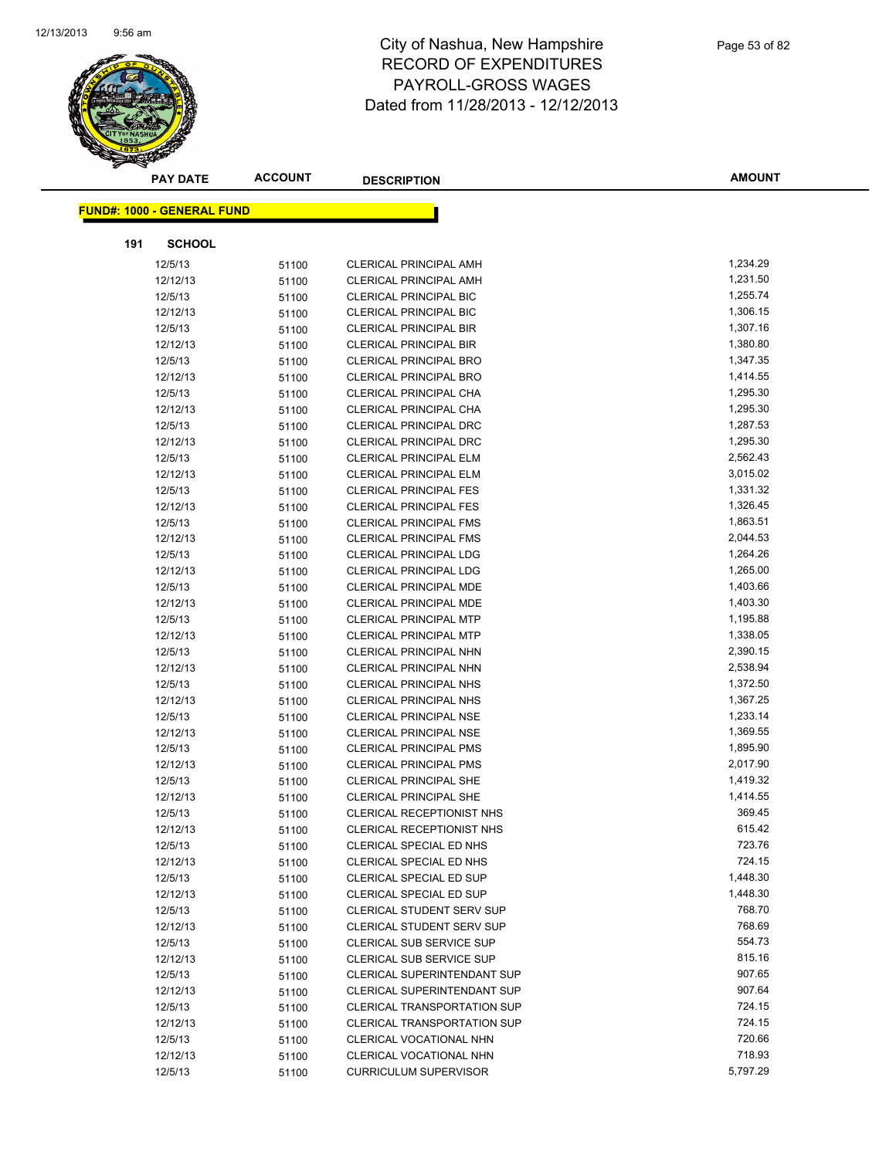

|     | <b>PAY DATE</b>                   | <b>ACCOUNT</b> | <b>DESCRIPTION</b>                 | <b>AMOUNT</b> |
|-----|-----------------------------------|----------------|------------------------------------|---------------|
|     |                                   |                |                                    |               |
|     | <b>FUND#: 1000 - GENERAL FUND</b> |                |                                    |               |
| 191 | <b>SCHOOL</b>                     |                |                                    |               |
|     | 12/5/13                           | 51100          | <b>CLERICAL PRINCIPAL AMH</b>      | 1,234.29      |
|     | 12/12/13                          | 51100          | <b>CLERICAL PRINCIPAL AMH</b>      | 1,231.50      |
|     | 12/5/13                           | 51100          | <b>CLERICAL PRINCIPAL BIC</b>      | 1,255.74      |
|     | 12/12/13                          | 51100          | <b>CLERICAL PRINCIPAL BIC</b>      | 1,306.15      |
|     | 12/5/13                           | 51100          | <b>CLERICAL PRINCIPAL BIR</b>      | 1,307.16      |
|     | 12/12/13                          | 51100          | <b>CLERICAL PRINCIPAL BIR</b>      | 1,380.80      |
|     | 12/5/13                           | 51100          | <b>CLERICAL PRINCIPAL BRO</b>      | 1,347.35      |
|     | 12/12/13                          | 51100          | <b>CLERICAL PRINCIPAL BRO</b>      | 1,414.55      |
|     | 12/5/13                           | 51100          | CLERICAL PRINCIPAL CHA             | 1,295.30      |
|     | 12/12/13                          | 51100          | CLERICAL PRINCIPAL CHA             | 1,295.30      |
|     | 12/5/13                           | 51100          | <b>CLERICAL PRINCIPAL DRC</b>      | 1,287.53      |
|     | 12/12/13                          | 51100          | <b>CLERICAL PRINCIPAL DRC</b>      | 1,295.30      |
|     | 12/5/13                           | 51100          | <b>CLERICAL PRINCIPAL ELM</b>      | 2,562.43      |
|     | 12/12/13                          | 51100          | <b>CLERICAL PRINCIPAL ELM</b>      | 3,015.02      |
|     | 12/5/13                           | 51100          | <b>CLERICAL PRINCIPAL FES</b>      | 1,331.32      |
|     | 12/12/13                          | 51100          | <b>CLERICAL PRINCIPAL FES</b>      | 1,326.45      |
|     | 12/5/13                           | 51100          | <b>CLERICAL PRINCIPAL FMS</b>      | 1,863.51      |
|     | 12/12/13                          | 51100          | <b>CLERICAL PRINCIPAL FMS</b>      | 2,044.53      |
|     | 12/5/13                           | 51100          | <b>CLERICAL PRINCIPAL LDG</b>      | 1,264.26      |
|     | 12/12/13                          | 51100          | <b>CLERICAL PRINCIPAL LDG</b>      | 1,265.00      |
|     | 12/5/13                           | 51100          | CLERICAL PRINCIPAL MDE             | 1,403.66      |
|     | 12/12/13                          | 51100          | <b>CLERICAL PRINCIPAL MDE</b>      | 1,403.30      |
|     | 12/5/13                           | 51100          | <b>CLERICAL PRINCIPAL MTP</b>      | 1,195.88      |
|     | 12/12/13                          | 51100          | <b>CLERICAL PRINCIPAL MTP</b>      | 1,338.05      |
|     | 12/5/13                           | 51100          | <b>CLERICAL PRINCIPAL NHN</b>      | 2,390.15      |
|     | 12/12/13                          | 51100          | <b>CLERICAL PRINCIPAL NHN</b>      | 2,538.94      |
|     | 12/5/13                           | 51100          | <b>CLERICAL PRINCIPAL NHS</b>      | 1,372.50      |
|     | 12/12/13                          | 51100          | <b>CLERICAL PRINCIPAL NHS</b>      | 1,367.25      |
|     | 12/5/13                           | 51100          | <b>CLERICAL PRINCIPAL NSE</b>      | 1,233.14      |
|     | 12/12/13                          | 51100          | <b>CLERICAL PRINCIPAL NSE</b>      | 1,369.55      |
|     | 12/5/13                           | 51100          | <b>CLERICAL PRINCIPAL PMS</b>      | 1,895.90      |
|     | 12/12/13                          | 51100          | <b>CLERICAL PRINCIPAL PMS</b>      | 2,017.90      |
|     | 12/5/13                           | 51100          | <b>CLERICAL PRINCIPAL SHE</b>      | 1,419.32      |
|     | 12/12/13                          | 51100          | <b>CLERICAL PRINCIPAL SHE</b>      | 1,414.55      |
|     | 12/5/13                           | 51100          | <b>CLERICAL RECEPTIONIST NHS</b>   | 369.45        |
|     | 12/12/13                          | 51100          | CLERICAL RECEPTIONIST NHS          | 615.42        |
|     | 12/5/13                           | 51100          | CLERICAL SPECIAL ED NHS            | 723.76        |
|     | 12/12/13                          | 51100          | CLERICAL SPECIAL ED NHS            | 724.15        |
|     | 12/5/13                           | 51100          | CLERICAL SPECIAL ED SUP            | 1,448.30      |
|     | 12/12/13                          | 51100          | CLERICAL SPECIAL ED SUP            | 1,448.30      |
|     | 12/5/13                           | 51100          | <b>CLERICAL STUDENT SERV SUP</b>   | 768.70        |
|     | 12/12/13                          | 51100          | <b>CLERICAL STUDENT SERV SUP</b>   | 768.69        |
|     | 12/5/13                           | 51100          | CLERICAL SUB SERVICE SUP           | 554.73        |
|     | 12/12/13                          | 51100          | CLERICAL SUB SERVICE SUP           | 815.16        |
|     | 12/5/13                           | 51100          | <b>CLERICAL SUPERINTENDANT SUP</b> | 907.65        |
|     | 12/12/13                          | 51100          | <b>CLERICAL SUPERINTENDANT SUP</b> | 907.64        |
|     | 12/5/13                           | 51100          | <b>CLERICAL TRANSPORTATION SUP</b> | 724.15        |
|     | 12/12/13                          | 51100          | CLERICAL TRANSPORTATION SUP        | 724.15        |
|     | 12/5/13                           | 51100          | CLERICAL VOCATIONAL NHN            | 720.66        |
|     | 12/12/13                          | 51100          | CLERICAL VOCATIONAL NHN            | 718.93        |
|     | 12/5/13                           | 51100          | <b>CURRICULUM SUPERVISOR</b>       | 5,797.29      |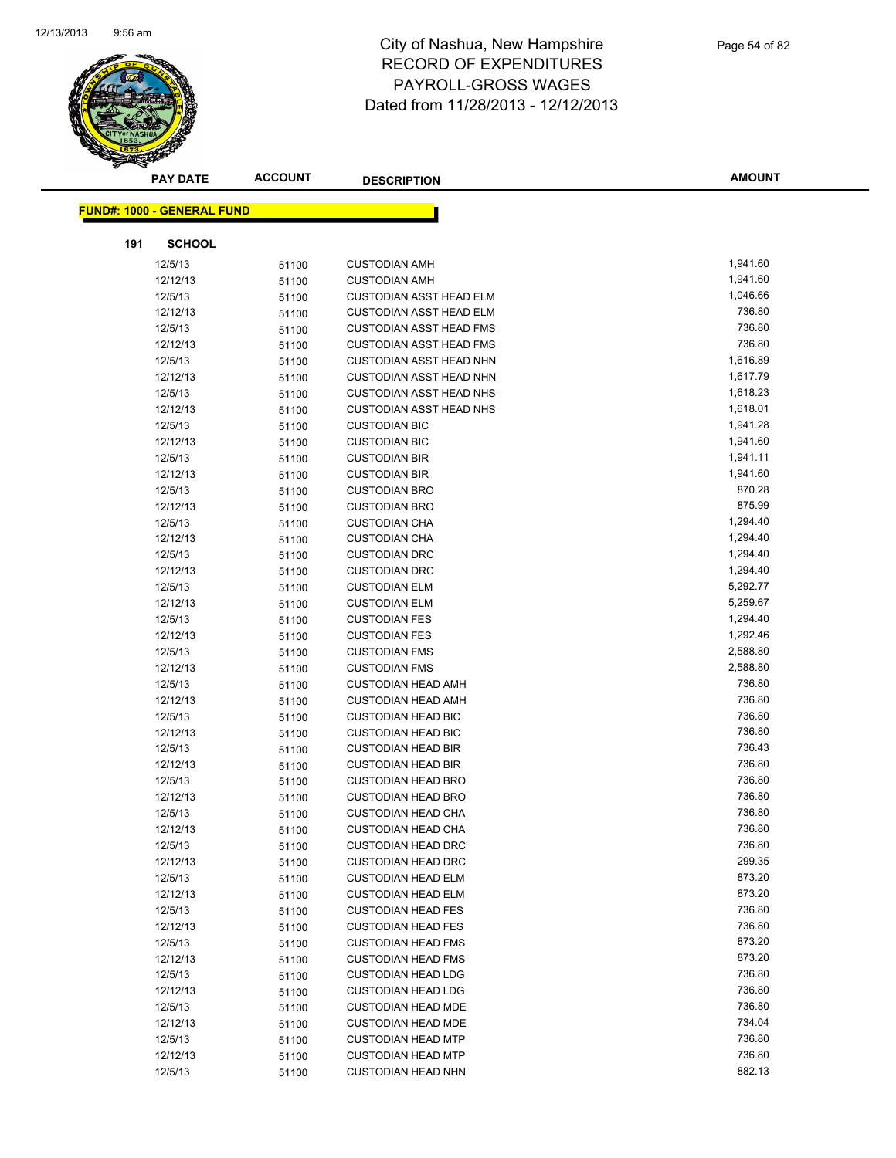

| <b>PAY DATE</b>                   | <b>ACCOUNT</b> | <b>DESCRIPTION</b>                                     | <b>AMOUNT</b>    |
|-----------------------------------|----------------|--------------------------------------------------------|------------------|
| <b>FUND#: 1000 - GENERAL FUND</b> |                |                                                        |                  |
|                                   |                |                                                        |                  |
| 191<br><b>SCHOOL</b>              |                |                                                        |                  |
| 12/5/13                           | 51100          | <b>CUSTODIAN AMH</b>                                   | 1,941.60         |
| 12/12/13                          | 51100          | <b>CUSTODIAN AMH</b>                                   | 1,941.60         |
| 12/5/13                           | 51100          | <b>CUSTODIAN ASST HEAD ELM</b>                         | 1,046.66         |
| 12/12/13                          | 51100          | <b>CUSTODIAN ASST HEAD ELM</b>                         | 736.80           |
| 12/5/13                           | 51100          | <b>CUSTODIAN ASST HEAD FMS</b>                         | 736.80           |
| 12/12/13                          | 51100          | <b>CUSTODIAN ASST HEAD FMS</b>                         | 736.80           |
| 12/5/13                           | 51100          | <b>CUSTODIAN ASST HEAD NHN</b>                         | 1,616.89         |
| 12/12/13                          | 51100          | <b>CUSTODIAN ASST HEAD NHN</b>                         | 1,617.79         |
| 12/5/13                           | 51100          | <b>CUSTODIAN ASST HEAD NHS</b>                         | 1,618.23         |
| 12/12/13                          | 51100          | <b>CUSTODIAN ASST HEAD NHS</b>                         | 1,618.01         |
| 12/5/13                           | 51100          | <b>CUSTODIAN BIC</b>                                   | 1,941.28         |
| 12/12/13                          | 51100          | <b>CUSTODIAN BIC</b>                                   | 1,941.60         |
| 12/5/13                           | 51100          | <b>CUSTODIAN BIR</b>                                   | 1,941.11         |
| 12/12/13                          | 51100          | <b>CUSTODIAN BIR</b>                                   | 1,941.60         |
| 12/5/13                           | 51100          | <b>CUSTODIAN BRO</b>                                   | 870.28           |
| 12/12/13                          | 51100          | <b>CUSTODIAN BRO</b>                                   | 875.99           |
| 12/5/13                           | 51100          | <b>CUSTODIAN CHA</b>                                   | 1,294.40         |
| 12/12/13                          | 51100          | <b>CUSTODIAN CHA</b>                                   | 1,294.40         |
| 12/5/13                           | 51100          | <b>CUSTODIAN DRC</b>                                   | 1,294.40         |
| 12/12/13                          | 51100          | <b>CUSTODIAN DRC</b>                                   | 1,294.40         |
| 12/5/13                           | 51100          | <b>CUSTODIAN ELM</b>                                   | 5,292.77         |
| 12/12/13                          | 51100          | <b>CUSTODIAN ELM</b>                                   | 5,259.67         |
| 12/5/13                           | 51100          | <b>CUSTODIAN FES</b>                                   | 1,294.40         |
| 12/12/13                          | 51100          | <b>CUSTODIAN FES</b>                                   | 1,292.46         |
| 12/5/13                           | 51100          | <b>CUSTODIAN FMS</b>                                   | 2,588.80         |
| 12/12/13                          | 51100          | <b>CUSTODIAN FMS</b>                                   | 2,588.80         |
| 12/5/13                           | 51100          | <b>CUSTODIAN HEAD AMH</b>                              | 736.80           |
| 12/12/13                          | 51100          | <b>CUSTODIAN HEAD AMH</b>                              | 736.80           |
| 12/5/13                           | 51100          | <b>CUSTODIAN HEAD BIC</b>                              | 736.80           |
| 12/12/13                          | 51100          | <b>CUSTODIAN HEAD BIC</b>                              | 736.80           |
| 12/5/13                           | 51100          | <b>CUSTODIAN HEAD BIR</b>                              | 736.43           |
| 12/12/13                          | 51100          | <b>CUSTODIAN HEAD BIR</b>                              | 736.80           |
| 12/5/13                           | 51100          | <b>CUSTODIAN HEAD BRO</b>                              | 736.80           |
| 12/12/13                          | 51100          | <b>CUSTODIAN HEAD BRO</b>                              | 736.80           |
| 12/5/13                           | 51100          | <b>CUSTODIAN HEAD CHA</b>                              | 736.80           |
| 12/12/13                          | 51100          | <b>CUSTODIAN HEAD CHA</b>                              | 736.80           |
| 12/5/13                           | 51100          | <b>CUSTODIAN HEAD DRC</b>                              | 736.80           |
| 12/12/13                          | 51100          | <b>CUSTODIAN HEAD DRC</b>                              | 299.35           |
| 12/5/13                           | 51100          | <b>CUSTODIAN HEAD ELM</b>                              | 873.20           |
| 12/12/13                          | 51100          | <b>CUSTODIAN HEAD ELM</b>                              | 873.20           |
| 12/5/13                           | 51100          | <b>CUSTODIAN HEAD FES</b>                              | 736.80<br>736.80 |
| 12/12/13                          | 51100          | <b>CUSTODIAN HEAD FES</b>                              |                  |
| 12/5/13                           | 51100          | <b>CUSTODIAN HEAD FMS</b>                              | 873.20<br>873.20 |
| 12/12/13                          | 51100          | <b>CUSTODIAN HEAD FMS</b>                              | 736.80           |
| 12/5/13                           | 51100          | <b>CUSTODIAN HEAD LDG</b>                              | 736.80           |
| 12/12/13                          | 51100          | <b>CUSTODIAN HEAD LDG</b>                              | 736.80           |
| 12/5/13                           | 51100          | <b>CUSTODIAN HEAD MDE</b>                              | 734.04           |
| 12/12/13                          | 51100          | <b>CUSTODIAN HEAD MDE</b>                              | 736.80           |
| 12/5/13                           | 51100          | <b>CUSTODIAN HEAD MTP</b>                              | 736.80           |
| 12/12/13                          | 51100          | <b>CUSTODIAN HEAD MTP</b><br><b>CUSTODIAN HEAD NHN</b> | 882.13           |
| 12/5/13                           | 51100          |                                                        |                  |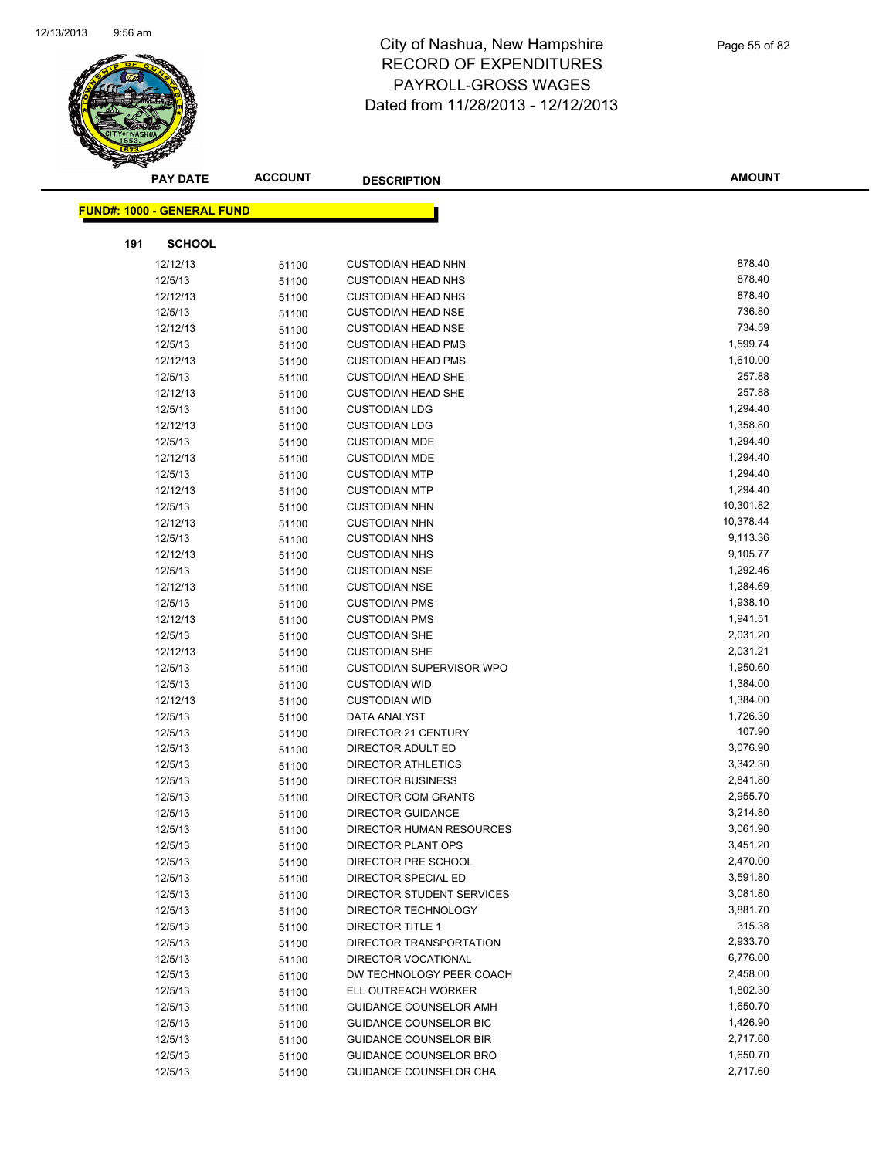

|     | <b>PAY DATE</b>                   | <b>ACCOUNT</b> | <b>DESCRIPTION</b>                                   | <b>AMOUNT</b>        |
|-----|-----------------------------------|----------------|------------------------------------------------------|----------------------|
|     |                                   |                |                                                      |                      |
|     | <b>FUND#: 1000 - GENERAL FUND</b> |                |                                                      |                      |
| 191 | <b>SCHOOL</b>                     |                |                                                      |                      |
|     | 12/12/13                          | 51100          | <b>CUSTODIAN HEAD NHN</b>                            | 878.40               |
|     | 12/5/13                           | 51100          | <b>CUSTODIAN HEAD NHS</b>                            | 878.40               |
|     | 12/12/13                          | 51100          | <b>CUSTODIAN HEAD NHS</b>                            | 878.40               |
|     | 12/5/13                           | 51100          | <b>CUSTODIAN HEAD NSE</b>                            | 736.80               |
|     | 12/12/13                          | 51100          | <b>CUSTODIAN HEAD NSE</b>                            | 734.59               |
|     | 12/5/13                           | 51100          | <b>CUSTODIAN HEAD PMS</b>                            | 1,599.74             |
|     | 12/12/13                          | 51100          | <b>CUSTODIAN HEAD PMS</b>                            | 1,610.00             |
|     | 12/5/13                           | 51100          | <b>CUSTODIAN HEAD SHE</b>                            | 257.88               |
|     | 12/12/13                          | 51100          | <b>CUSTODIAN HEAD SHE</b>                            | 257.88               |
|     | 12/5/13                           | 51100          | <b>CUSTODIAN LDG</b>                                 | 1,294.40             |
|     | 12/12/13                          | 51100          | <b>CUSTODIAN LDG</b>                                 | 1,358.80             |
|     | 12/5/13                           | 51100          | <b>CUSTODIAN MDE</b>                                 | 1,294.40             |
|     | 12/12/13                          | 51100          | <b>CUSTODIAN MDE</b>                                 | 1,294.40             |
|     | 12/5/13                           | 51100          | <b>CUSTODIAN MTP</b>                                 | 1,294.40             |
|     | 12/12/13                          | 51100          | <b>CUSTODIAN MTP</b>                                 | 1,294.40             |
|     | 12/5/13                           | 51100          | <b>CUSTODIAN NHN</b>                                 | 10,301.82            |
|     | 12/12/13                          | 51100          | <b>CUSTODIAN NHN</b>                                 | 10,378.44            |
|     | 12/5/13                           | 51100          | <b>CUSTODIAN NHS</b>                                 | 9,113.36             |
|     | 12/12/13                          | 51100          | <b>CUSTODIAN NHS</b>                                 | 9,105.77             |
|     | 12/5/13                           | 51100          | <b>CUSTODIAN NSE</b>                                 | 1,292.46             |
|     | 12/12/13                          | 51100          | <b>CUSTODIAN NSE</b>                                 | 1,284.69             |
|     | 12/5/13                           | 51100          | <b>CUSTODIAN PMS</b>                                 | 1,938.10             |
|     | 12/12/13                          | 51100          | <b>CUSTODIAN PMS</b>                                 | 1,941.51             |
|     | 12/5/13                           | 51100          | <b>CUSTODIAN SHE</b>                                 | 2,031.20             |
|     | 12/12/13                          | 51100          | <b>CUSTODIAN SHE</b>                                 | 2,031.21             |
|     | 12/5/13                           | 51100          | <b>CUSTODIAN SUPERVISOR WPO</b>                      | 1,950.60             |
|     | 12/5/13                           | 51100          | <b>CUSTODIAN WID</b>                                 | 1,384.00             |
|     | 12/12/13                          | 51100          | <b>CUSTODIAN WID</b>                                 | 1,384.00             |
|     | 12/5/13                           | 51100          | DATA ANALYST                                         | 1,726.30             |
|     | 12/5/13                           | 51100          | DIRECTOR 21 CENTURY                                  | 107.90               |
|     | 12/5/13                           | 51100          | DIRECTOR ADULT ED                                    | 3,076.90             |
|     | 12/5/13                           | 51100          | <b>DIRECTOR ATHLETICS</b>                            | 3,342.30             |
|     | 12/5/13                           | 51100          | <b>DIRECTOR BUSINESS</b>                             | 2,841.80             |
|     | 12/5/13                           | 51100          | DIRECTOR COM GRANTS                                  | 2,955.70             |
|     | 12/5/13                           | 51100          | <b>DIRECTOR GUIDANCE</b>                             | 3,214.80             |
|     | 12/5/13                           | 51100          | DIRECTOR HUMAN RESOURCES                             | 3,061.90             |
|     | 12/5/13                           | 51100          | DIRECTOR PLANT OPS                                   | 3,451.20             |
|     | 12/5/13                           | 51100          | DIRECTOR PRE SCHOOL                                  | 2,470.00             |
|     | 12/5/13                           | 51100          | DIRECTOR SPECIAL ED                                  | 3,591.80             |
|     | 12/5/13                           | 51100          | DIRECTOR STUDENT SERVICES                            | 3,081.80             |
|     | 12/5/13                           | 51100          | DIRECTOR TECHNOLOGY                                  | 3,881.70             |
|     | 12/5/13                           | 51100          | <b>DIRECTOR TITLE 1</b>                              | 315.38               |
|     | 12/5/13                           | 51100          | DIRECTOR TRANSPORTATION                              | 2,933.70<br>6,776.00 |
|     | 12/5/13                           | 51100          | DIRECTOR VOCATIONAL                                  | 2,458.00             |
|     | 12/5/13                           | 51100          | DW TECHNOLOGY PEER COACH                             | 1,802.30             |
|     | 12/5/13<br>12/5/13                | 51100          | ELL OUTREACH WORKER<br><b>GUIDANCE COUNSELOR AMH</b> | 1,650.70             |
|     |                                   | 51100          | <b>GUIDANCE COUNSELOR BIC</b>                        | 1,426.90             |
|     | 12/5/13<br>12/5/13                | 51100          | <b>GUIDANCE COUNSELOR BIR</b>                        | 2,717.60             |
|     | 12/5/13                           | 51100<br>51100 | GUIDANCE COUNSELOR BRO                               | 1,650.70             |
|     | 12/5/13                           | 51100          | GUIDANCE COUNSELOR CHA                               | 2,717.60             |
|     |                                   |                |                                                      |                      |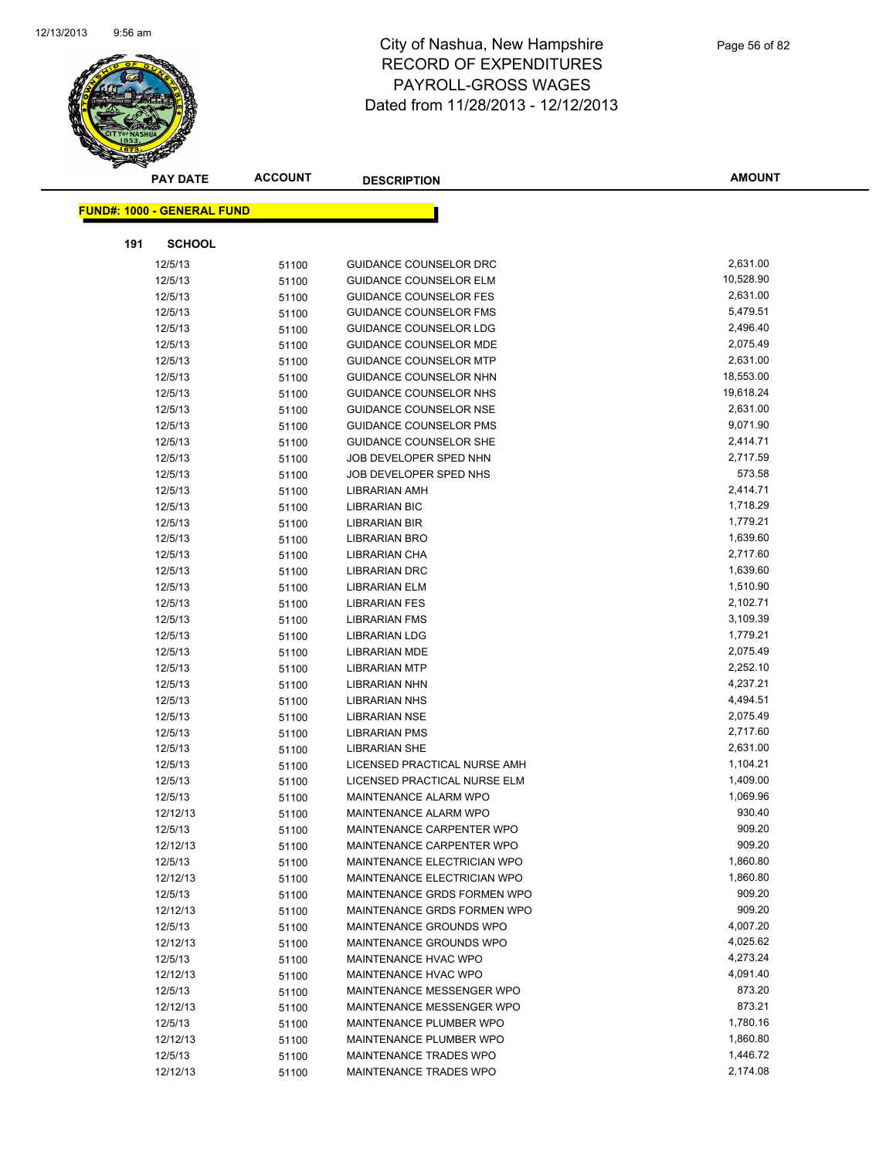

|     | <b>PAY DATE</b>                   | <b>ACCOUNT</b> | <b>DESCRIPTION</b>                                     | <b>AMOUNT</b>        |
|-----|-----------------------------------|----------------|--------------------------------------------------------|----------------------|
|     | <b>FUND#: 1000 - GENERAL FUND</b> |                |                                                        |                      |
|     |                                   |                |                                                        |                      |
| 191 | <b>SCHOOL</b>                     |                |                                                        |                      |
|     | 12/5/13                           | 51100          | GUIDANCE COUNSELOR DRC                                 | 2,631.00             |
|     | 12/5/13                           | 51100          | <b>GUIDANCE COUNSELOR ELM</b>                          | 10,528.90            |
|     | 12/5/13                           | 51100          | <b>GUIDANCE COUNSELOR FES</b>                          | 2,631.00             |
|     | 12/5/13                           | 51100          | <b>GUIDANCE COUNSELOR FMS</b>                          | 5,479.51             |
|     | 12/5/13                           | 51100          | <b>GUIDANCE COUNSELOR LDG</b>                          | 2,496.40             |
|     | 12/5/13                           | 51100          | <b>GUIDANCE COUNSELOR MDE</b>                          | 2,075.49             |
|     | 12/5/13                           | 51100          | <b>GUIDANCE COUNSELOR MTP</b>                          | 2,631.00             |
|     | 12/5/13                           | 51100          | <b>GUIDANCE COUNSELOR NHN</b>                          | 18,553.00            |
|     | 12/5/13                           | 51100          | GUIDANCE COUNSELOR NHS                                 | 19,618.24            |
|     | 12/5/13                           | 51100          | <b>GUIDANCE COUNSELOR NSE</b>                          | 2,631.00             |
|     | 12/5/13                           | 51100          | <b>GUIDANCE COUNSELOR PMS</b>                          | 9,071.90             |
|     | 12/5/13                           | 51100          | <b>GUIDANCE COUNSELOR SHE</b>                          | 2,414.71             |
|     | 12/5/13                           | 51100          | JOB DEVELOPER SPED NHN                                 | 2,717.59             |
|     | 12/5/13                           | 51100          | JOB DEVELOPER SPED NHS                                 | 573.58               |
|     | 12/5/13                           | 51100          | <b>LIBRARIAN AMH</b>                                   | 2,414.71             |
|     | 12/5/13                           | 51100          | <b>LIBRARIAN BIC</b>                                   | 1,718.29             |
|     | 12/5/13                           | 51100          | <b>LIBRARIAN BIR</b>                                   | 1,779.21             |
|     | 12/5/13                           | 51100          | <b>LIBRARIAN BRO</b>                                   | 1,639.60             |
|     | 12/5/13                           | 51100          | LIBRARIAN CHA                                          | 2,717.60             |
|     | 12/5/13                           | 51100          | <b>LIBRARIAN DRC</b>                                   | 1,639.60             |
|     | 12/5/13                           | 51100          | <b>LIBRARIAN ELM</b>                                   | 1,510.90             |
|     | 12/5/13                           | 51100          | <b>LIBRARIAN FES</b>                                   | 2,102.71             |
|     | 12/5/13                           | 51100          | <b>LIBRARIAN FMS</b>                                   | 3,109.39             |
|     | 12/5/13                           | 51100          | <b>LIBRARIAN LDG</b>                                   | 1,779.21             |
|     | 12/5/13                           | 51100          | <b>LIBRARIAN MDE</b>                                   | 2,075.49             |
|     | 12/5/13                           | 51100          | <b>LIBRARIAN MTP</b>                                   | 2,252.10             |
|     | 12/5/13                           | 51100          | <b>LIBRARIAN NHN</b>                                   | 4,237.21             |
|     | 12/5/13                           | 51100          | <b>LIBRARIAN NHS</b>                                   | 4,494.51             |
|     | 12/5/13                           | 51100          | <b>LIBRARIAN NSE</b>                                   | 2,075.49             |
|     | 12/5/13                           | 51100          | <b>LIBRARIAN PMS</b>                                   | 2,717.60             |
|     | 12/5/13                           | 51100          | <b>LIBRARIAN SHE</b>                                   | 2,631.00             |
|     | 12/5/13                           | 51100          | LICENSED PRACTICAL NURSE AMH                           | 1,104.21             |
|     | 12/5/13                           | 51100          | LICENSED PRACTICAL NURSE ELM                           | 1,409.00             |
|     | 12/5/13                           | 51100          | MAINTENANCE ALARM WPO                                  | 1,069.96             |
|     | 12/12/13                          | 51100          | MAINTENANCE ALARM WPO                                  | 930.40               |
|     | 12/5/13                           | 51100          | MAINTENANCE CARPENTER WPO                              | 909.20               |
|     | 12/12/13                          | 51100          | MAINTENANCE CARPENTER WPO                              | 909.20               |
|     | 12/5/13                           | 51100          | MAINTENANCE ELECTRICIAN WPO                            | 1,860.80             |
|     | 12/12/13                          | 51100          | MAINTENANCE ELECTRICIAN WPO                            | 1,860.80<br>909.20   |
|     | 12/5/13                           | 51100          | MAINTENANCE GRDS FORMEN WPO                            |                      |
|     | 12/12/13                          | 51100          | MAINTENANCE GRDS FORMEN WPO                            | 909.20<br>4,007.20   |
|     | 12/5/13                           | 51100          | MAINTENANCE GROUNDS WPO                                |                      |
|     | 12/12/13                          | 51100          | MAINTENANCE GROUNDS WPO<br>MAINTENANCE HVAC WPO        | 4,025.62<br>4,273.24 |
|     | 12/5/13                           | 51100          |                                                        |                      |
|     | 12/12/13                          | 51100          | MAINTENANCE HVAC WPO                                   | 4,091.40<br>873.20   |
|     | 12/5/13<br>12/12/13               | 51100          | MAINTENANCE MESSENGER WPO<br>MAINTENANCE MESSENGER WPO | 873.21               |
|     |                                   | 51100          | MAINTENANCE PLUMBER WPO                                | 1,780.16             |
|     | 12/5/13<br>12/12/13               | 51100          | MAINTENANCE PLUMBER WPO                                | 1,860.80             |
|     | 12/5/13                           | 51100          | MAINTENANCE TRADES WPO                                 | 1,446.72             |
|     | 12/12/13                          | 51100<br>51100 | MAINTENANCE TRADES WPO                                 | 2,174.08             |
|     |                                   |                |                                                        |                      |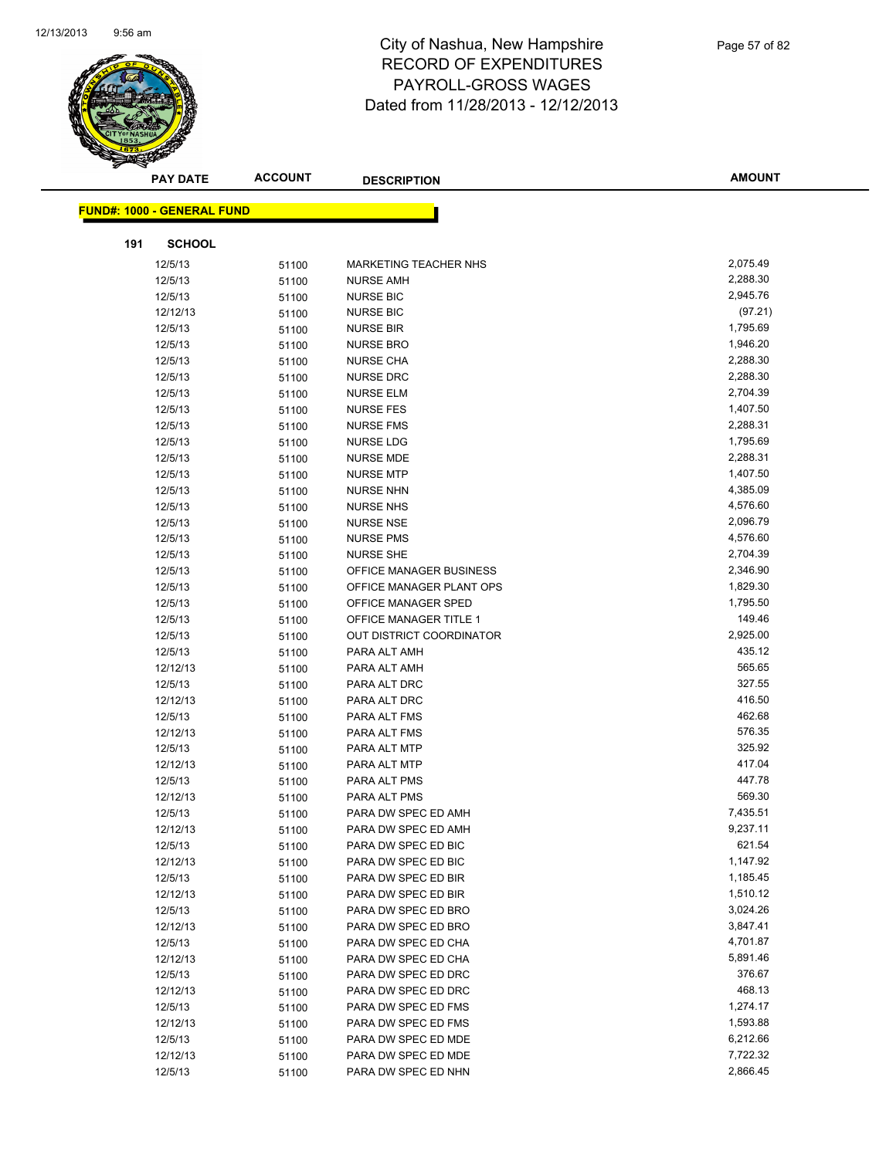

|     | <b>PAY DATE</b>                   | <b>ACCOUNT</b> | <b>DESCRIPTION</b>              | <b>AMOUNT</b>      |
|-----|-----------------------------------|----------------|---------------------------------|--------------------|
|     | <b>FUND#: 1000 - GENERAL FUND</b> |                |                                 |                    |
|     |                                   |                |                                 |                    |
| 191 | <b>SCHOOL</b>                     |                |                                 |                    |
|     | 12/5/13                           | 51100          | <b>MARKETING TEACHER NHS</b>    | 2,075.49           |
|     | 12/5/13                           | 51100          | <b>NURSE AMH</b>                | 2,288.30           |
|     | 12/5/13                           | 51100          | <b>NURSE BIC</b>                | 2,945.76           |
|     | 12/12/13                          | 51100          | <b>NURSE BIC</b>                | (97.21)            |
|     | 12/5/13                           | 51100          | <b>NURSE BIR</b>                | 1,795.69           |
|     | 12/5/13                           | 51100          | <b>NURSE BRO</b>                | 1,946.20           |
|     | 12/5/13                           | 51100          | <b>NURSE CHA</b>                | 2,288.30           |
|     | 12/5/13                           | 51100          | <b>NURSE DRC</b>                | 2,288.30           |
|     | 12/5/13                           | 51100          | <b>NURSE ELM</b>                | 2,704.39           |
|     | 12/5/13                           | 51100          | <b>NURSE FES</b>                | 1,407.50           |
|     | 12/5/13                           | 51100          | <b>NURSE FMS</b>                | 2,288.31           |
|     | 12/5/13                           | 51100          | <b>NURSE LDG</b>                | 1,795.69           |
|     | 12/5/13                           | 51100          | <b>NURSE MDE</b>                | 2,288.31           |
|     | 12/5/13                           | 51100          | <b>NURSE MTP</b>                | 1,407.50           |
|     | 12/5/13                           | 51100          | <b>NURSE NHN</b>                | 4,385.09           |
|     | 12/5/13                           | 51100          | <b>NURSE NHS</b>                | 4,576.60           |
|     | 12/5/13                           | 51100          | <b>NURSE NSE</b>                | 2,096.79           |
|     | 12/5/13                           | 51100          | <b>NURSE PMS</b>                | 4,576.60           |
|     | 12/5/13                           | 51100          | <b>NURSE SHE</b>                | 2,704.39           |
|     | 12/5/13                           | 51100          | <b>OFFICE MANAGER BUSINESS</b>  | 2,346.90           |
|     | 12/5/13                           | 51100          | OFFICE MANAGER PLANT OPS        | 1,829.30           |
|     | 12/5/13                           | 51100          | OFFICE MANAGER SPED             | 1,795.50           |
|     | 12/5/13                           | 51100          | <b>OFFICE MANAGER TITLE 1</b>   | 149.46             |
|     | 12/5/13                           | 51100          | <b>OUT DISTRICT COORDINATOR</b> | 2,925.00<br>435.12 |
|     | 12/5/13                           | 51100          | PARA ALT AMH                    | 565.65             |
|     | 12/12/13                          | 51100          | PARA ALT AMH                    | 327.55             |
|     | 12/5/13<br>12/12/13               | 51100          | PARA ALT DRC<br>PARA ALT DRC    | 416.50             |
|     | 12/5/13                           | 51100          | PARA ALT FMS                    | 462.68             |
|     | 12/12/13                          | 51100<br>51100 | PARA ALT FMS                    | 576.35             |
|     | 12/5/13                           | 51100          | PARA ALT MTP                    | 325.92             |
|     | 12/12/13                          | 51100          | PARA ALT MTP                    | 417.04             |
|     | 12/5/13                           | 51100          | PARA ALT PMS                    | 447.78             |
|     | 12/12/13                          | 51100          | PARA ALT PMS                    | 569.30             |
|     | 12/5/13                           | 51100          | PARA DW SPEC ED AMH             | 7,435.51           |
|     | 12/12/13                          | 51100          | PARA DW SPEC ED AMH             | 9,237.11           |
|     | 12/5/13                           | 51100          | PARA DW SPEC ED BIC             | 621.54             |
|     | 12/12/13                          | 51100          | PARA DW SPEC ED BIC             | 1,147.92           |
|     | 12/5/13                           | 51100          | PARA DW SPEC ED BIR             | 1,185.45           |
|     | 12/12/13                          | 51100          | PARA DW SPEC ED BIR             | 1,510.12           |
|     | 12/5/13                           | 51100          | PARA DW SPEC ED BRO             | 3,024.26           |
|     | 12/12/13                          | 51100          | PARA DW SPEC ED BRO             | 3,847.41           |
|     | 12/5/13                           | 51100          | PARA DW SPEC ED CHA             | 4,701.87           |
|     | 12/12/13                          | 51100          | PARA DW SPEC ED CHA             | 5,891.46           |
|     | 12/5/13                           | 51100          | PARA DW SPEC ED DRC             | 376.67             |
|     | 12/12/13                          | 51100          | PARA DW SPEC ED DRC             | 468.13             |
|     | 12/5/13                           | 51100          | PARA DW SPEC ED FMS             | 1,274.17           |
|     | 12/12/13                          | 51100          | PARA DW SPEC ED FMS             | 1,593.88           |
|     | 12/5/13                           | 51100          | PARA DW SPEC ED MDE             | 6,212.66           |
|     | 12/12/13                          | 51100          | PARA DW SPEC ED MDE             | 7,722.32           |
|     | 12/5/13                           | 51100          | PARA DW SPEC ED NHN             | 2,866.45           |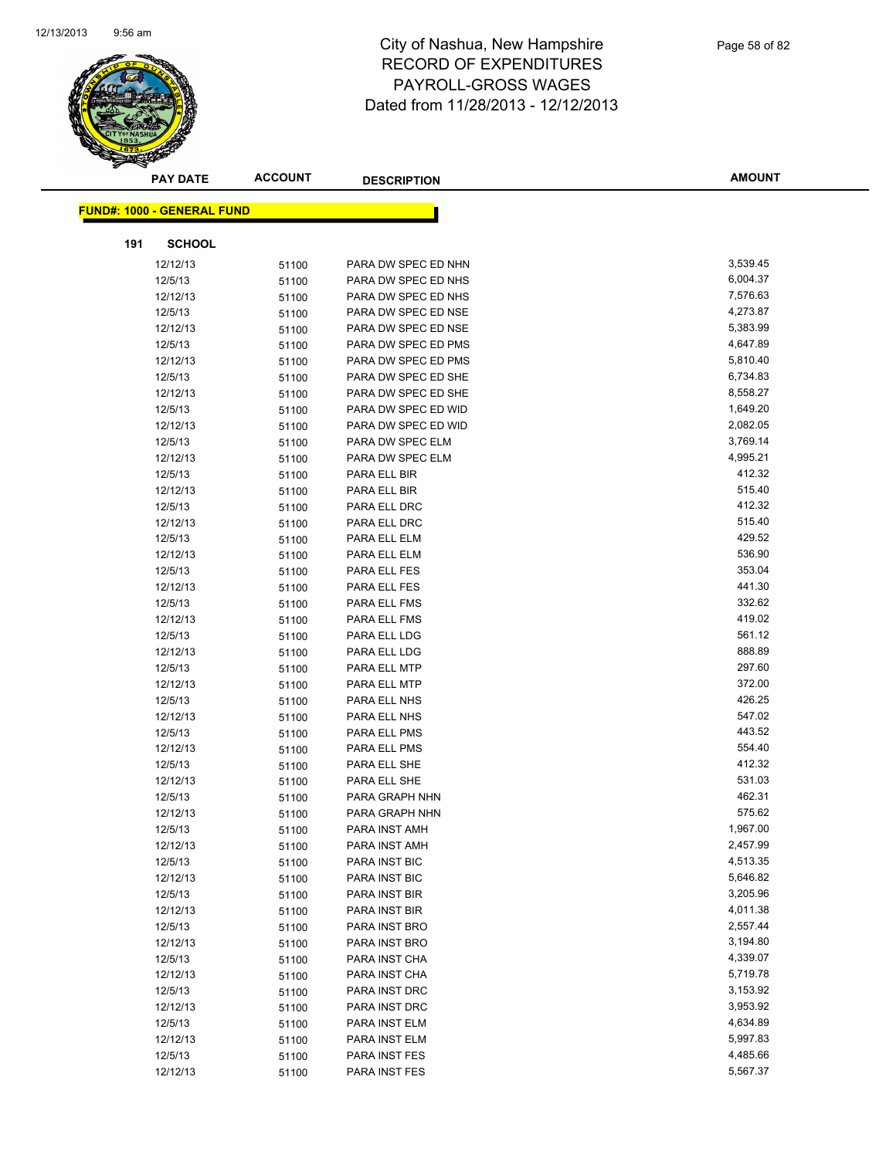

| <b>PAY DATE</b>                   | <b>ACCOUNT</b> | <b>DESCRIPTION</b>  | <b>AMOUNT</b> |
|-----------------------------------|----------------|---------------------|---------------|
| <b>FUND#: 1000 - GENERAL FUND</b> |                |                     |               |
|                                   |                |                     |               |
| <b>SCHOOL</b><br>191              |                |                     |               |
| 12/12/13                          | 51100          | PARA DW SPEC ED NHN | 3,539.45      |
| 12/5/13                           | 51100          | PARA DW SPEC ED NHS | 6,004.37      |
| 12/12/13                          | 51100          | PARA DW SPEC ED NHS | 7,576.63      |
| 12/5/13                           | 51100          | PARA DW SPEC ED NSE | 4,273.87      |
| 12/12/13                          | 51100          | PARA DW SPEC ED NSE | 5,383.99      |
| 12/5/13                           | 51100          | PARA DW SPEC ED PMS | 4,647.89      |
| 12/12/13                          | 51100          | PARA DW SPEC ED PMS | 5,810.40      |
| 12/5/13                           | 51100          | PARA DW SPEC ED SHE | 6,734.83      |
| 12/12/13                          | 51100          | PARA DW SPEC ED SHE | 8,558.27      |
| 12/5/13                           | 51100          | PARA DW SPEC ED WID | 1,649.20      |
| 12/12/13                          | 51100          | PARA DW SPEC ED WID | 2,082.05      |
| 12/5/13                           | 51100          | PARA DW SPEC ELM    | 3,769.14      |
| 12/12/13                          | 51100          | PARA DW SPEC ELM    | 4,995.21      |
| 12/5/13                           | 51100          | PARA ELL BIR        | 412.32        |
| 12/12/13                          | 51100          | PARA ELL BIR        | 515.40        |
| 12/5/13                           | 51100          | PARA ELL DRC        | 412.32        |
| 12/12/13                          | 51100          | PARA ELL DRC        | 515.40        |
| 12/5/13                           | 51100          | PARA ELL ELM        | 429.52        |
| 12/12/13                          | 51100          | PARA ELL ELM        | 536.90        |
| 12/5/13                           | 51100          | PARA ELL FES        | 353.04        |
| 12/12/13                          | 51100          | PARA ELL FES        | 441.30        |
| 12/5/13                           | 51100          | PARA ELL FMS        | 332.62        |
| 12/12/13                          | 51100          | PARA ELL FMS        | 419.02        |
| 12/5/13                           | 51100          | PARA ELL LDG        | 561.12        |
| 12/12/13                          | 51100          | PARA ELL LDG        | 888.89        |
| 12/5/13                           | 51100          | PARA ELL MTP        | 297.60        |
| 12/12/13                          | 51100          | PARA ELL MTP        | 372.00        |
| 12/5/13                           | 51100          | PARA ELL NHS        | 426.25        |
| 12/12/13                          | 51100          | PARA ELL NHS        | 547.02        |
| 12/5/13                           | 51100          | PARA ELL PMS        | 443.52        |
| 12/12/13                          | 51100          | PARA ELL PMS        | 554.40        |
| 12/5/13                           | 51100          | PARA ELL SHE        | 412.32        |
| 12/12/13                          | 51100          | PARA ELL SHE        | 531.03        |
| 12/5/13                           | 51100          | PARA GRAPH NHN      | 462.31        |
| 12/12/13                          | 51100          | PARA GRAPH NHN      | 575.62        |
| 12/5/13                           | 51100          | PARA INST AMH       | 1,967.00      |
| 12/12/13                          | 51100          | PARA INST AMH       | 2,457.99      |
| 12/5/13                           | 51100          | PARA INST BIC       | 4,513.35      |
| 12/12/13                          | 51100          | PARA INST BIC       | 5,646.82      |
| 12/5/13                           | 51100          | PARA INST BIR       | 3,205.96      |
| 12/12/13                          | 51100          | PARA INST BIR       | 4,011.38      |
| 12/5/13                           | 51100          | PARA INST BRO       | 2,557.44      |
| 12/12/13                          | 51100          | PARA INST BRO       | 3,194.80      |
| 12/5/13                           | 51100          | PARA INST CHA       | 4,339.07      |
| 12/12/13                          | 51100          | PARA INST CHA       | 5,719.78      |
| 12/5/13                           | 51100          | PARA INST DRC       | 3,153.92      |
| 12/12/13                          | 51100          | PARA INST DRC       | 3,953.92      |
| 12/5/13                           | 51100          | PARA INST ELM       | 4,634.89      |
| 12/12/13                          | 51100          | PARA INST ELM       | 5,997.83      |
| 12/5/13                           | 51100          | PARA INST FES       | 4,485.66      |
| 12/12/13                          | 51100          | PARA INST FES       | 5,567.37      |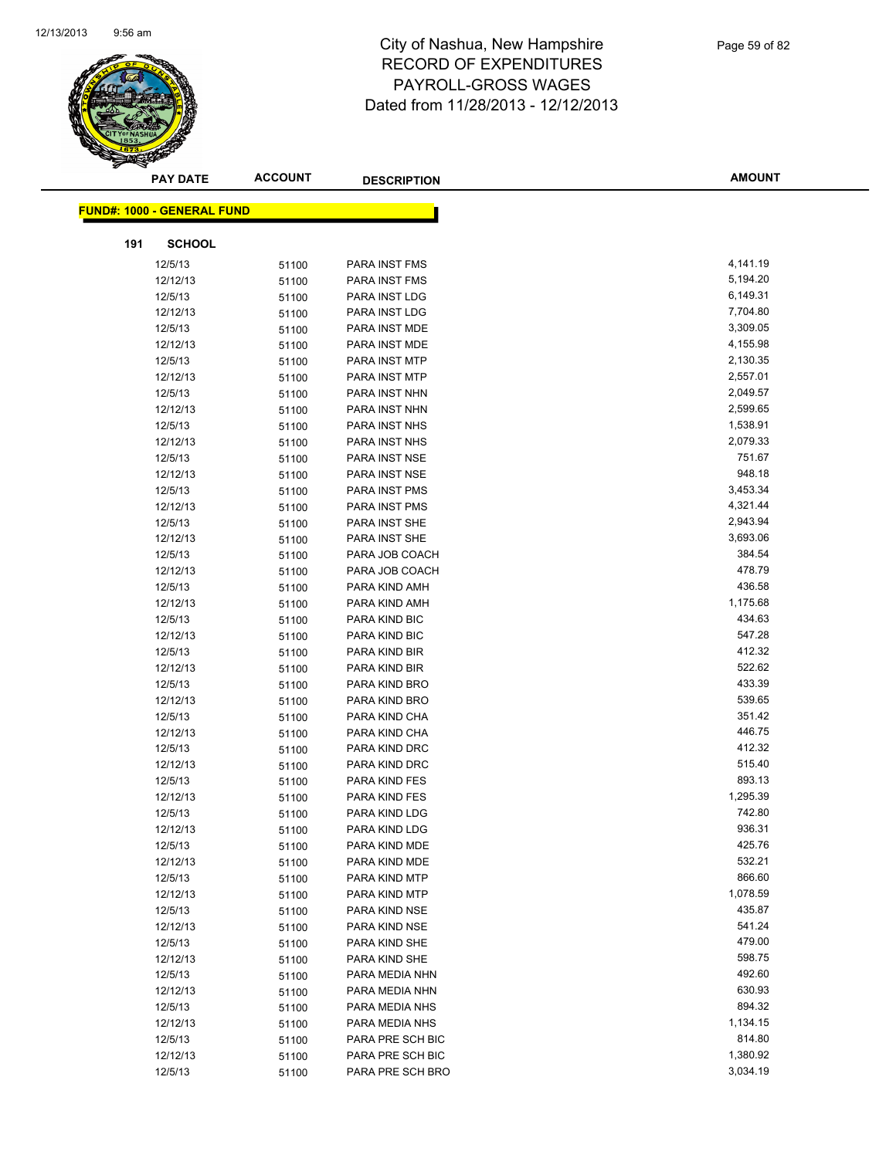

| <b>PAY DATE</b>                   | <b>ACCOUNT</b> | <b>DESCRIPTION</b> | <b>AMOUNT</b> |
|-----------------------------------|----------------|--------------------|---------------|
| <b>FUND#: 1000 - GENERAL FUND</b> |                |                    |               |
|                                   |                |                    |               |
| <b>SCHOOL</b><br>191              |                |                    |               |
| 12/5/13                           | 51100          | PARA INST FMS      | 4,141.19      |
| 12/12/13                          | 51100          | PARA INST FMS      | 5,194.20      |
| 12/5/13                           | 51100          | PARA INST LDG      | 6,149.31      |
| 12/12/13                          | 51100          | PARA INST LDG      | 7,704.80      |
| 12/5/13                           | 51100          | PARA INST MDE      | 3,309.05      |
| 12/12/13                          | 51100          | PARA INST MDE      | 4,155.98      |
| 12/5/13                           | 51100          | PARA INST MTP      | 2,130.35      |
| 12/12/13                          | 51100          | PARA INST MTP      | 2,557.01      |
| 12/5/13                           | 51100          | PARA INST NHN      | 2,049.57      |
| 12/12/13                          | 51100          | PARA INST NHN      | 2,599.65      |
| 12/5/13                           | 51100          | PARA INST NHS      | 1,538.91      |
| 12/12/13                          | 51100          | PARA INST NHS      | 2,079.33      |
| 12/5/13                           | 51100          | PARA INST NSE      | 751.67        |
| 12/12/13                          | 51100          | PARA INST NSE      | 948.18        |
| 12/5/13                           | 51100          | PARA INST PMS      | 3,453.34      |
| 12/12/13                          | 51100          | PARA INST PMS      | 4,321.44      |
| 12/5/13                           | 51100          | PARA INST SHE      | 2,943.94      |
| 12/12/13                          | 51100          | PARA INST SHE      | 3,693.06      |
| 12/5/13                           | 51100          | PARA JOB COACH     | 384.54        |
| 12/12/13                          | 51100          | PARA JOB COACH     | 478.79        |
| 12/5/13                           | 51100          | PARA KIND AMH      | 436.58        |
| 12/12/13                          | 51100          | PARA KIND AMH      | 1,175.68      |
| 12/5/13                           | 51100          | PARA KIND BIC      | 434.63        |
| 12/12/13                          | 51100          | PARA KIND BIC      | 547.28        |
| 12/5/13                           | 51100          | PARA KIND BIR      | 412.32        |
| 12/12/13                          | 51100          | PARA KIND BIR      | 522.62        |
| 12/5/13                           | 51100          | PARA KIND BRO      | 433.39        |
| 12/12/13                          | 51100          | PARA KIND BRO      | 539.65        |
| 12/5/13                           | 51100          | PARA KIND CHA      | 351.42        |
| 12/12/13                          | 51100          | PARA KIND CHA      | 446.75        |
| 12/5/13                           | 51100          | PARA KIND DRC      | 412.32        |
| 12/12/13                          | 51100          | PARA KIND DRC      | 515.40        |
| 12/5/13                           | 51100          | PARA KIND FES      | 893.13        |
| 12/12/13                          | 51100          | PARA KIND FES      | 1,295.39      |
| 12/5/13                           | 51100          | PARA KIND LDG      | 742.80        |
| 12/12/13                          | 51100          | PARA KIND LDG      | 936.31        |
| 12/5/13                           | 51100          | PARA KIND MDE      | 425.76        |
| 12/12/13                          | 51100          | PARA KIND MDE      | 532.21        |
| 12/5/13                           | 51100          | PARA KIND MTP      | 866.60        |
| 12/12/13                          | 51100          | PARA KIND MTP      | 1,078.59      |
| 12/5/13                           | 51100          | PARA KIND NSE      | 435.87        |
| 12/12/13                          | 51100          | PARA KIND NSE      | 541.24        |
| 12/5/13                           | 51100          | PARA KIND SHE      | 479.00        |
| 12/12/13                          | 51100          | PARA KIND SHE      | 598.75        |
| 12/5/13                           | 51100          | PARA MEDIA NHN     | 492.60        |
| 12/12/13                          | 51100          | PARA MEDIA NHN     | 630.93        |
| 12/5/13                           | 51100          | PARA MEDIA NHS     | 894.32        |
| 12/12/13                          | 51100          | PARA MEDIA NHS     | 1,134.15      |
| 12/5/13                           | 51100          | PARA PRE SCH BIC   | 814.80        |
| 12/12/13                          | 51100          | PARA PRE SCH BIC   | 1,380.92      |
| 12/5/13                           | 51100          | PARA PRE SCH BRO   | 3,034.19      |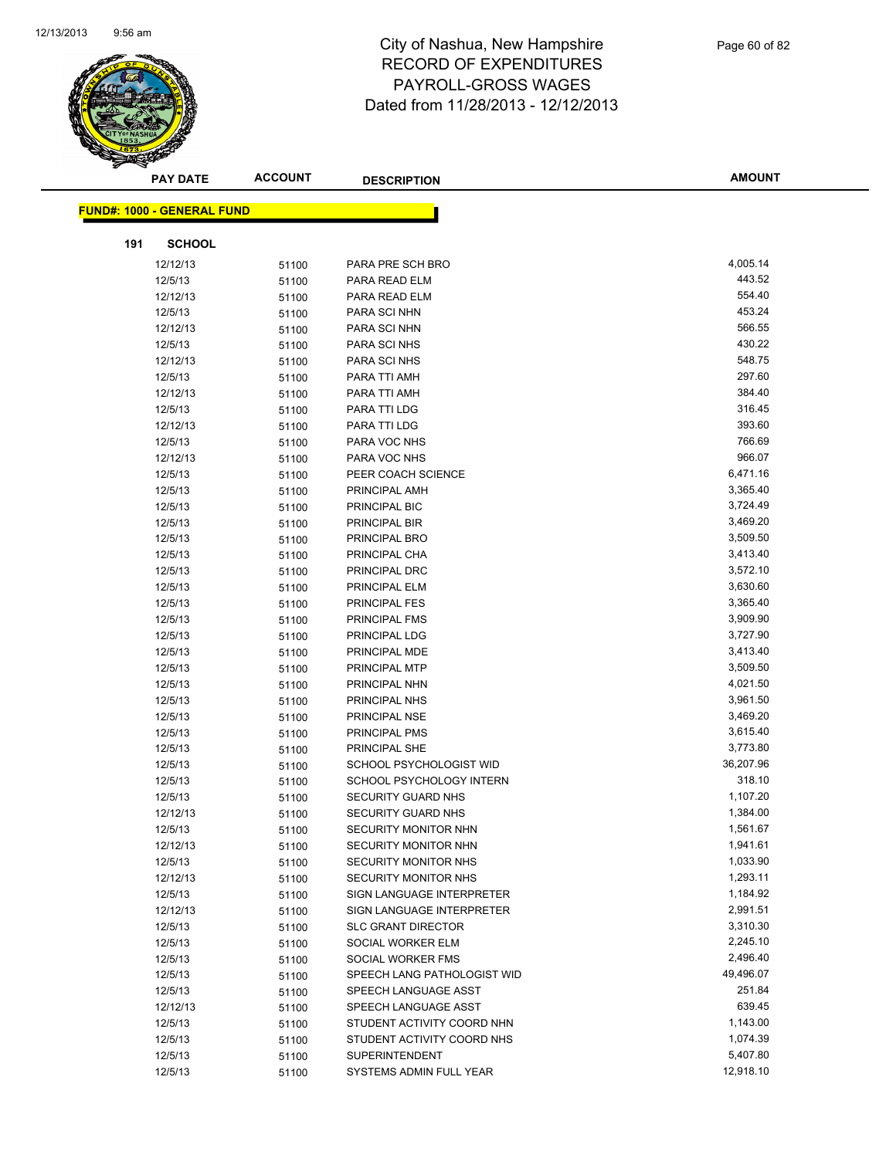

|     | <b>PAY DATE</b>                   | <b>ACCOUNT</b> | <b>DESCRIPTION</b>          | <b>AMOUNT</b> |
|-----|-----------------------------------|----------------|-----------------------------|---------------|
|     | <b>FUND#: 1000 - GENERAL FUND</b> |                |                             |               |
|     |                                   |                |                             |               |
| 191 | <b>SCHOOL</b>                     |                |                             |               |
|     | 12/12/13                          | 51100          | PARA PRE SCH BRO            | 4,005.14      |
|     | 12/5/13                           | 51100          | PARA READ ELM               | 443.52        |
|     | 12/12/13                          | 51100          | PARA READ ELM               | 554.40        |
|     | 12/5/13                           | 51100          | PARA SCI NHN                | 453.24        |
|     | 12/12/13                          | 51100          | PARA SCI NHN                | 566.55        |
|     | 12/5/13                           | 51100          | PARA SCI NHS                | 430.22        |
|     | 12/12/13                          | 51100          | PARA SCI NHS                | 548.75        |
|     | 12/5/13                           | 51100          | PARA TTI AMH                | 297.60        |
|     | 12/12/13                          | 51100          | PARA TTI AMH                | 384.40        |
|     | 12/5/13                           | 51100          | PARA TTI LDG                | 316.45        |
|     | 12/12/13                          | 51100          | PARA TTI LDG                | 393.60        |
|     | 12/5/13                           | 51100          | PARA VOC NHS                | 766.69        |
|     | 12/12/13                          | 51100          | PARA VOC NHS                | 966.07        |
|     | 12/5/13                           | 51100          | PEER COACH SCIENCE          | 6,471.16      |
|     | 12/5/13                           | 51100          | PRINCIPAL AMH               | 3,365.40      |
|     | 12/5/13                           | 51100          | PRINCIPAL BIC               | 3,724.49      |
|     | 12/5/13                           | 51100          | PRINCIPAL BIR               | 3,469.20      |
|     | 12/5/13                           | 51100          | PRINCIPAL BRO               | 3,509.50      |
|     | 12/5/13                           | 51100          | PRINCIPAL CHA               | 3,413.40      |
|     | 12/5/13                           | 51100          | PRINCIPAL DRC               | 3,572.10      |
|     | 12/5/13                           | 51100          | PRINCIPAL ELM               | 3,630.60      |
|     | 12/5/13                           | 51100          | PRINCIPAL FES               | 3,365.40      |
|     | 12/5/13                           | 51100          | PRINCIPAL FMS               | 3,909.90      |
|     | 12/5/13                           | 51100          | PRINCIPAL LDG               | 3,727.90      |
|     | 12/5/13                           | 51100          | PRINCIPAL MDE               | 3,413.40      |
|     | 12/5/13                           | 51100          | PRINCIPAL MTP               | 3,509.50      |
|     | 12/5/13                           | 51100          | PRINCIPAL NHN               | 4,021.50      |
|     | 12/5/13                           | 51100          | PRINCIPAL NHS               | 3,961.50      |
|     | 12/5/13                           | 51100          | PRINCIPAL NSE               | 3,469.20      |
|     | 12/5/13                           | 51100          | PRINCIPAL PMS               | 3,615.40      |
|     | 12/5/13                           | 51100          | PRINCIPAL SHE               | 3,773.80      |
|     | 12/5/13                           | 51100          | SCHOOL PSYCHOLOGIST WID     | 36,207.96     |
|     | 12/5/13                           | 51100          | SCHOOL PSYCHOLOGY INTERN    | 318.10        |
|     | 12/5/13                           | 51100          | <b>SECURITY GUARD NHS</b>   | 1,107.20      |
|     | 12/12/13                          | 51100          | SECURITY GUARD NHS          | 1,384.00      |
|     | 12/5/13                           | 51100          | SECURITY MONITOR NHN        | 1,561.67      |
|     | 12/12/13                          | 51100          | SECURITY MONITOR NHN        | 1,941.61      |
|     | 12/5/13                           | 51100          | SECURITY MONITOR NHS        | 1,033.90      |
|     | 12/12/13                          | 51100          | SECURITY MONITOR NHS        | 1,293.11      |
|     | 12/5/13                           | 51100          | SIGN LANGUAGE INTERPRETER   | 1,184.92      |
|     | 12/12/13                          | 51100          | SIGN LANGUAGE INTERPRETER   | 2,991.51      |
|     | 12/5/13                           | 51100          | <b>SLC GRANT DIRECTOR</b>   | 3,310.30      |
|     | 12/5/13                           | 51100          | SOCIAL WORKER ELM           | 2,245.10      |
|     | 12/5/13                           | 51100          | SOCIAL WORKER FMS           | 2,496.40      |
|     | 12/5/13                           | 51100          | SPEECH LANG PATHOLOGIST WID | 49,496.07     |
|     | 12/5/13                           | 51100          | SPEECH LANGUAGE ASST        | 251.84        |
|     | 12/12/13                          | 51100          | SPEECH LANGUAGE ASST        | 639.45        |
|     | 12/5/13                           | 51100          | STUDENT ACTIVITY COORD NHN  | 1,143.00      |
|     | 12/5/13                           | 51100          | STUDENT ACTIVITY COORD NHS  | 1,074.39      |
|     | 12/5/13                           | 51100          | SUPERINTENDENT              | 5,407.80      |
|     | 12/5/13                           | 51100          | SYSTEMS ADMIN FULL YEAR     | 12,918.10     |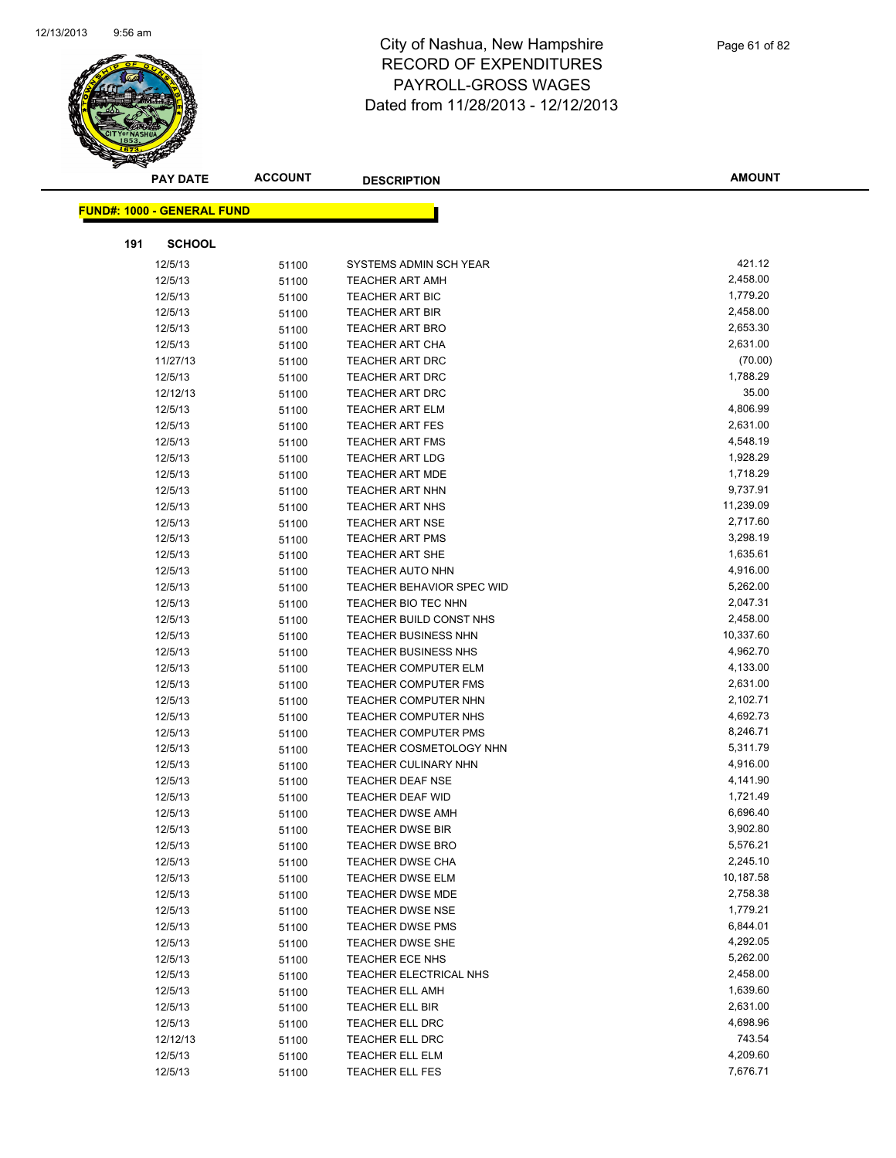

|     | <b>PAY DATE</b>                   | <b>ACCOUNT</b> | <b>DESCRIPTION</b>               | <b>AMOUNT</b> |  |
|-----|-----------------------------------|----------------|----------------------------------|---------------|--|
|     | <b>FUND#: 1000 - GENERAL FUND</b> |                |                                  |               |  |
|     |                                   |                |                                  |               |  |
| 191 | <b>SCHOOL</b>                     |                |                                  |               |  |
|     | 12/5/13                           | 51100          | SYSTEMS ADMIN SCH YEAR           | 421.12        |  |
|     | 12/5/13                           | 51100          | <b>TEACHER ART AMH</b>           | 2,458.00      |  |
|     | 12/5/13                           | 51100          | <b>TEACHER ART BIC</b>           | 1,779.20      |  |
|     | 12/5/13                           | 51100          | <b>TEACHER ART BIR</b>           | 2,458.00      |  |
|     | 12/5/13                           | 51100          | TEACHER ART BRO                  | 2,653.30      |  |
|     | 12/5/13                           | 51100          | <b>TEACHER ART CHA</b>           | 2,631.00      |  |
|     | 11/27/13                          | 51100          | <b>TEACHER ART DRC</b>           | (70.00)       |  |
|     | 12/5/13                           | 51100          | <b>TEACHER ART DRC</b>           | 1,788.29      |  |
|     | 12/12/13                          | 51100          | <b>TEACHER ART DRC</b>           | 35.00         |  |
|     | 12/5/13                           | 51100          | <b>TEACHER ART ELM</b>           | 4,806.99      |  |
|     | 12/5/13                           | 51100          | <b>TEACHER ART FES</b>           | 2,631.00      |  |
|     | 12/5/13                           | 51100          | <b>TEACHER ART FMS</b>           | 4,548.19      |  |
|     | 12/5/13                           | 51100          | <b>TEACHER ART LDG</b>           | 1,928.29      |  |
|     | 12/5/13                           | 51100          | <b>TEACHER ART MDE</b>           | 1,718.29      |  |
|     | 12/5/13                           | 51100          | <b>TEACHER ART NHN</b>           | 9,737.91      |  |
|     | 12/5/13                           | 51100          | <b>TEACHER ART NHS</b>           | 11,239.09     |  |
|     | 12/5/13                           | 51100          | <b>TEACHER ART NSE</b>           | 2,717.60      |  |
|     | 12/5/13                           | 51100          | <b>TEACHER ART PMS</b>           | 3,298.19      |  |
|     | 12/5/13                           | 51100          | <b>TEACHER ART SHE</b>           | 1,635.61      |  |
|     | 12/5/13                           | 51100          | <b>TEACHER AUTO NHN</b>          | 4,916.00      |  |
|     | 12/5/13                           | 51100          | <b>TEACHER BEHAVIOR SPEC WID</b> | 5,262.00      |  |
|     | 12/5/13                           | 51100          | TEACHER BIO TEC NHN              | 2,047.31      |  |
|     | 12/5/13                           | 51100          | TEACHER BUILD CONST NHS          | 2,458.00      |  |
|     | 12/5/13                           | 51100          | <b>TEACHER BUSINESS NHN</b>      | 10,337.60     |  |
|     | 12/5/13                           | 51100          | <b>TEACHER BUSINESS NHS</b>      | 4,962.70      |  |
|     | 12/5/13                           | 51100          | <b>TEACHER COMPUTER ELM</b>      | 4,133.00      |  |
|     | 12/5/13                           | 51100          | <b>TEACHER COMPUTER FMS</b>      | 2,631.00      |  |
|     | 12/5/13                           | 51100          | TEACHER COMPUTER NHN             | 2,102.71      |  |
|     | 12/5/13                           | 51100          | <b>TEACHER COMPUTER NHS</b>      | 4,692.73      |  |
|     | 12/5/13                           | 51100          | <b>TEACHER COMPUTER PMS</b>      | 8,246.71      |  |
|     | 12/5/13                           | 51100          | <b>TEACHER COSMETOLOGY NHN</b>   | 5,311.79      |  |
|     | 12/5/13                           | 51100          | <b>TEACHER CULINARY NHN</b>      | 4,916.00      |  |
|     | 12/5/13                           | 51100          | <b>TEACHER DEAF NSE</b>          | 4,141.90      |  |
|     | 12/5/13                           | 51100          | <b>TEACHER DEAF WID</b>          | 1,721.49      |  |
|     | 12/5/13                           | 51100          | <b>TEACHER DWSE AMH</b>          | 6,696.40      |  |
|     | 12/5/13                           | 51100          | TEACHER DWSE BIR                 | 3,902.80      |  |
|     | 12/5/13                           | 51100          | <b>TEACHER DWSE BRO</b>          | 5,576.21      |  |
|     | 12/5/13                           | 51100          | <b>TEACHER DWSE CHA</b>          | 2,245.10      |  |
|     | 12/5/13                           | 51100          | <b>TEACHER DWSE ELM</b>          | 10,187.58     |  |
|     | 12/5/13                           | 51100          | <b>TEACHER DWSE MDE</b>          | 2,758.38      |  |
|     | 12/5/13                           | 51100          | <b>TEACHER DWSE NSE</b>          | 1,779.21      |  |
|     | 12/5/13                           | 51100          | <b>TEACHER DWSE PMS</b>          | 6,844.01      |  |
|     | 12/5/13                           | 51100          | TEACHER DWSE SHE                 | 4,292.05      |  |
|     | 12/5/13                           | 51100          | TEACHER ECE NHS                  | 5,262.00      |  |
|     | 12/5/13                           | 51100          | TEACHER ELECTRICAL NHS           | 2,458.00      |  |
|     | 12/5/13                           | 51100          | <b>TEACHER ELL AMH</b>           | 1,639.60      |  |
|     | 12/5/13                           | 51100          | TEACHER ELL BIR                  | 2,631.00      |  |
|     | 12/5/13                           | 51100          | <b>TEACHER ELL DRC</b>           | 4,698.96      |  |
|     | 12/12/13                          | 51100          | <b>TEACHER ELL DRC</b>           | 743.54        |  |
|     | 12/5/13                           | 51100          | <b>TEACHER ELL ELM</b>           | 4,209.60      |  |
|     | 12/5/13                           | 51100          | TEACHER ELL FES                  | 7,676.71      |  |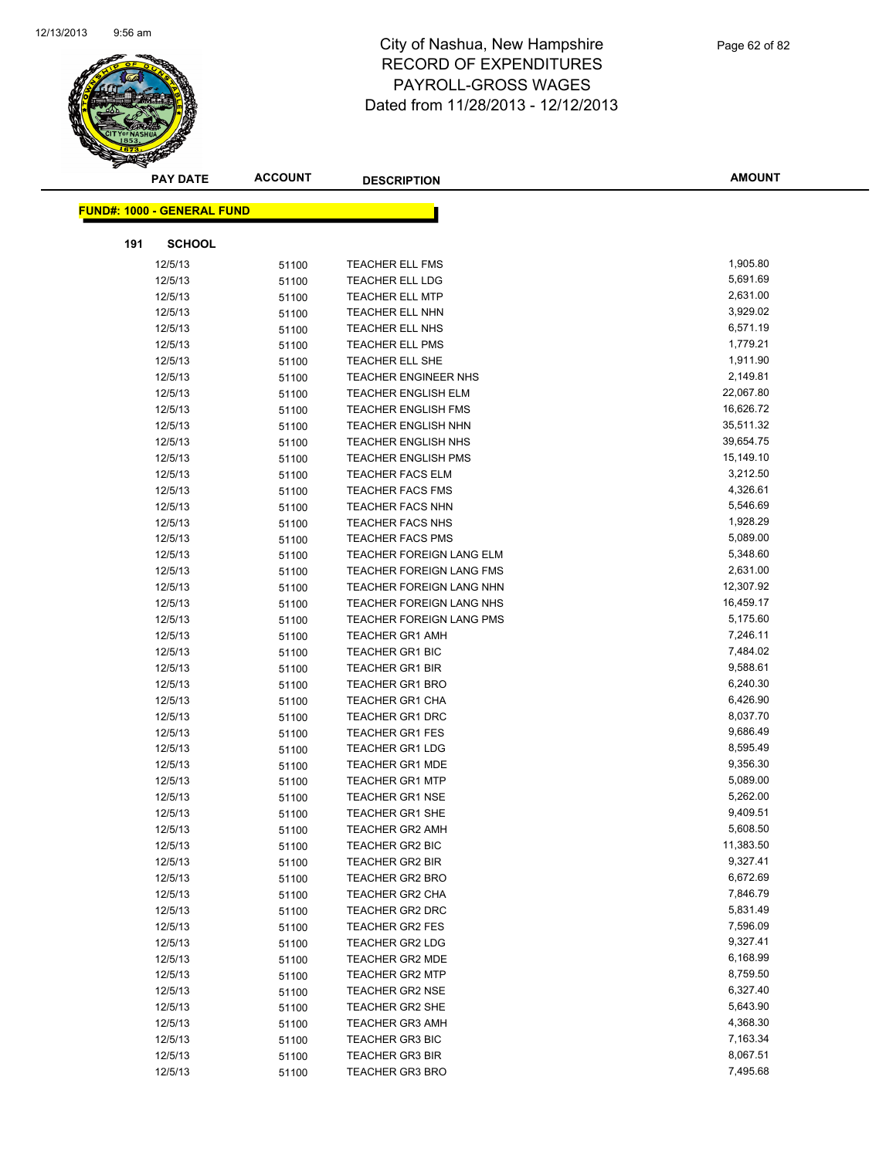

|     | <b>PAY DATE</b>                   | <b>ACCOUNT</b> | <b>DESCRIPTION</b>                        | <b>AMOUNT</b>        |
|-----|-----------------------------------|----------------|-------------------------------------------|----------------------|
|     | <b>FUND#: 1000 - GENERAL FUND</b> |                |                                           |                      |
|     |                                   |                |                                           |                      |
| 191 | <b>SCHOOL</b>                     |                |                                           |                      |
|     | 12/5/13                           | 51100          | TEACHER ELL FMS                           | 1,905.80             |
|     | 12/5/13                           | 51100          | TEACHER ELL LDG                           | 5,691.69             |
|     | 12/5/13                           | 51100          | <b>TEACHER ELL MTP</b>                    | 2,631.00             |
|     | 12/5/13                           | 51100          | TEACHER ELL NHN                           | 3,929.02             |
|     | 12/5/13                           | 51100          | TEACHER ELL NHS                           | 6,571.19             |
|     | 12/5/13                           | 51100          | <b>TEACHER ELL PMS</b>                    | 1,779.21             |
|     | 12/5/13                           | 51100          | TEACHER ELL SHE                           | 1,911.90             |
|     | 12/5/13                           | 51100          | <b>TEACHER ENGINEER NHS</b>               | 2,149.81             |
|     | 12/5/13                           | 51100          | <b>TEACHER ENGLISH ELM</b>                | 22,067.80            |
|     | 12/5/13                           | 51100          | <b>TEACHER ENGLISH FMS</b>                | 16,626.72            |
|     | 12/5/13                           | 51100          | <b>TEACHER ENGLISH NHN</b>                | 35,511.32            |
|     | 12/5/13                           | 51100          | TEACHER ENGLISH NHS                       | 39,654.75            |
|     | 12/5/13                           | 51100          | <b>TEACHER ENGLISH PMS</b>                | 15,149.10            |
|     | 12/5/13                           | 51100          | <b>TEACHER FACS ELM</b>                   | 3,212.50             |
|     | 12/5/13                           | 51100          | <b>TEACHER FACS FMS</b>                   | 4,326.61             |
|     | 12/5/13                           | 51100          | <b>TEACHER FACS NHN</b>                   | 5,546.69             |
|     | 12/5/13                           | 51100          | TEACHER FACS NHS                          | 1,928.29             |
|     | 12/5/13                           | 51100          | <b>TEACHER FACS PMS</b>                   | 5,089.00             |
|     | 12/5/13                           | 51100          | TEACHER FOREIGN LANG ELM                  | 5,348.60             |
|     | 12/5/13                           | 51100          | <b>TEACHER FOREIGN LANG FMS</b>           | 2,631.00             |
|     | 12/5/13                           | 51100          | TEACHER FOREIGN LANG NHN                  | 12,307.92            |
|     | 12/5/13                           | 51100          | TEACHER FOREIGN LANG NHS                  | 16,459.17            |
|     | 12/5/13                           | 51100          | <b>TEACHER FOREIGN LANG PMS</b>           | 5,175.60             |
|     | 12/5/13                           | 51100          | <b>TEACHER GR1 AMH</b>                    | 7,246.11             |
|     | 12/5/13                           | 51100          | <b>TEACHER GR1 BIC</b>                    | 7,484.02             |
|     | 12/5/13                           | 51100          | <b>TEACHER GR1 BIR</b>                    | 9,588.61             |
|     | 12/5/13                           | 51100          | <b>TEACHER GR1 BRO</b>                    | 6,240.30             |
|     | 12/5/13                           | 51100          | <b>TEACHER GR1 CHA</b>                    | 6,426.90             |
|     | 12/5/13                           | 51100          | <b>TEACHER GR1 DRC</b>                    | 8,037.70             |
|     | 12/5/13                           | 51100          | <b>TEACHER GR1 FES</b>                    | 9,686.49             |
|     | 12/5/13                           | 51100          | <b>TEACHER GR1 LDG</b>                    | 8,595.49             |
|     | 12/5/13                           | 51100          | <b>TEACHER GR1 MDE</b>                    | 9,356.30             |
|     | 12/5/13                           | 51100          | <b>TEACHER GR1 MTP</b>                    | 5,089.00             |
|     | 12/5/13                           | 51100          | <b>TEACHER GR1 NSE</b>                    | 5,262.00             |
|     | 12/5/13                           | 51100          | <b>TEACHER GR1 SHE</b>                    | 9,409.51             |
|     | 12/5/13                           | 51100          | TEACHER GR2 AMH                           | 5,608.50             |
|     | 12/5/13                           | 51100          | <b>TEACHER GR2 BIC</b>                    | 11,383.50            |
|     | 12/5/13                           | 51100          | TEACHER GR2 BIR                           | 9,327.41             |
|     | 12/5/13                           | 51100          | <b>TEACHER GR2 BRO</b>                    | 6,672.69             |
|     | 12/5/13                           | 51100          | <b>TEACHER GR2 CHA</b>                    | 7,846.79             |
|     | 12/5/13                           | 51100          | <b>TEACHER GR2 DRC</b>                    | 5,831.49             |
|     | 12/5/13                           | 51100          | <b>TEACHER GR2 FES</b>                    | 7,596.09             |
|     | 12/5/13                           | 51100          | <b>TEACHER GR2 LDG</b><br>TEACHER GR2 MDE | 9,327.41<br>6,168.99 |
|     | 12/5/13<br>12/5/13                | 51100          | <b>TEACHER GR2 MTP</b>                    | 8,759.50             |
|     | 12/5/13                           | 51100          | <b>TEACHER GR2 NSE</b>                    | 6,327.40             |
|     | 12/5/13                           | 51100          | <b>TEACHER GR2 SHE</b>                    | 5,643.90             |
|     | 12/5/13                           | 51100          | <b>TEACHER GR3 AMH</b>                    | 4,368.30             |
|     | 12/5/13                           | 51100<br>51100 | <b>TEACHER GR3 BIC</b>                    | 7,163.34             |
|     | 12/5/13                           | 51100          | <b>TEACHER GR3 BIR</b>                    | 8,067.51             |
|     | 12/5/13                           | 51100          | TEACHER GR3 BRO                           | 7,495.68             |
|     |                                   |                |                                           |                      |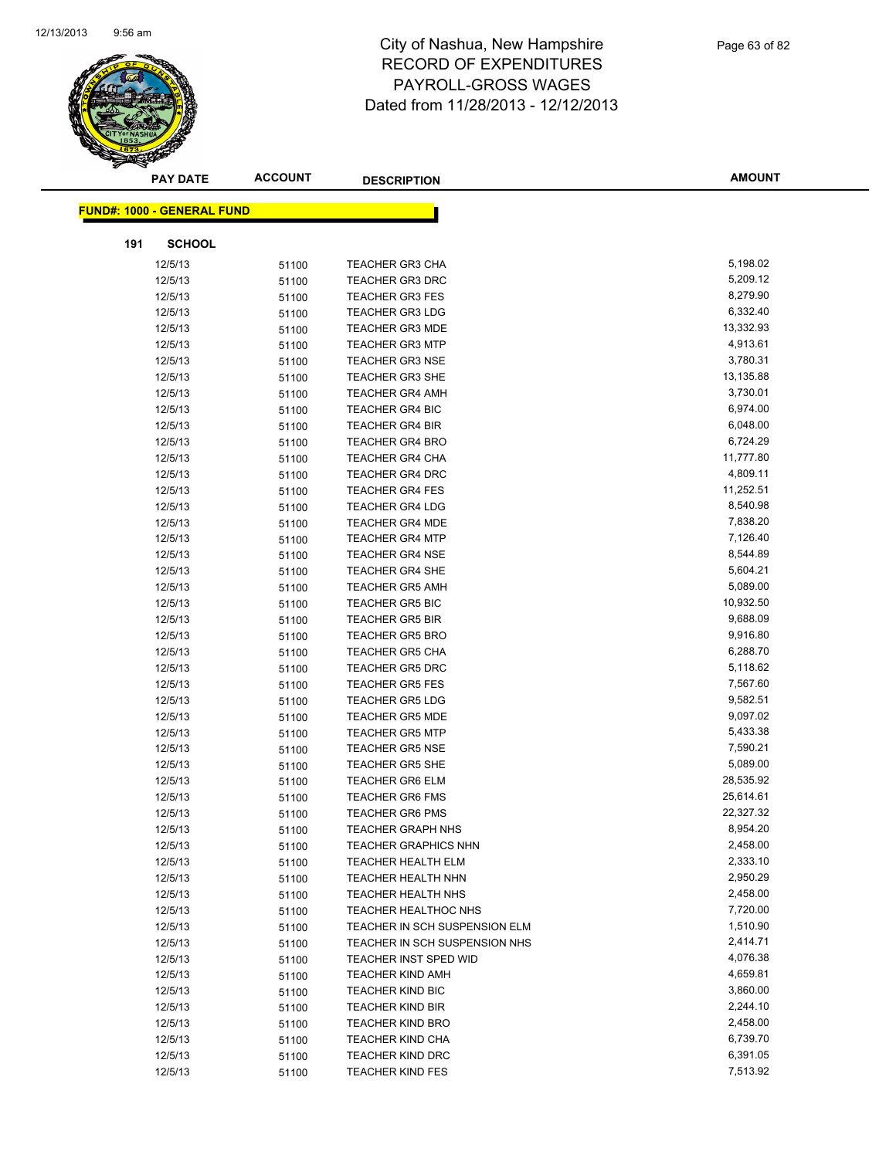

|     | <b>PAY DATE</b>                   | <b>ACCOUNT</b> | <b>DESCRIPTION</b>            | <b>AMOUNT</b> |
|-----|-----------------------------------|----------------|-------------------------------|---------------|
|     |                                   |                |                               |               |
|     | <b>FUND#: 1000 - GENERAL FUND</b> |                |                               |               |
| 191 | <b>SCHOOL</b>                     |                |                               |               |
|     | 12/5/13                           | 51100          | <b>TEACHER GR3 CHA</b>        | 5,198.02      |
|     | 12/5/13                           | 51100          | <b>TEACHER GR3 DRC</b>        | 5,209.12      |
|     | 12/5/13                           | 51100          | <b>TEACHER GR3 FES</b>        | 8,279.90      |
|     | 12/5/13                           | 51100          | <b>TEACHER GR3 LDG</b>        | 6,332.40      |
|     | 12/5/13                           | 51100          | <b>TEACHER GR3 MDE</b>        | 13,332.93     |
|     | 12/5/13                           | 51100          | <b>TEACHER GR3 MTP</b>        | 4,913.61      |
|     | 12/5/13                           | 51100          | <b>TEACHER GR3 NSE</b>        | 3,780.31      |
|     | 12/5/13                           | 51100          | <b>TEACHER GR3 SHE</b>        | 13,135.88     |
|     | 12/5/13                           | 51100          | <b>TEACHER GR4 AMH</b>        | 3,730.01      |
|     | 12/5/13                           | 51100          | <b>TEACHER GR4 BIC</b>        | 6,974.00      |
|     | 12/5/13                           | 51100          | <b>TEACHER GR4 BIR</b>        | 6,048.00      |
|     | 12/5/13                           | 51100          | <b>TEACHER GR4 BRO</b>        | 6,724.29      |
|     | 12/5/13                           | 51100          | <b>TEACHER GR4 CHA</b>        | 11,777.80     |
|     | 12/5/13                           | 51100          | <b>TEACHER GR4 DRC</b>        | 4,809.11      |
|     | 12/5/13                           | 51100          | <b>TEACHER GR4 FES</b>        | 11,252.51     |
|     | 12/5/13                           | 51100          | TEACHER GR4 LDG               | 8,540.98      |
|     | 12/5/13                           | 51100          | <b>TEACHER GR4 MDE</b>        | 7,838.20      |
|     | 12/5/13                           | 51100          | <b>TEACHER GR4 MTP</b>        | 7,126.40      |
|     | 12/5/13                           | 51100          | <b>TEACHER GR4 NSE</b>        | 8,544.89      |
|     | 12/5/13                           | 51100          | <b>TEACHER GR4 SHE</b>        | 5,604.21      |
|     | 12/5/13                           | 51100          | <b>TEACHER GR5 AMH</b>        | 5,089.00      |
|     | 12/5/13                           | 51100          | <b>TEACHER GR5 BIC</b>        | 10,932.50     |
|     | 12/5/13                           | 51100          | <b>TEACHER GR5 BIR</b>        | 9,688.09      |
|     | 12/5/13                           | 51100          | <b>TEACHER GR5 BRO</b>        | 9,916.80      |
|     | 12/5/13                           | 51100          | <b>TEACHER GR5 CHA</b>        | 6,288.70      |
|     | 12/5/13                           | 51100          | <b>TEACHER GR5 DRC</b>        | 5,118.62      |
|     | 12/5/13                           | 51100          | <b>TEACHER GR5 FES</b>        | 7,567.60      |
|     | 12/5/13                           | 51100          | <b>TEACHER GR5 LDG</b>        | 9,582.51      |
|     | 12/5/13                           | 51100          | <b>TEACHER GR5 MDE</b>        | 9,097.02      |
|     | 12/5/13                           | 51100          | <b>TEACHER GR5 MTP</b>        | 5,433.38      |
|     | 12/5/13                           | 51100          | <b>TEACHER GR5 NSE</b>        | 7,590.21      |
|     | 12/5/13                           | 51100          | <b>TEACHER GR5 SHE</b>        | 5,089.00      |
|     | 12/5/13                           | 51100          | <b>TEACHER GR6 ELM</b>        | 28,535.92     |
|     | 12/5/13                           | 51100          | <b>TEACHER GR6 FMS</b>        | 25,614.61     |
|     | 12/5/13                           | 51100          | <b>TEACHER GR6 PMS</b>        | 22,327.32     |
|     | 12/5/13                           | 51100          | TEACHER GRAPH NHS             | 8,954.20      |
|     | 12/5/13                           | 51100          | <b>TEACHER GRAPHICS NHN</b>   | 2,458.00      |
|     | 12/5/13                           | 51100          | TEACHER HEALTH ELM            | 2,333.10      |
|     | 12/5/13                           | 51100          | TEACHER HEALTH NHN            | 2,950.29      |
|     | 12/5/13                           | 51100          | TEACHER HEALTH NHS            | 2,458.00      |
|     | 12/5/13                           | 51100          | <b>TEACHER HEALTHOC NHS</b>   | 7,720.00      |
|     | 12/5/13                           | 51100          | TEACHER IN SCH SUSPENSION ELM | 1,510.90      |
|     | 12/5/13                           | 51100          | TEACHER IN SCH SUSPENSION NHS | 2,414.71      |
|     | 12/5/13                           | 51100          | TEACHER INST SPED WID         | 4,076.38      |
|     | 12/5/13                           | 51100          | <b>TEACHER KIND AMH</b>       | 4,659.81      |
|     | 12/5/13                           | 51100          | TEACHER KIND BIC              | 3,860.00      |
|     | 12/5/13                           | 51100          | <b>TEACHER KIND BIR</b>       | 2,244.10      |
|     | 12/5/13                           | 51100          | <b>TEACHER KIND BRO</b>       | 2,458.00      |
|     | 12/5/13                           | 51100          | <b>TEACHER KIND CHA</b>       | 6,739.70      |
|     | 12/5/13                           | 51100          | <b>TEACHER KIND DRC</b>       | 6,391.05      |
|     | 12/5/13                           | 51100          | <b>TEACHER KIND FES</b>       | 7,513.92      |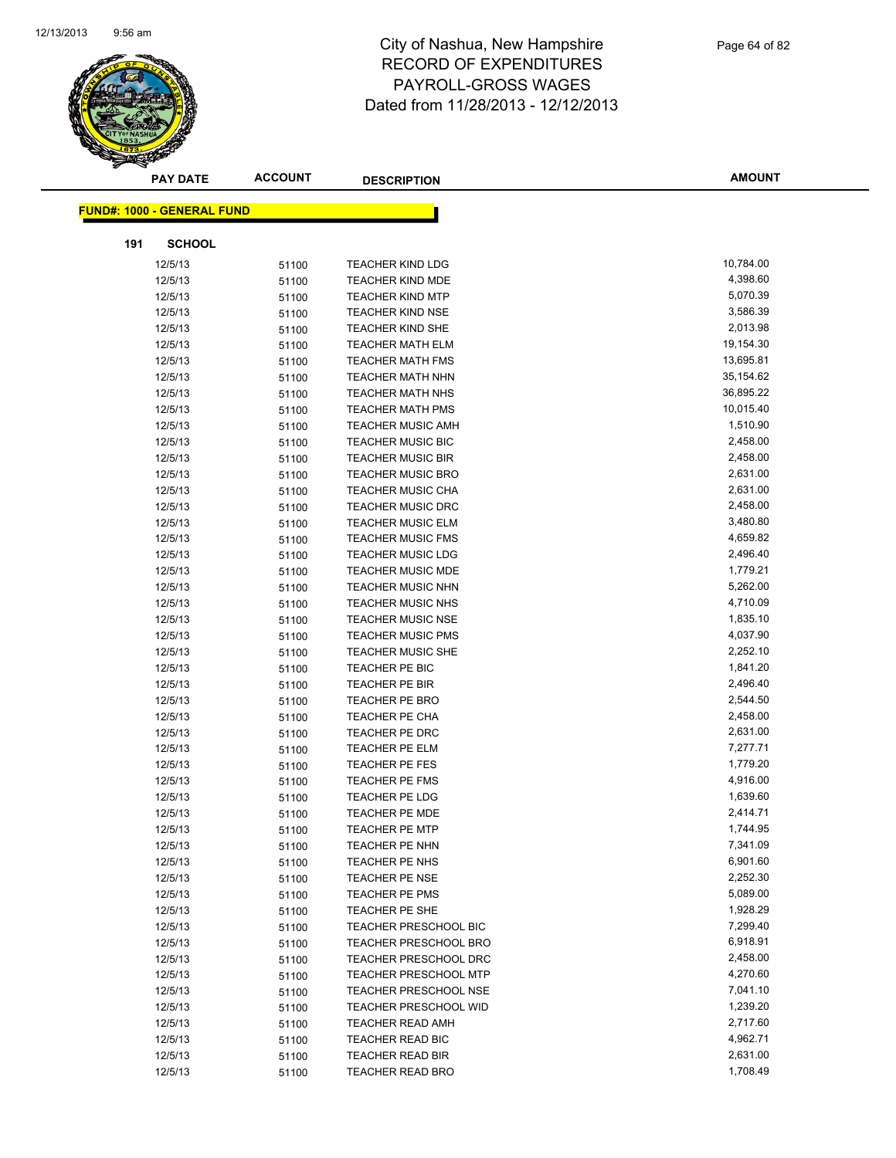

|     | <b>PAY DATE</b>                   | <b>ACCOUNT</b> | <b>DESCRIPTION</b>           | <b>AMOUNT</b> |
|-----|-----------------------------------|----------------|------------------------------|---------------|
|     | <b>FUND#: 1000 - GENERAL FUND</b> |                |                              |               |
|     |                                   |                |                              |               |
| 191 | <b>SCHOOL</b>                     |                |                              |               |
|     | 12/5/13                           | 51100          | <b>TEACHER KIND LDG</b>      | 10,784.00     |
|     | 12/5/13                           | 51100          | <b>TEACHER KIND MDE</b>      | 4,398.60      |
|     | 12/5/13                           | 51100          | <b>TEACHER KIND MTP</b>      | 5,070.39      |
|     | 12/5/13                           | 51100          | <b>TEACHER KIND NSE</b>      | 3,586.39      |
|     | 12/5/13                           | 51100          | <b>TEACHER KIND SHE</b>      | 2,013.98      |
|     | 12/5/13                           | 51100          | <b>TEACHER MATH ELM</b>      | 19,154.30     |
|     | 12/5/13                           | 51100          | <b>TEACHER MATH FMS</b>      | 13,695.81     |
|     | 12/5/13                           | 51100          | TEACHER MATH NHN             | 35,154.62     |
|     | 12/5/13                           | 51100          | <b>TEACHER MATH NHS</b>      | 36,895.22     |
|     | 12/5/13                           | 51100          | <b>TEACHER MATH PMS</b>      | 10,015.40     |
|     | 12/5/13                           | 51100          | <b>TEACHER MUSIC AMH</b>     | 1,510.90      |
|     | 12/5/13                           | 51100          | <b>TEACHER MUSIC BIC</b>     | 2,458.00      |
|     | 12/5/13                           | 51100          | <b>TEACHER MUSIC BIR</b>     | 2,458.00      |
|     | 12/5/13                           | 51100          | <b>TEACHER MUSIC BRO</b>     | 2,631.00      |
|     | 12/5/13                           | 51100          | <b>TEACHER MUSIC CHA</b>     | 2,631.00      |
|     | 12/5/13                           | 51100          | <b>TEACHER MUSIC DRC</b>     | 2,458.00      |
|     | 12/5/13                           | 51100          | <b>TEACHER MUSIC ELM</b>     | 3,480.80      |
|     | 12/5/13                           | 51100          | <b>TEACHER MUSIC FMS</b>     | 4,659.82      |
|     | 12/5/13                           | 51100          | <b>TEACHER MUSIC LDG</b>     | 2,496.40      |
|     | 12/5/13                           | 51100          | <b>TEACHER MUSIC MDE</b>     | 1,779.21      |
|     | 12/5/13                           | 51100          | <b>TEACHER MUSIC NHN</b>     | 5,262.00      |
|     | 12/5/13                           | 51100          | <b>TEACHER MUSIC NHS</b>     | 4,710.09      |
|     | 12/5/13                           | 51100          | <b>TEACHER MUSIC NSE</b>     | 1,835.10      |
|     | 12/5/13                           | 51100          | <b>TEACHER MUSIC PMS</b>     | 4,037.90      |
|     | 12/5/13                           | 51100          | <b>TEACHER MUSIC SHE</b>     | 2,252.10      |
|     | 12/5/13                           | 51100          | TEACHER PE BIC               | 1,841.20      |
|     | 12/5/13                           | 51100          | TEACHER PE BIR               | 2,496.40      |
|     | 12/5/13                           | 51100          | <b>TEACHER PE BRO</b>        | 2,544.50      |
|     | 12/5/13                           | 51100          | <b>TEACHER PE CHA</b>        | 2,458.00      |
|     | 12/5/13                           | 51100          | TEACHER PE DRC               | 2,631.00      |
|     | 12/5/13                           | 51100          | <b>TEACHER PE ELM</b>        | 7,277.71      |
|     | 12/5/13                           | 51100          | <b>TEACHER PE FES</b>        | 1,779.20      |
|     | 12/5/13                           | 51100          | <b>TEACHER PE FMS</b>        | 4,916.00      |
|     | 12/5/13                           | 51100          | <b>TEACHER PE LDG</b>        | 1,639.60      |
|     | 12/5/13                           | 51100          | <b>TEACHER PE MDE</b>        | 2,414.71      |
|     | 12/5/13                           | 51100          | <b>TEACHER PE MTP</b>        | 1,744.95      |
|     | 12/5/13                           | 51100          | TEACHER PE NHN               | 7,341.09      |
|     | 12/5/13                           | 51100          | TEACHER PE NHS               | 6,901.60      |
|     | 12/5/13                           | 51100          | <b>TEACHER PE NSE</b>        | 2,252.30      |
|     | 12/5/13                           | 51100          | TEACHER PE PMS               | 5,089.00      |
|     | 12/5/13                           | 51100          | TEACHER PE SHE               | 1,928.29      |
|     | 12/5/13                           | 51100          | TEACHER PRESCHOOL BIC        | 7,299.40      |
|     | 12/5/13                           | 51100          | <b>TEACHER PRESCHOOL BRO</b> | 6,918.91      |
|     | 12/5/13                           | 51100          | TEACHER PRESCHOOL DRC        | 2,458.00      |
|     | 12/5/13                           | 51100          | <b>TEACHER PRESCHOOL MTP</b> | 4,270.60      |
|     | 12/5/13                           | 51100          | TEACHER PRESCHOOL NSE        | 7,041.10      |
|     | 12/5/13                           | 51100          | <b>TEACHER PRESCHOOL WID</b> | 1,239.20      |
|     | 12/5/13                           | 51100          | <b>TEACHER READ AMH</b>      | 2,717.60      |
|     | 12/5/13                           | 51100          | TEACHER READ BIC             | 4,962.71      |
|     | 12/5/13                           | 51100          | <b>TEACHER READ BIR</b>      | 2,631.00      |
|     | 12/5/13                           | 51100          | <b>TEACHER READ BRO</b>      | 1,708.49      |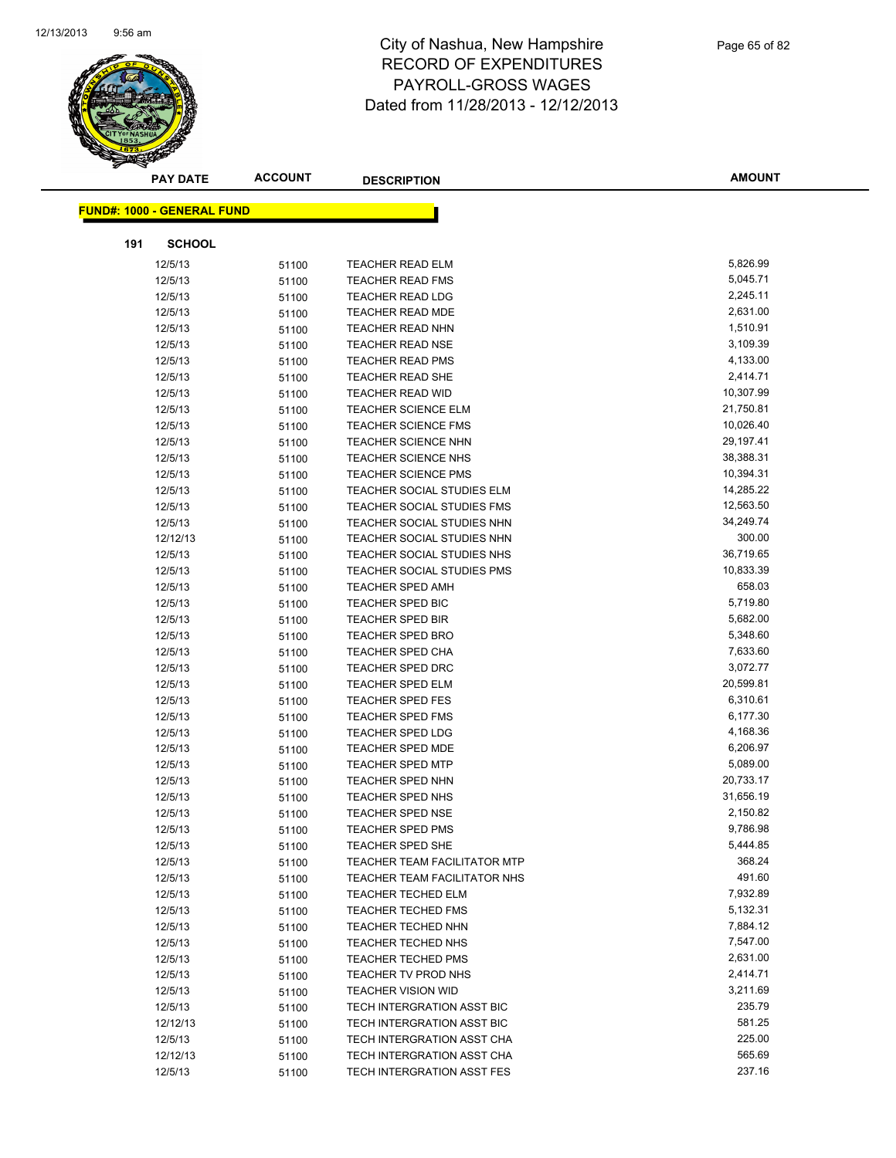

|     | <b>PAY DATE</b>                   | <b>ACCOUNT</b> | <b>DESCRIPTION</b>                                      | <b>AMOUNT</b>        |
|-----|-----------------------------------|----------------|---------------------------------------------------------|----------------------|
|     | <b>FUND#: 1000 - GENERAL FUND</b> |                |                                                         |                      |
|     |                                   |                |                                                         |                      |
| 191 | <b>SCHOOL</b>                     |                |                                                         |                      |
|     | 12/5/13                           | 51100          | <b>TEACHER READ ELM</b>                                 | 5,826.99             |
|     | 12/5/13                           | 51100          | <b>TEACHER READ FMS</b>                                 | 5,045.71             |
|     | 12/5/13                           | 51100          | <b>TEACHER READ LDG</b>                                 | 2,245.11             |
|     | 12/5/13                           | 51100          | TEACHER READ MDE                                        | 2,631.00             |
|     | 12/5/13                           | 51100          | <b>TEACHER READ NHN</b>                                 | 1,510.91             |
|     | 12/5/13                           | 51100          | <b>TEACHER READ NSE</b>                                 | 3,109.39             |
|     | 12/5/13                           | 51100          | <b>TEACHER READ PMS</b>                                 | 4,133.00             |
|     | 12/5/13                           | 51100          | TEACHER READ SHE                                        | 2,414.71             |
|     | 12/5/13                           | 51100          | <b>TEACHER READ WID</b>                                 | 10,307.99            |
|     | 12/5/13                           | 51100          | <b>TEACHER SCIENCE ELM</b>                              | 21,750.81            |
|     | 12/5/13                           | 51100          | <b>TEACHER SCIENCE FMS</b>                              | 10,026.40            |
|     | 12/5/13                           | 51100          | <b>TEACHER SCIENCE NHN</b>                              | 29,197.41            |
|     | 12/5/13                           | 51100          | <b>TEACHER SCIENCE NHS</b>                              | 38,388.31            |
|     | 12/5/13                           | 51100          | <b>TEACHER SCIENCE PMS</b>                              | 10,394.31            |
|     | 12/5/13                           | 51100          | <b>TEACHER SOCIAL STUDIES ELM</b>                       | 14,285.22            |
|     | 12/5/13                           | 51100          | TEACHER SOCIAL STUDIES FMS                              | 12,563.50            |
|     | 12/5/13                           | 51100          | TEACHER SOCIAL STUDIES NHN                              | 34,249.74            |
|     | 12/12/13                          | 51100          | TEACHER SOCIAL STUDIES NHN                              | 300.00               |
|     | 12/5/13                           | 51100          | TEACHER SOCIAL STUDIES NHS                              | 36,719.65            |
|     | 12/5/13                           | 51100          | <b>TEACHER SOCIAL STUDIES PMS</b>                       | 10,833.39            |
|     | 12/5/13                           | 51100          | <b>TEACHER SPED AMH</b>                                 | 658.03               |
|     | 12/5/13                           | 51100          | <b>TEACHER SPED BIC</b>                                 | 5,719.80             |
|     | 12/5/13                           | 51100          | <b>TEACHER SPED BIR</b>                                 | 5,682.00             |
|     | 12/5/13                           | 51100          | <b>TEACHER SPED BRO</b>                                 | 5,348.60             |
|     | 12/5/13                           | 51100          | <b>TEACHER SPED CHA</b>                                 | 7,633.60             |
|     | 12/5/13                           | 51100          | <b>TEACHER SPED DRC</b>                                 | 3,072.77             |
|     | 12/5/13                           | 51100          | <b>TEACHER SPED ELM</b>                                 | 20,599.81            |
|     | 12/5/13                           | 51100          | <b>TEACHER SPED FES</b>                                 | 6,310.61             |
|     | 12/5/13                           | 51100          | <b>TEACHER SPED FMS</b>                                 | 6,177.30             |
|     | 12/5/13                           | 51100          | <b>TEACHER SPED LDG</b>                                 | 4,168.36             |
|     | 12/5/13                           | 51100          | <b>TEACHER SPED MDE</b>                                 | 6,206.97             |
|     | 12/5/13                           | 51100          | <b>TEACHER SPED MTP</b>                                 | 5,089.00             |
|     | 12/5/13                           | 51100          | <b>TEACHER SPED NHN</b>                                 | 20,733.17            |
|     | 12/5/13                           | 51100          | TEACHER SPED NHS                                        | 31,656.19            |
|     | 12/5/13                           | 51100          | <b>TEACHER SPED NSE</b>                                 | 2,150.82             |
|     | 12/5/13                           | 51100          | TEACHER SPED PMS                                        | 9,786.98             |
|     | 12/5/13                           | 51100          | <b>TEACHER SPED SHE</b>                                 | 5,444.85             |
|     | 12/5/13                           | 51100          | TEACHER TEAM FACILITATOR MTP                            | 368.24               |
|     | 12/5/13                           | 51100          | TEACHER TEAM FACILITATOR NHS                            | 491.60               |
|     | 12/5/13                           | 51100          | <b>TEACHER TECHED ELM</b>                               | 7,932.89             |
|     | 12/5/13                           | 51100          | <b>TEACHER TECHED FMS</b>                               | 5,132.31             |
|     | 12/5/13                           | 51100          | <b>TEACHER TECHED NHN</b>                               | 7,884.12             |
|     | 12/5/13                           | 51100          | <b>TEACHER TECHED NHS</b>                               | 7,547.00             |
|     | 12/5/13                           | 51100          | <b>TEACHER TECHED PMS</b>                               | 2,631.00<br>2,414.71 |
|     | 12/5/13                           | 51100          | TEACHER TV PROD NHS                                     | 3,211.69             |
|     | 12/5/13                           | 51100          | <b>TEACHER VISION WID</b><br>TECH INTERGRATION ASST BIC | 235.79               |
|     | 12/5/13                           | 51100          | TECH INTERGRATION ASST BIC                              | 581.25               |
|     | 12/12/13<br>12/5/13               | 51100          | TECH INTERGRATION ASST CHA                              | 225.00               |
|     | 12/12/13                          | 51100<br>51100 | TECH INTERGRATION ASST CHA                              | 565.69               |
|     | 12/5/13                           | 51100          | TECH INTERGRATION ASST FES                              | 237.16               |
|     |                                   |                |                                                         |                      |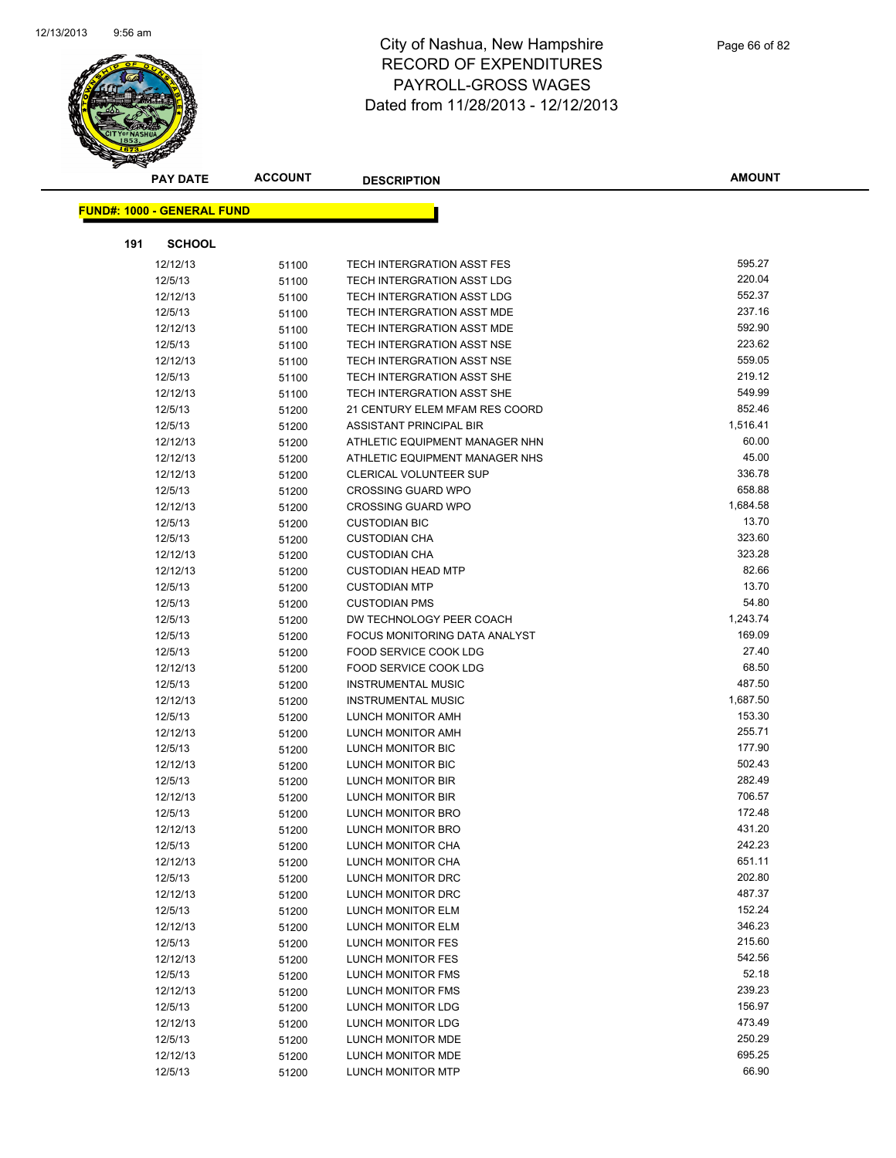

|     | <b>PAY DATE</b>                   | <b>ACCOUNT</b> | <b>DESCRIPTION</b>             | <b>AMOUNT</b> |
|-----|-----------------------------------|----------------|--------------------------------|---------------|
|     |                                   |                |                                |               |
|     | <b>FUND#: 1000 - GENERAL FUND</b> |                |                                |               |
| 191 | <b>SCHOOL</b>                     |                |                                |               |
|     | 12/12/13                          | 51100          | TECH INTERGRATION ASST FES     | 595.27        |
|     | 12/5/13                           | 51100          | TECH INTERGRATION ASST LDG     | 220.04        |
|     | 12/12/13                          | 51100          | TECH INTERGRATION ASST LDG     | 552.37        |
|     | 12/5/13                           | 51100          | TECH INTERGRATION ASST MDE     | 237.16        |
|     | 12/12/13                          | 51100          | TECH INTERGRATION ASST MDE     | 592.90        |
|     | 12/5/13                           | 51100          | TECH INTERGRATION ASST NSE     | 223.62        |
|     | 12/12/13                          | 51100          | TECH INTERGRATION ASST NSE     | 559.05        |
|     | 12/5/13                           | 51100          | TECH INTERGRATION ASST SHE     | 219.12        |
|     | 12/12/13                          | 51100          | TECH INTERGRATION ASST SHE     | 549.99        |
|     | 12/5/13                           | 51200          | 21 CENTURY ELEM MFAM RES COORD | 852.46        |
|     | 12/5/13                           | 51200          | ASSISTANT PRINCIPAL BIR        | 1,516.41      |
|     | 12/12/13                          | 51200          | ATHLETIC EQUIPMENT MANAGER NHN | 60.00         |
|     | 12/12/13                          | 51200          | ATHLETIC EQUIPMENT MANAGER NHS | 45.00         |
|     | 12/12/13                          | 51200          | <b>CLERICAL VOLUNTEER SUP</b>  | 336.78        |
|     | 12/5/13                           | 51200          | <b>CROSSING GUARD WPO</b>      | 658.88        |
|     | 12/12/13                          | 51200          | <b>CROSSING GUARD WPO</b>      | 1,684.58      |
|     | 12/5/13                           | 51200          | <b>CUSTODIAN BIC</b>           | 13.70         |
|     | 12/5/13                           | 51200          | <b>CUSTODIAN CHA</b>           | 323.60        |
|     | 12/12/13                          | 51200          | <b>CUSTODIAN CHA</b>           | 323.28        |
|     | 12/12/13                          | 51200          | <b>CUSTODIAN HEAD MTP</b>      | 82.66         |
|     | 12/5/13                           | 51200          | <b>CUSTODIAN MTP</b>           | 13.70         |
|     | 12/5/13                           | 51200          | <b>CUSTODIAN PMS</b>           | 54.80         |
|     | 12/5/13                           | 51200          | DW TECHNOLOGY PEER COACH       | 1,243.74      |
|     | 12/5/13                           | 51200          | FOCUS MONITORING DATA ANALYST  | 169.09        |
|     | 12/5/13                           | 51200          | FOOD SERVICE COOK LDG          | 27.40         |
|     | 12/12/13                          | 51200          | <b>FOOD SERVICE COOK LDG</b>   | 68.50         |
|     | 12/5/13                           | 51200          | <b>INSTRUMENTAL MUSIC</b>      | 487.50        |
|     | 12/12/13                          | 51200          | <b>INSTRUMENTAL MUSIC</b>      | 1,687.50      |
|     | 12/5/13                           | 51200          | LUNCH MONITOR AMH              | 153.30        |
|     | 12/12/13                          | 51200          | LUNCH MONITOR AMH              | 255.71        |
|     | 12/5/13                           | 51200          | LUNCH MONITOR BIC              | 177.90        |
|     | 12/12/13                          | 51200          | LUNCH MONITOR BIC              | 502.43        |
|     | 12/5/13                           | 51200          | LUNCH MONITOR BIR              | 282.49        |
|     | 12/12/13                          | 51200          | LUNCH MONITOR BIR              | 706.57        |
|     | 12/5/13                           | 51200          | <b>LUNCH MONITOR BRO</b>       | 172.48        |
|     | 12/12/13                          | 51200          | LUNCH MONITOR BRO              | 431.20        |
|     | 12/5/13                           | 51200          | LUNCH MONITOR CHA              | 242.23        |
|     | 12/12/13                          | 51200          | LUNCH MONITOR CHA              | 651.11        |
|     | 12/5/13                           | 51200          | LUNCH MONITOR DRC              | 202.80        |
|     | 12/12/13                          | 51200          | LUNCH MONITOR DRC              | 487.37        |
|     | 12/5/13                           | 51200          | LUNCH MONITOR ELM              | 152.24        |
|     | 12/12/13                          | 51200          | LUNCH MONITOR ELM              | 346.23        |
|     | 12/5/13                           | 51200          | LUNCH MONITOR FES              | 215.60        |
|     | 12/12/13                          | 51200          | <b>LUNCH MONITOR FES</b>       | 542.56        |
|     | 12/5/13                           | 51200          | LUNCH MONITOR FMS              | 52.18         |
|     | 12/12/13                          | 51200          | LUNCH MONITOR FMS              | 239.23        |
|     | 12/5/13                           | 51200          | LUNCH MONITOR LDG              | 156.97        |
|     | 12/12/13                          | 51200          | LUNCH MONITOR LDG              | 473.49        |
|     | 12/5/13                           | 51200          | LUNCH MONITOR MDE              | 250.29        |
|     | 12/12/13                          | 51200          | LUNCH MONITOR MDE              | 695.25        |
|     | 12/5/13                           | 51200          | <b>LUNCH MONITOR MTP</b>       | 66.90         |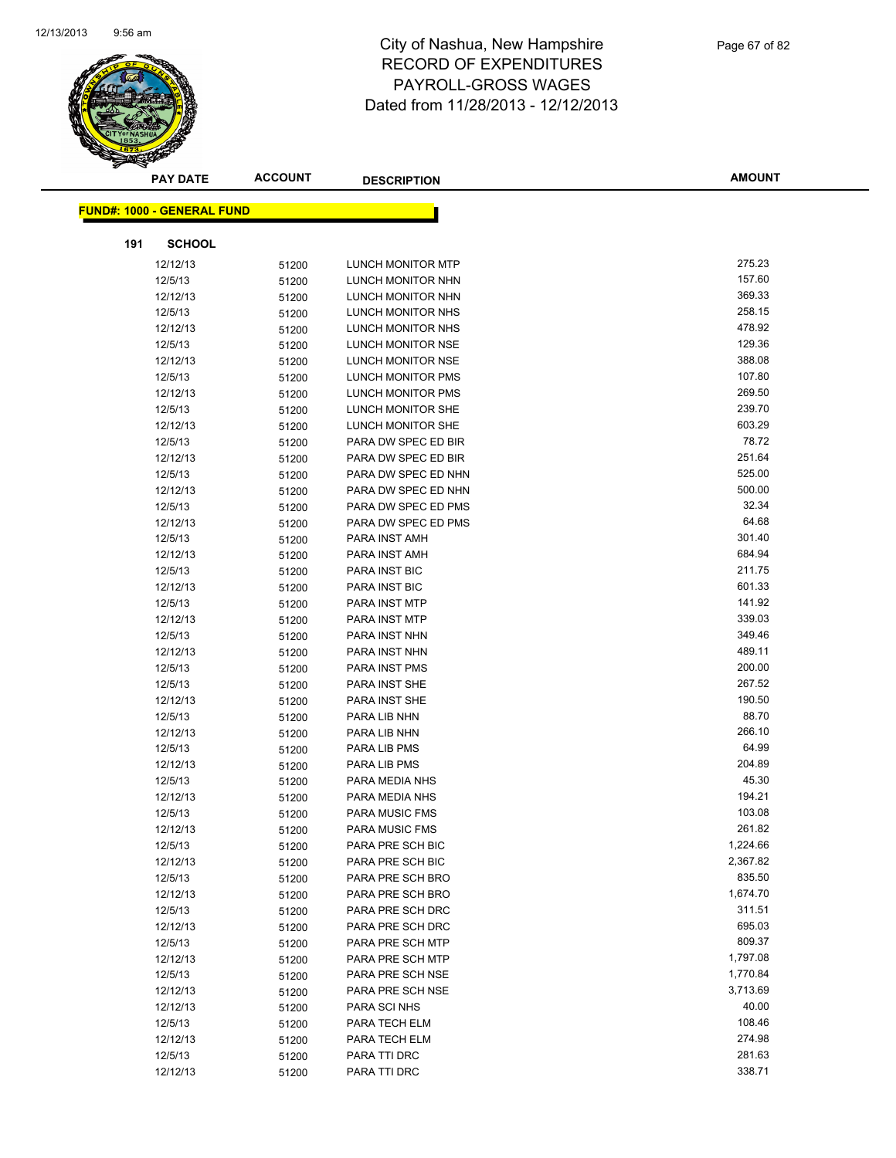

| <b>PAY DATE</b>                   | <b>ACCOUNT</b> | <b>DESCRIPTION</b>               | <b>AMOUNT</b>   |
|-----------------------------------|----------------|----------------------------------|-----------------|
| <b>FUND#: 1000 - GENERAL FUND</b> |                |                                  |                 |
|                                   |                |                                  |                 |
| <b>SCHOOL</b><br>191              |                |                                  |                 |
| 12/12/13                          | 51200          | LUNCH MONITOR MTP                | 275.23          |
| 12/5/13                           | 51200          | LUNCH MONITOR NHN                | 157.60          |
| 12/12/13                          | 51200          | LUNCH MONITOR NHN                | 369.33          |
| 12/5/13                           | 51200          | LUNCH MONITOR NHS                | 258.15          |
| 12/12/13                          | 51200          | LUNCH MONITOR NHS                | 478.92          |
| 12/5/13                           | 51200          | LUNCH MONITOR NSE                | 129.36          |
| 12/12/13                          | 51200          | LUNCH MONITOR NSE                | 388.08          |
| 12/5/13                           | 51200          | <b>LUNCH MONITOR PMS</b>         | 107.80          |
| 12/12/13                          | 51200          | LUNCH MONITOR PMS                | 269.50          |
| 12/5/13                           | 51200          | LUNCH MONITOR SHE                | 239.70          |
| 12/12/13                          | 51200          | LUNCH MONITOR SHE                | 603.29          |
| 12/5/13                           | 51200          | PARA DW SPEC ED BIR              | 78.72           |
| 12/12/13                          | 51200          | PARA DW SPEC ED BIR              | 251.64          |
| 12/5/13                           | 51200          | PARA DW SPEC ED NHN              | 525.00          |
| 12/12/13                          | 51200          | PARA DW SPEC ED NHN              | 500.00          |
| 12/5/13                           | 51200          | PARA DW SPEC ED PMS              | 32.34           |
| 12/12/13                          | 51200          | PARA DW SPEC ED PMS              | 64.68           |
| 12/5/13                           | 51200          | PARA INST AMH                    | 301.40          |
| 12/12/13                          | 51200          | PARA INST AMH                    | 684.94          |
| 12/5/13                           | 51200          | PARA INST BIC                    | 211.75          |
| 12/12/13                          | 51200          | PARA INST BIC                    | 601.33          |
| 12/5/13                           | 51200          | PARA INST MTP                    | 141.92          |
| 12/12/13                          | 51200          | <b>PARA INST MTP</b>             | 339.03          |
| 12/5/13                           | 51200          | PARA INST NHN                    | 349.46          |
| 12/12/13                          | 51200          | PARA INST NHN                    | 489.11          |
| 12/5/13                           | 51200          | PARA INST PMS                    | 200.00          |
| 12/5/13                           | 51200          | PARA INST SHE                    | 267.52          |
| 12/12/13                          | 51200          | PARA INST SHE                    | 190.50          |
| 12/5/13                           | 51200          | PARA LIB NHN                     | 88.70           |
| 12/12/13                          | 51200          | PARA LIB NHN                     | 266.10<br>64.99 |
| 12/5/13                           | 51200          | PARA LIB PMS                     | 204.89          |
| 12/12/13                          | 51200          | PARA LIB PMS                     | 45.30           |
| 12/5/13<br>12/12/13               | 51200          | PARA MEDIA NHS<br>PARA MEDIA NHS | 194.21          |
| 12/5/13                           | 51200          | <b>PARA MUSIC FMS</b>            | 103.08          |
| 12/12/13                          | 51200<br>51200 | <b>PARA MUSIC FMS</b>            | 261.82          |
| 12/5/13                           | 51200          | PARA PRE SCH BIC                 | 1,224.66        |
| 12/12/13                          | 51200          | PARA PRE SCH BIC                 | 2,367.82        |
| 12/5/13                           | 51200          | PARA PRE SCH BRO                 | 835.50          |
| 12/12/13                          | 51200          | PARA PRE SCH BRO                 | 1,674.70        |
| 12/5/13                           | 51200          | PARA PRE SCH DRC                 | 311.51          |
| 12/12/13                          | 51200          | PARA PRE SCH DRC                 | 695.03          |
| 12/5/13                           | 51200          | PARA PRE SCH MTP                 | 809.37          |
| 12/12/13                          | 51200          | PARA PRE SCH MTP                 | 1,797.08        |
| 12/5/13                           | 51200          | PARA PRE SCH NSE                 | 1,770.84        |
| 12/12/13                          | 51200          | PARA PRE SCH NSE                 | 3,713.69        |
| 12/12/13                          | 51200          | PARA SCI NHS                     | 40.00           |
| 12/5/13                           | 51200          | PARA TECH ELM                    | 108.46          |
| 12/12/13                          | 51200          | PARA TECH ELM                    | 274.98          |
| 12/5/13                           | 51200          | PARA TTI DRC                     | 281.63          |
| 12/12/13                          | 51200          | PARA TTI DRC                     | 338.71          |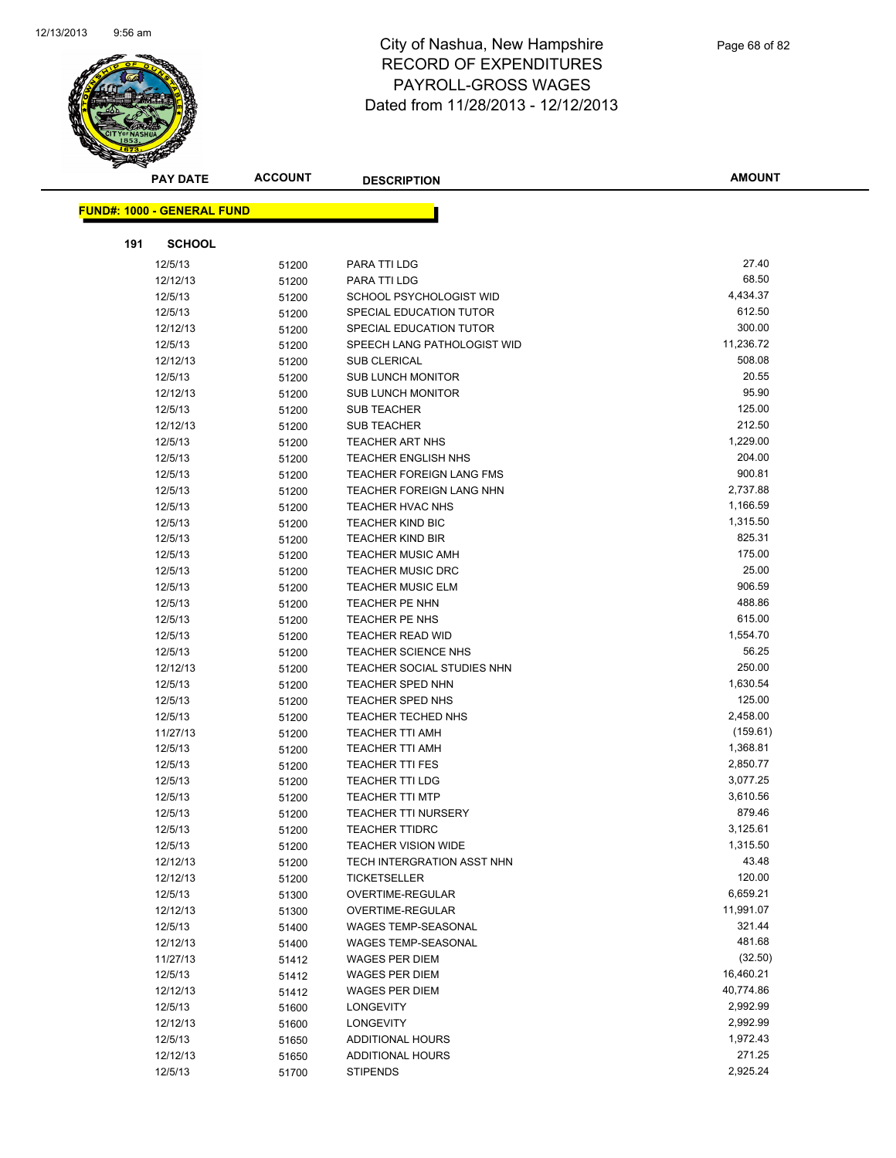

| <b>PAY DATE</b>                   | <b>ACCOUNT</b> | <b>DESCRIPTION</b>          | <b>AMOUNT</b> |
|-----------------------------------|----------------|-----------------------------|---------------|
| <b>FUND#: 1000 - GENERAL FUND</b> |                |                             |               |
|                                   |                |                             |               |
| 191<br><b>SCHOOL</b>              |                |                             |               |
| 12/5/13                           | 51200          | PARA TTI LDG                | 27.40         |
| 12/12/13                          | 51200          | PARA TTI LDG                | 68.50         |
| 12/5/13                           | 51200          | SCHOOL PSYCHOLOGIST WID     | 4,434.37      |
| 12/5/13                           | 51200          | SPECIAL EDUCATION TUTOR     | 612.50        |
| 12/12/13                          | 51200          | SPECIAL EDUCATION TUTOR     | 300.00        |
| 12/5/13                           | 51200          | SPEECH LANG PATHOLOGIST WID | 11,236.72     |
| 12/12/13                          | 51200          | <b>SUB CLERICAL</b>         | 508.08        |
| 12/5/13                           | 51200          | <b>SUB LUNCH MONITOR</b>    | 20.55         |
| 12/12/13                          | 51200          | <b>SUB LUNCH MONITOR</b>    | 95.90         |
| 12/5/13                           | 51200          | <b>SUB TEACHER</b>          | 125.00        |
| 12/12/13                          | 51200          | <b>SUB TEACHER</b>          | 212.50        |
| 12/5/13                           | 51200          | <b>TEACHER ART NHS</b>      | 1,229.00      |
| 12/5/13                           | 51200          | <b>TEACHER ENGLISH NHS</b>  | 204.00        |
| 12/5/13                           | 51200          | TEACHER FOREIGN LANG FMS    | 900.81        |
| 12/5/13                           | 51200          | TEACHER FOREIGN LANG NHN    | 2,737.88      |
| 12/5/13                           | 51200          | <b>TEACHER HVAC NHS</b>     | 1,166.59      |
| 12/5/13                           | 51200          | <b>TEACHER KIND BIC</b>     | 1,315.50      |
| 12/5/13                           | 51200          | <b>TEACHER KIND BIR</b>     | 825.31        |
| 12/5/13                           | 51200          | <b>TEACHER MUSIC AMH</b>    | 175.00        |
| 12/5/13                           | 51200          | <b>TEACHER MUSIC DRC</b>    | 25.00         |
| 12/5/13                           | 51200          | <b>TEACHER MUSIC ELM</b>    | 906.59        |
| 12/5/13                           | 51200          | <b>TEACHER PE NHN</b>       | 488.86        |
| 12/5/13                           | 51200          | <b>TEACHER PE NHS</b>       | 615.00        |
| 12/5/13                           | 51200          | TEACHER READ WID            | 1,554.70      |
| 12/5/13                           | 51200          | <b>TEACHER SCIENCE NHS</b>  | 56.25         |
| 12/12/13                          | 51200          | TEACHER SOCIAL STUDIES NHN  | 250.00        |
| 12/5/13                           | 51200          | <b>TEACHER SPED NHN</b>     | 1,630.54      |
| 12/5/13                           | 51200          | TEACHER SPED NHS            | 125.00        |
| 12/5/13                           | 51200          | <b>TEACHER TECHED NHS</b>   | 2,458.00      |
| 11/27/13                          | 51200          | TEACHER TTI AMH             | (159.61)      |
| 12/5/13                           | 51200          | <b>TEACHER TTI AMH</b>      | 1,368.81      |
| 12/5/13                           | 51200          | <b>TEACHER TTI FES</b>      | 2,850.77      |
| 12/5/13                           | 51200          | <b>TEACHER TTI LDG</b>      | 3,077.25      |
| 12/5/13                           | 51200          | <b>TEACHER TTI MTP</b>      | 3,610.56      |
| 12/5/13                           | 51200          | <b>TEACHER TTI NURSERY</b>  | 879.46        |
| 12/5/13                           | 51200          | <b>TEACHER TTIDRC</b>       | 3,125.61      |
| 12/5/13                           | 51200          | <b>TEACHER VISION WIDE</b>  | 1,315.50      |
| 12/12/13                          | 51200          | TECH INTERGRATION ASST NHN  | 43.48         |
| 12/12/13                          | 51200          | <b>TICKETSELLER</b>         | 120.00        |
| 12/5/13                           | 51300          | OVERTIME-REGULAR            | 6,659.21      |
| 12/12/13                          | 51300          | OVERTIME-REGULAR            | 11,991.07     |
| 12/5/13                           | 51400          | WAGES TEMP-SEASONAL         | 321.44        |
| 12/12/13                          | 51400          | WAGES TEMP-SEASONAL         | 481.68        |
| 11/27/13                          | 51412          | WAGES PER DIEM              | (32.50)       |
| 12/5/13                           | 51412          | WAGES PER DIEM              | 16,460.21     |
| 12/12/13                          | 51412          | <b>WAGES PER DIEM</b>       | 40,774.86     |
| 12/5/13                           | 51600          | LONGEVITY                   | 2,992.99      |
| 12/12/13                          | 51600          | LONGEVITY                   | 2,992.99      |
| 12/5/13                           | 51650          | ADDITIONAL HOURS            | 1,972.43      |
| 12/12/13                          | 51650          | ADDITIONAL HOURS            | 271.25        |
| 12/5/13                           | 51700          | <b>STIPENDS</b>             | 2,925.24      |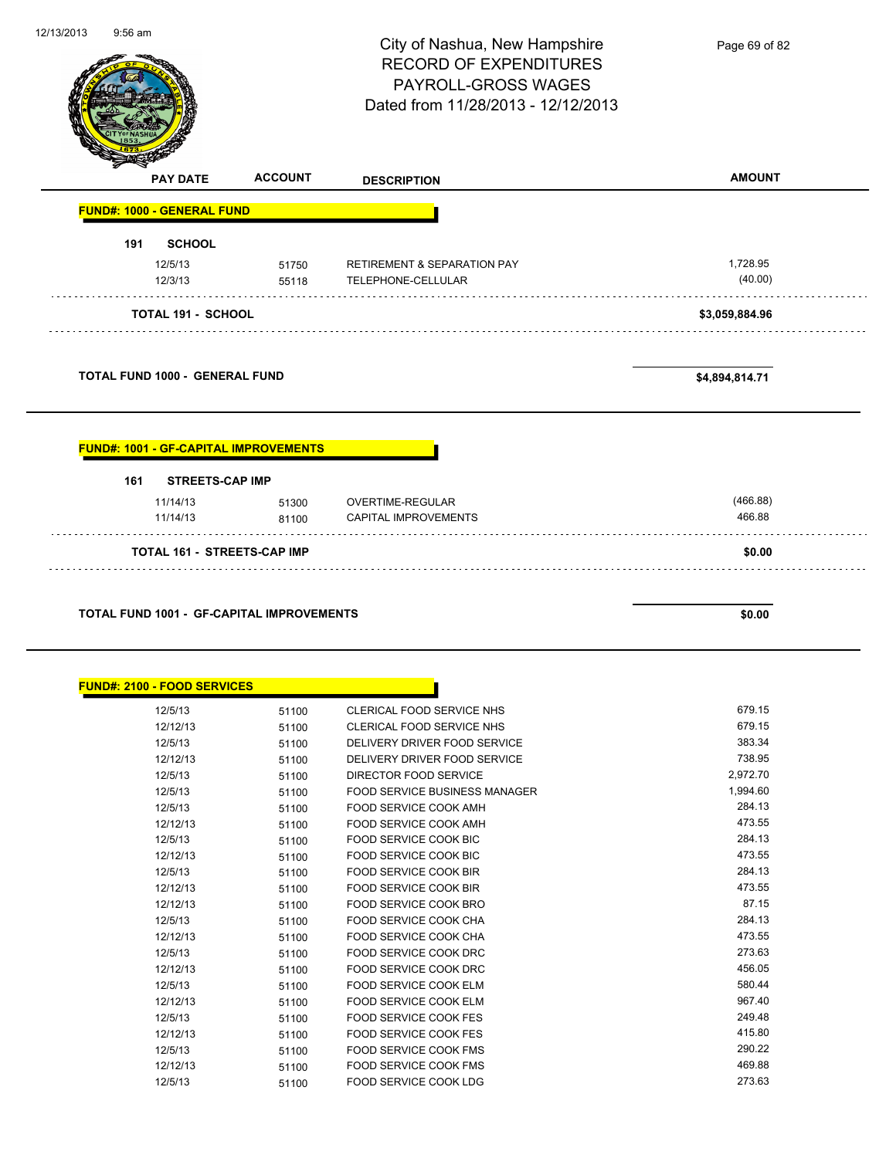|     |                                              |                                                  | City of Nashua, New Hampshire<br><b>RECORD OF EXPENDITURES</b><br>PAYROLL-GROSS WAGES | Page 69 of 82       |
|-----|----------------------------------------------|--------------------------------------------------|---------------------------------------------------------------------------------------|---------------------|
|     |                                              |                                                  | Dated from 11/28/2013 - 12/12/2013                                                    |                     |
|     | <b>PAY DATE</b>                              | <b>ACCOUNT</b>                                   | <b>DESCRIPTION</b>                                                                    | <b>AMOUNT</b>       |
|     | <b>FUND#: 1000 - GENERAL FUND</b>            |                                                  |                                                                                       |                     |
| 191 | <b>SCHOOL</b>                                |                                                  |                                                                                       |                     |
|     | 12/5/13<br>12/3/13                           | 51750<br>55118                                   | <b>RETIREMENT &amp; SEPARATION PAY</b><br>TELEPHONE-CELLULAR                          | 1,728.95<br>(40.00) |
|     | <b>TOTAL 191 - SCHOOL</b>                    |                                                  |                                                                                       | \$3,059,884.96      |
|     | <b>TOTAL FUND 1000 - GENERAL FUND</b>        |                                                  |                                                                                       | \$4,894,814.71      |
|     | <b>FUND#: 1001 - GF-CAPITAL IMPROVEMENTS</b> |                                                  |                                                                                       |                     |
| 161 | <b>STREETS-CAP IMP</b>                       |                                                  |                                                                                       |                     |
|     | 11/14/13                                     |                                                  | OVERTIME-REGULAR                                                                      | (466.88)            |
|     | 11/14/13                                     | 51300<br>81100                                   | CAPITAL IMPROVEMENTS                                                                  | 466.88              |
|     | <b>TOTAL 161 - STREETS-CAP IMP</b>           |                                                  |                                                                                       | \$0.00              |
|     |                                              |                                                  |                                                                                       |                     |
|     |                                              |                                                  |                                                                                       |                     |
|     |                                              | <b>TOTAL FUND 1001 - GF-CAPITAL IMPROVEMENTS</b> |                                                                                       | \$0.00              |
|     |                                              |                                                  |                                                                                       |                     |
|     | <b>FUND#: 2100 - FOOD SERVICES</b>           |                                                  |                                                                                       |                     |
|     | 12/5/13                                      | 51100                                            | CLERICAL FOOD SERVICE NHS                                                             | 679.15              |
|     | 12/12/13                                     | 51100                                            | CLERICAL FOOD SERVICE NHS                                                             | 679.15              |
|     | 12/5/13<br>12/12/13                          | 51100<br>51100                                   | DELIVERY DRIVER FOOD SERVICE<br>DELIVERY DRIVER FOOD SERVICE                          | 383.34<br>738.95    |
|     | 12/5/13                                      | 51100                                            | DIRECTOR FOOD SERVICE                                                                 | 2,972.70            |
|     | 12/5/13                                      | 51100                                            | FOOD SERVICE BUSINESS MANAGER                                                         | 1,994.60            |
|     | 12/5/13                                      | 51100                                            | FOOD SERVICE COOK AMH                                                                 | 284.13              |
|     | 12/12/13                                     | 51100                                            | FOOD SERVICE COOK AMH                                                                 | 473.55              |
|     | 12/5/13                                      | 51100                                            | FOOD SERVICE COOK BIC                                                                 | 284.13              |
|     | 12/12/13                                     | 51100                                            | FOOD SERVICE COOK BIC                                                                 | 473.55              |
|     | 12/5/13                                      | 51100                                            | FOOD SERVICE COOK BIR                                                                 | 284.13              |
|     | 12/12/13                                     | 51100                                            | FOOD SERVICE COOK BIR                                                                 | 473.55              |
|     | 12/12/13                                     | 51100                                            | FOOD SERVICE COOK BRO                                                                 | 87.15               |
|     | 12/5/13                                      | 51100                                            | FOOD SERVICE COOK CHA                                                                 | 284.13              |
|     | 12/12/13                                     | 51100                                            | FOOD SERVICE COOK CHA                                                                 | 473.55              |
|     | 12/5/13                                      | 51100                                            | FOOD SERVICE COOK DRC                                                                 | 273.63              |
|     | 12/12/13                                     | 51100                                            | FOOD SERVICE COOK DRC                                                                 | 456.05              |
|     | 12/5/13                                      | 51100                                            | FOOD SERVICE COOK ELM                                                                 | 580.44              |
|     | 12/12/13                                     | 51100                                            | FOOD SERVICE COOK ELM                                                                 | 967.40              |
|     | 12/5/13                                      | 51100                                            | FOOD SERVICE COOK FES                                                                 | 249.48              |
|     | 12/12/13                                     | 51100                                            | FOOD SERVICE COOK FES                                                                 | 415.80              |
|     | 12/5/13<br>12/12/13                          | 51100<br>51100                                   | FOOD SERVICE COOK FMS<br>FOOD SERVICE COOK FMS                                        | 290.22<br>469.88    |

12/13/2013 9:56 am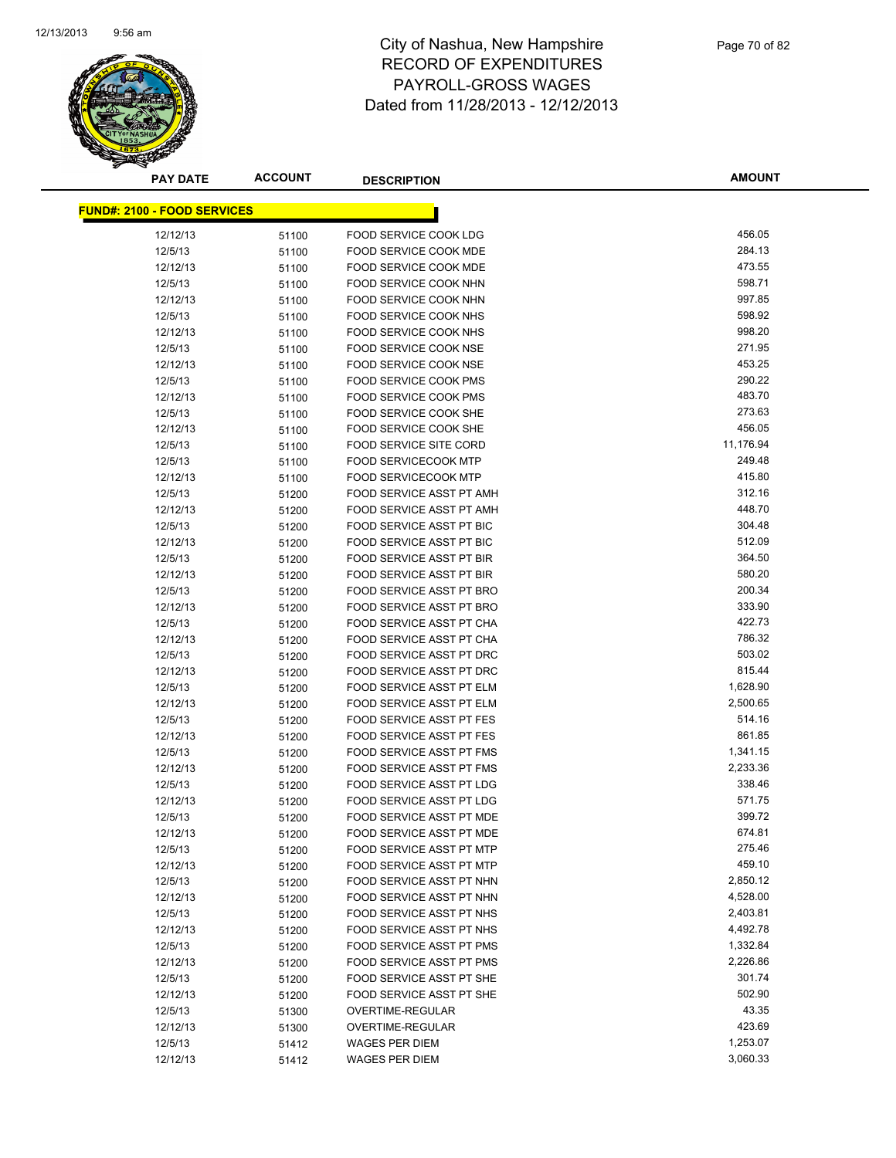

**AMOUNT**

| <b>FUND#: 2100 - FOOD SERVICES</b> |       |                                         |                  |
|------------------------------------|-------|-----------------------------------------|------------------|
| 12/12/13                           | 51100 | FOOD SERVICE COOK LDG                   | 456.05           |
| 12/5/13                            | 51100 | FOOD SERVICE COOK MDE                   | 284.13           |
| 12/12/13                           | 51100 | FOOD SERVICE COOK MDE                   | 473.55           |
| 12/5/13                            | 51100 | FOOD SERVICE COOK NHN                   | 598.71           |
| 12/12/13                           | 51100 | FOOD SERVICE COOK NHN                   | 997.85           |
| 12/5/13                            | 51100 | FOOD SERVICE COOK NHS                   | 598.92           |
| 12/12/13                           | 51100 | FOOD SERVICE COOK NHS                   | 998.20           |
| 12/5/13                            | 51100 | FOOD SERVICE COOK NSE                   | 271.95           |
| 12/12/13                           | 51100 | FOOD SERVICE COOK NSE                   | 453.25           |
| 12/5/13                            | 51100 | <b>FOOD SERVICE COOK PMS</b>            | 290.22           |
| 12/12/13                           | 51100 | FOOD SERVICE COOK PMS                   | 483.70           |
| 12/5/13                            | 51100 | FOOD SERVICE COOK SHE                   | 273.63           |
| 12/12/13                           | 51100 | FOOD SERVICE COOK SHE                   | 456.05           |
| 12/5/13                            | 51100 | <b>FOOD SERVICE SITE CORD</b>           | 11,176.94        |
| 12/5/13                            | 51100 | <b>FOOD SERVICECOOK MTP</b>             | 249.48           |
| 12/12/13                           | 51100 | <b>FOOD SERVICECOOK MTP</b>             | 415.80           |
| 12/5/13                            | 51200 | FOOD SERVICE ASST PT AMH                | 312.16           |
| 12/12/13                           | 51200 | FOOD SERVICE ASST PT AMH                | 448.70           |
| 12/5/13                            | 51200 | <b>FOOD SERVICE ASST PT BIC</b>         | 304.48           |
| 12/12/13                           | 51200 | <b>FOOD SERVICE ASST PT BIC</b>         | 512.09           |
| 12/5/13                            | 51200 | <b>FOOD SERVICE ASST PT BIR</b>         | 364.50           |
| 12/12/13                           | 51200 | <b>FOOD SERVICE ASST PT BIR</b>         | 580.20           |
| 12/5/13                            | 51200 | FOOD SERVICE ASST PT BRO                | 200.34           |
| 12/12/13                           | 51200 | FOOD SERVICE ASST PT BRO                | 333.90           |
| 12/5/13                            | 51200 | FOOD SERVICE ASST PT CHA                | 422.73           |
| 12/12/13                           | 51200 | FOOD SERVICE ASST PT CHA                | 786.32           |
| 12/5/13                            | 51200 | FOOD SERVICE ASST PT DRC                | 503.02           |
| 12/12/13                           | 51200 | FOOD SERVICE ASST PT DRC                | 815.44           |
| 12/5/13                            | 51200 | FOOD SERVICE ASST PT ELM                | 1,628.90         |
| 12/12/13                           | 51200 | FOOD SERVICE ASST PT ELM                | 2,500.65         |
| 12/5/13                            | 51200 | <b>FOOD SERVICE ASST PT FES</b>         | 514.16           |
| 12/12/13                           | 51200 | FOOD SERVICE ASST PT FES                | 861.85           |
| 12/5/13                            | 51200 | <b>FOOD SERVICE ASST PT FMS</b>         | 1,341.15         |
| 12/12/13                           | 51200 | <b>FOOD SERVICE ASST PT FMS</b>         | 2,233.36         |
| 12/5/13                            | 51200 | FOOD SERVICE ASST PT LDG                | 338.46           |
| 12/12/13                           | 51200 | FOOD SERVICE ASST PT LDG                | 571.75           |
| 12/5/13                            | 51200 | FOOD SERVICE ASST PT MDE                | 399.72           |
| 12/12/13                           | 51200 | FOOD SERVICE ASST PT MDE                | 674.81           |
| 12/5/13                            | 51200 | FOOD SERVICE ASST PT MTP                | 275.46           |
| 12/12/13                           | 51200 | FOOD SERVICE ASST PT MTP                | 459.10           |
| 12/5/13                            | 51200 | FOOD SERVICE ASST PT NHN                | 2,850.12         |
| 12/12/13                           | 51200 | FOOD SERVICE ASST PT NHN                | 4,528.00         |
| 12/5/13                            | 51200 | FOOD SERVICE ASST PT NHS                | 2,403.81         |
| 12/12/13                           | 51200 | FOOD SERVICE ASST PT NHS                | 4,492.78         |
| 12/5/13                            | 51200 | <b>FOOD SERVICE ASST PT PMS</b>         | 1,332.84         |
| 12/12/13                           | 51200 | FOOD SERVICE ASST PT PMS                | 2,226.86         |
| 12/5/13                            | 51200 | FOOD SERVICE ASST PT SHE                | 301.74<br>502.90 |
| 12/12/13                           | 51200 | FOOD SERVICE ASST PT SHE                | 43.35            |
| 12/5/13                            | 51300 | <b>OVERTIME-REGULAR</b>                 | 423.69           |
| 12/12/13                           | 51300 | OVERTIME-REGULAR                        | 1,253.07         |
| 12/5/13<br>12/12/13                | 51412 | <b>WAGES PER DIEM</b><br>WAGES PER DIEM | 3,060.33         |
|                                    | 51412 |                                         |                  |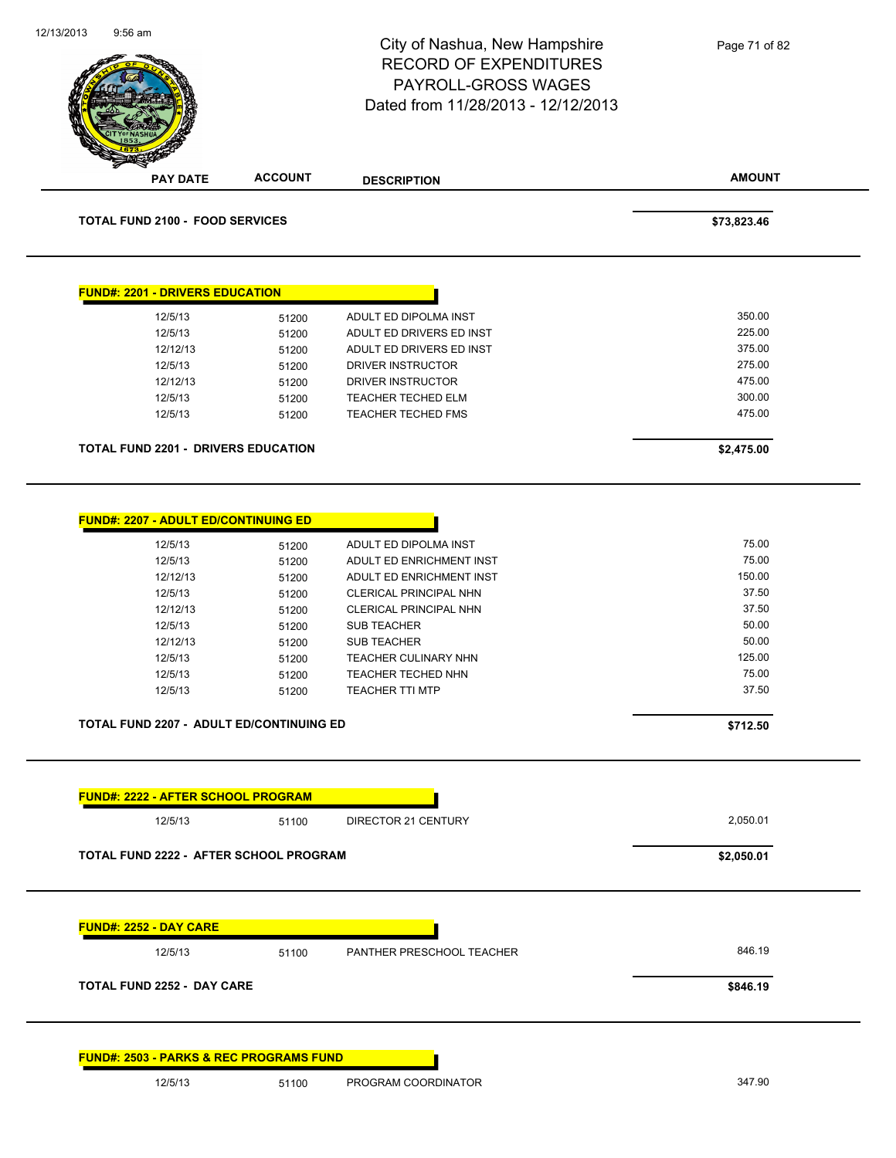| 12/13/2013<br>$9:56$ am                                                                                       |                                                                                                                                                                                          | City of Nashua, New Hampshire<br><b>RECORD OF EXPENDITURES</b><br>PAYROLL-GROSS WAGES<br>Dated from 11/28/2013 - 12/12/2013                                                                                                                           | Page 71 of 82                                                                                        |
|---------------------------------------------------------------------------------------------------------------|------------------------------------------------------------------------------------------------------------------------------------------------------------------------------------------|-------------------------------------------------------------------------------------------------------------------------------------------------------------------------------------------------------------------------------------------------------|------------------------------------------------------------------------------------------------------|
| <b>PAY DATE</b>                                                                                               | <b>ACCOUNT</b>                                                                                                                                                                           | <b>DESCRIPTION</b>                                                                                                                                                                                                                                    | <b>AMOUNT</b>                                                                                        |
| <b>TOTAL FUND 2100 - FOOD SERVICES</b>                                                                        |                                                                                                                                                                                          |                                                                                                                                                                                                                                                       | \$73,823.46                                                                                          |
| <b>FUND#: 2201 - DRIVERS EDUCATION</b>                                                                        |                                                                                                                                                                                          |                                                                                                                                                                                                                                                       |                                                                                                      |
| 12/5/13                                                                                                       | 51200                                                                                                                                                                                    | ADULT ED DIPOLMA INST                                                                                                                                                                                                                                 | 350.00                                                                                               |
| 12/5/13                                                                                                       | 51200                                                                                                                                                                                    | ADULT ED DRIVERS ED INST                                                                                                                                                                                                                              | 225.00                                                                                               |
| 12/12/13                                                                                                      | 51200                                                                                                                                                                                    | ADULT ED DRIVERS ED INST                                                                                                                                                                                                                              | 375.00                                                                                               |
| 12/5/13                                                                                                       | 51200                                                                                                                                                                                    | DRIVER INSTRUCTOR                                                                                                                                                                                                                                     | 275.00                                                                                               |
| 12/12/13                                                                                                      | 51200                                                                                                                                                                                    | DRIVER INSTRUCTOR                                                                                                                                                                                                                                     | 475.00                                                                                               |
| 12/5/13                                                                                                       | 51200                                                                                                                                                                                    | <b>TEACHER TECHED ELM</b>                                                                                                                                                                                                                             | 300.00                                                                                               |
| 12/5/13                                                                                                       | 51200                                                                                                                                                                                    | <b>TEACHER TECHED FMS</b>                                                                                                                                                                                                                             | 475.00                                                                                               |
|                                                                                                               | <b>TOTAL FUND 2201 - DRIVERS EDUCATION</b>                                                                                                                                               |                                                                                                                                                                                                                                                       | \$2,475.00                                                                                           |
| 12/5/13<br>12/5/13<br>12/12/13<br>12/5/13<br>12/12/13<br>12/5/13<br>12/12/13<br>12/5/13<br>12/5/13<br>12/5/13 | <b>FUND#: 2207 - ADULT ED/CONTINUING ED</b><br>51200<br>51200<br>51200<br>51200<br>51200<br>51200<br>51200<br>51200<br>51200<br>51200<br><b>TOTAL FUND 2207 - ADULT ED/CONTINUING ED</b> | ADULT ED DIPOLMA INST<br>ADULT ED ENRICHMENT INST<br>ADULT ED ENRICHMENT INST<br>CLERICAL PRINCIPAL NHN<br>CLERICAL PRINCIPAL NHN<br><b>SUB TEACHER</b><br><b>SUB TEACHER</b><br>TEACHER CULINARY NHN<br><b>TEACHER TECHED NHN</b><br>TEACHER TTI MTP | 75.00<br>75.00<br>150.00<br>37.50<br>37.50<br>50.00<br>50.00<br>125.00<br>75.00<br>37.50<br>\$712.50 |
|                                                                                                               |                                                                                                                                                                                          |                                                                                                                                                                                                                                                       |                                                                                                      |
| 12/5/13                                                                                                       | <b>FUND#: 2222 - AFTER SCHOOL PROGRAM</b><br>51100                                                                                                                                       | DIRECTOR 21 CENTURY                                                                                                                                                                                                                                   | 2,050.01                                                                                             |
|                                                                                                               |                                                                                                                                                                                          |                                                                                                                                                                                                                                                       |                                                                                                      |
|                                                                                                               | TOTAL FUND 2222 - AFTER SCHOOL PROGRAM                                                                                                                                                   |                                                                                                                                                                                                                                                       | \$2,050.01                                                                                           |
| <b>FUND#: 2252 - DAY CARE</b>                                                                                 |                                                                                                                                                                                          |                                                                                                                                                                                                                                                       |                                                                                                      |
| 12/5/13                                                                                                       | 51100                                                                                                                                                                                    | PANTHER PRESCHOOL TEACHER                                                                                                                                                                                                                             | 846.19                                                                                               |
| <b>TOTAL FUND 2252 - DAY CARE</b>                                                                             | \$846.19                                                                                                                                                                                 |                                                                                                                                                                                                                                                       |                                                                                                      |
|                                                                                                               | <b>FUND#: 2503 - PARKS &amp; REC PROGRAMS FUND</b>                                                                                                                                       |                                                                                                                                                                                                                                                       |                                                                                                      |
| 12/5/13                                                                                                       | 51100                                                                                                                                                                                    | PROGRAM COORDINATOR                                                                                                                                                                                                                                   | 347.90                                                                                               |
|                                                                                                               |                                                                                                                                                                                          |                                                                                                                                                                                                                                                       |                                                                                                      |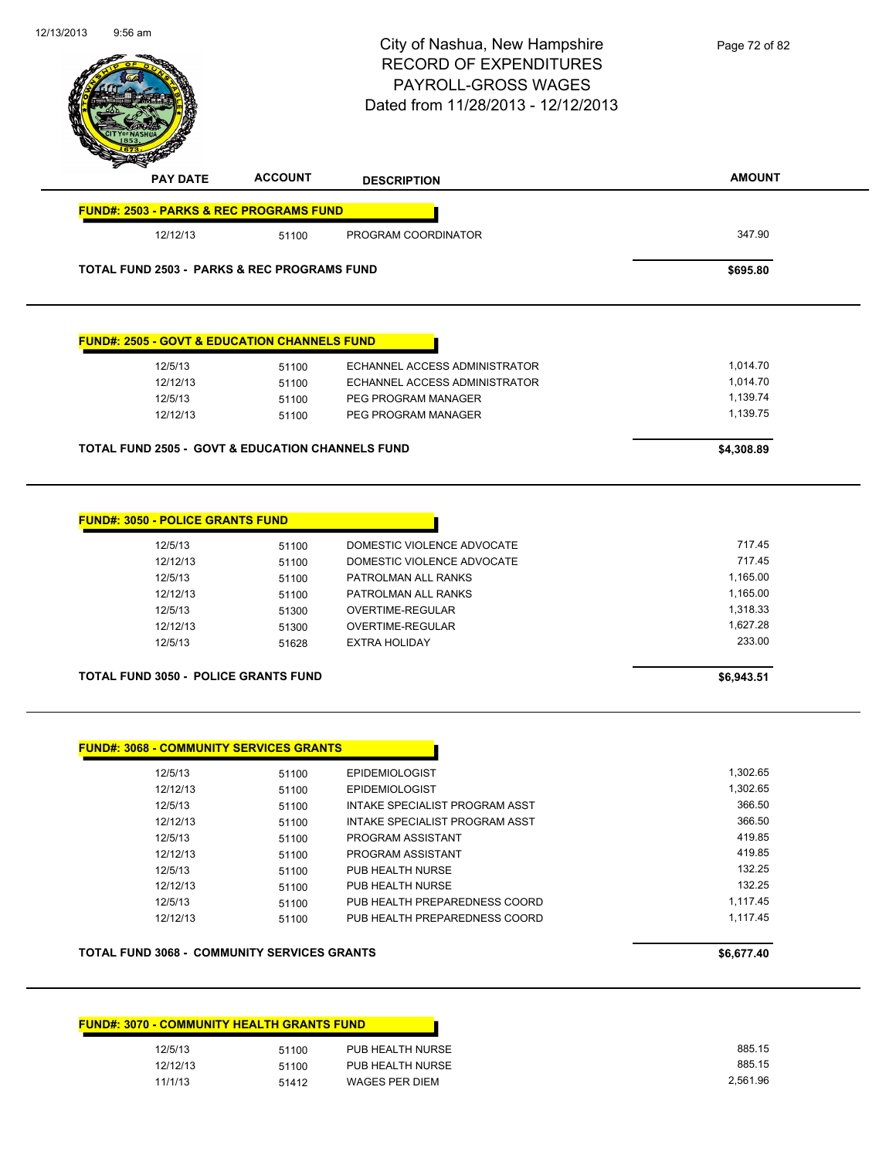| 12/13/2013                                             | $9:56$ am                                                   |                | City of Nashua, New Hampshire<br><b>RECORD OF EXPENDITURES</b><br>PAYROLL-GROSS WAGES<br>Dated from 11/28/2013 - 12/12/2013 | Page 72 of 82        |
|--------------------------------------------------------|-------------------------------------------------------------|----------------|-----------------------------------------------------------------------------------------------------------------------------|----------------------|
|                                                        |                                                             |                |                                                                                                                             |                      |
|                                                        | <b>PAY DATE</b>                                             | <b>ACCOUNT</b> | <b>DESCRIPTION</b>                                                                                                          | <b>AMOUNT</b>        |
|                                                        | <b>FUND#: 2503 - PARKS &amp; REC PROGRAMS FUND</b>          |                |                                                                                                                             |                      |
|                                                        | 12/12/13                                                    | 51100          | PROGRAM COORDINATOR                                                                                                         | 347.90               |
| <b>TOTAL FUND 2503 - PARKS &amp; REC PROGRAMS FUND</b> | \$695.80                                                    |                |                                                                                                                             |                      |
|                                                        | <b>FUND#: 2505 - GOVT &amp; EDUCATION CHANNELS FUND</b>     |                |                                                                                                                             |                      |
|                                                        | 12/5/13                                                     | 51100          | ECHANNEL ACCESS ADMINISTRATOR                                                                                               | 1,014.70             |
|                                                        | 12/12/13                                                    | 51100          | ECHANNEL ACCESS ADMINISTRATOR                                                                                               | 1,014.70             |
|                                                        | 12/5/13                                                     | 51100          | PEG PROGRAM MANAGER                                                                                                         | 1,139.74             |
|                                                        | 12/12/13                                                    | 51100          | PEG PROGRAM MANAGER                                                                                                         | 1,139.75             |
|                                                        | <b>TOTAL FUND 2505 - GOVT &amp; EDUCATION CHANNELS FUND</b> |                |                                                                                                                             | \$4,308.89           |
|                                                        | <u> FUND#: 3050 - POLICE GRANTS FUND</u>                    |                |                                                                                                                             |                      |
|                                                        | 12/5/13                                                     | 51100          | DOMESTIC VIOLENCE ADVOCATE                                                                                                  | 717.45               |
|                                                        | 12/12/13                                                    | 51100          | DOMESTIC VIOLENCE ADVOCATE                                                                                                  | 717.45               |
|                                                        | 12/5/13                                                     | 51100          | PATROLMAN ALL RANKS                                                                                                         | 1,165.00             |
|                                                        | 12/12/13                                                    | 51100          | PATROLMAN ALL RANKS                                                                                                         | 1,165.00             |
|                                                        | 12/5/13                                                     | 51300          | OVERTIME-REGULAR                                                                                                            | 1,318.33<br>1,627.28 |
|                                                        | 12/12/13<br>12/5/13                                         | 51300<br>51628 | OVERTIME-REGULAR<br><b>EXTRA HOLIDAY</b>                                                                                    | 233.00               |
|                                                        | <b>TOTAL FUND 3050 - POLICE GRANTS FUND</b>                 |                |                                                                                                                             | \$6,943.51           |
|                                                        |                                                             |                |                                                                                                                             |                      |
|                                                        | <b>FUND#: 3068 - COMMUNITY SERVICES GRANTS</b>              |                |                                                                                                                             |                      |
|                                                        | 12/5/13                                                     | 51100          | <b>EPIDEMIOLOGIST</b>                                                                                                       | 1,302.65             |
|                                                        | 12/12/13                                                    | 51100          | <b>EPIDEMIOLOGIST</b>                                                                                                       | 1,302.65<br>366.50   |
|                                                        | 12/5/13<br>12/12/13                                         | 51100<br>51100 | <b>INTAKE SPECIALIST PROGRAM ASST</b><br>INTAKE SPECIALIST PROGRAM ASST                                                     | 366.50               |
|                                                        | 12/5/13                                                     | 51100          | PROGRAM ASSISTANT                                                                                                           | 419.85               |
|                                                        | 12/12/13                                                    | 51100          | PROGRAM ASSISTANT                                                                                                           | 419.85               |
|                                                        | 12/5/13                                                     | 51100          | PUB HEALTH NURSE                                                                                                            | 132.25               |
|                                                        | 12/12/13                                                    | 51100          | PUB HEALTH NURSE                                                                                                            | 132.25               |
|                                                        | 12/5/13                                                     | 51100          | PUB HEALTH PREPAREDNESS COORD                                                                                               | 1,117.45             |
|                                                        | 12/12/13                                                    | 51100          | PUB HEALTH PREPAREDNESS COORD                                                                                               | 1,117.45             |
| <b>TOTAL FUND 3068 - COMMUNITY SERVICES GRANTS</b>     |                                                             |                |                                                                                                                             | \$6,677.40           |
|                                                        |                                                             |                |                                                                                                                             |                      |
|                                                        | <u> FUND#: 3070 - COMMUNITY HEALTH GRANTS FUND</u>          |                |                                                                                                                             |                      |
|                                                        | 12/5/13                                                     | 51100          | PUB HEALTH NURSE                                                                                                            | 885.15               |

12/12/13 51100 PUB HEALTH NURSE 885.15 11/1/13 51412 WAGES PER DIEM 2561.96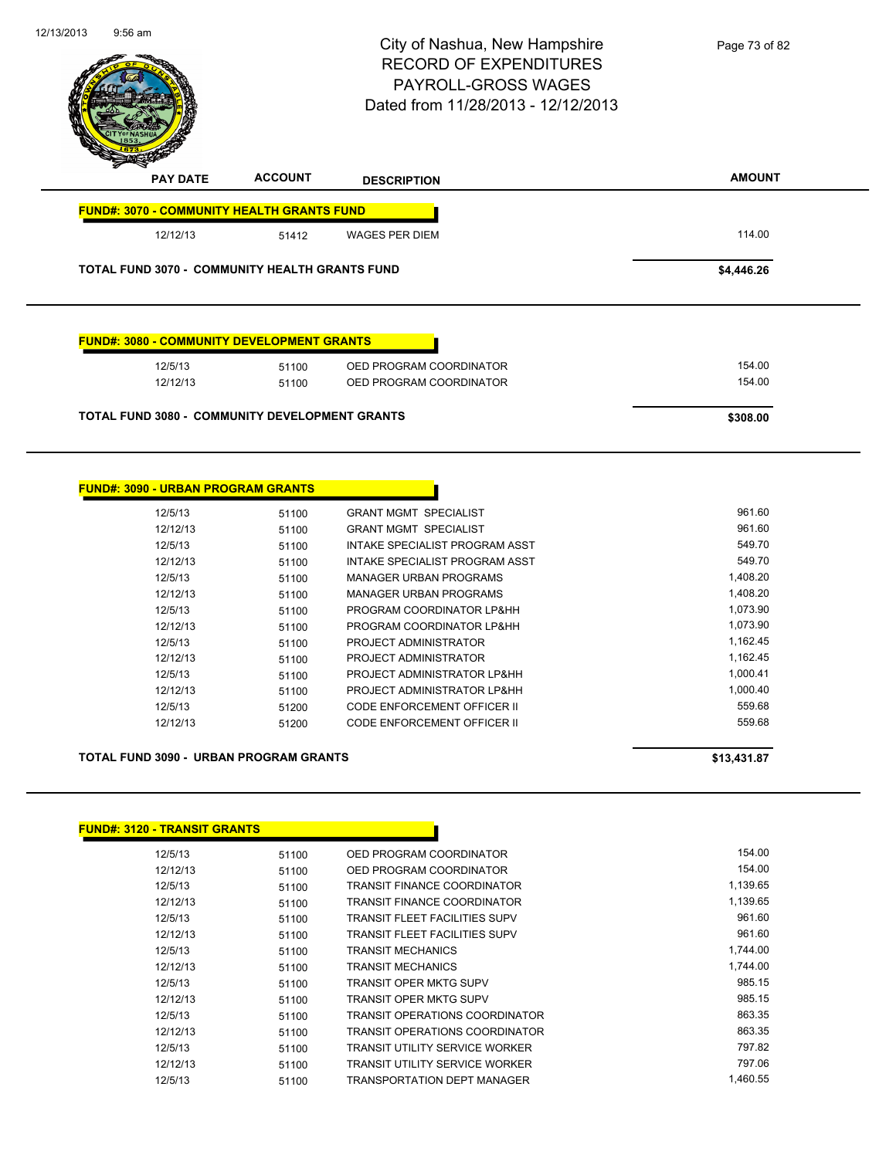| $9:56$ am                                             |                | City of Nashua, New Hampshire<br><b>RECORD OF EXPENDITURES</b><br>PAYROLL-GROSS WAGES<br>Dated from 11/28/2013 - 12/12/2013 | Page 73 of 82        |
|-------------------------------------------------------|----------------|-----------------------------------------------------------------------------------------------------------------------------|----------------------|
| PAY DATE                                              | <b>ACCOUNT</b> | <b>DESCRIPTION</b>                                                                                                          | <b>AMOUNT</b>        |
| <b>FUND#: 3070 - COMMUNITY HEALTH GRANTS FUND</b>     |                |                                                                                                                             |                      |
| 12/12/13                                              | 51412          | <b>WAGES PER DIEM</b>                                                                                                       | 114.00               |
| TOTAL FUND 3070 - COMMUNITY HEALTH GRANTS FUND        |                |                                                                                                                             | \$4,446.26           |
| <b>FUND#: 3080 - COMMUNITY DEVELOPMENT GRANTS</b>     |                |                                                                                                                             |                      |
| 12/5/13<br>12/12/13                                   | 51100<br>51100 | OED PROGRAM COORDINATOR<br>OED PROGRAM COORDINATOR                                                                          | 154.00<br>154.00     |
| <b>TOTAL FUND 3080 - COMMUNITY DEVELOPMENT GRANTS</b> |                |                                                                                                                             | \$308.00             |
|                                                       |                |                                                                                                                             |                      |
| <b>FUND#: 3090 - URBAN PROGRAM GRANTS</b>             |                |                                                                                                                             |                      |
| 12/5/13                                               | 51100          | <b>GRANT MGMT SPECIALIST</b>                                                                                                | 961.60               |
| 12/12/13                                              | 51100          | <b>GRANT MGMT SPECIALIST</b>                                                                                                | 961.60               |
| 12/5/13                                               | 51100          | INTAKE SPECIALIST PROGRAM ASST                                                                                              | 549.70               |
| 12/12/13                                              | 51100          | INTAKE SPECIALIST PROGRAM ASST                                                                                              | 549.70               |
| 12/5/13                                               | 51100          | <b>MANAGER URBAN PROGRAMS</b>                                                                                               | 1,408.20             |
| 12/12/13<br>12/5/13                                   | 51100<br>51100 | <b>MANAGER URBAN PROGRAMS</b><br>PROGRAM COORDINATOR LP&HH                                                                  | 1,408.20<br>1,073.90 |
| 12/12/13                                              | 51100          | PROGRAM COORDINATOR LP&HH                                                                                                   | 1,073.90             |
| 12/5/13                                               | 51100          | PROJECT ADMINISTRATOR                                                                                                       | 1,162.45             |
| 12/12/13                                              | 51100          | PROJECT ADMINISTRATOR                                                                                                       | 1,162.45             |
| 12/5/13                                               | 51100          | PROJECT ADMINISTRATOR LP&HH                                                                                                 | 1,000.41             |
| 12/12/13                                              | 51100          | PROJECT ADMINISTRATOR LP&HH                                                                                                 | 1,000.40             |
| 12/5/13                                               | 51200          | CODE ENFORCEMENT OFFICER II                                                                                                 | 559.68               |
| 12/12/13                                              | 51200          | CODE ENFORCEMENT OFFICER II                                                                                                 | 559.68               |
| <b>TOTAL FUND 3090 - URBAN PROGRAM GRANTS</b>         |                |                                                                                                                             | \$13,431.87          |
|                                                       |                |                                                                                                                             |                      |
| <b>FUND#: 3120 - TRANSIT GRANTS</b>                   |                |                                                                                                                             |                      |
| 12/5/13<br>12/12/13                                   | 51100<br>51100 | OED PROGRAM COORDINATOR<br>OED PROGRAM COORDINATOR                                                                          | 154.00<br>154.00     |

12/12/13 51100 TRANSIT FINANCE COORDINATOR 1,139.65 12/5/13 51100 TRANSIT FLEET FACILITIES SUPV 961.60 12/12/13 51100 TRANSIT FLEET FACILITIES SUPV 961.60 12/5/13 51100 TRANSIT MECHANICS 1,744.00 12/12/13 51100 TRANSIT MECHANICS 1,744.00 12/5/13 51100 TRANSIT OPER MKTG SUPV 985.15 12/12/13 51100 TRANSIT OPER MKTG SUPV 985.15 12/5/13 51100 TRANSIT OPERATIONS COORDINATOR 863.35 12/12/13 51100 TRANSIT OPERATIONS COORDINATOR 863.35 12/5/13 51100 TRANSIT UTILITY SERVICE WORKER 51100 12/12/13 51100 TRANSIT UTILITY SERVICE WORKER 797.06 12/5/13 51100 TRANSPORTATION DEPT MANAGER 1,460.55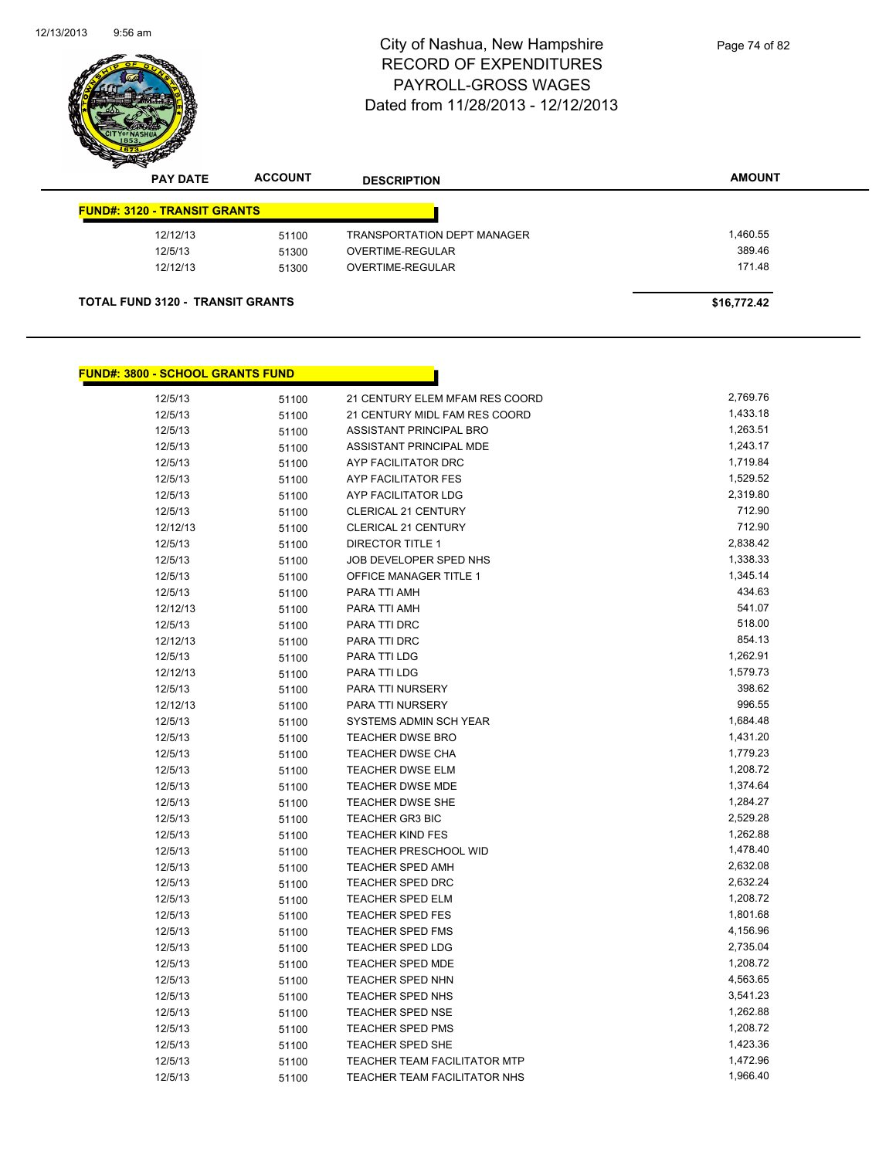

| <b>FUND#: 3120 - TRANSIT GRANTS</b> |       |                             |          |
|-------------------------------------|-------|-----------------------------|----------|
| 12/12/13                            | 51100 | TRANSPORTATION DEPT MANAGER | 1,460.55 |
| 12/5/13                             | 51300 | OVERTIME-REGULAR            | 389.46   |
| 12/12/13                            | 51300 | OVERTIME-REGULAR            | 171.48   |

## **FUND#: 3800 - SCHOOL GRANTS FUND**

| 12/5/13  | 51100 | 21 CENTURY ELEM MFAM RES COORD      | 2,769.76 |
|----------|-------|-------------------------------------|----------|
| 12/5/13  | 51100 | 21 CENTURY MIDL FAM RES COORD       | 1,433.18 |
| 12/5/13  | 51100 | ASSISTANT PRINCIPAL BRO             | 1,263.51 |
| 12/5/13  | 51100 | ASSISTANT PRINCIPAL MDE             | 1,243.17 |
| 12/5/13  | 51100 | AYP FACILITATOR DRC                 | 1,719.84 |
| 12/5/13  | 51100 | AYP FACILITATOR FES                 | 1,529.52 |
| 12/5/13  | 51100 | AYP FACILITATOR LDG                 | 2,319.80 |
| 12/5/13  | 51100 | CLERICAL 21 CENTURY                 | 712.90   |
| 12/12/13 | 51100 | <b>CLERICAL 21 CENTURY</b>          | 712.90   |
| 12/5/13  | 51100 | <b>DIRECTOR TITLE 1</b>             | 2,838.42 |
| 12/5/13  | 51100 | JOB DEVELOPER SPED NHS              | 1,338.33 |
| 12/5/13  | 51100 | <b>OFFICE MANAGER TITLE 1</b>       | 1,345.14 |
| 12/5/13  | 51100 | PARA TTI AMH                        | 434.63   |
| 12/12/13 | 51100 | PARA TTI AMH                        | 541.07   |
| 12/5/13  | 51100 | PARA TTI DRC                        | 518.00   |
| 12/12/13 | 51100 | PARA TTI DRC                        | 854.13   |
| 12/5/13  | 51100 | PARA TTI LDG                        | 1,262.91 |
| 12/12/13 | 51100 | PARA TTI LDG                        | 1,579.73 |
| 12/5/13  | 51100 | PARA TTI NURSERY                    | 398.62   |
| 12/12/13 | 51100 | PARA TTI NURSERY                    | 996.55   |
| 12/5/13  | 51100 | SYSTEMS ADMIN SCH YEAR              | 1,684.48 |
| 12/5/13  | 51100 | <b>TEACHER DWSE BRO</b>             | 1,431.20 |
| 12/5/13  | 51100 | <b>TEACHER DWSE CHA</b>             | 1,779.23 |
| 12/5/13  | 51100 | TEACHER DWSE ELM                    | 1,208.72 |
| 12/5/13  | 51100 | <b>TEACHER DWSE MDE</b>             | 1,374.64 |
| 12/5/13  | 51100 | <b>TEACHER DWSE SHE</b>             | 1,284.27 |
| 12/5/13  | 51100 | <b>TEACHER GR3 BIC</b>              | 2,529.28 |
| 12/5/13  | 51100 | <b>TEACHER KIND FES</b>             | 1,262.88 |
| 12/5/13  | 51100 | <b>TEACHER PRESCHOOL WID</b>        | 1,478.40 |
| 12/5/13  | 51100 | <b>TEACHER SPED AMH</b>             | 2,632.08 |
| 12/5/13  | 51100 | <b>TEACHER SPED DRC</b>             | 2,632.24 |
| 12/5/13  | 51100 | <b>TEACHER SPED ELM</b>             | 1,208.72 |
| 12/5/13  | 51100 | <b>TEACHER SPED FES</b>             | 1,801.68 |
| 12/5/13  | 51100 | <b>TEACHER SPED FMS</b>             | 4,156.96 |
| 12/5/13  | 51100 | <b>TEACHER SPED LDG</b>             | 2,735.04 |
| 12/5/13  | 51100 | TEACHER SPED MDE                    | 1,208.72 |
| 12/5/13  | 51100 | <b>TEACHER SPED NHN</b>             | 4,563.65 |
| 12/5/13  | 51100 | TEACHER SPED NHS                    | 3,541.23 |
| 12/5/13  | 51100 | <b>TEACHER SPED NSE</b>             | 1,262.88 |
| 12/5/13  | 51100 | <b>TEACHER SPED PMS</b>             | 1,208.72 |
| 12/5/13  | 51100 | TEACHER SPED SHE                    | 1,423.36 |
| 12/5/13  | 51100 | TEACHER TEAM FACILITATOR MTP        | 1,472.96 |
| 12/5/13  | 51100 | <b>TEACHER TEAM FACILITATOR NHS</b> | 1,966.40 |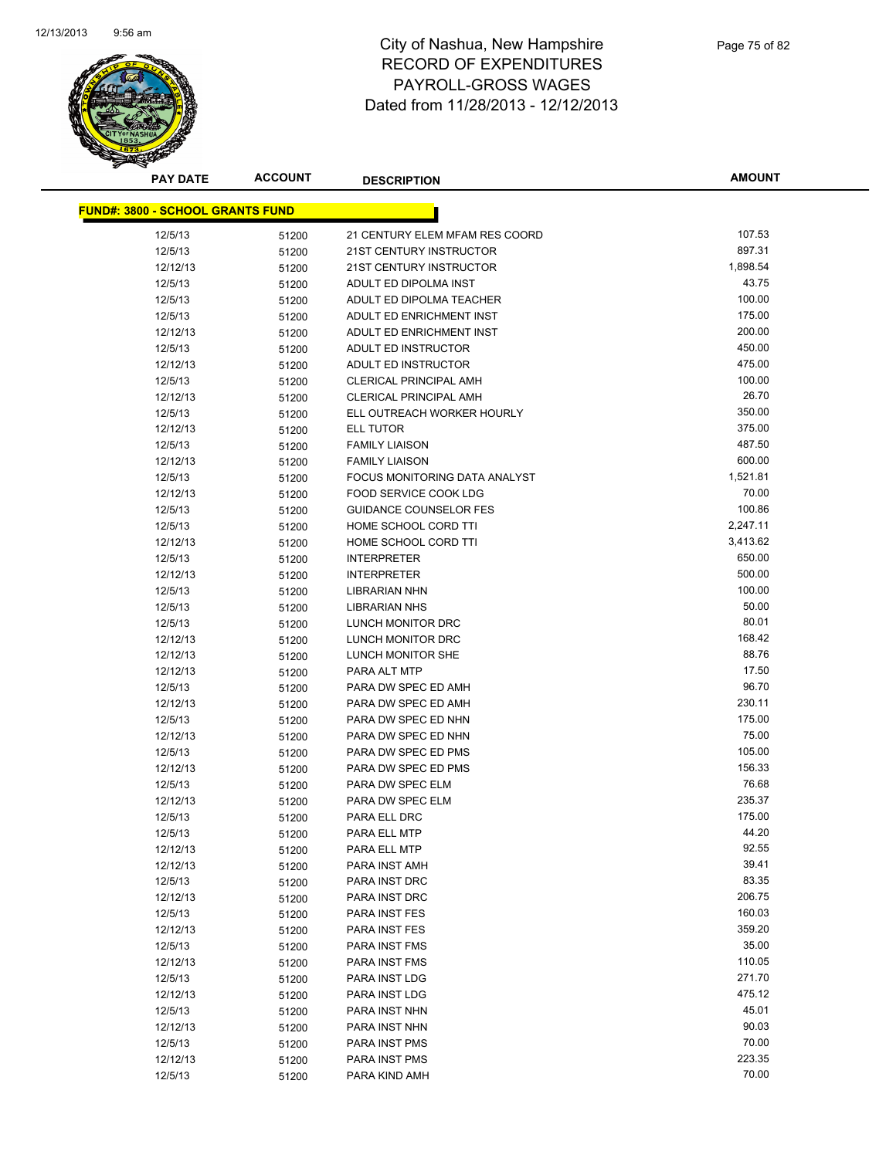

| <b>PAY DATE</b>                         | <b>ACCOUNT</b> | <b>DESCRIPTION</b>             | <b>AMOUNT</b> |
|-----------------------------------------|----------------|--------------------------------|---------------|
| <b>FUND#: 3800 - SCHOOL GRANTS FUND</b> |                |                                |               |
|                                         |                |                                |               |
| 12/5/13                                 | 51200          | 21 CENTURY ELEM MFAM RES COORD | 107.53        |
| 12/5/13                                 | 51200          | 21ST CENTURY INSTRUCTOR        | 897.31        |
| 12/12/13                                | 51200          | <b>21ST CENTURY INSTRUCTOR</b> | 1,898.54      |
| 12/5/13                                 | 51200          | ADULT ED DIPOLMA INST          | 43.75         |
| 12/5/13                                 | 51200          | ADULT ED DIPOLMA TEACHER       | 100.00        |
| 12/5/13                                 | 51200          | ADULT ED ENRICHMENT INST       | 175.00        |
| 12/12/13                                | 51200          | ADULT ED ENRICHMENT INST       | 200.00        |
| 12/5/13                                 | 51200          | ADULT ED INSTRUCTOR            | 450.00        |
| 12/12/13                                | 51200          | ADULT ED INSTRUCTOR            | 475.00        |
| 12/5/13                                 | 51200          | <b>CLERICAL PRINCIPAL AMH</b>  | 100.00        |
| 12/12/13                                | 51200          | <b>CLERICAL PRINCIPAL AMH</b>  | 26.70         |
| 12/5/13                                 | 51200          | ELL OUTREACH WORKER HOURLY     | 350.00        |
| 12/12/13                                | 51200          | <b>ELL TUTOR</b>               | 375.00        |
| 12/5/13                                 | 51200          | <b>FAMILY LIAISON</b>          | 487.50        |
| 12/12/13                                | 51200          | <b>FAMILY LIAISON</b>          | 600.00        |
| 12/5/13                                 | 51200          | FOCUS MONITORING DATA ANALYST  | 1,521.81      |
| 12/12/13                                | 51200          | FOOD SERVICE COOK LDG          | 70.00         |
| 12/5/13                                 | 51200          | <b>GUIDANCE COUNSELOR FES</b>  | 100.86        |
| 12/5/13                                 | 51200          | HOME SCHOOL CORD TTI           | 2,247.11      |
| 12/12/13                                | 51200          | HOME SCHOOL CORD TTI           | 3,413.62      |
| 12/5/13                                 | 51200          | <b>INTERPRETER</b>             | 650.00        |
| 12/12/13                                | 51200          | <b>INTERPRETER</b>             | 500.00        |
| 12/5/13                                 | 51200          | <b>LIBRARIAN NHN</b>           | 100.00        |
| 12/5/13                                 | 51200          | <b>LIBRARIAN NHS</b>           | 50.00         |
| 12/5/13                                 | 51200          | LUNCH MONITOR DRC              | 80.01         |
| 12/12/13                                | 51200          | LUNCH MONITOR DRC              | 168.42        |
| 12/12/13                                | 51200          | LUNCH MONITOR SHE              | 88.76         |
| 12/12/13                                | 51200          | PARA ALT MTP                   | 17.50         |
| 12/5/13                                 | 51200          | PARA DW SPEC ED AMH            | 96.70         |
| 12/12/13                                | 51200          | PARA DW SPEC ED AMH            | 230.11        |
| 12/5/13                                 | 51200          | PARA DW SPEC ED NHN            | 175.00        |
| 12/12/13                                | 51200          | PARA DW SPEC ED NHN            | 75.00         |
| 12/5/13                                 | 51200          | PARA DW SPEC ED PMS            | 105.00        |
| 12/12/13                                | 51200          | PARA DW SPEC ED PMS            | 156.33        |
| 12/5/13                                 | 51200          | PARA DW SPEC ELM               | 76.68         |
| 12/12/13                                | 51200          | PARA DW SPEC ELM               | 235.37        |
| 12/5/13                                 | 51200          | PARA ELL DRC                   | 175.00        |
| 12/5/13                                 | 51200          | PARA ELL MTP                   | 44.20         |
| 12/12/13                                | 51200          | PARA ELL MTP                   | 92.55         |
| 12/12/13                                | 51200          | PARA INST AMH                  | 39.41         |
| 12/5/13                                 | 51200          | PARA INST DRC                  | 83.35         |
| 12/12/13                                | 51200          | PARA INST DRC                  | 206.75        |
| 12/5/13                                 | 51200          | PARA INST FES                  | 160.03        |
| 12/12/13                                | 51200          | PARA INST FES                  | 359.20        |
| 12/5/13                                 | 51200          | PARA INST FMS                  | 35.00         |
| 12/12/13                                | 51200          | PARA INST FMS                  | 110.05        |
| 12/5/13                                 | 51200          | PARA INST LDG                  | 271.70        |
| 12/12/13                                | 51200          | PARA INST LDG                  | 475.12        |
| 12/5/13                                 | 51200          | PARA INST NHN                  | 45.01         |
| 12/12/13                                | 51200          | PARA INST NHN                  | 90.03         |
| 12/5/13                                 | 51200          | PARA INST PMS                  | 70.00         |
| 12/12/13                                | 51200          | PARA INST PMS                  | 223.35        |
| 12/5/13                                 | 51200          | PARA KIND AMH                  | 70.00         |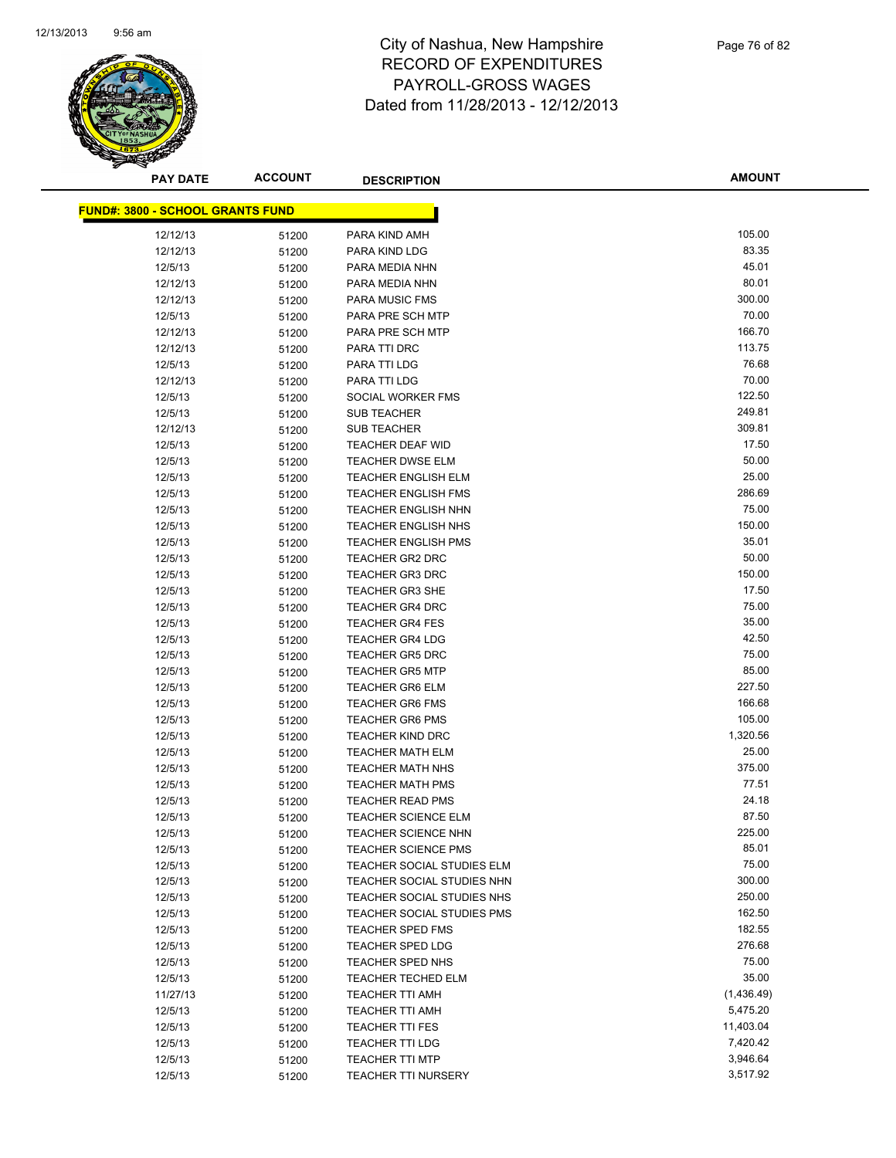

| <b>PAY DATE</b>                         | <b>ACCOUNT</b> | <b>DESCRIPTION</b>         | <b>AMOUNT</b> |
|-----------------------------------------|----------------|----------------------------|---------------|
| <b>FUND#: 3800 - SCHOOL GRANTS FUND</b> |                |                            |               |
|                                         |                |                            |               |
| 12/12/13                                | 51200          | PARA KIND AMH              | 105.00        |
| 12/12/13                                | 51200          | PARA KIND LDG              | 83.35         |
| 12/5/13                                 | 51200          | PARA MEDIA NHN             | 45.01         |
| 12/12/13                                | 51200          | PARA MEDIA NHN             | 80.01         |
| 12/12/13                                | 51200          | <b>PARA MUSIC FMS</b>      | 300.00        |
| 12/5/13                                 | 51200          | PARA PRE SCH MTP           | 70.00         |
| 12/12/13                                | 51200          | PARA PRE SCH MTP           | 166.70        |
| 12/12/13                                | 51200          | PARA TTI DRC               | 113.75        |
| 12/5/13                                 | 51200          | PARA TTI LDG               | 76.68         |
| 12/12/13                                | 51200          | PARA TTI LDG               | 70.00         |
| 12/5/13                                 | 51200          | SOCIAL WORKER FMS          | 122.50        |
| 12/5/13                                 | 51200          | <b>SUB TEACHER</b>         | 249.81        |
| 12/12/13                                | 51200          | <b>SUB TEACHER</b>         | 309.81        |
| 12/5/13                                 | 51200          | <b>TEACHER DEAF WID</b>    | 17.50         |
| 12/5/13                                 | 51200          | <b>TEACHER DWSE ELM</b>    | 50.00         |
| 12/5/13                                 | 51200          | <b>TEACHER ENGLISH ELM</b> | 25.00         |
| 12/5/13                                 | 51200          | <b>TEACHER ENGLISH FMS</b> | 286.69        |
| 12/5/13                                 | 51200          | <b>TEACHER ENGLISH NHN</b> | 75.00         |
| 12/5/13                                 | 51200          | <b>TEACHER ENGLISH NHS</b> | 150.00        |
| 12/5/13                                 | 51200          | <b>TEACHER ENGLISH PMS</b> | 35.01         |
| 12/5/13                                 | 51200          | <b>TEACHER GR2 DRC</b>     | 50.00         |
| 12/5/13                                 | 51200          | <b>TEACHER GR3 DRC</b>     | 150.00        |
| 12/5/13                                 | 51200          | <b>TEACHER GR3 SHE</b>     | 17.50         |
| 12/5/13                                 | 51200          | <b>TEACHER GR4 DRC</b>     | 75.00         |
| 12/5/13                                 | 51200          | <b>TEACHER GR4 FES</b>     | 35.00         |
| 12/5/13                                 | 51200          | <b>TEACHER GR4 LDG</b>     | 42.50         |
| 12/5/13                                 | 51200          | <b>TEACHER GR5 DRC</b>     | 75.00         |
| 12/5/13                                 | 51200          | <b>TEACHER GR5 MTP</b>     | 85.00         |
| 12/5/13                                 | 51200          | <b>TEACHER GR6 ELM</b>     | 227.50        |
| 12/5/13                                 | 51200          | <b>TEACHER GR6 FMS</b>     | 166.68        |
| 12/5/13                                 | 51200          | <b>TEACHER GR6 PMS</b>     | 105.00        |
| 12/5/13                                 | 51200          | <b>TEACHER KIND DRC</b>    | 1,320.56      |
| 12/5/13                                 | 51200          | <b>TEACHER MATH ELM</b>    | 25.00         |
| 12/5/13                                 | 51200          | <b>TEACHER MATH NHS</b>    | 375.00        |
| 12/5/13                                 | 51200          | <b>TEACHER MATH PMS</b>    | 77.51         |
| 12/5/13                                 | 51200          | <b>TEACHER READ PMS</b>    | 24.18         |
| 12/5/13                                 | 51200          | <b>TEACHER SCIENCE ELM</b> | 87.50         |
| 12/5/13                                 | 51200          | <b>TEACHER SCIENCE NHN</b> | 225.00        |
| 12/5/13                                 | 51200          | <b>TEACHER SCIENCE PMS</b> | 85.01         |
| 12/5/13                                 | 51200          | TEACHER SOCIAL STUDIES ELM | 75.00         |
| 12/5/13                                 | 51200          | TEACHER SOCIAL STUDIES NHN | 300.00        |
| 12/5/13                                 | 51200          | TEACHER SOCIAL STUDIES NHS | 250.00        |
| 12/5/13                                 | 51200          | TEACHER SOCIAL STUDIES PMS | 162.50        |
| 12/5/13                                 | 51200          | TEACHER SPED FMS           | 182.55        |
| 12/5/13                                 | 51200          | <b>TEACHER SPED LDG</b>    | 276.68        |
| 12/5/13                                 | 51200          | <b>TEACHER SPED NHS</b>    | 75.00         |
| 12/5/13                                 | 51200          | <b>TEACHER TECHED ELM</b>  | 35.00         |
| 11/27/13                                | 51200          | <b>TEACHER TTI AMH</b>     | (1,436.49)    |
| 12/5/13                                 | 51200          | TEACHER TTI AMH            | 5,475.20      |
| 12/5/13                                 | 51200          | <b>TEACHER TTI FES</b>     | 11,403.04     |
| 12/5/13                                 | 51200          | <b>TEACHER TTI LDG</b>     | 7,420.42      |
| 12/5/13                                 | 51200          | <b>TEACHER TTI MTP</b>     | 3,946.64      |
| 12/5/13                                 | 51200          | TEACHER TTI NURSERY        | 3,517.92      |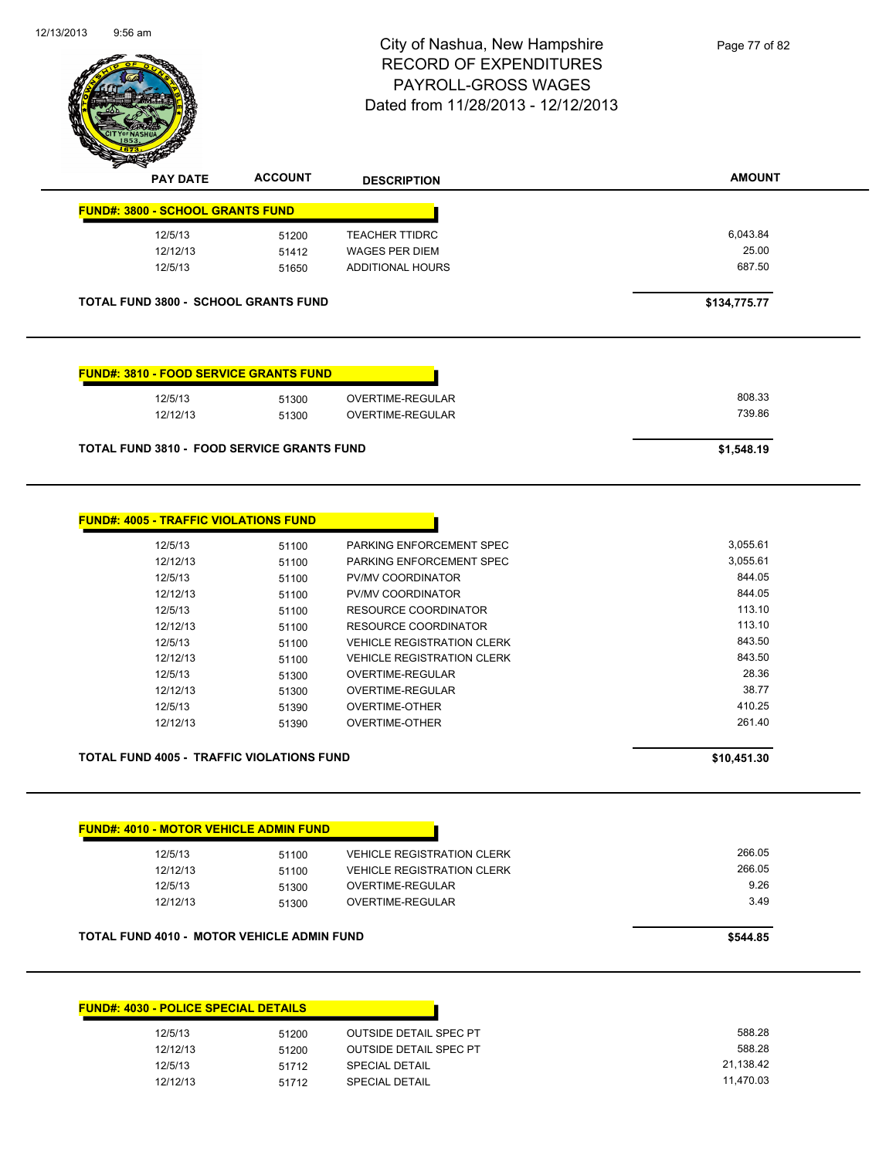

| <b>PAY DATE</b>                         | <b>ACCOUNT</b>                                | <b>DESCRIPTION</b>    | <b>AMOUNT</b> |
|-----------------------------------------|-----------------------------------------------|-----------------------|---------------|
| <b>FUND#: 3800 - SCHOOL GRANTS FUND</b> |                                               |                       |               |
| 12/5/13                                 | 51200                                         | <b>TEACHER TTIDRC</b> | 6,043.84      |
| 12/12/13                                | 51412                                         | <b>WAGES PER DIEM</b> | 25.00         |
| 12/5/13                                 | 51650                                         | ADDITIONAL HOURS      | 687.50        |
|                                         |                                               |                       |               |
|                                         | <b>TOTAL FUND 3800 - SCHOOL GRANTS FUND</b>   |                       | \$134,775.77  |
|                                         | <b>FUND#: 3810 - FOOD SERVICE GRANTS FUND</b> |                       |               |
| 12/5/13                                 | 51300                                         | OVERTIME-REGULAR      | 808.33        |
| 12/12/13                                | 51300                                         | OVERTIME-REGULAR      | 739.86        |

| 12/5/13  | 51100 | PARKING ENFORCEMENT SPEC          | 3,055.61 |
|----------|-------|-----------------------------------|----------|
| 12/12/13 | 51100 | PARKING ENFORCEMENT SPEC          | 3,055.61 |
| 12/5/13  | 51100 | <b>PV/MV COORDINATOR</b>          | 844.05   |
| 12/12/13 | 51100 | <b>PV/MV COORDINATOR</b>          | 844.05   |
| 12/5/13  | 51100 | RESOURCE COORDINATOR              | 113.10   |
| 12/12/13 | 51100 | RESOURCE COORDINATOR              | 113.10   |
| 12/5/13  | 51100 | <b>VEHICLE REGISTRATION CLERK</b> | 843.50   |
| 12/12/13 | 51100 | <b>VEHICLE REGISTRATION CLERK</b> | 843.50   |
| 12/5/13  | 51300 | OVERTIME-REGULAR                  | 28.36    |
| 12/12/13 | 51300 | OVERTIME-REGULAR                  | 38.77    |
| 12/5/13  | 51390 | <b>OVERTIME-OTHER</b>             | 410.25   |
| 12/12/13 | 51390 | OVERTIME-OTHER                    | 261.40   |

**TOTAL FUND 4005 - TRAFFIC VIOLATIONS FUND \$10,451.30** 

| 12/5/13  | 51100 | <b>VEHICLE REGISTRATION CLERK</b> | 266.05 |
|----------|-------|-----------------------------------|--------|
| 12/12/13 | 51100 | <b>VEHICLE REGISTRATION CLERK</b> | 266.05 |
| 12/5/13  | 51300 | OVERTIME-REGULAR                  | 9.26   |
| 12/12/13 | 51300 | OVERTIME-REGULAR                  | 3.49   |

| <b>FUND#: 4030 - POLICE SPECIAL DETAILS</b> |       |                               |           |
|---------------------------------------------|-------|-------------------------------|-----------|
| 12/5/13                                     | 51200 | <b>OUTSIDE DETAIL SPEC PT</b> |           |
| 12/12/13                                    | 51200 | <b>OUTSIDE DETAIL SPEC PT</b> |           |
| 12/5/13                                     | 51712 | <b>SPECIAL DETAIL</b>         | 21,138.42 |
| 12/12/13                                    | 51712 | <b>SPECIAL DETAIL</b>         | 11.470.03 |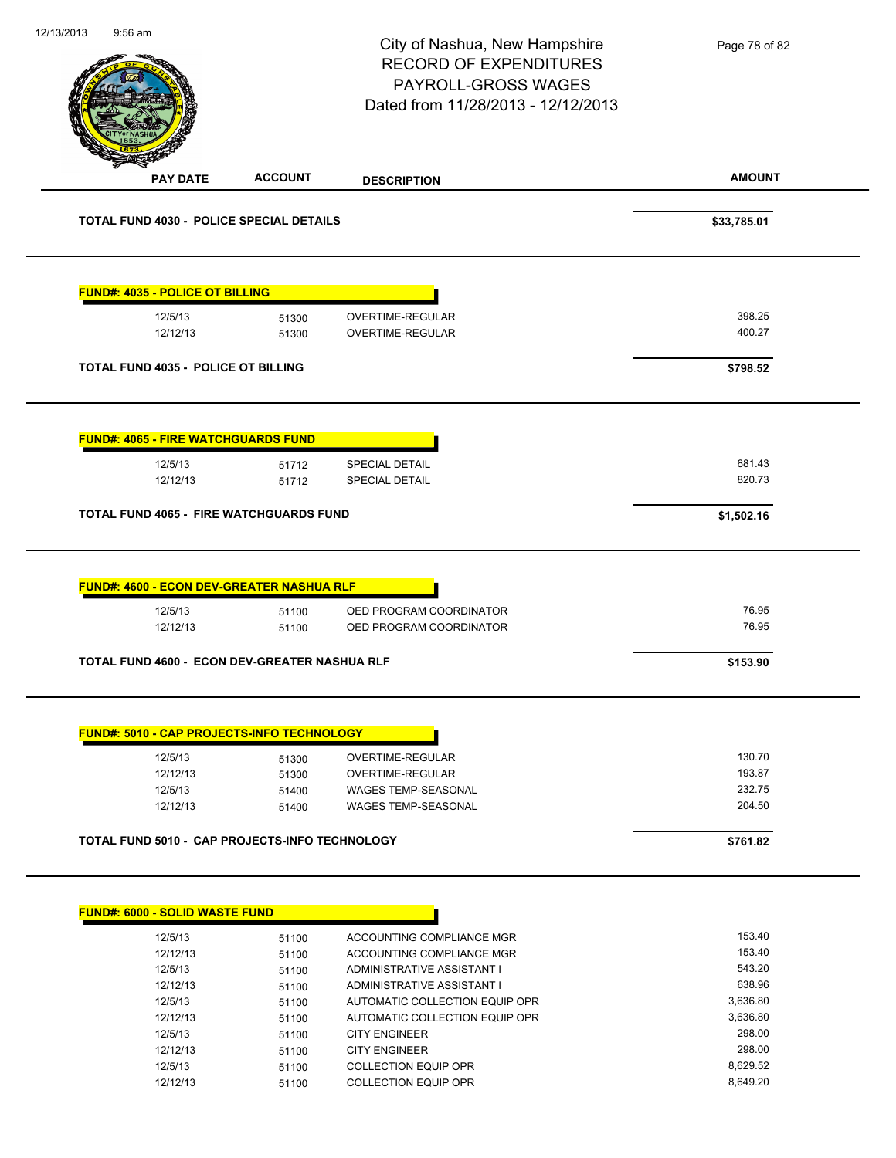|                                                   |                | City of Nashua, New Hampshire<br><b>RECORD OF EXPENDITURES</b><br>PAYROLL-GROSS WAGES<br>Dated from 11/28/2013 - 12/12/2013 | Page 78 of 82        |
|---------------------------------------------------|----------------|-----------------------------------------------------------------------------------------------------------------------------|----------------------|
| <b>PAY DATE</b>                                   | <b>ACCOUNT</b> | <b>DESCRIPTION</b>                                                                                                          | <b>AMOUNT</b>        |
| <b>TOTAL FUND 4030 - POLICE SPECIAL DETAILS</b>   |                |                                                                                                                             | \$33,785.01          |
| <b>FUND#: 4035 - POLICE OT BILLING</b>            |                |                                                                                                                             |                      |
| 12/5/13                                           | 51300          | OVERTIME-REGULAR                                                                                                            | 398.25               |
| 12/12/13                                          | 51300          | OVERTIME-REGULAR                                                                                                            | 400.27               |
| <b>TOTAL FUND 4035 - POLICE OT BILLING</b>        |                |                                                                                                                             | \$798.52             |
| <b>FUND#: 4065 - FIRE WATCHGUARDS FUND</b>        |                |                                                                                                                             |                      |
| 12/5/13                                           | 51712          | SPECIAL DETAIL                                                                                                              | 681.43               |
| 12/12/13                                          | 51712          | <b>SPECIAL DETAIL</b>                                                                                                       | 820.73               |
| <b>FUND#: 4600 - ECON DEV-GREATER NASHUA RLF</b>  |                |                                                                                                                             |                      |
| 12/5/13                                           | 51100          | OED PROGRAM COORDINATOR                                                                                                     | 76.95                |
| 12/12/13                                          | 51100          | OED PROGRAM COORDINATOR                                                                                                     | 76.95                |
| TOTAL FUND 4600 - ECON DEV-GREATER NASHUA RLF     |                |                                                                                                                             | \$153.90             |
| <b>FUND#: 5010 - CAP PROJECTS-INFO TECHNOLOGY</b> |                |                                                                                                                             |                      |
| 12/5/13                                           | 51300          | <b>OVERTIME-REGULAR</b>                                                                                                     | 130.70               |
| 12/12/13                                          | 51300          | <b>OVERTIME-REGULAR</b>                                                                                                     | 193.87<br>232.75     |
| 12/5/13<br>12/12/13                               | 51400<br>51400 | WAGES TEMP-SEASONAL<br><b>WAGES TEMP-SEASONAL</b>                                                                           | 204.50               |
|                                                   |                |                                                                                                                             |                      |
| TOTAL FUND 5010 - CAP PROJECTS-INFO TECHNOLOGY    |                |                                                                                                                             | \$761.82             |
| <b>FUND#: 6000 - SOLID WASTE FUND</b>             |                |                                                                                                                             |                      |
| 12/5/13                                           | 51100          | ACCOUNTING COMPLIANCE MGR                                                                                                   | 153.40               |
| 12/12/13                                          | 51100          | ACCOUNTING COMPLIANCE MGR                                                                                                   | 153.40               |
| 12/5/13                                           | 51100          | ADMINISTRATIVE ASSISTANT I                                                                                                  | 543.20               |
| 12/12/13                                          | 51100          | ADMINISTRATIVE ASSISTANT I                                                                                                  | 638.96               |
| 12/5/13<br>12/12/13                               | 51100<br>51100 | AUTOMATIC COLLECTION EQUIP OPR<br>AUTOMATIC COLLECTION EQUIP OPR                                                            | 3,636.80<br>3,636.80 |
|                                                   |                |                                                                                                                             |                      |

12/5/13 51100 CITY ENGINEER 298.00 12/12/13 51100 CITY ENGINEER<br>12/5/13 51100 COLLECTION EQUIP OPR 12/5/13 8,629.52

12/12/13 51100 COLLECTION EQUIP OPR 8,649.20

12/5/13 51100 COLLECTION EQUIP OPR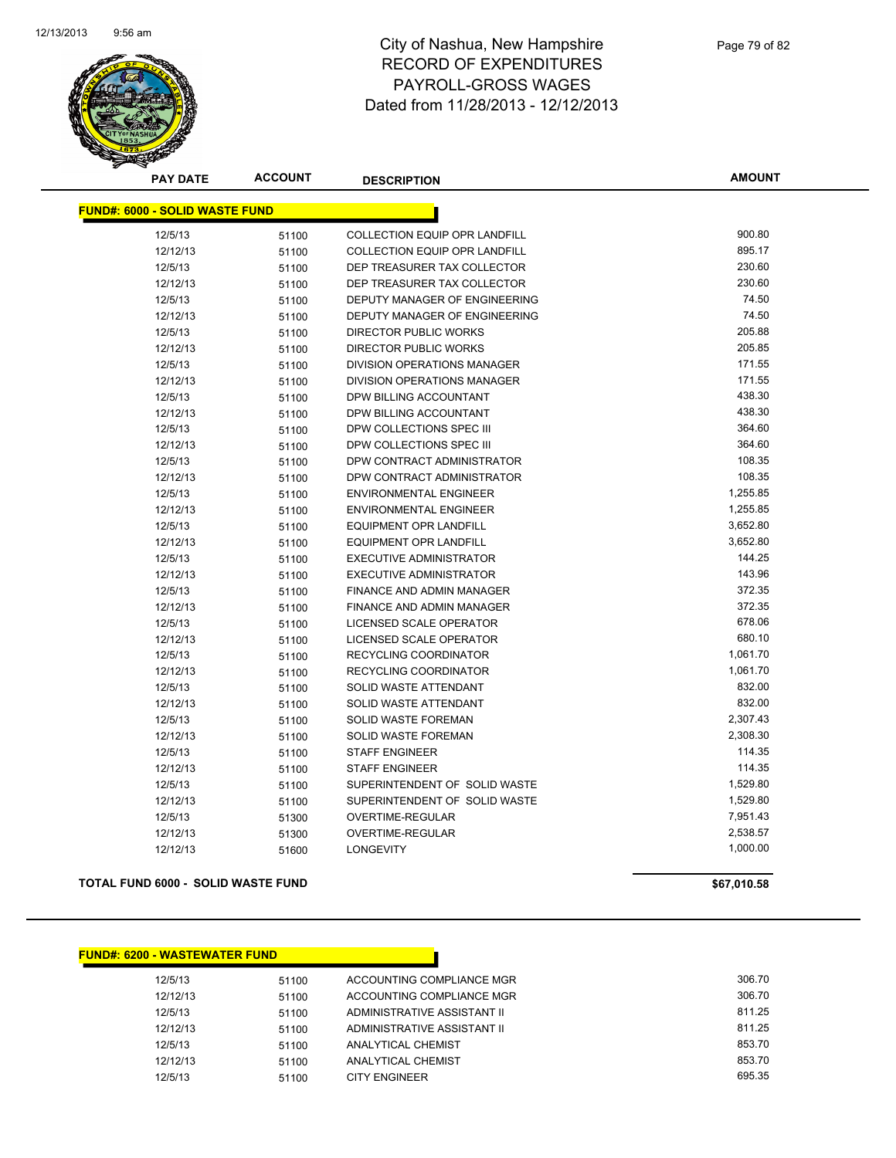

**AMOUNT**

| <b>FUND#: 6000 - SOLID WASTE FUND</b> |       |                                      |          |
|---------------------------------------|-------|--------------------------------------|----------|
| 12/5/13                               | 51100 | <b>COLLECTION EQUIP OPR LANDFILL</b> | 900.80   |
| 12/12/13                              | 51100 | <b>COLLECTION EQUIP OPR LANDFILL</b> | 895.17   |
| 12/5/13                               | 51100 | DEP TREASURER TAX COLLECTOR          | 230.60   |
| 12/12/13                              | 51100 | DEP TREASURER TAX COLLECTOR          | 230.60   |
| 12/5/13                               | 51100 | DEPUTY MANAGER OF ENGINEERING        | 74.50    |
| 12/12/13                              | 51100 | DEPUTY MANAGER OF ENGINEERING        | 74.50    |
| 12/5/13                               | 51100 | <b>DIRECTOR PUBLIC WORKS</b>         | 205.88   |
| 12/12/13                              | 51100 | <b>DIRECTOR PUBLIC WORKS</b>         | 205.85   |
| 12/5/13                               | 51100 | <b>DIVISION OPERATIONS MANAGER</b>   | 171.55   |
| 12/12/13                              | 51100 | DIVISION OPERATIONS MANAGER          | 171.55   |
| 12/5/13                               | 51100 | DPW BILLING ACCOUNTANT               | 438.30   |
| 12/12/13                              | 51100 | DPW BILLING ACCOUNTANT               | 438.30   |
| 12/5/13                               | 51100 | DPW COLLECTIONS SPEC III             | 364.60   |
| 12/12/13                              | 51100 | DPW COLLECTIONS SPEC III             | 364.60   |
| 12/5/13                               | 51100 | DPW CONTRACT ADMINISTRATOR           | 108.35   |
| 12/12/13                              | 51100 | DPW CONTRACT ADMINISTRATOR           | 108.35   |
| 12/5/13                               | 51100 | <b>ENVIRONMENTAL ENGINEER</b>        | 1,255.85 |
| 12/12/13                              | 51100 | <b>ENVIRONMENTAL ENGINEER</b>        | 1,255.85 |
| 12/5/13                               | 51100 | <b>EQUIPMENT OPR LANDFILL</b>        | 3,652.80 |
| 12/12/13                              | 51100 | <b>EQUIPMENT OPR LANDFILL</b>        | 3,652.80 |
| 12/5/13                               | 51100 | <b>EXECUTIVE ADMINISTRATOR</b>       | 144.25   |
| 12/12/13                              | 51100 | <b>EXECUTIVE ADMINISTRATOR</b>       | 143.96   |
| 12/5/13                               | 51100 | <b>FINANCE AND ADMIN MANAGER</b>     | 372.35   |
| 12/12/13                              | 51100 | FINANCE AND ADMIN MANAGER            | 372.35   |
| 12/5/13                               | 51100 | LICENSED SCALE OPERATOR              | 678.06   |
| 12/12/13                              | 51100 | LICENSED SCALE OPERATOR              | 680.10   |
| 12/5/13                               | 51100 | RECYCLING COORDINATOR                | 1,061.70 |
| 12/12/13                              | 51100 | RECYCLING COORDINATOR                | 1,061.70 |
| 12/5/13                               | 51100 | SOLID WASTE ATTENDANT                | 832.00   |
| 12/12/13                              | 51100 | <b>SOLID WASTE ATTENDANT</b>         | 832.00   |
| 12/5/13                               | 51100 | SOLID WASTE FOREMAN                  | 2,307.43 |
| 12/12/13                              | 51100 | <b>SOLID WASTE FOREMAN</b>           | 2,308.30 |
| 12/5/13                               | 51100 | <b>STAFF ENGINEER</b>                | 114.35   |
| 12/12/13                              | 51100 | <b>STAFF ENGINEER</b>                | 114.35   |
| 12/5/13                               | 51100 | SUPERINTENDENT OF SOLID WASTE        | 1,529.80 |
| 12/12/13                              | 51100 | SUPERINTENDENT OF SOLID WASTE        | 1,529.80 |
| 12/5/13                               | 51300 | <b>OVERTIME-REGULAR</b>              | 7,951.43 |
| 12/12/13                              | 51300 | OVERTIME-REGULAR                     | 2,538.57 |
| 12/12/13                              | 51600 | <b>LONGEVITY</b>                     | 1,000.00 |

#### **TOTAL FUND 6000 - SOLID WASTE FUND \$67,010.58**

#### **FUND#: 6200 - WASTEWATER FUND**

| 12/5/13  | 51100 | ACCOUNTING COMPLIANCE MGR   | 306.70 |
|----------|-------|-----------------------------|--------|
| 12/12/13 | 51100 | ACCOUNTING COMPLIANCE MGR   | 306.70 |
| 12/5/13  | 51100 | ADMINISTRATIVE ASSISTANT II | 811.25 |
| 12/12/13 | 51100 | ADMINISTRATIVE ASSISTANT II | 811.25 |
| 12/5/13  | 51100 | ANALYTICAL CHEMIST          | 853.70 |
| 12/12/13 | 51100 | ANALYTICAL CHEMIST          | 853.70 |
| 12/5/13  | 51100 | CITY ENGINEER               | 695.35 |
|          |       |                             |        |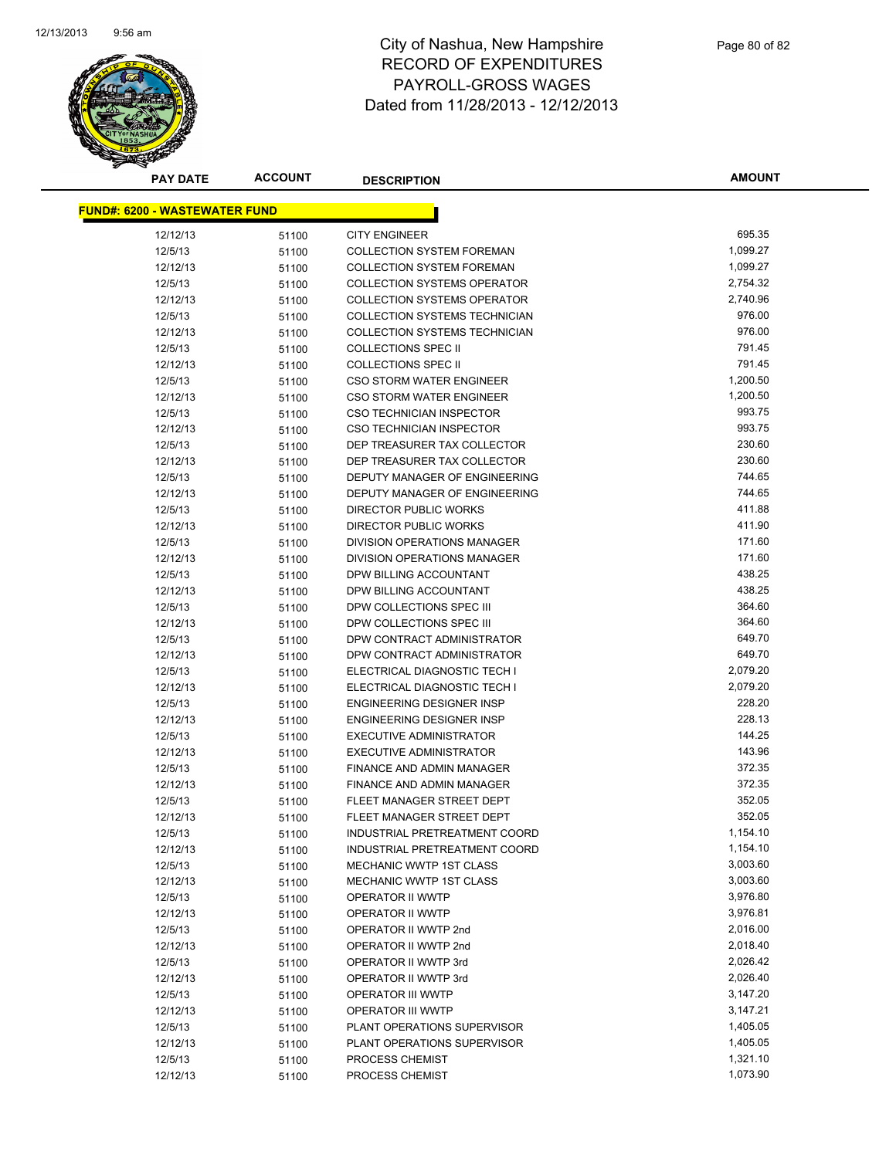

**AMOUNT**

| <b>FUND#: 6200 - WASTEWATER FUND</b> |       |                                      |          |
|--------------------------------------|-------|--------------------------------------|----------|
| 12/12/13                             | 51100 | <b>CITY ENGINEER</b>                 | 695.35   |
| 12/5/13                              | 51100 | <b>COLLECTION SYSTEM FOREMAN</b>     | 1,099.27 |
| 12/12/13                             | 51100 | <b>COLLECTION SYSTEM FOREMAN</b>     | 1,099.27 |
| 12/5/13                              | 51100 | <b>COLLECTION SYSTEMS OPERATOR</b>   | 2,754.32 |
| 12/12/13                             | 51100 | <b>COLLECTION SYSTEMS OPERATOR</b>   | 2,740.96 |
| 12/5/13                              | 51100 | <b>COLLECTION SYSTEMS TECHNICIAN</b> | 976.00   |
| 12/12/13                             | 51100 | COLLECTION SYSTEMS TECHNICIAN        | 976.00   |
| 12/5/13                              | 51100 | <b>COLLECTIONS SPEC II</b>           | 791.45   |
| 12/12/13                             | 51100 | <b>COLLECTIONS SPEC II</b>           | 791.45   |
| 12/5/13                              | 51100 | <b>CSO STORM WATER ENGINEER</b>      | 1,200.50 |
| 12/12/13                             | 51100 | <b>CSO STORM WATER ENGINEER</b>      | 1,200.50 |
| 12/5/13                              | 51100 | CSO TECHNICIAN INSPECTOR             | 993.75   |
| 12/12/13                             | 51100 | <b>CSO TECHNICIAN INSPECTOR</b>      | 993.75   |
| 12/5/13                              | 51100 | DEP TREASURER TAX COLLECTOR          | 230.60   |
| 12/12/13                             | 51100 | DEP TREASURER TAX COLLECTOR          | 230.60   |
| 12/5/13                              | 51100 | DEPUTY MANAGER OF ENGINEERING        | 744.65   |
| 12/12/13                             | 51100 | DEPUTY MANAGER OF ENGINEERING        | 744.65   |
| 12/5/13                              | 51100 | DIRECTOR PUBLIC WORKS                | 411.88   |
| 12/12/13                             | 51100 | DIRECTOR PUBLIC WORKS                | 411.90   |
| 12/5/13                              | 51100 | DIVISION OPERATIONS MANAGER          | 171.60   |
| 12/12/13                             | 51100 | DIVISION OPERATIONS MANAGER          | 171.60   |
| 12/5/13                              | 51100 | DPW BILLING ACCOUNTANT               | 438.25   |
| 12/12/13                             | 51100 | DPW BILLING ACCOUNTANT               | 438.25   |
| 12/5/13                              | 51100 | DPW COLLECTIONS SPEC III             | 364.60   |
| 12/12/13                             | 51100 | DPW COLLECTIONS SPEC III             | 364.60   |
| 12/5/13                              | 51100 | DPW CONTRACT ADMINISTRATOR           | 649.70   |
| 12/12/13                             | 51100 | DPW CONTRACT ADMINISTRATOR           | 649.70   |
| 12/5/13                              | 51100 | ELECTRICAL DIAGNOSTIC TECH I         | 2,079.20 |
| 12/12/13                             | 51100 | ELECTRICAL DIAGNOSTIC TECH I         | 2,079.20 |
| 12/5/13                              | 51100 | <b>ENGINEERING DESIGNER INSP</b>     | 228.20   |
| 12/12/13                             | 51100 | <b>ENGINEERING DESIGNER INSP</b>     | 228.13   |
| 12/5/13                              | 51100 | <b>EXECUTIVE ADMINISTRATOR</b>       | 144.25   |
| 12/12/13                             | 51100 | <b>EXECUTIVE ADMINISTRATOR</b>       | 143.96   |
| 12/5/13                              | 51100 | FINANCE AND ADMIN MANAGER            | 372.35   |
| 12/12/13                             | 51100 | FINANCE AND ADMIN MANAGER            | 372.35   |
| 12/5/13                              | 51100 | FLEET MANAGER STREET DEPT            | 352.05   |
| 12/12/13                             | 51100 | FLEET MANAGER STREET DEPT            | 352.05   |
| 12/5/13                              | 51100 | INDUSTRIAL PRETREATMENT COORD        | 1,154.10 |
| 12/12/13                             | 51100 | INDUSTRIAL PRETREATMENT COORD        | 1,154.10 |
| 12/5/13                              | 51100 | <b>MECHANIC WWTP 1ST CLASS</b>       | 3,003.60 |
| 12/12/13                             | 51100 | MECHANIC WWTP 1ST CLASS              | 3,003.60 |
| 12/5/13                              | 51100 | OPERATOR II WWTP                     | 3,976.80 |
| 12/12/13                             | 51100 | OPERATOR II WWTP                     | 3,976.81 |
| 12/5/13                              | 51100 | OPERATOR II WWTP 2nd                 | 2,016.00 |
| 12/12/13                             | 51100 | OPERATOR II WWTP 2nd                 | 2,018.40 |
| 12/5/13                              | 51100 | OPERATOR II WWTP 3rd                 | 2,026.42 |
| 12/12/13                             | 51100 | OPERATOR II WWTP 3rd                 | 2,026.40 |
| 12/5/13                              | 51100 | OPERATOR III WWTP                    | 3,147.20 |
| 12/12/13                             | 51100 | OPERATOR III WWTP                    | 3,147.21 |
| 12/5/13                              | 51100 | PLANT OPERATIONS SUPERVISOR          | 1,405.05 |
| 12/12/13                             | 51100 | PLANT OPERATIONS SUPERVISOR          | 1,405.05 |
| 12/5/13                              | 51100 | PROCESS CHEMIST                      | 1,321.10 |
| 12/12/13                             | 51100 | PROCESS CHEMIST                      | 1,073.90 |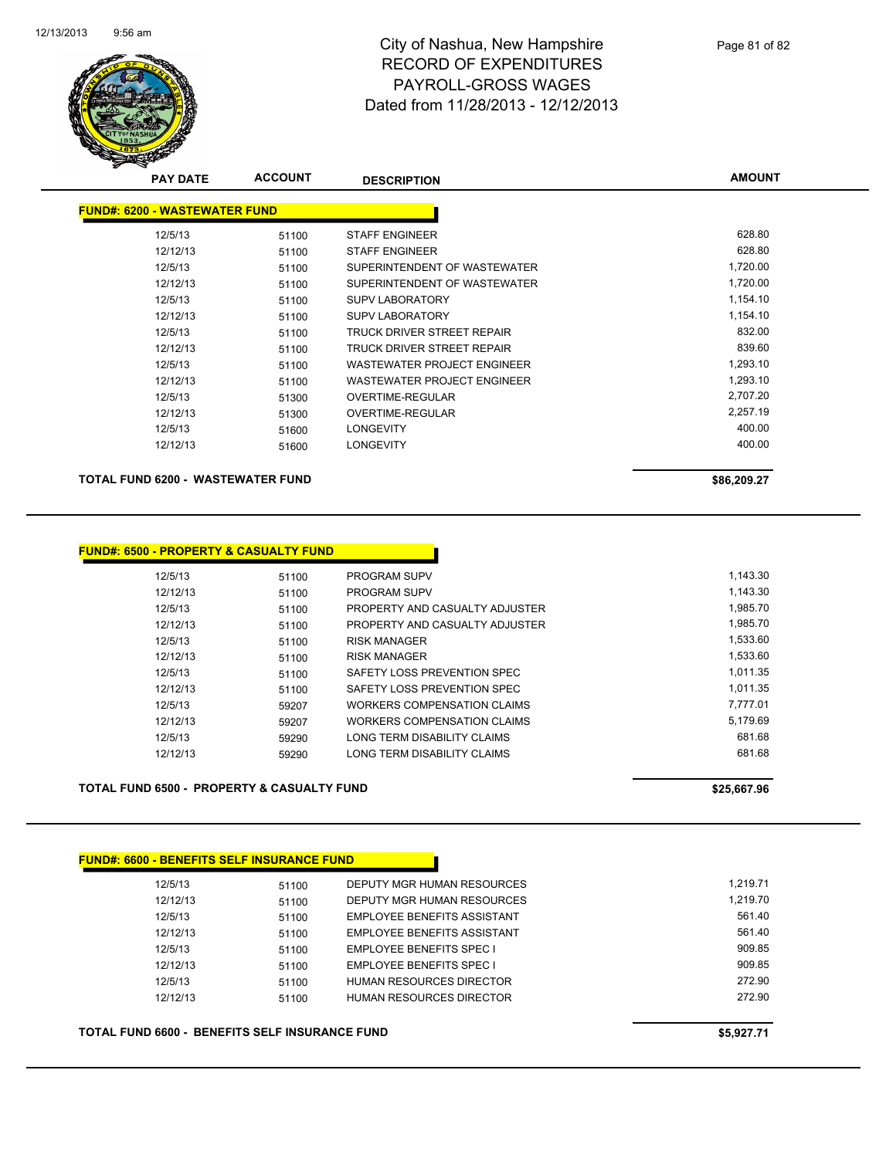

| <b>PAY DATE</b>                      | <b>ACCOUNT</b> | <b>DESCRIPTION</b>                 | <b>AMOUNT</b> |
|--------------------------------------|----------------|------------------------------------|---------------|
| <b>FUND#: 6200 - WASTEWATER FUND</b> |                |                                    |               |
| 12/5/13                              | 51100          | <b>STAFF ENGINEER</b>              | 628.80        |
| 12/12/13                             | 51100          | <b>STAFF ENGINEER</b>              | 628.80        |
| 12/5/13                              | 51100          | SUPERINTENDENT OF WASTEWATER       | 1,720.00      |
| 12/12/13                             | 51100          | SUPERINTENDENT OF WASTEWATER       | 1,720.00      |
| 12/5/13                              | 51100          | <b>SUPV LABORATORY</b>             | 1,154.10      |
| 12/12/13                             | 51100          | <b>SUPV LABORATORY</b>             | 1,154.10      |
| 12/5/13                              | 51100          | TRUCK DRIVER STREET REPAIR         | 832.00        |
| 12/12/13                             | 51100          | TRUCK DRIVER STREET REPAIR         | 839.60        |
| 12/5/13                              | 51100          | <b>WASTEWATER PROJECT ENGINEER</b> | 1,293.10      |
| 12/12/13                             | 51100          | <b>WASTEWATER PROJECT ENGINEER</b> | 1,293.10      |
| 12/5/13                              | 51300          | <b>OVERTIME-REGULAR</b>            | 2,707.20      |
| 12/12/13                             | 51300          | OVERTIME-REGULAR                   | 2,257.19      |
| 12/5/13                              | 51600          | <b>LONGEVITY</b>                   | 400.00        |
| 12/12/13                             | 51600          | <b>LONGEVITY</b>                   | 400.00        |

**TOTAL FUND 6200 - WASTEWATER FUND \$86,209.27** 

| <u> FUND#: 6500 - PROPERTY &amp; CASUALTY FUND</u> |       |                                |
|----------------------------------------------------|-------|--------------------------------|
| 12/5/13                                            | 51100 | <b>PROGRAM SUPV</b>            |
| 12/12/13                                           | 51100 | <b>PROGRAM SUPV</b>            |
| 12/5/13                                            | 51100 | PROPERTY AND CASUALTY ADJUSTER |
| 12/12/13                                           | 51100 | PROPERTY AND CASUALTY ADJUSTER |
| 12/5/13                                            | 51100 | <b>RISK MANAGER</b>            |
| 12/12/13                                           | 51100 | <b>RISK MANAGER</b>            |
| 12/5/13                                            | 51100 | SAFETY LOSS PREVENTION SPEC    |
| 12/12/13                                           | 51100 | SAFETY LOSS PREVENTION SPEC    |
| 12/5/13                                            | 59207 | WORKERS COMPENSATION CLAIMS    |
| 12/12/13                                           | 59207 | WORKERS COMPENSATION CLAIMS    |
| 12/5/13                                            | 59290 | LONG TERM DISABILITY CLAIMS    |
| 12/12/13                                           | 59290 | LONG TERM DISABILITY CLAIMS    |

TOTAL FUND 6500 - PROPERTY & CASUALTY FUND<br>
\$25,667.96

|  | FUND#: 6600 - BENEFITS SELF INSURANCE FUND_ |
|--|---------------------------------------------|
|--|---------------------------------------------|

| 12/5/13  | 51100 | DEPUTY MGR HUMAN RESOURCES         | 1.219.71 |
|----------|-------|------------------------------------|----------|
| 12/12/13 | 51100 | DEPUTY MGR HUMAN RESOURCES         | 1.219.70 |
| 12/5/13  | 51100 | EMPLOYEE BENEFITS ASSISTANT        | 561.40   |
| 12/12/13 | 51100 | <b>EMPLOYEE BENEFITS ASSISTANT</b> | 561.40   |
| 12/5/13  | 51100 | <b>EMPLOYEE BENEFITS SPEC I</b>    | 909.85   |
| 12/12/13 | 51100 | <b>EMPLOYEE BENEFITS SPEC I</b>    | 909.85   |
| 12/5/13  | 51100 | <b>HUMAN RESOURCES DIRECTOR</b>    | 272.90   |
| 12/12/13 | 51100 | HUMAN RESOURCES DIRECTOR           | 272.90   |
|          |       |                                    |          |
|          |       |                                    |          |

**TOTAL FUND 6600 - BENEFITS SELF INSURANCE FUND \$5,927.71**